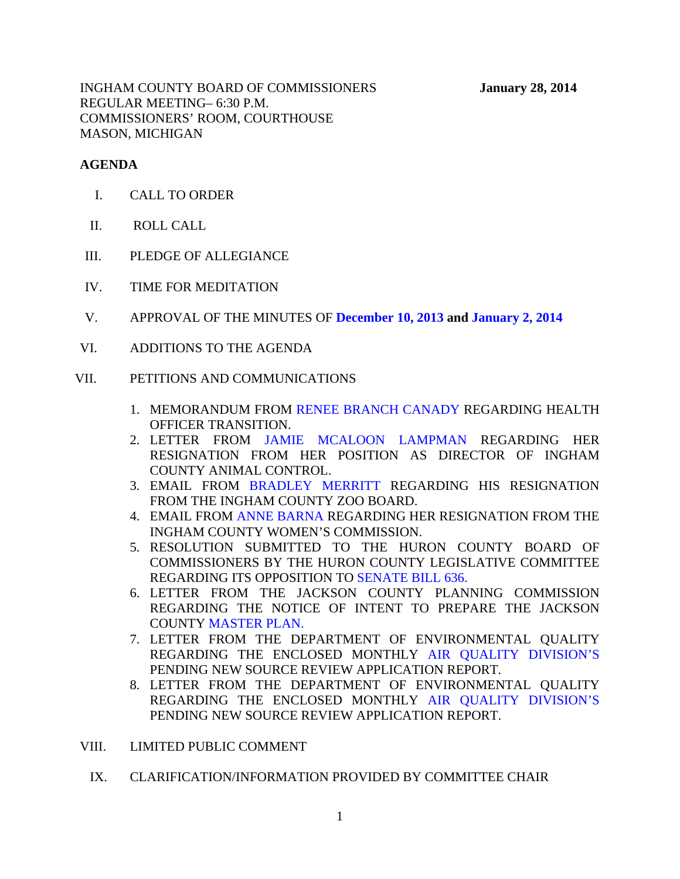INGHAM COUNTY BOARD OF COMMISSIONERS **January 28, 2014** REGULAR MEETING– 6:30 P.M. COMMISSIONERS' ROOM, COURTHOUSE MASON, MICHIGAN

#### **AGENDA**

- I. CALL TO ORDER
- II. ROLL CALL
- III. PLEDGE OF ALLEGIANCE
- IV. TIME FOR MEDITATION
- V. APPROVAL OF THE MINUTES OF **[December 10, 2013 a](#page-4-0)n[d January 2, 2014](#page-66-0)**
- VI. ADDITIONS TO THE AGENDA

#### VII. PETITIONS AND COMMUNICATIONS

- 1. MEMORANDUM FROM [RENEE BRANCH CANADY RE](#page-74-0)GARDING HEALTH OFFICER TRANSITION.
- 2. LETTER FROM [JAMIE MCALOON LAMPMAN REG](#page-75-0)ARDING HER RESIGNATION FROM HER POSITION AS DIRECTOR OF INGHAM COUNTY ANIMAL CONTROL.
- 3. EMAIL [FROM BRADLEY MERRITT R](#page-76-0)EGARDING HIS RESIGNATION FROM THE INGHAM COUNTY ZOO BOARD.
- 4. EMAIL FRO[M ANNE BARNA RE](#page-77-0)GARDING HER RESIGNATION FROM THE INGHAM COUNTY WOMEN'S COMMISSION.
- 5. RESOLUTION SUBMITTED TO THE HURON COUNTY BOARD OF COMMISSIONERS BY THE HURON COUNTY LEGISLATIVE COMMITTEE REGARDING ITS OPPOSITION [TO SENATE BILL 636.](#page-78-0)
- 6. LETTER FROM THE JACKSON COUNTY PLANNING COMMISSION REGARDING THE NOTICE OF INTENT TO PREPARE THE JACKSON COUN[TY MASTER PLAN.](#page-80-0)
- 7. LETTER FROM THE DEPARTMENT OF ENVIRONMENTAL QUALITY REGARDING THE ENCLOSED MONTHLY [AIR QUALITY DIVISION'S](#page-81-0) PENDING NEW SOURCE REVIEW APPLICATION REPORT.
- 8. LETTER FROM THE DEPARTMENT OF ENVIRONMENTAL QUALITY REGARDING THE ENCLOSED MONTHLY [AIR QUALITY DIVISION'S](#page-83-0) PENDING NEW SOURCE REVIEW APPLICATION REPORT.
- VIII. LIMITED PUBLIC COMMENT
	- IX. CLARIFICATION/INFORMATION PROVIDED BY COMMITTEE CHAIR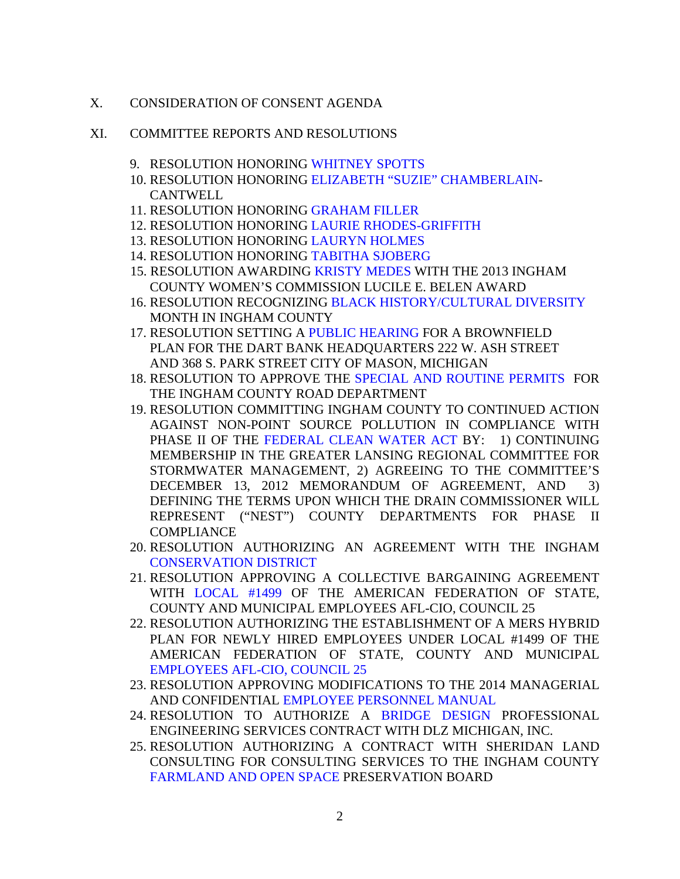- X. CONSIDERATION OF CONSENT AGENDA
- XI. COMMITTEE REPORTS AND RESOLUTIONS
	- 9. RESOLUTION HONORI[NG WHITNEY SPOTTS](#page-85-0)
	- 10. RESOLUTION HONORI[NG ELIZABETH "SUZIE" CHAMBERLAIN-](#page-86-0)**CANTWELL**
	- 11. RESOLUTION HONORI[NG GRAHAM FILLER](#page-87-0)
	- 12. RESOLUTION HONORIN[G LAURIE RHODES-GRIFFITH](#page-88-0)
	- 13. RESOLUTION HONORI[NG LAURYN HOLMES](#page-89-0)
	- 14. RESOLUTION HONORI[NG TABITHA SJOBERG](#page-90-0)
	- 15. RESOLUTION AWARDIN[G KRISTY MEDES WITH](#page-91-0) THE 2013 INGHAM COUNTY WOMEN'S COMMISSION LUCILE E. BELEN AWARD
	- 16. RESOLUTION RECOGNIZING [BLACK HISTORY/CULTURAL DIVERSITY](#page-92-0)  MONTH IN INGHAM COUNTY
	- 17. RESOLUTION SETTIN[G A PUBLIC HEARING FO](#page-93-0)R A BROWNFIELD PLAN FOR THE DART BANK HEADQUARTERS 222 W. ASH STREET AND 368 S. PARK STREET CITY OF MASON, MICHIGAN
	- 18. RESOLUTION TO APPROVE [THE SPECIAL AND ROUTINE PERMITS FO](#page-94-0)R THE INGHAM COUNTY ROAD DEPARTMENT
	- 19. RESOLUTION COMMITTING INGHAM COUNTY TO CONTINUED ACTION AGAINST NON-POINT SOURCE POLLUTION IN COMPLIANCE WITH PHASE II OF TH[E FEDERAL CLEAN WATER ACT BY: 1\)](#page-97-0) CONTINUING MEMBERSHIP IN THE GREATER LANSING REGIONAL COMMITTEE FOR STORMWATER MANAGEMENT, 2) AGREEING TO THE COMMITTEE'S DECEMBER 13, 2012 MEMORANDUM OF AGREEMENT, AND 3) DEFINING THE TERMS UPON WHICH THE DRAIN COMMISSIONER WILL REPRESENT ("NEST") COUNTY DEPARTMENTS FOR PHASE II **COMPLIANCE**
	- 20. RESOLUTION AUTHORIZING AN AGREEMENT WITH THE INGHAM [CONSERVATION DISTRICT](#page-113-0)
	- 21. RESOLUTION APPROVING A COLLECTIVE BARGAINING AGREEMENT WITH [LOCAL #1499 O](#page-114-0)F THE AMERICAN FEDERATION OF STATE, COUNTY AND MUNICIPAL EMPLOYEES AFL-CIO, COUNCIL 25
	- 22. RESOLUTION AUTHORIZING THE ESTABLISHMENT OF A MERS HYBRID PLAN FOR NEWLY HIRED EMPLOYEES UNDER LOCAL #1499 OF THE AMERICAN FEDERATION OF STATE, COUNTY AND MUNICIPAL [EMPLOYEES AFL-CIO, COUNCIL 25](#page-115-0)
	- 23. RESOLUTION APPROVING MODIFICATIONS TO THE 2014 MANAGERIAL AND CONFIDENTIA[L EMPLOYEE PERSONNEL MANUAL](#page-116-0)
	- 24. RESOLUTION TO AUTHORIZE A [BRIDGE DESIGN](#page-118-0) PROFESSIONAL ENGINEERING SERVICES CONTRACT WITH DLZ MICHIGAN, INC.
	- 25. RESOLUTION AUTHORIZING A CONTRACT WITH SHERIDAN LAND CONSULTING FOR CONSULTING SERVICES TO THE INGHAM COUNTY [FARMLAND AND OPEN SPACE PRES](#page-119-0)ERVATION BOARD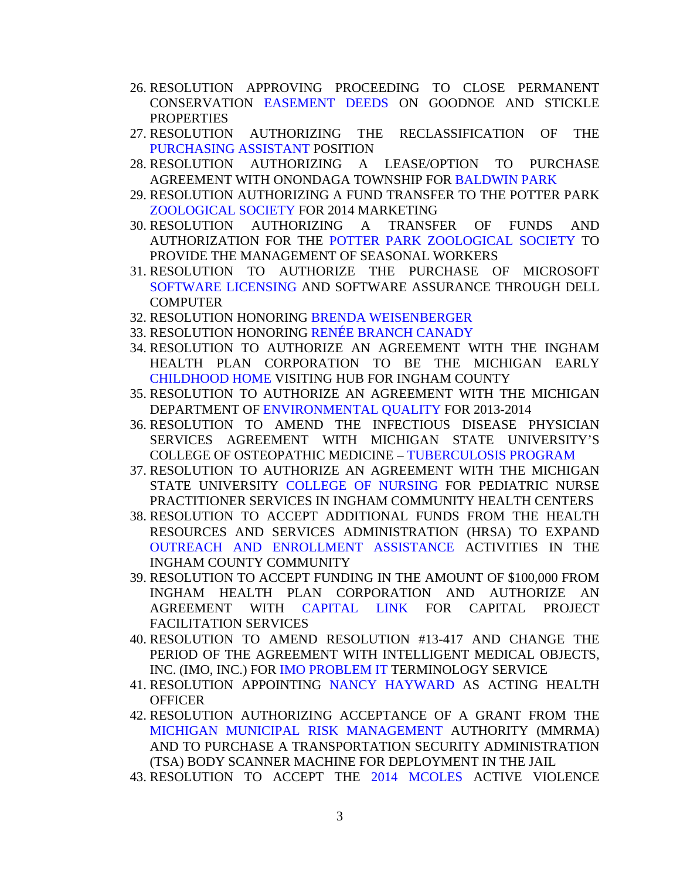- 26. RESOLUTION APPROVING PROCEEDING TO CLOSE PERMANENT CONSERVATION [EASEMENT DEEDS ON](#page-121-0) GOODNOE AND STICKLE PROPERTIES
- 27. RESOLUTION AUTHORIZING THE RECLASSIFICATION OF THE [PURCHASING ASSISTANT P](#page-122-0)OSITION
- 28. RESOLUTION AUTHORIZING A LEAS[E/OPTION TO PURCH](#page-123-0)ASE AGREEMENT WITH ONONDAGA TOWNSHIP FOR BALDWIN PARK
- 29. RESOLUTION AUTHORIZING A FUND TRANSFER TO THE POTTER PARK [ZOOLOGICAL SOCIETY FOR 20](#page-126-0)14 MARKETING
- 30. RESOLUTION AUTHORIZING A TRANSFER OF FUNDS AND AUTHORIZATION FOR THE [POTTER PARK ZOOLOGICAL SOCIETY T](#page-127-0)O PROVIDE THE MANAGEMENT OF SEASONAL WORKERS
- 31. RESOLUTION TO AUTHORIZE THE PURCHASE OF MICROSOFT [SOFTWARE LICENSING AND S](#page-129-0)OFTWARE ASSURANCE THROUGH DELL **COMPUTER**
- 32. RESOLUTION HONORIN[G BRENDA WEISENBERGER](#page-130-0)
- 33. RESOLUTION HONORIN[G RENÉE BRANCH CANADY](#page-131-0)
- 34. RESOLUTION TO AUTHORIZE AN AGREEMENT WITH THE INGHAM HEALTH PLAN CORPORATION TO BE THE MICHIGAN EARLY [CHILDHOOD HOME VISIT](#page-133-0)ING HUB FOR INGHAM COUNTY
- 35. RESOLUTION TO AUTHORIZE AN AGREEMENT WITH THE MICHIGAN DEPARTMENT O[F ENVIRONMENTAL QUALITY FOR](#page-134-0) 2013-2014
- 36. RESOLUTION TO AMEND THE INFECTIOUS DISEASE PHYSICIAN SERVICES AGREEMENT WITH MICHIGAN STATE UNIVERSITY'S COLLEGE OF OSTEOPATHIC MEDICIN[E – TUBERCULOSIS PROGRAM](#page-135-0)
- 37. RESOLUTION TO AUTHORIZE AN AGREEMENT WITH THE MICHIGAN STATE UNIVERSITY [COLLEGE OF NURSING FOR](#page-136-0) PEDIATRIC NURSE PRACTITIONER SERVICES IN INGHAM COMMUNITY HEALTH CENTERS
- 38. RESOLUTION TO ACCEPT ADDITIONAL FUNDS FROM THE HEALTH RESOURCES AND SERVICES ADMINISTRATION (HRSA) TO EXPAND [OUTREACH AND ENROLLMENT ASSISTANCE AC](#page-138-0)TIVITIES IN THE INGHAM COUNTY COMMUNITY
- 39. RESOLUTION TO ACCEPT FUNDING IN THE AMOUNT OF \$100,000 FROM INGHAM HEALTH PLAN CORPORATION AND AUTHORIZE AN AGREEMENT WIT[H CAPITAL LINK FO](#page-140-0)R CAPITAL PROJECT FACILITATION SERVICES
- 40. RESOLUTION TO AMEND RESOLUTION #13-417 AND CHANGE THE PERIOD OF THE [AGREEMENT WITH INT](#page-142-0)ELLIGENT MEDICAL OBJECTS, INC. (IMO, INC.) FOR IMO PROBLEM IT TERMINOLOGY SERVICE
- 41. RESOLUTION APPOINTING [NANCY HAYWARD A](#page-144-0)S ACTING HEALTH **OFFICER**
- 42. RESOLUTION AUTHORIZING ACCEPTANCE OF A GRANT FROM THE [MICHIGAN MUNICIPAL RISK MANAGEMENT AUT](#page-145-0)HORITY (MMRMA) AND TO PURCHASE A TRANSPORTATION SECURITY ADMINISTRATION (TSA) BODY SCANNER MACHINE FOR DEPLOYMENT IN THE JAIL
- 43. RESOLUTION TO ACCEPT TH[E 2014 MCOLES A](#page-147-0)CTIVE VIOLENCE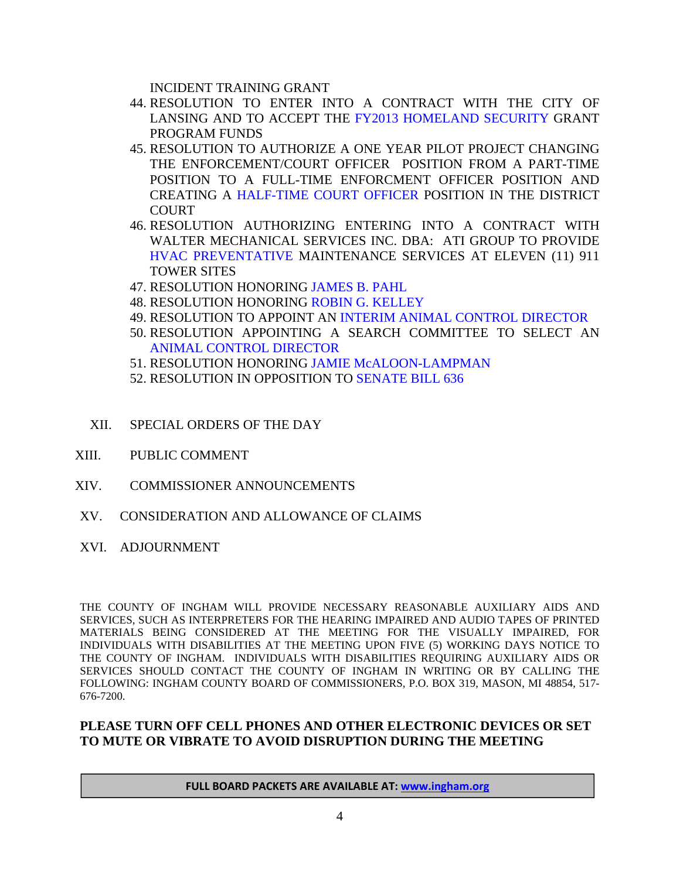INCIDENT TRAINING GRANT

- 44. RESOLUTION TO ENTER INTO A CONTRACT WITH THE CITY OF LANSING AND TO ACCEPT TH[E FY2013 HOMELAND SECURITY GR](#page-148-0)ANT PROGRAM FUNDS
- 45. RESOLUTION TO AUTHORIZE A ONE YEAR PILOT PROJECT CHANGING THE ENFORCEMENT/COURT OFFICER POSITION FROM A PART-TIME POSITIO[N TO A FULL-TIME ENFORCMENT](#page-149-0) OFFICER POSITION AND CREATING A HALF-TIME COURT OFFICER POSITION IN THE DISTRICT **COURT**
- 46. RESOLUTION AUTHORIZING ENTERING INTO A CONTRACT WITH [WALTER MECHANICAL SER](#page-151-0)VICES INC. DBA: ATI GROUP TO PROVIDE HVAC PREVENTATIVE MAINTENANCE SERVICES AT ELEVEN (11) 911 TOWER SITES
- 47. RESOLUTION HONORIN[G JAMES B. PAHL](#page-153-0)
- 48. RESOLUTION HONORI[NG ROBIN G. KELLEY](#page-155-0)
- 49. RESOLUTION TO APPOINT AN [INTERIM ANIMAL CONTROL DIRECTOR](#page-156-0)
- 50. RESOLUTION APPOINTING A SEARCH COMMITTEE TO SELECT AN [ANIMAL CONTROL DIRECTOR](#page-157-0)
- 51. RESOLUTION HONORING [JAMIE McALOON-LAMPMAN](#page-158-0)
- 52. RESOLUTION IN OPPOSITION T[O SENATE BILL 636](#page-159-0)
- XII. SPECIAL ORDERS OF THE DAY
- XIII. PUBLIC COMMENT
- XIV. COMMISSIONER ANNOUNCEMENTS
- XV. CONSIDERATION AND ALLOWANCE OF CLAIMS
- XVI. ADJOURNMENT

THE COUNTY OF INGHAM WILL PROVIDE NECESSARY REASONABLE AUXILIARY AIDS AND SERVICES, SUCH AS INTERPRETERS FOR THE HEARING IMPAIRED AND AUDIO TAPES OF PRINTED MATERIALS BEING CONSIDERED AT THE MEETING FOR THE VISUALLY IMPAIRED, FOR INDIVIDUALS WITH DISABILITIES AT THE MEETING UPON FIVE (5) WORKING DAYS NOTICE TO THE COUNTY OF INGHAM. INDIVIDUALS WITH DISABILITIES REQUIRING AUXILIARY AIDS OR SERVICES SHOULD CONTACT THE COUNTY OF INGHAM IN WRITING OR BY CALLING THE FOLLOWING: INGHAM COUNTY BOARD OF COMMISSIONERS, P.O. BOX 319, MASON, MI 48854, 517- 676-7200.

#### **PLEASE TURN OFF CELL PHONES AND OTHER ELECTRONIC DEVICES OR SET TO MUTE OR VIBRATE TO AVOID DISRUPTION DURING THE MEETING**

**FULL BOARD PACKETS ARE AVAILABLE AT: www.ingham.org**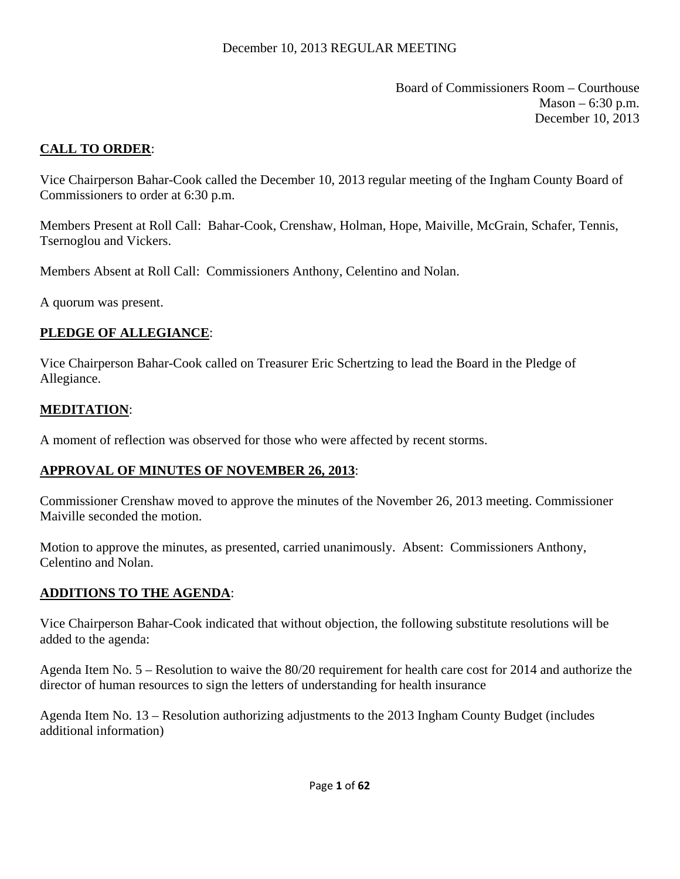Board of Commissioners Room – Courthouse  $Mason - 6:30 p.m.$ December 10, 2013

## <span id="page-4-0"></span>**CALL TO ORDER**:

Vice Chairperson Bahar-Cook called the December 10, 2013 regular meeting of the Ingham County Board of Commissioners to order at 6:30 p.m.

Members Present at Roll Call: Bahar-Cook, Crenshaw, Holman, Hope, Maiville, McGrain, Schafer, Tennis, Tsernoglou and Vickers.

Members Absent at Roll Call: Commissioners Anthony, Celentino and Nolan.

A quorum was present.

# **PLEDGE OF ALLEGIANCE**:

Vice Chairperson Bahar-Cook called on Treasurer Eric Schertzing to lead the Board in the Pledge of Allegiance.

## **MEDITATION**:

A moment of reflection was observed for those who were affected by recent storms.

#### **APPROVAL OF MINUTES OF NOVEMBER 26, 2013**:

Commissioner Crenshaw moved to approve the minutes of the November 26, 2013 meeting. Commissioner Maiville seconded the motion.

Motion to approve the minutes, as presented, carried unanimously. Absent: Commissioners Anthony, Celentino and Nolan.

#### **ADDITIONS TO THE AGENDA**:

Vice Chairperson Bahar-Cook indicated that without objection, the following substitute resolutions will be added to the agenda:

Agenda Item No. 5 – Resolution to waive the 80/20 requirement for health care cost for 2014 and authorize the director of human resources to sign the letters of understanding for health insurance

Agenda Item No. 13 – Resolution authorizing adjustments to the 2013 Ingham County Budget (includes additional information)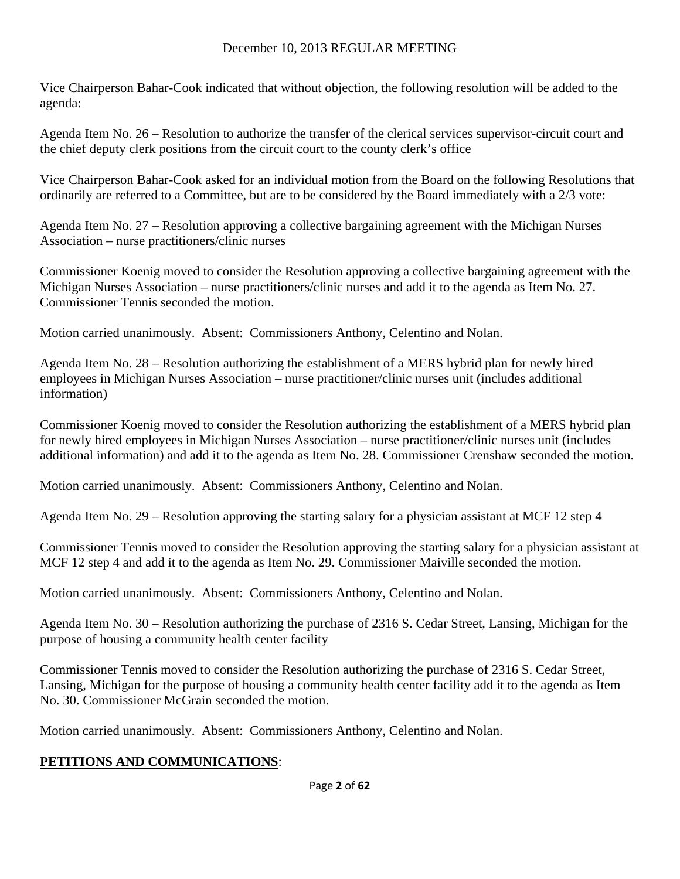Vice Chairperson Bahar-Cook indicated that without objection, the following resolution will be added to the agenda:

Agenda Item No. 26 – Resolution to authorize the transfer of the clerical services supervisor-circuit court and the chief deputy clerk positions from the circuit court to the county clerk's office

Vice Chairperson Bahar-Cook asked for an individual motion from the Board on the following Resolutions that ordinarily are referred to a Committee, but are to be considered by the Board immediately with a 2/3 vote:

Agenda Item No. 27 – Resolution approving a collective bargaining agreement with the Michigan Nurses Association – nurse practitioners/clinic nurses

Commissioner Koenig moved to consider the Resolution approving a collective bargaining agreement with the Michigan Nurses Association – nurse practitioners/clinic nurses and add it to the agenda as Item No. 27. Commissioner Tennis seconded the motion.

Motion carried unanimously. Absent: Commissioners Anthony, Celentino and Nolan.

Agenda Item No. 28 – Resolution authorizing the establishment of a MERS hybrid plan for newly hired employees in Michigan Nurses Association – nurse practitioner/clinic nurses unit (includes additional information)

Commissioner Koenig moved to consider the Resolution authorizing the establishment of a MERS hybrid plan for newly hired employees in Michigan Nurses Association – nurse practitioner/clinic nurses unit (includes additional information) and add it to the agenda as Item No. 28. Commissioner Crenshaw seconded the motion.

Motion carried unanimously. Absent: Commissioners Anthony, Celentino and Nolan.

Agenda Item No. 29 – Resolution approving the starting salary for a physician assistant at MCF 12 step 4

Commissioner Tennis moved to consider the Resolution approving the starting salary for a physician assistant at MCF 12 step 4 and add it to the agenda as Item No. 29. Commissioner Maiville seconded the motion.

Motion carried unanimously. Absent: Commissioners Anthony, Celentino and Nolan.

Agenda Item No. 30 – Resolution authorizing the purchase of 2316 S. Cedar Street, Lansing, Michigan for the purpose of housing a community health center facility

Commissioner Tennis moved to consider the Resolution authorizing the purchase of 2316 S. Cedar Street, Lansing, Michigan for the purpose of housing a community health center facility add it to the agenda as Item No. 30. Commissioner McGrain seconded the motion.

Motion carried unanimously. Absent: Commissioners Anthony, Celentino and Nolan.

# **PETITIONS AND COMMUNICATIONS**: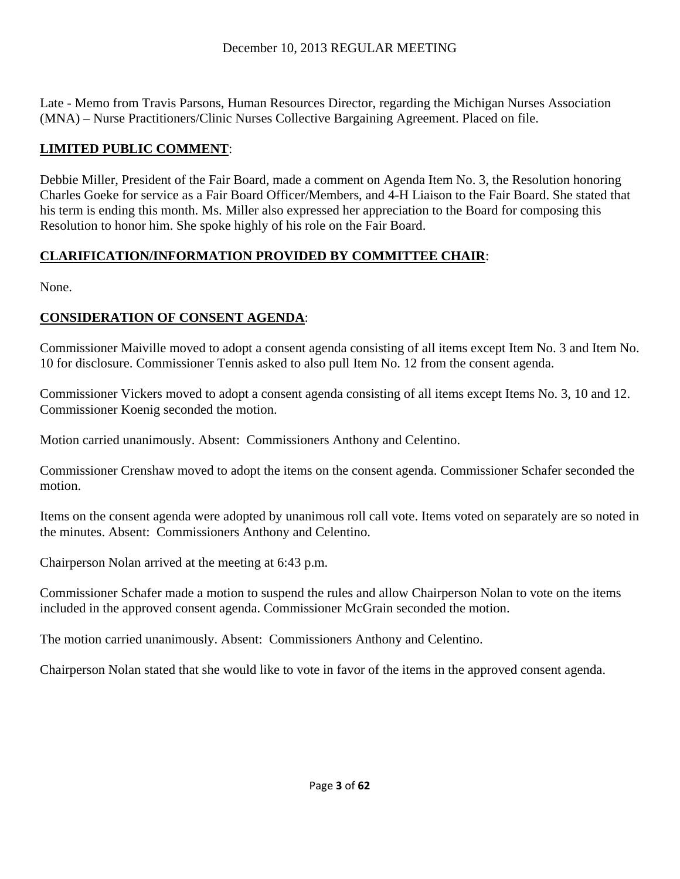Late - Memo from Travis Parsons, Human Resources Director, regarding the Michigan Nurses Association (MNA) – Nurse Practitioners/Clinic Nurses Collective Bargaining Agreement. Placed on file.

# **LIMITED PUBLIC COMMENT**:

Debbie Miller, President of the Fair Board, made a comment on Agenda Item No. 3, the Resolution honoring Charles Goeke for service as a Fair Board Officer/Members, and 4-H Liaison to the Fair Board. She stated that his term is ending this month. Ms. Miller also expressed her appreciation to the Board for composing this Resolution to honor him. She spoke highly of his role on the Fair Board.

# **CLARIFICATION/INFORMATION PROVIDED BY COMMITTEE CHAIR**:

None.

# **CONSIDERATION OF CONSENT AGENDA**:

Commissioner Maiville moved to adopt a consent agenda consisting of all items except Item No. 3 and Item No. 10 for disclosure. Commissioner Tennis asked to also pull Item No. 12 from the consent agenda.

Commissioner Vickers moved to adopt a consent agenda consisting of all items except Items No. 3, 10 and 12. Commissioner Koenig seconded the motion.

Motion carried unanimously. Absent: Commissioners Anthony and Celentino.

Commissioner Crenshaw moved to adopt the items on the consent agenda. Commissioner Schafer seconded the motion.

Items on the consent agenda were adopted by unanimous roll call vote. Items voted on separately are so noted in the minutes. Absent: Commissioners Anthony and Celentino.

Chairperson Nolan arrived at the meeting at 6:43 p.m.

Commissioner Schafer made a motion to suspend the rules and allow Chairperson Nolan to vote on the items included in the approved consent agenda. Commissioner McGrain seconded the motion.

The motion carried unanimously. Absent: Commissioners Anthony and Celentino.

Chairperson Nolan stated that she would like to vote in favor of the items in the approved consent agenda.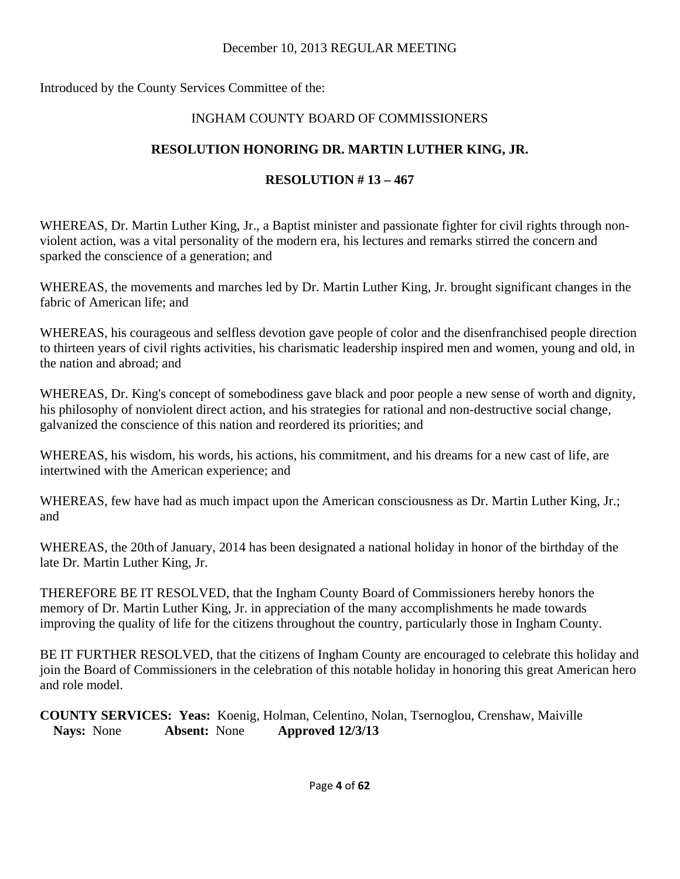Introduced by the County Services Committee of the:

# INGHAM COUNTY BOARD OF COMMISSIONERS

# **RESOLUTION HONORING DR. MARTIN LUTHER KING, JR.**

# **RESOLUTION # 13 – 467**

WHEREAS, Dr. Martin Luther King, Jr., a Baptist minister and passionate fighter for civil rights through nonviolent action, was a vital personality of the modern era, his lectures and remarks stirred the concern and sparked the conscience of a generation; and

WHEREAS, the movements and marches led by Dr. Martin Luther King, Jr. brought significant changes in the fabric of American life; and

WHEREAS, his courageous and selfless devotion gave people of color and the disenfranchised people direction to thirteen years of civil rights activities, his charismatic leadership inspired men and women, young and old, in the nation and abroad; and

WHEREAS, Dr. King's concept of somebodiness gave black and poor people a new sense of worth and dignity, his philosophy of nonviolent direct action, and his strategies for rational and non-destructive social change, galvanized the conscience of this nation and reordered its priorities; and

WHEREAS, his wisdom, his words, his actions, his commitment, and his dreams for a new cast of life, are intertwined with the American experience; and

WHEREAS, few have had as much impact upon the American consciousness as Dr. Martin Luther King, Jr.; and

WHEREAS, the 20th of January, 2014 has been designated a national holiday in honor of the birthday of the late Dr. Martin Luther King, Jr.

THEREFORE BE IT RESOLVED, that the Ingham County Board of Commissioners hereby honors the memory of Dr. Martin Luther King, Jr. in appreciation of the many accomplishments he made towards improving the quality of life for the citizens throughout the country, particularly those in Ingham County.

BE IT FURTHER RESOLVED, that the citizens of Ingham County are encouraged to celebrate this holiday and join the Board of Commissioners in the celebration of this notable holiday in honoring this great American hero and role model.

**COUNTY SERVICES: Yeas:** Koenig, Holman, Celentino, Nolan, Tsernoglou, Crenshaw, Maiville **Nays:** None **Absent:** None **Approved 12/3/13**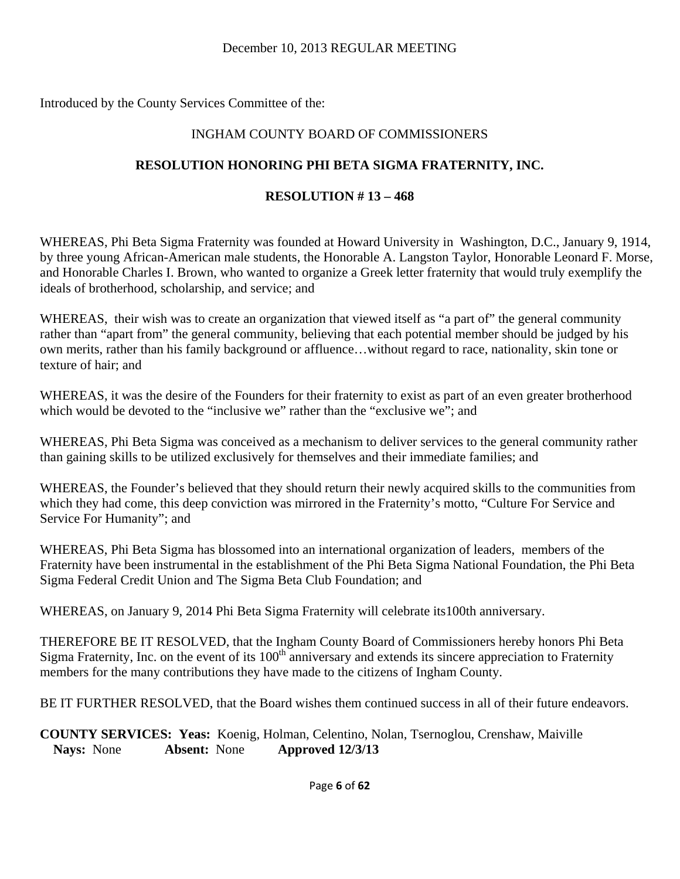Introduced by the County Services Committee of the:

## INGHAM COUNTY BOARD OF COMMISSIONERS

## **RESOLUTION HONORING PHI BETA SIGMA FRATERNITY, INC.**

#### **RESOLUTION # 13 – 468**

WHEREAS, Phi Beta Sigma Fraternity was founded at Howard University in Washington, D.C., January 9, 1914, by three young African-American male students, the Honorable A. Langston Taylor, Honorable Leonard F. Morse, and Honorable Charles I. Brown, who wanted to organize a Greek letter fraternity that would truly exemplify the ideals of brotherhood, scholarship, and service; and

WHEREAS, their wish was to create an organization that viewed itself as "a part of" the general community rather than "apart from" the general community, believing that each potential member should be judged by his own merits, rather than his family background or affluence…without regard to race, nationality, skin tone or texture of hair; and

WHEREAS, it was the desire of the Founders for their fraternity to exist as part of an even greater brotherhood which would be devoted to the "inclusive we" rather than the "exclusive we"; and

WHEREAS, Phi Beta Sigma was conceived as a mechanism to deliver services to the general community rather than gaining skills to be utilized exclusively for themselves and their immediate families; and

WHEREAS, the Founder's believed that they should return their newly acquired skills to the communities from which they had come, this deep conviction was mirrored in the Fraternity's motto, "Culture For Service and Service For Humanity"; and

WHEREAS, Phi Beta Sigma has blossomed into an international organization of leaders, members of the Fraternity have been instrumental in the establishment of the Phi Beta Sigma National Foundation, the Phi Beta Sigma Federal Credit Union and The Sigma Beta Club Foundation; and

WHEREAS, on January 9, 2014 Phi Beta Sigma Fraternity will celebrate its100th anniversary.

THEREFORE BE IT RESOLVED, that the Ingham County Board of Commissioners hereby honors Phi Beta Sigma Fraternity, Inc. on the event of its 100<sup>th</sup> anniversary and extends its sincere appreciation to Fraternity members for the many contributions they have made to the citizens of Ingham County.

BE IT FURTHER RESOLVED, that the Board wishes them continued success in all of their future endeavors.

**COUNTY SERVICES: Yeas:** Koenig, Holman, Celentino, Nolan, Tsernoglou, Crenshaw, Maiville **Nays:** None **Absent:** None **Approved 12/3/13**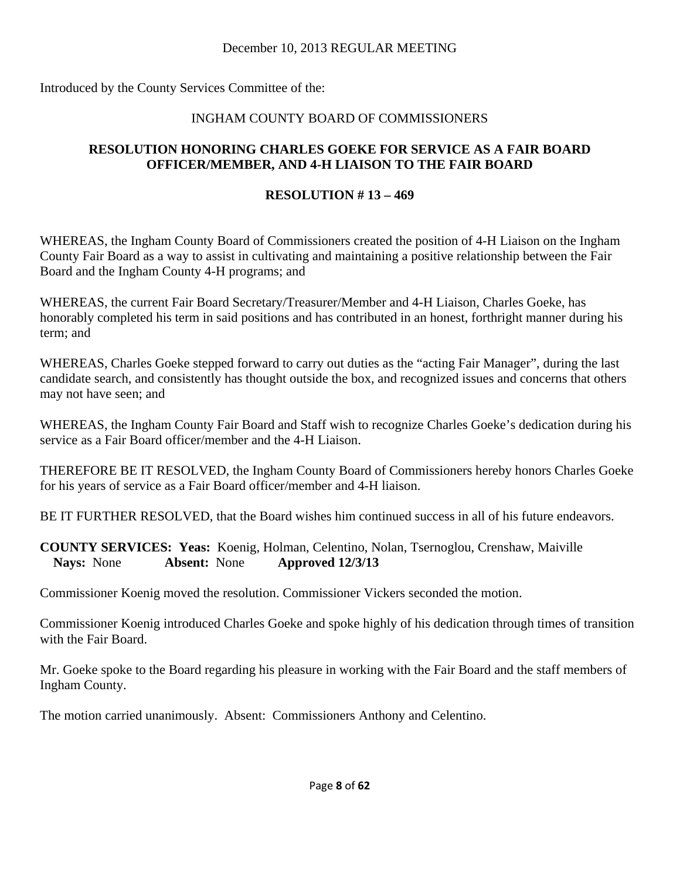Introduced by the County Services Committee of the:

## INGHAM COUNTY BOARD OF COMMISSIONERS

## **RESOLUTION HONORING CHARLES GOEKE FOR SERVICE AS A FAIR BOARD OFFICER/MEMBER, AND 4-H LIAISON TO THE FAIR BOARD**

## **RESOLUTION # 13 – 469**

WHEREAS, the Ingham County Board of Commissioners created the position of 4-H Liaison on the Ingham County Fair Board as a way to assist in cultivating and maintaining a positive relationship between the Fair Board and the Ingham County 4-H programs; and

WHEREAS, the current Fair Board Secretary/Treasurer/Member and 4-H Liaison, Charles Goeke, has honorably completed his term in said positions and has contributed in an honest, forthright manner during his term; and

WHEREAS, Charles Goeke stepped forward to carry out duties as the "acting Fair Manager", during the last candidate search, and consistently has thought outside the box, and recognized issues and concerns that others may not have seen; and

WHEREAS, the Ingham County Fair Board and Staff wish to recognize Charles Goeke's dedication during his service as a Fair Board officer/member and the 4-H Liaison.

THEREFORE BE IT RESOLVED, the Ingham County Board of Commissioners hereby honors Charles Goeke for his years of service as a Fair Board officer/member and 4-H liaison.

BE IT FURTHER RESOLVED, that the Board wishes him continued success in all of his future endeavors.

**COUNTY SERVICES: Yeas:** Koenig, Holman, Celentino, Nolan, Tsernoglou, Crenshaw, Maiville **Nays:** None **Absent:** None **Approved 12/3/13** 

Commissioner Koenig moved the resolution. Commissioner Vickers seconded the motion.

Commissioner Koenig introduced Charles Goeke and spoke highly of his dedication through times of transition with the Fair Board.

Mr. Goeke spoke to the Board regarding his pleasure in working with the Fair Board and the staff members of Ingham County.

The motion carried unanimously. Absent: Commissioners Anthony and Celentino.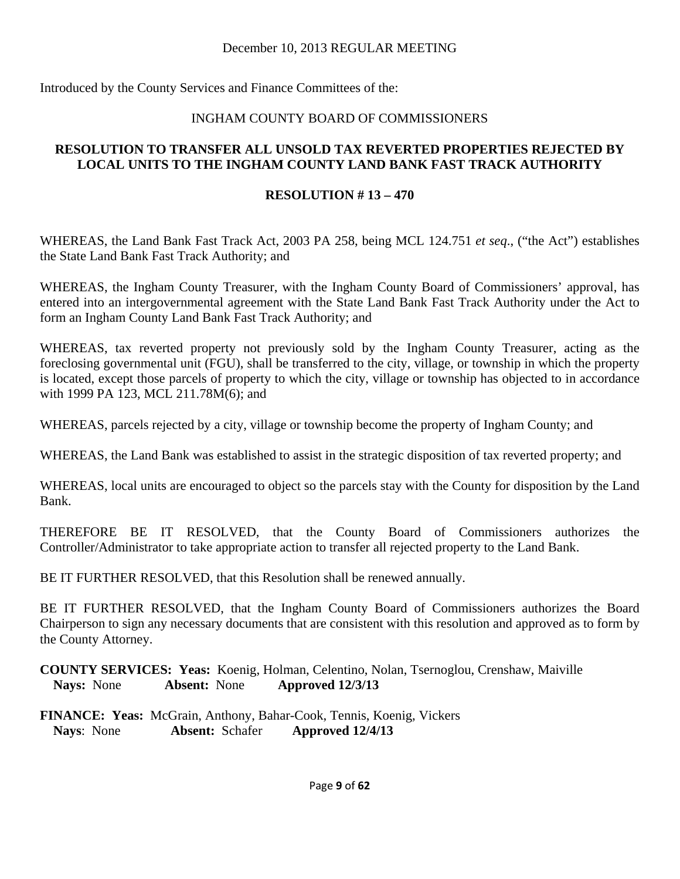Introduced by the County Services and Finance Committees of the:

## INGHAM COUNTY BOARD OF COMMISSIONERS

## **RESOLUTION TO TRANSFER ALL UNSOLD TAX REVERTED PROPERTIES REJECTED BY LOCAL UNITS TO THE INGHAM COUNTY LAND BANK FAST TRACK AUTHORITY**

## **RESOLUTION # 13 – 470**

WHEREAS, the Land Bank Fast Track Act, 2003 PA 258, being MCL 124.751 *et seq*., ("the Act") establishes the State Land Bank Fast Track Authority; and

WHEREAS, the Ingham County Treasurer, with the Ingham County Board of Commissioners' approval, has entered into an intergovernmental agreement with the State Land Bank Fast Track Authority under the Act to form an Ingham County Land Bank Fast Track Authority; and

WHEREAS, tax reverted property not previously sold by the Ingham County Treasurer, acting as the foreclosing governmental unit (FGU), shall be transferred to the city, village, or township in which the property is located, except those parcels of property to which the city, village or township has objected to in accordance with 1999 PA 123, MCL 211.78M(6); and

WHEREAS, parcels rejected by a city, village or township become the property of Ingham County; and

WHEREAS, the Land Bank was established to assist in the strategic disposition of tax reverted property; and

WHEREAS, local units are encouraged to object so the parcels stay with the County for disposition by the Land Bank.

THEREFORE BE IT RESOLVED, that the County Board of Commissioners authorizes the Controller/Administrator to take appropriate action to transfer all rejected property to the Land Bank.

BE IT FURTHER RESOLVED, that this Resolution shall be renewed annually.

BE IT FURTHER RESOLVED, that the Ingham County Board of Commissioners authorizes the Board Chairperson to sign any necessary documents that are consistent with this resolution and approved as to form by the County Attorney.

**COUNTY SERVICES: Yeas:** Koenig, Holman, Celentino, Nolan, Tsernoglou, Crenshaw, Maiville **Nays:** None **Absent:** None **Approved 12/3/13** 

**FINANCE: Yeas:** McGrain, Anthony, Bahar-Cook, Tennis, Koenig, Vickers **Nays**: None **Absent:** Schafer **Approved 12/4/13**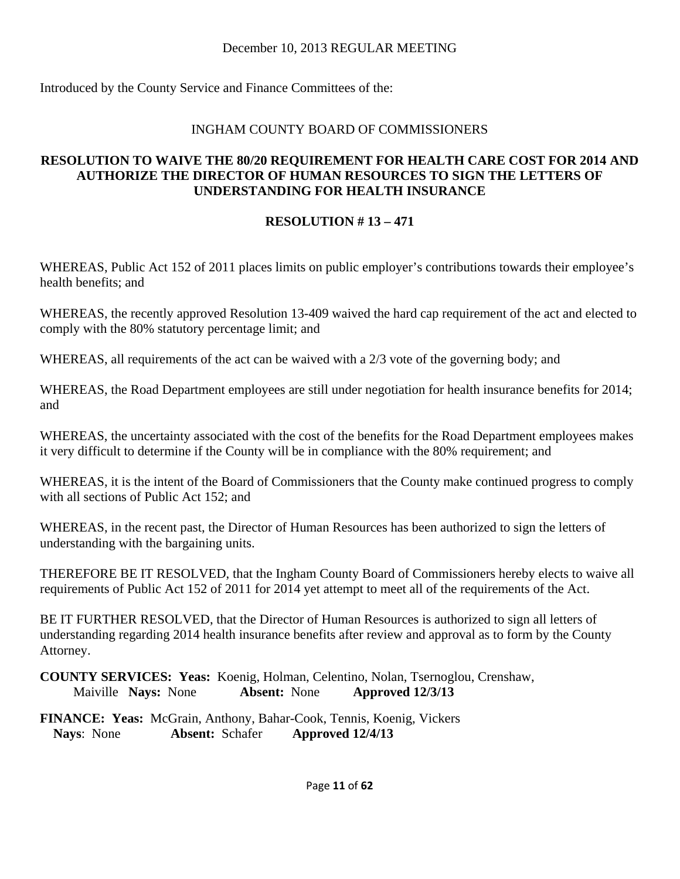Introduced by the County Service and Finance Committees of the:

## INGHAM COUNTY BOARD OF COMMISSIONERS

## **RESOLUTION TO WAIVE THE 80/20 REQUIREMENT FOR HEALTH CARE COST FOR 2014 AND AUTHORIZE THE DIRECTOR OF HUMAN RESOURCES TO SIGN THE LETTERS OF UNDERSTANDING FOR HEALTH INSURANCE**

## **RESOLUTION # 13 – 471**

WHEREAS, Public Act 152 of 2011 places limits on public employer's contributions towards their employee's health benefits; and

WHEREAS, the recently approved Resolution 13-409 waived the hard cap requirement of the act and elected to comply with the 80% statutory percentage limit; and

WHEREAS, all requirements of the act can be waived with a 2/3 vote of the governing body; and

WHEREAS, the Road Department employees are still under negotiation for health insurance benefits for 2014; and

WHEREAS, the uncertainty associated with the cost of the benefits for the Road Department employees makes it very difficult to determine if the County will be in compliance with the 80% requirement; and

WHEREAS, it is the intent of the Board of Commissioners that the County make continued progress to comply with all sections of Public Act 152; and

WHEREAS, in the recent past, the Director of Human Resources has been authorized to sign the letters of understanding with the bargaining units.

THEREFORE BE IT RESOLVED, that the Ingham County Board of Commissioners hereby elects to waive all requirements of Public Act 152 of 2011 for 2014 yet attempt to meet all of the requirements of the Act.

BE IT FURTHER RESOLVED, that the Director of Human Resources is authorized to sign all letters of understanding regarding 2014 health insurance benefits after review and approval as to form by the County Attorney.

**COUNTY SERVICES: Yeas:** Koenig, Holman, Celentino, Nolan, Tsernoglou, Crenshaw, Maiville **Nays:** None **Absent:** None **Approved 12/3/13** 

**FINANCE: Yeas:** McGrain, Anthony, Bahar-Cook, Tennis, Koenig, Vickers **Nays**: None **Absent:** Schafer **Approved 12/4/13**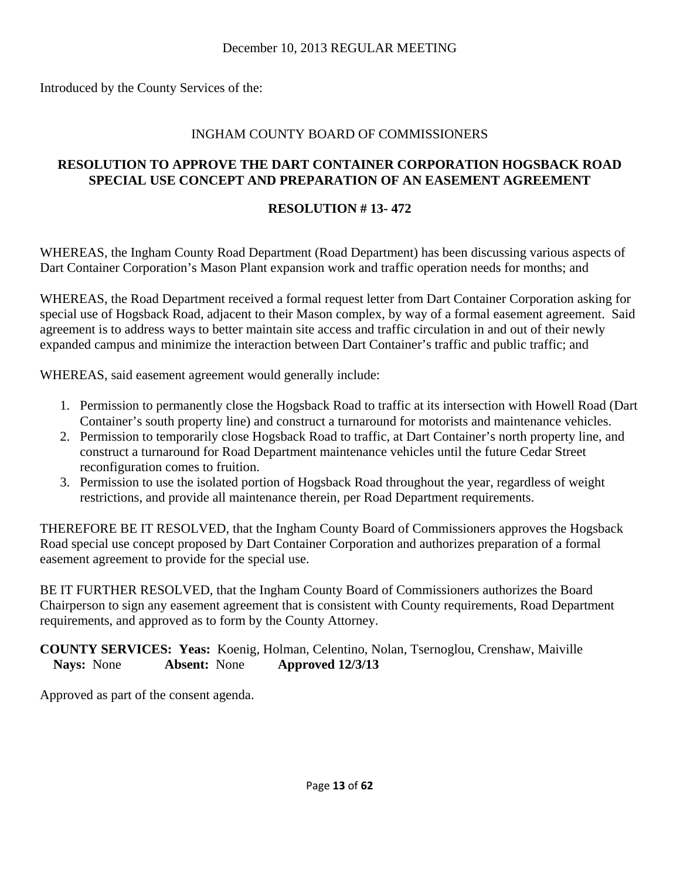Introduced by the County Services of the:

## INGHAM COUNTY BOARD OF COMMISSIONERS

## **RESOLUTION TO APPROVE THE DART CONTAINER CORPORATION HOGSBACK ROAD SPECIAL USE CONCEPT AND PREPARATION OF AN EASEMENT AGREEMENT**

## **RESOLUTION # 13- 472**

WHEREAS, the Ingham County Road Department (Road Department) has been discussing various aspects of Dart Container Corporation's Mason Plant expansion work and traffic operation needs for months; and

WHEREAS, the Road Department received a formal request letter from Dart Container Corporation asking for special use of Hogsback Road, adjacent to their Mason complex, by way of a formal easement agreement. Said agreement is to address ways to better maintain site access and traffic circulation in and out of their newly expanded campus and minimize the interaction between Dart Container's traffic and public traffic; and

WHEREAS, said easement agreement would generally include:

- 1. Permission to permanently close the Hogsback Road to traffic at its intersection with Howell Road (Dart Container's south property line) and construct a turnaround for motorists and maintenance vehicles.
- 2. Permission to temporarily close Hogsback Road to traffic, at Dart Container's north property line, and construct a turnaround for Road Department maintenance vehicles until the future Cedar Street reconfiguration comes to fruition.
- 3. Permission to use the isolated portion of Hogsback Road throughout the year, regardless of weight restrictions, and provide all maintenance therein, per Road Department requirements.

THEREFORE BE IT RESOLVED, that the Ingham County Board of Commissioners approves the Hogsback Road special use concept proposed by Dart Container Corporation and authorizes preparation of a formal easement agreement to provide for the special use.

BE IT FURTHER RESOLVED, that the Ingham County Board of Commissioners authorizes the Board Chairperson to sign any easement agreement that is consistent with County requirements, Road Department requirements, and approved as to form by the County Attorney.

**COUNTY SERVICES: Yeas:** Koenig, Holman, Celentino, Nolan, Tsernoglou, Crenshaw, Maiville **Nays:** None **Absent:** None **Approved 12/3/13**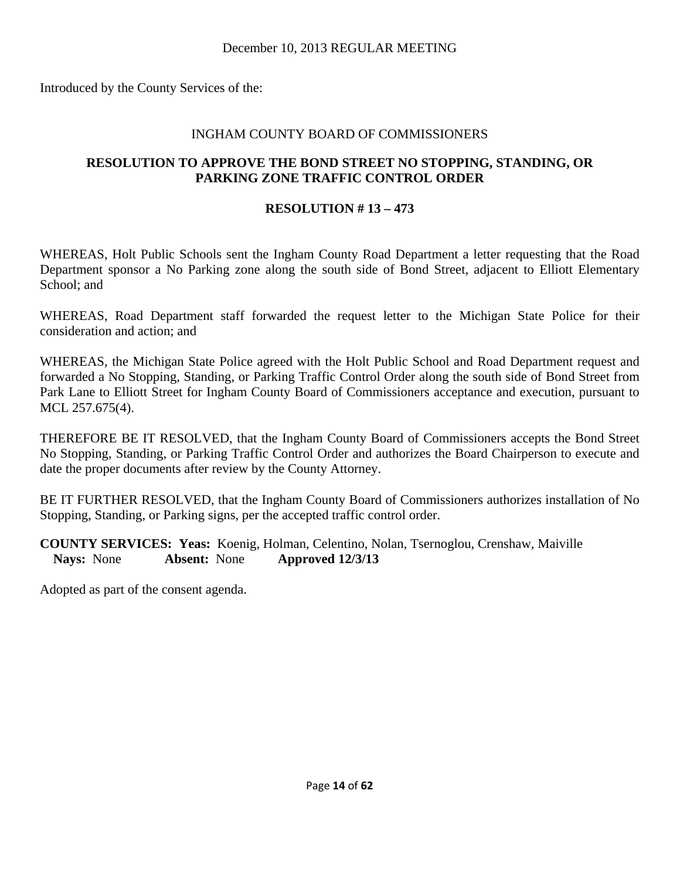Introduced by the County Services of the:

#### INGHAM COUNTY BOARD OF COMMISSIONERS

#### **RESOLUTION TO APPROVE THE BOND STREET NO STOPPING, STANDING, OR PARKING ZONE TRAFFIC CONTROL ORDER**

## **RESOLUTION # 13 – 473**

WHEREAS, Holt Public Schools sent the Ingham County Road Department a letter requesting that the Road Department sponsor a No Parking zone along the south side of Bond Street, adjacent to Elliott Elementary School; and

WHEREAS, Road Department staff forwarded the request letter to the Michigan State Police for their consideration and action; and

WHEREAS, the Michigan State Police agreed with the Holt Public School and Road Department request and forwarded a No Stopping, Standing, or Parking Traffic Control Order along the south side of Bond Street from Park Lane to Elliott Street for Ingham County Board of Commissioners acceptance and execution, pursuant to MCL 257.675(4).

THEREFORE BE IT RESOLVED, that the Ingham County Board of Commissioners accepts the Bond Street No Stopping, Standing, or Parking Traffic Control Order and authorizes the Board Chairperson to execute and date the proper documents after review by the County Attorney.

BE IT FURTHER RESOLVED, that the Ingham County Board of Commissioners authorizes installation of No Stopping, Standing, or Parking signs, per the accepted traffic control order.

**COUNTY SERVICES: Yeas:** Koenig, Holman, Celentino, Nolan, Tsernoglou, Crenshaw, Maiville **Nays:** None **Absent:** None **Approved 12/3/13**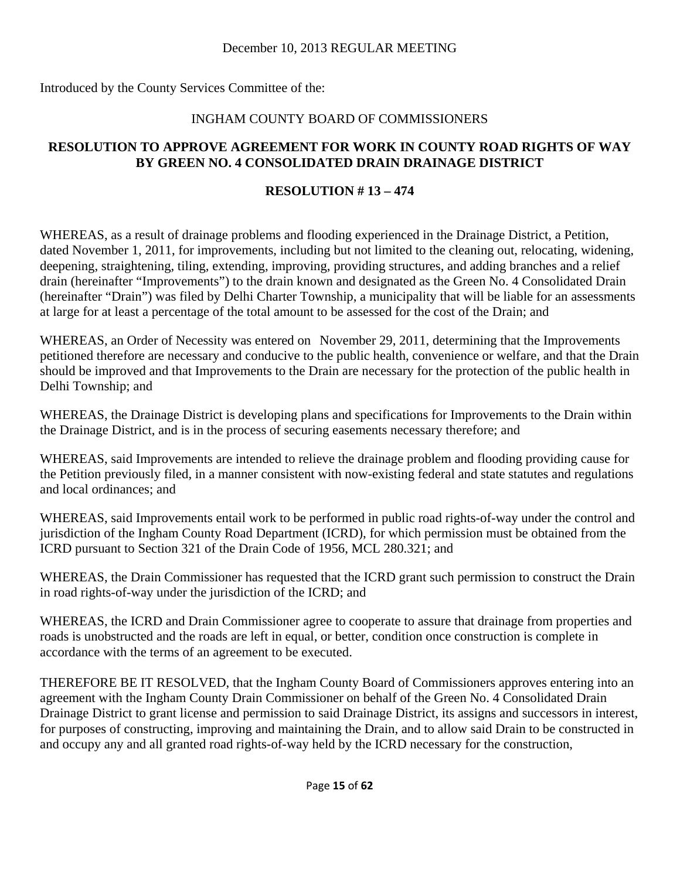Introduced by the County Services Committee of the:

## INGHAM COUNTY BOARD OF COMMISSIONERS

## **RESOLUTION TO APPROVE AGREEMENT FOR WORK IN COUNTY ROAD RIGHTS OF WAY BY GREEN NO. 4 CONSOLIDATED DRAIN DRAINAGE DISTRICT**

## **RESOLUTION # 13 – 474**

WHEREAS, as a result of drainage problems and flooding experienced in the Drainage District, a Petition, dated November 1, 2011, for improvements, including but not limited to the cleaning out, relocating, widening, deepening, straightening, tiling, extending, improving, providing structures, and adding branches and a relief drain (hereinafter "Improvements") to the drain known and designated as the Green No. 4 Consolidated Drain (hereinafter "Drain") was filed by Delhi Charter Township, a municipality that will be liable for an assessments at large for at least a percentage of the total amount to be assessed for the cost of the Drain; and

WHEREAS, an Order of Necessity was entered on November 29, 2011, determining that the Improvements petitioned therefore are necessary and conducive to the public health, convenience or welfare, and that the Drain should be improved and that Improvements to the Drain are necessary for the protection of the public health in Delhi Township; and

WHEREAS, the Drainage District is developing plans and specifications for Improvements to the Drain within the Drainage District, and is in the process of securing easements necessary therefore; and

WHEREAS, said Improvements are intended to relieve the drainage problem and flooding providing cause for the Petition previously filed, in a manner consistent with now-existing federal and state statutes and regulations and local ordinances; and

WHEREAS, said Improvements entail work to be performed in public road rights-of-way under the control and jurisdiction of the Ingham County Road Department (ICRD), for which permission must be obtained from the ICRD pursuant to Section 321 of the Drain Code of 1956, MCL 280.321; and

WHEREAS, the Drain Commissioner has requested that the ICRD grant such permission to construct the Drain in road rights-of-way under the jurisdiction of the ICRD; and

WHEREAS, the ICRD and Drain Commissioner agree to cooperate to assure that drainage from properties and roads is unobstructed and the roads are left in equal, or better, condition once construction is complete in accordance with the terms of an agreement to be executed.

THEREFORE BE IT RESOLVED, that the Ingham County Board of Commissioners approves entering into an agreement with the Ingham County Drain Commissioner on behalf of the Green No. 4 Consolidated Drain Drainage District to grant license and permission to said Drainage District, its assigns and successors in interest, for purposes of constructing, improving and maintaining the Drain, and to allow said Drain to be constructed in and occupy any and all granted road rights-of-way held by the ICRD necessary for the construction,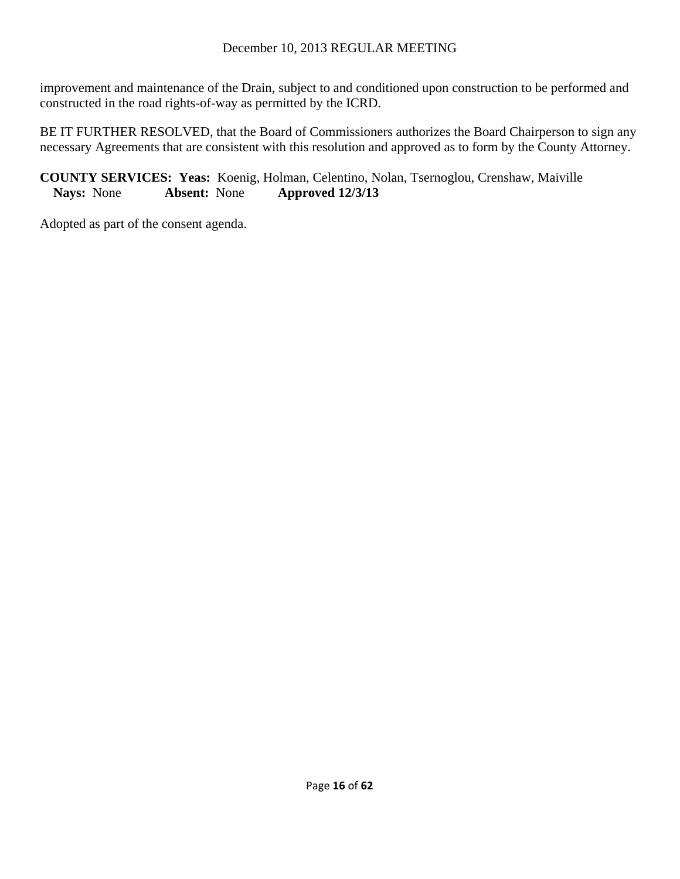improvement and maintenance of the Drain, subject to and conditioned upon construction to be performed and constructed in the road rights-of-way as permitted by the ICRD.

BE IT FURTHER RESOLVED, that the Board of Commissioners authorizes the Board Chairperson to sign any necessary Agreements that are consistent with this resolution and approved as to form by the County Attorney.

## **COUNTY SERVICES: Yeas:** Koenig, Holman, Celentino, Nolan, Tsernoglou, Crenshaw, Maiville **Nays:** None **Absent:** None **Approved 12/3/13**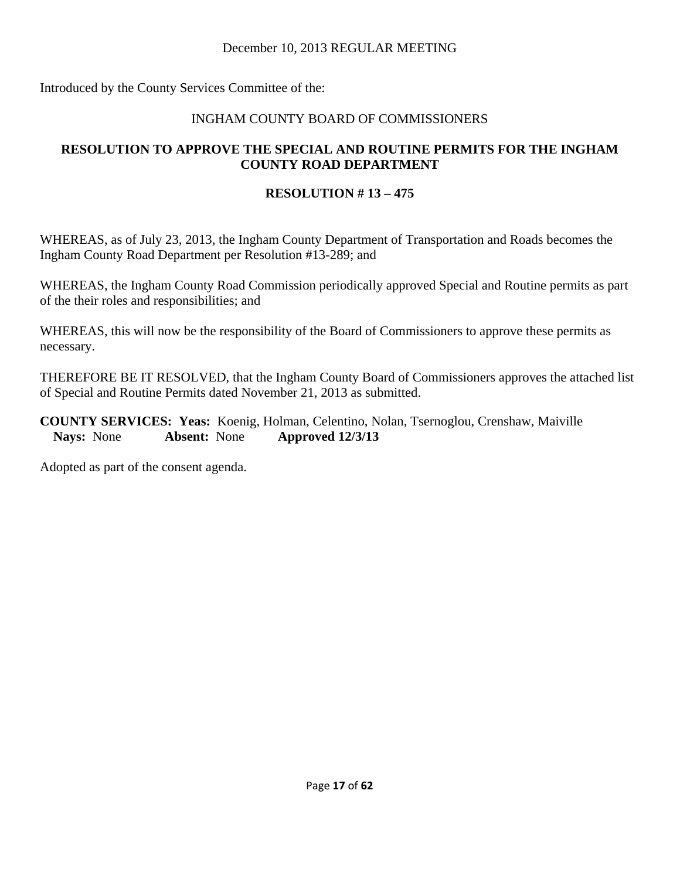Introduced by the County Services Committee of the:

## INGHAM COUNTY BOARD OF COMMISSIONERS

## **RESOLUTION TO APPROVE THE SPECIAL AND ROUTINE PERMITS FOR THE INGHAM COUNTY ROAD DEPARTMENT**

## **RESOLUTION # 13 – 475**

WHEREAS, as of July 23, 2013, the Ingham County Department of Transportation and Roads becomes the Ingham County Road Department per Resolution #13-289; and

WHEREAS, the Ingham County Road Commission periodically approved Special and Routine permits as part of the their roles and responsibilities; and

WHEREAS, this will now be the responsibility of the Board of Commissioners to approve these permits as necessary.

THEREFORE BE IT RESOLVED, that the Ingham County Board of Commissioners approves the attached list of Special and Routine Permits dated November 21, 2013 as submitted.

**COUNTY SERVICES: Yeas:** Koenig, Holman, Celentino, Nolan, Tsernoglou, Crenshaw, Maiville **Nays:** None **Absent:** None **Approved 12/3/13**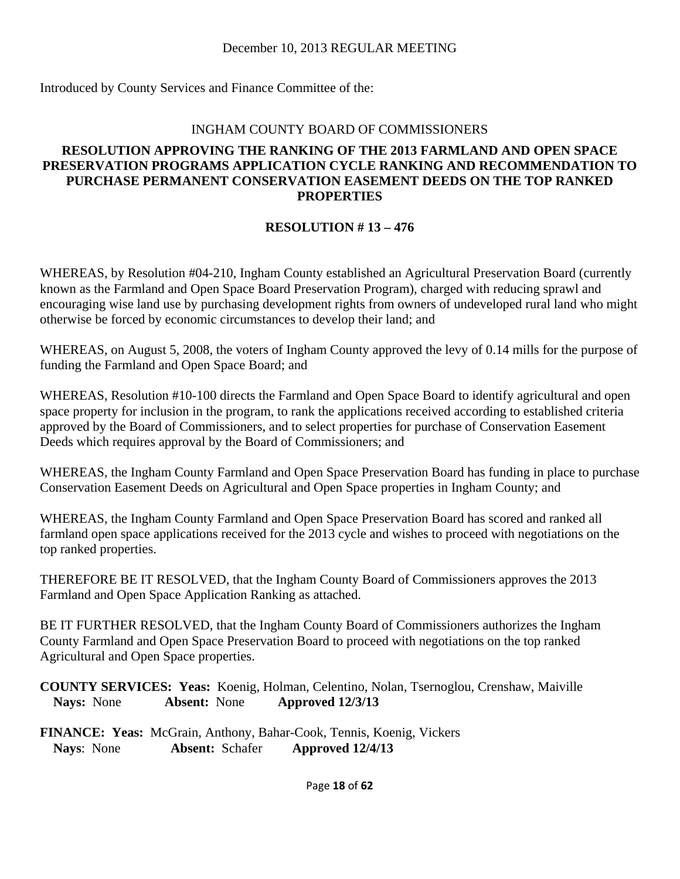Introduced by County Services and Finance Committee of the:

#### INGHAM COUNTY BOARD OF COMMISSIONERS

## **RESOLUTION APPROVING THE RANKING OF THE 2013 FARMLAND AND OPEN SPACE PRESERVATION PROGRAMS APPLICATION CYCLE RANKING AND RECOMMENDATION TO PURCHASE PERMANENT CONSERVATION EASEMENT DEEDS ON THE TOP RANKED PROPERTIES**

## **RESOLUTION # 13 – 476**

WHEREAS, by Resolution #04-210, Ingham County established an Agricultural Preservation Board (currently known as the Farmland and Open Space Board Preservation Program), charged with reducing sprawl and encouraging wise land use by purchasing development rights from owners of undeveloped rural land who might otherwise be forced by economic circumstances to develop their land; and

WHEREAS, on August 5, 2008, the voters of Ingham County approved the levy of 0.14 mills for the purpose of funding the Farmland and Open Space Board; and

WHEREAS, Resolution #10-100 directs the Farmland and Open Space Board to identify agricultural and open space property for inclusion in the program, to rank the applications received according to established criteria approved by the Board of Commissioners, and to select properties for purchase of Conservation Easement Deeds which requires approval by the Board of Commissioners; and

WHEREAS, the Ingham County Farmland and Open Space Preservation Board has funding in place to purchase Conservation Easement Deeds on Agricultural and Open Space properties in Ingham County; and

WHEREAS, the Ingham County Farmland and Open Space Preservation Board has scored and ranked all farmland open space applications received for the 2013 cycle and wishes to proceed with negotiations on the top ranked properties.

THEREFORE BE IT RESOLVED, that the Ingham County Board of Commissioners approves the 2013 Farmland and Open Space Application Ranking as attached.

BE IT FURTHER RESOLVED, that the Ingham County Board of Commissioners authorizes the Ingham County Farmland and Open Space Preservation Board to proceed with negotiations on the top ranked Agricultural and Open Space properties.

**COUNTY SERVICES: Yeas:** Koenig, Holman, Celentino, Nolan, Tsernoglou, Crenshaw, Maiville **Nays:** None **Absent:** None **Approved 12/3/13** 

**FINANCE: Yeas:** McGrain, Anthony, Bahar-Cook, Tennis, Koenig, Vickers **Nays**: None **Absent:** Schafer **Approved 12/4/13**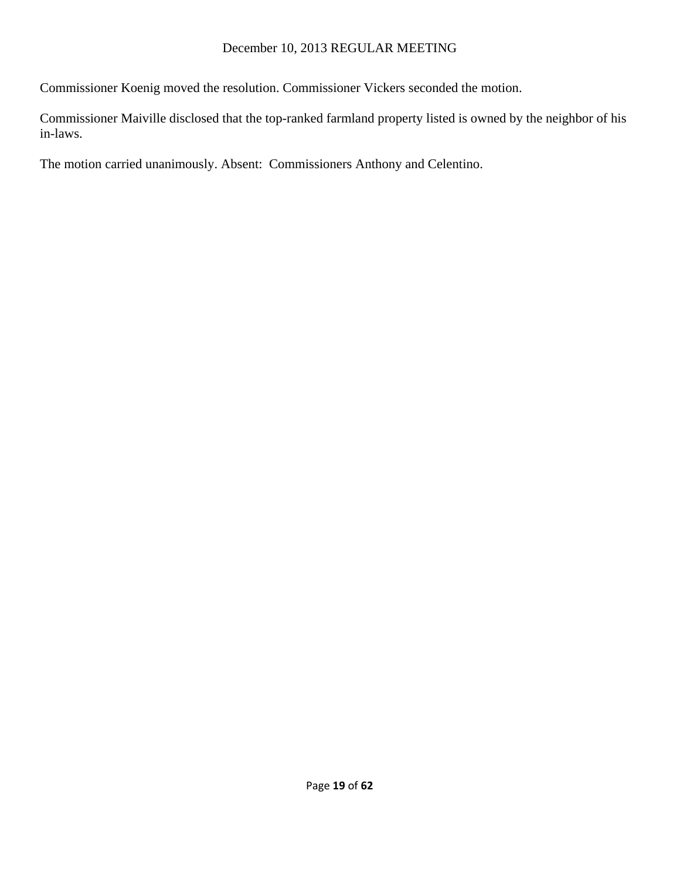Commissioner Koenig moved the resolution. Commissioner Vickers seconded the motion.

Commissioner Maiville disclosed that the top-ranked farmland property listed is owned by the neighbor of his in-laws.

The motion carried unanimously. Absent: Commissioners Anthony and Celentino.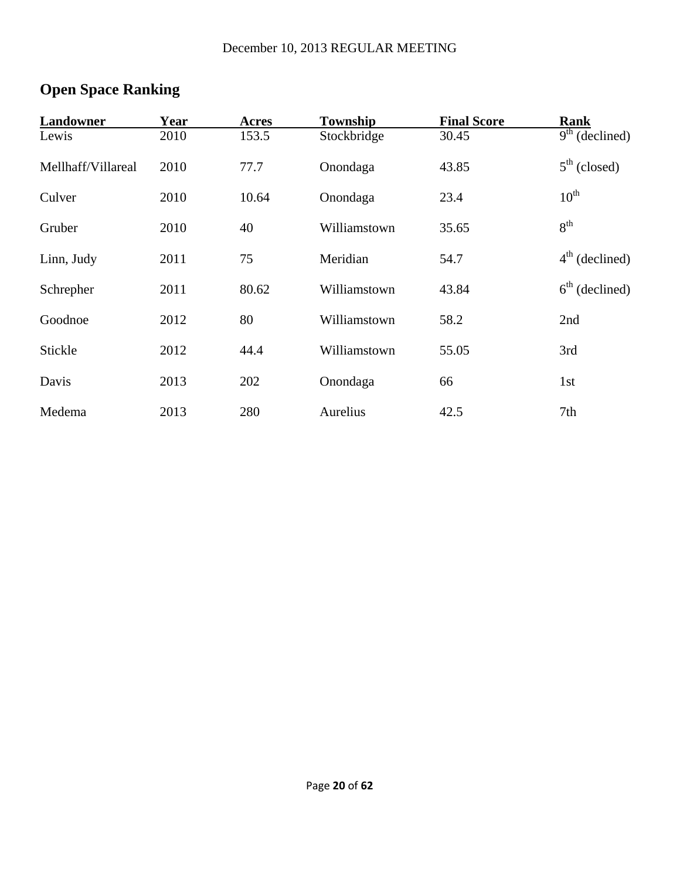# **Open Space Ranking**

| Landowner          | Year | Acres | Township     | <b>Final Score</b> | Rank             |
|--------------------|------|-------|--------------|--------------------|------------------|
| Lewis              | 2010 | 153.5 | Stockbridge  | 30.45              | $9th$ (declined) |
| Mellhaff/Villareal | 2010 | 77.7  | Onondaga     | 43.85              | $5th$ (closed)   |
| Culver             | 2010 | 10.64 | Onondaga     | 23.4               | $10^{\text{th}}$ |
| Gruber             | 2010 | 40    | Williamstown | 35.65              | 8 <sup>th</sup>  |
| Linn, Judy         | 2011 | 75    | Meridian     | 54.7               | $4th$ (declined) |
| Schrepher          | 2011 | 80.62 | Williamstown | 43.84              | $6th$ (declined) |
| Goodnoe            | 2012 | 80    | Williamstown | 58.2               | 2nd              |
| Stickle            | 2012 | 44.4  | Williamstown | 55.05              | 3rd              |
| Davis              | 2013 | 202   | Onondaga     | 66                 | 1st              |
| Medema             | 2013 | 280   | Aurelius     | 42.5               | 7th              |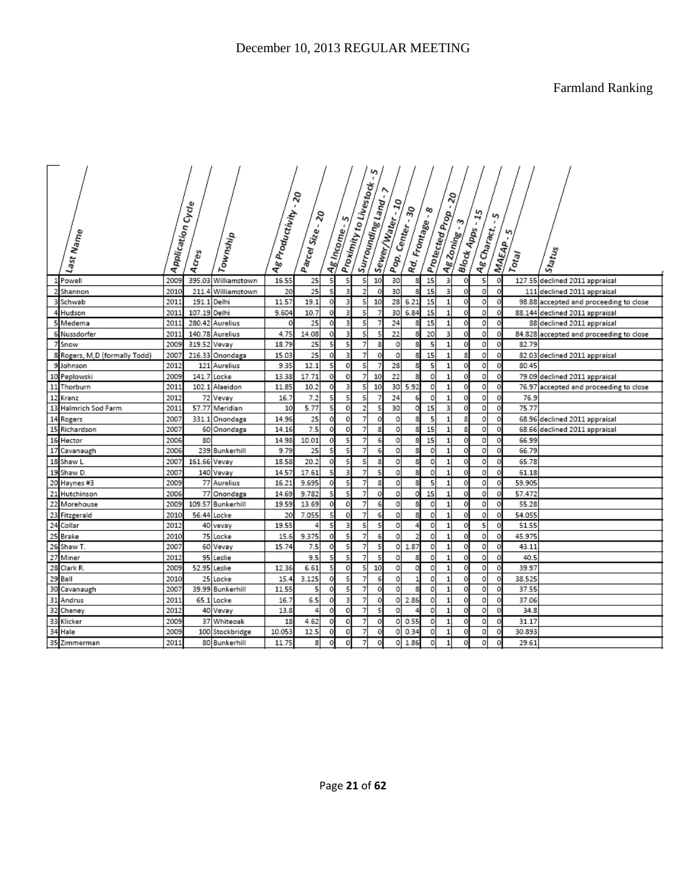Farmland Ranking

|                | Last Name                     | Application Cycle | Acres        | Township            | Ag Productivity - 20 | Parcel Size - 20 |             | Ag Income | Proximity to Livestock. | Surrounding Land. | Sewer/Water - 10<br>Pop. Center - 30 | Rd. Frontage - g | ∞  | Protected Prop .<br><b>Ag Zoning-3</b> | <b>Block Apps - 15</b><br>Ag Charact. | ى<br><b>MAEAP</b> | ς<br>$r_{\mathfrak{d}q}$ | Status                                  |
|----------------|-------------------------------|-------------------|--------------|---------------------|----------------------|------------------|-------------|-----------|-------------------------|-------------------|--------------------------------------|------------------|----|----------------------------------------|---------------------------------------|-------------------|--------------------------|-----------------------------------------|
|                | Powell                        | 2009              |              | 395.03 Williamstown | 16.55                | 25               | 5           | 5         | 5                       | 10                | 30                                   | 8                | 15 | 3<br>0                                 | 5                                     | 0                 |                          | 127.55 declined 2011 appraisal          |
|                | Shannon                       | 2010              | 211<br>4     | Williamstown        | 20                   | 25               | 5           | 3         | $\overline{2}$          | 0                 | 30                                   |                  | 15 | 3<br>$\mathbf{0}$                      | 0                                     | 0                 | 111                      | declined 2011 appraisal                 |
| 3              | Schwab                        | 2011              |              | 191.1 Delhi         | 11.57                | 19.1             | 0           | 3         | 5                       | 10                | 28                                   | 6.21             | 15 | $\mathbf 1$<br>0                       | $\circ$                               | 0                 |                          | 98.88 accepted and proceeding to close  |
| 4              | Hudson                        | 201:              | 107.19 Delhi |                     | 9.604                | 10.7             | $\Omega$    | 3         | 5                       |                   | 30                                   | 6.84             | 15 | $\mathbf{1}$<br>0                      | $\circ$                               | 0                 |                          | 88.144 declined 2011 appraisal          |
|                | 5 Medema                      | 2011              |              | 280.42 Aurelius     | 0                    | 25               | $\circ$     | 3         | 5                       |                   | 24                                   | 8                | 15 | $\mathbf 1$<br>0                       | o                                     | 0                 |                          | 88 declined 2011 appraisal              |
| 6              | Nussdorfer                    | 201:              |              | 140.78 Aurelius     | 4.75                 | 14.08            | 0           | 3         | 5                       |                   | 22                                   |                  | 20 | 3                                      | 0                                     |                   |                          | 84.828 accepted and proceeding to close |
| $\overline{7}$ | Snow                          | 2009              | 319.52 Vevay |                     | 18.79                | 25               | 5           | 5         | 7                       | 8                 | 0                                    | 8                | 5  | $\mathbf 1$<br>0                       | $\circ$                               | 0                 | 82.79                    |                                         |
|                | 8 Rogers, M,D (formally Todd) | 2007              |              | 216.33 Onondaga     | 15.03                | 25               | $\Omega$    | 3         | $\overline{7}$          | 0                 | 0                                    |                  | 15 | $\mathbf{1}$<br>8                      | $\circ$                               | 0                 |                          | 82.03 declined 2011 appraisal           |
|                | 9 Johnson                     | 2012              |              | 121 Aurelius        | 9.35                 | 12.1             | 5           | 0         | 5                       |                   | 28                                   | 8                | 5  | $\mathbf 1$<br>0                       | $\circ$                               | 0                 | 80.45                    |                                         |
| 10             | Peplowski                     | 2009              | 141.7        | Locke               | 13.38                | 17.71            | $\mathbf 0$ | 0         | $\overline{7}$          | 10                | 22                                   |                  | 0  | $\mathbf{1}$<br>$\epsilon$             | o                                     | 0                 | 79.09                    | declined 2011 appraisal                 |
| 11             | Thorburn                      | 2011              |              | 102.1 Alaeidon      | 11.85                | 10.2             | 0           | 3         | 5                       | 10                | 30                                   | 5.92             | 0  | $\mathbf 1$<br>0                       | 0                                     | 0                 | 76.97                    | accepted and proceeding to close        |
| 12             | Kranz                         | 2012              |              | 72 Vevay            | 16.7                 | 7.2              | 5           | 5         | 5                       |                   | 24                                   |                  | 0  | $\mathbf{1}$<br>O                      | o                                     | 0                 | 76.9                     |                                         |
| 13             | Halmrich Sod Farm             | 201:              |              | 57.77 Meridian      | 10                   | 5.77             | 5           | 0         | $\overline{a}$          | 5                 | 30                                   | 0                | 15 | 3<br>0                                 | $\circ$                               | 0                 | 75.77                    |                                         |
| 14             | Rogers                        | 2007              |              | 331.1 Onondaga      | 14.96                | 25               | 0           | 0         | 7                       | 0                 | 0                                    |                  | 5  | $\mathbf{1}$<br>8                      | 0                                     |                   |                          | 68.96 declined 2011 appraisal           |
| 15             | Richardson                    | 2007              |              | 60 Onondaga         | 14.16                | 7.5              | 0           | 0         | 7                       | 8                 | 0                                    |                  | 15 | $\mathbf{1}$<br>8                      | 0                                     | 0                 | 68.66                    | declined 2011 appraisal                 |
|                | 16 Hector                     | 2006              | 80           |                     | 14.98                | 10.01            | $\circ$     | 5         | 7                       | 6                 | 0                                    | 8                | 15 | $\mathbf{1}$<br>0                      | $\circ$                               | $\circ$           | 66.99                    |                                         |
| 17             | Cavanaugh                     | 2006              |              | 239 Bunkerhill      | 9.79                 | 25               | 5           | 5         | 7                       | 6                 | 0                                    |                  | 0  | $\mathbf{1}$                           | o                                     | 0                 | 66.79                    |                                         |
|                | 18 Shaw L.                    | 2007              | 161.66 Vevay |                     | 18.58                | 20.2             | 0           | 5         | 5                       | 8                 | 0                                    |                  | 0  | 1<br>0                                 | $\circ$                               | 0                 | 65.78                    |                                         |
|                | 19 Shaw D.                    | 2007              |              | 140 Vevay           | 14.57                | 17.61            | 5           | в         | 7                       | 5                 | o                                    |                  | 0  | 1<br>c                                 | 0                                     | 0                 | 61.18                    |                                         |
|                | 20 Haynes #3                  | 2009              |              | 77 Aurelius         | 16.21                | 9.695            | $\circ$     | 5         | 7                       | 8                 | o                                    | 8                | 5  | $\mathbf 1$<br>0                       | $\circ$                               | 0                 | 59.905                   |                                         |
| 21             | Hutchinson                    | 2006              |              | 77 Onondaga         | 14.69                | 9.782            | 5           | 5         | 7                       | 0                 | 0                                    |                  | 15 | $\mathbf{1}$<br>0                      | $\circ$                               | £                 | 57.472                   |                                         |
| 22             | Morehouse                     | 2009              |              | 109.57 Bunkerhill   | 19.59                | 13.69            | 0           | 0         | 7                       | 6                 | 0                                    |                  | 0  | $\mathbf{1}$<br>0                      | o                                     | 0                 | 55.28                    |                                         |
| 23             | Fitzgerald                    | 2010              |              | 56.44 Locke         | 20                   | 7.055            |             | 0         | 7                       | 6                 | 0                                    |                  | 0  | $\overline{1}$<br>C                    | 0                                     |                   | 54.055                   |                                         |
|                | 24 Collar                     | 2012              |              | 40 vevay            | 19.55                | 4                | 5           | 3         | 5                       | 5                 | 0                                    |                  | 0  | $\mathbf{1}$<br>0                      | 5                                     | 0                 | 51.55                    |                                         |
| 25             | Brake                         | 2010              |              | 75 Locke            | 15.6                 | 9.375            | 0           | 5         | 7                       | 6                 | o                                    |                  | 0  | $\mathbf{1}$<br>C                      | 0                                     | C                 | 45.975                   |                                         |
| 26             | Shaw T.                       | 2007              |              | 60 Vevay            | 15.74                | 7.5              | $\circ$     | 5         | 7                       | 5                 | 0                                    | 1.87             | 0  | 1<br>0                                 | $\circ$                               | 0                 | 43.11                    |                                         |
| 27             | Miner                         | 2012              |              | 95 Leslie           |                      | 9.5              |             | 5         | 7                       | 5                 | 0                                    |                  | 0  | $\overline{1}$<br>c                    | 0                                     |                   | 40.5                     |                                         |
| 28             | Clark R.                      | 2009              |              | 52.95 Leslie        | 12.36                | 6.61             | 5           | $\circ$   | 5                       | 10                | 0                                    | 0                | 0  | $\mathbf 1$<br>0                       | o                                     | 0                 | 39.97                    |                                         |
| 29             | Ball                          | 2010              |              | 25 Locke            | 15.4                 | 3.125            | 0           | 5         | 7                       | 6                 | o                                    |                  | 0  | $\mathbf{1}$<br>0                      | $\circ$                               | 0                 | 38.525                   |                                         |
| 30             | Cavanaugh                     | 2007              |              | 39.99 Bunkerhill    | 11.55                | 5                | 0           | 5         | 7                       | 0                 | o                                    |                  | 0  | $\mathbf 1$<br>O                       | 0                                     |                   | 37.55                    |                                         |
| 31             | Andrus                        | 2011              | 65.1         | Locke               | 16.7                 | 6.5              | $\circ$     | 3         | 7                       | 0                 | o                                    | 2.86             | 0  | $\mathbf 1$<br>0                       | $\circ$                               | 0                 | 37.06                    |                                         |
| 32             | Cheney                        | 2012              |              | 40 Vevay            | 13.8                 | 4                | 0           | 0         | 7                       | 5                 | o                                    |                  | 0  | $\mathbf{1}$<br>0                      | $\circ$                               | $^{\circ}$        | 34.8                     |                                         |
|                | 33 Klicker                    | 2009              |              | 37 Whiteoak         | 18                   | 4.62             | $\circ$     | 0         | $\overline{7}$          | $\mathbf 0$       | о                                    | 0.55             | 0  | 1<br>O                                 | $\circ$                               | C                 | 31.17                    |                                         |
| 34             | Hale                          | 2009              |              | 100 Stockbridge     | 10.053               | 12.5             | 0           | 0         | $\overline{7}$          | 0                 | 0                                    | 0.34             | 0  | $\mathbf{1}$<br>C                      | $\circ$                               |                   | 30.893                   |                                         |
|                | 35 Zimmerman                  | 2011              |              | 80 Bunkerhill       | 11.75                | 8                | 0           | 0         | 7                       | 0                 | 0                                    | 1.86             | 0  | $\mathbf{1}$<br>0                      | $\circ$                               | 0                 | 29.61                    |                                         |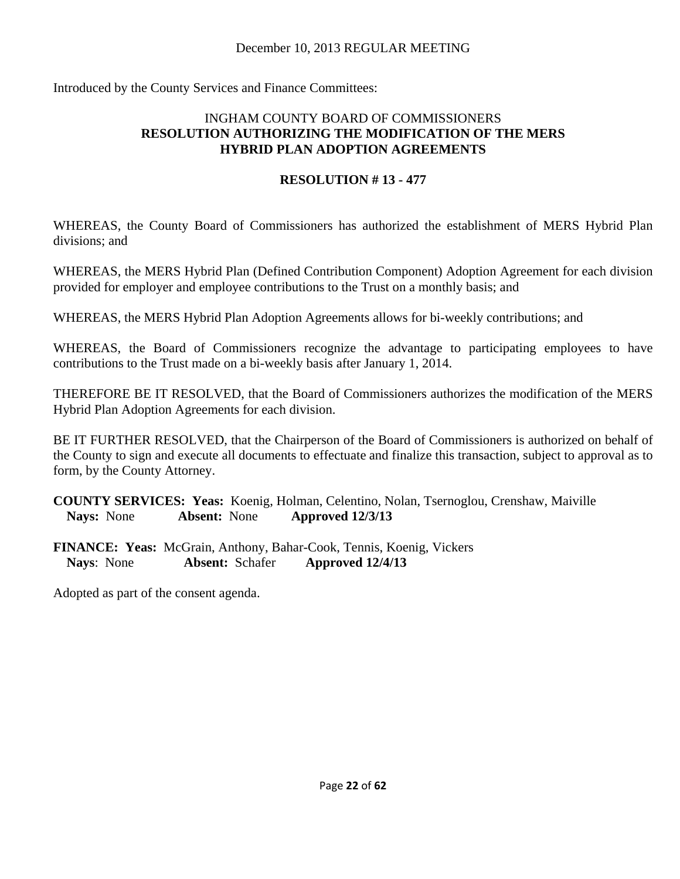Introduced by the County Services and Finance Committees:

#### INGHAM COUNTY BOARD OF COMMISSIONERS **RESOLUTION AUTHORIZING THE MODIFICATION OF THE MERS HYBRID PLAN ADOPTION AGREEMENTS**

## **RESOLUTION # 13 - 477**

WHEREAS, the County Board of Commissioners has authorized the establishment of MERS Hybrid Plan divisions; and

WHEREAS, the MERS Hybrid Plan (Defined Contribution Component) Adoption Agreement for each division provided for employer and employee contributions to the Trust on a monthly basis; and

WHEREAS, the MERS Hybrid Plan Adoption Agreements allows for bi-weekly contributions; and

WHEREAS, the Board of Commissioners recognize the advantage to participating employees to have contributions to the Trust made on a bi-weekly basis after January 1, 2014.

THEREFORE BE IT RESOLVED, that the Board of Commissioners authorizes the modification of the MERS Hybrid Plan Adoption Agreements for each division.

BE IT FURTHER RESOLVED, that the Chairperson of the Board of Commissioners is authorized on behalf of the County to sign and execute all documents to effectuate and finalize this transaction, subject to approval as to form, by the County Attorney.

**COUNTY SERVICES: Yeas:** Koenig, Holman, Celentino, Nolan, Tsernoglou, Crenshaw, Maiville **Nays:** None **Absent:** None **Approved 12/3/13** 

**FINANCE: Yeas:** McGrain, Anthony, Bahar-Cook, Tennis, Koenig, Vickers **Nays**: None **Absent:** Schafer **Approved 12/4/13**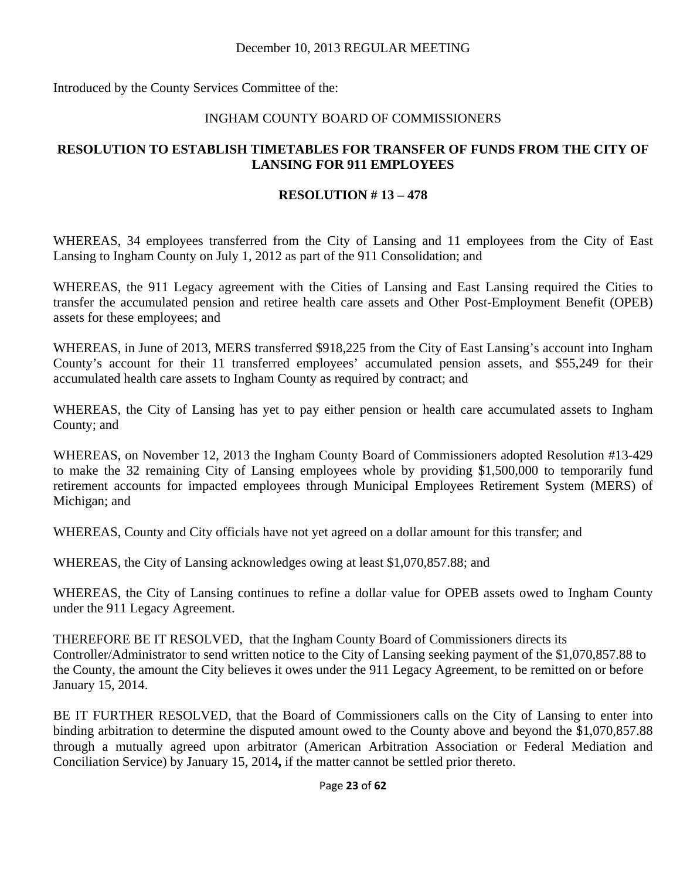Introduced by the County Services Committee of the:

#### INGHAM COUNTY BOARD OF COMMISSIONERS

## **RESOLUTION TO ESTABLISH TIMETABLES FOR TRANSFER OF FUNDS FROM THE CITY OF LANSING FOR 911 EMPLOYEES**

#### **RESOLUTION # 13 – 478**

WHEREAS, 34 employees transferred from the City of Lansing and 11 employees from the City of East Lansing to Ingham County on July 1, 2012 as part of the 911 Consolidation; and

WHEREAS, the 911 Legacy agreement with the Cities of Lansing and East Lansing required the Cities to transfer the accumulated pension and retiree health care assets and Other Post-Employment Benefit (OPEB) assets for these employees; and

WHEREAS, in June of 2013, MERS transferred \$918,225 from the City of East Lansing's account into Ingham County's account for their 11 transferred employees' accumulated pension assets, and \$55,249 for their accumulated health care assets to Ingham County as required by contract; and

WHEREAS, the City of Lansing has yet to pay either pension or health care accumulated assets to Ingham County; and

WHEREAS, on November 12, 2013 the Ingham County Board of Commissioners adopted Resolution #13-429 to make the 32 remaining City of Lansing employees whole by providing \$1,500,000 to temporarily fund retirement accounts for impacted employees through Municipal Employees Retirement System (MERS) of Michigan; and

WHEREAS, County and City officials have not yet agreed on a dollar amount for this transfer; and

WHEREAS, the City of Lansing acknowledges owing at least \$1,070,857.88; and

WHEREAS, the City of Lansing continues to refine a dollar value for OPEB assets owed to Ingham County under the 911 Legacy Agreement.

THEREFORE BE IT RESOLVED, that the Ingham County Board of Commissioners directs its Controller/Administrator to send written notice to the City of Lansing seeking payment of the \$1,070,857.88 to the County, the amount the City believes it owes under the 911 Legacy Agreement, to be remitted on or before January 15, 2014.

BE IT FURTHER RESOLVED, that the Board of Commissioners calls on the City of Lansing to enter into binding arbitration to determine the disputed amount owed to the County above and beyond the \$1,070,857.88 through a mutually agreed upon arbitrator (American Arbitration Association or Federal Mediation and Conciliation Service) by January 15, 2014**,** if the matter cannot be settled prior thereto.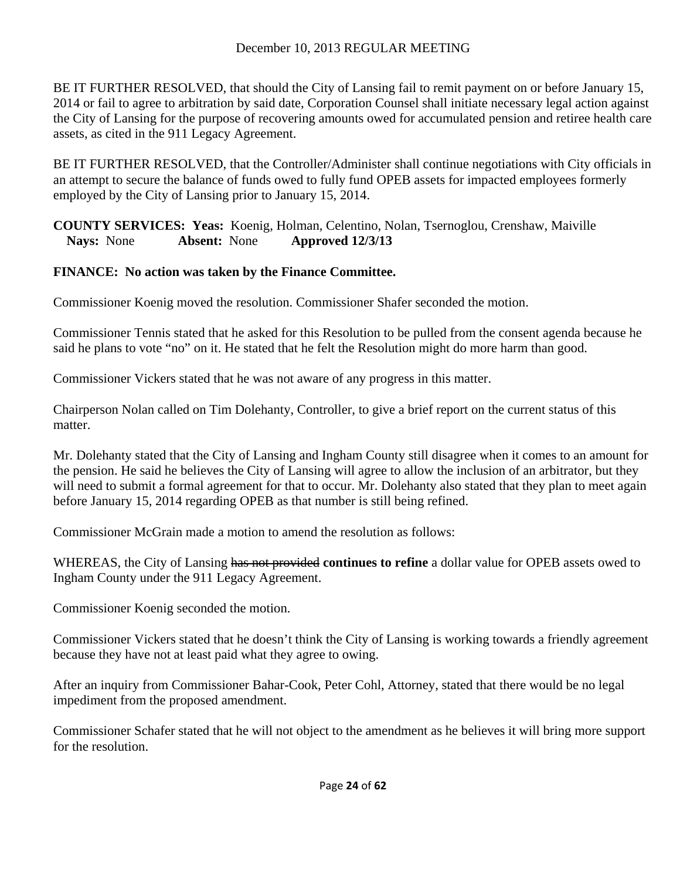BE IT FURTHER RESOLVED, that should the City of Lansing fail to remit payment on or before January 15, 2014 or fail to agree to arbitration by said date, Corporation Counsel shall initiate necessary legal action against the City of Lansing for the purpose of recovering amounts owed for accumulated pension and retiree health care assets, as cited in the 911 Legacy Agreement.

BE IT FURTHER RESOLVED, that the Controller/Administer shall continue negotiations with City officials in an attempt to secure the balance of funds owed to fully fund OPEB assets for impacted employees formerly employed by the City of Lansing prior to January 15, 2014.

**COUNTY SERVICES: Yeas:** Koenig, Holman, Celentino, Nolan, Tsernoglou, Crenshaw, Maiville **Nays:** None **Absent:** None **Approved 12/3/13** 

## **FINANCE: No action was taken by the Finance Committee.**

Commissioner Koenig moved the resolution. Commissioner Shafer seconded the motion.

Commissioner Tennis stated that he asked for this Resolution to be pulled from the consent agenda because he said he plans to vote "no" on it. He stated that he felt the Resolution might do more harm than good.

Commissioner Vickers stated that he was not aware of any progress in this matter.

Chairperson Nolan called on Tim Dolehanty, Controller, to give a brief report on the current status of this matter.

Mr. Dolehanty stated that the City of Lansing and Ingham County still disagree when it comes to an amount for the pension. He said he believes the City of Lansing will agree to allow the inclusion of an arbitrator, but they will need to submit a formal agreement for that to occur. Mr. Dolehanty also stated that they plan to meet again before January 15, 2014 regarding OPEB as that number is still being refined.

Commissioner McGrain made a motion to amend the resolution as follows:

WHEREAS, the City of Lansing has not provided **continues to refine** a dollar value for OPEB assets owed to Ingham County under the 911 Legacy Agreement.

Commissioner Koenig seconded the motion.

Commissioner Vickers stated that he doesn't think the City of Lansing is working towards a friendly agreement because they have not at least paid what they agree to owing.

After an inquiry from Commissioner Bahar-Cook, Peter Cohl, Attorney, stated that there would be no legal impediment from the proposed amendment.

Commissioner Schafer stated that he will not object to the amendment as he believes it will bring more support for the resolution.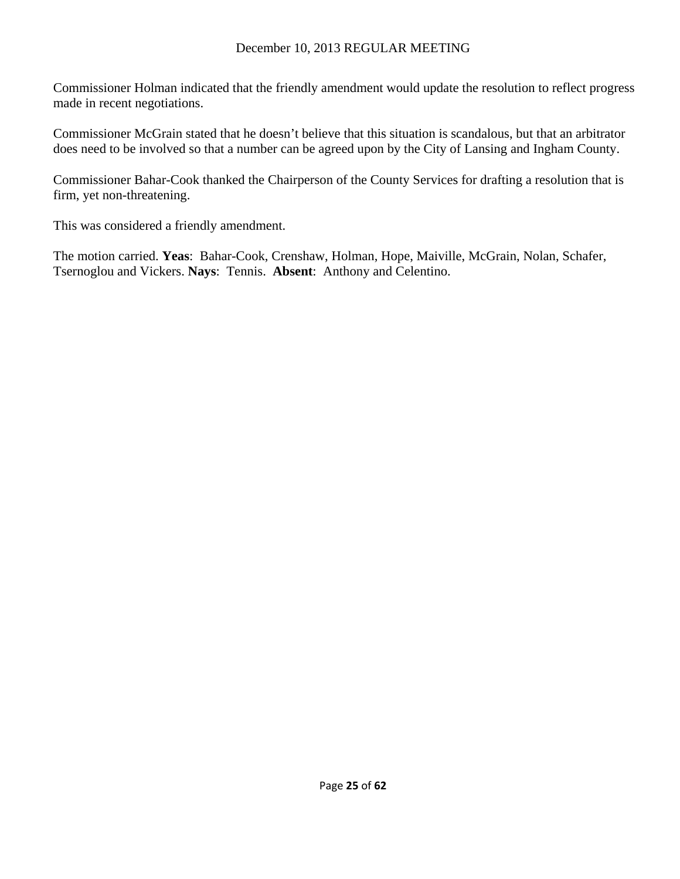Commissioner Holman indicated that the friendly amendment would update the resolution to reflect progress made in recent negotiations.

Commissioner McGrain stated that he doesn't believe that this situation is scandalous, but that an arbitrator does need to be involved so that a number can be agreed upon by the City of Lansing and Ingham County.

Commissioner Bahar-Cook thanked the Chairperson of the County Services for drafting a resolution that is firm, yet non-threatening.

This was considered a friendly amendment.

The motion carried. **Yeas**: Bahar-Cook, Crenshaw, Holman, Hope, Maiville, McGrain, Nolan, Schafer, Tsernoglou and Vickers. **Nays**: Tennis. **Absent**: Anthony and Celentino.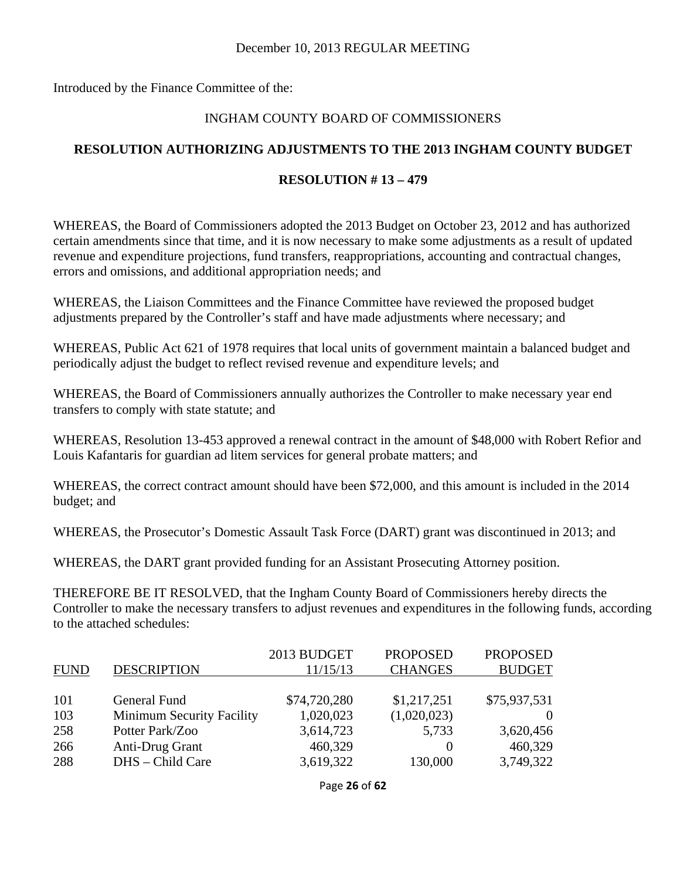Introduced by the Finance Committee of the:

#### INGHAM COUNTY BOARD OF COMMISSIONERS

## **RESOLUTION AUTHORIZING ADJUSTMENTS TO THE 2013 INGHAM COUNTY BUDGET**

#### **RESOLUTION # 13 – 479**

WHEREAS, the Board of Commissioners adopted the 2013 Budget on October 23, 2012 and has authorized certain amendments since that time, and it is now necessary to make some adjustments as a result of updated revenue and expenditure projections, fund transfers, reappropriations, accounting and contractual changes, errors and omissions, and additional appropriation needs; and

WHEREAS, the Liaison Committees and the Finance Committee have reviewed the proposed budget adjustments prepared by the Controller's staff and have made adjustments where necessary; and

WHEREAS, Public Act 621 of 1978 requires that local units of government maintain a balanced budget and periodically adjust the budget to reflect revised revenue and expenditure levels; and

WHEREAS, the Board of Commissioners annually authorizes the Controller to make necessary year end transfers to comply with state statute; and

WHEREAS, Resolution 13-453 approved a renewal contract in the amount of \$48,000 with Robert Refior and Louis Kafantaris for guardian ad litem services for general probate matters; and

WHEREAS, the correct contract amount should have been \$72,000, and this amount is included in the 2014 budget; and

WHEREAS, the Prosecutor's Domestic Assault Task Force (DART) grant was discontinued in 2013; and

WHEREAS, the DART grant provided funding for an Assistant Prosecuting Attorney position.

THEREFORE BE IT RESOLVED, that the Ingham County Board of Commissioners hereby directs the Controller to make the necessary transfers to adjust revenues and expenditures in the following funds, according to the attached schedules:

|             |                                  | 2013 BUDGET  | <b>PROPOSED</b> | <b>PROPOSED</b> |
|-------------|----------------------------------|--------------|-----------------|-----------------|
| <b>FUND</b> | <b>DESCRIPTION</b>               | 11/15/13     | <b>CHANGES</b>  | <b>BUDGET</b>   |
|             |                                  |              |                 |                 |
| 101         | General Fund                     | \$74,720,280 | \$1,217,251     | \$75,937,531    |
| 103         | <b>Minimum Security Facility</b> | 1,020,023    | (1,020,023)     |                 |
| 258         | Potter Park/Zoo                  | 3,614,723    | 5,733           | 3,620,456       |
| 266         | Anti-Drug Grant                  | 460,329      |                 | 460,329         |
| 288         | DHS - Child Care                 | 3,619,322    | 130,000         | 3,749,322       |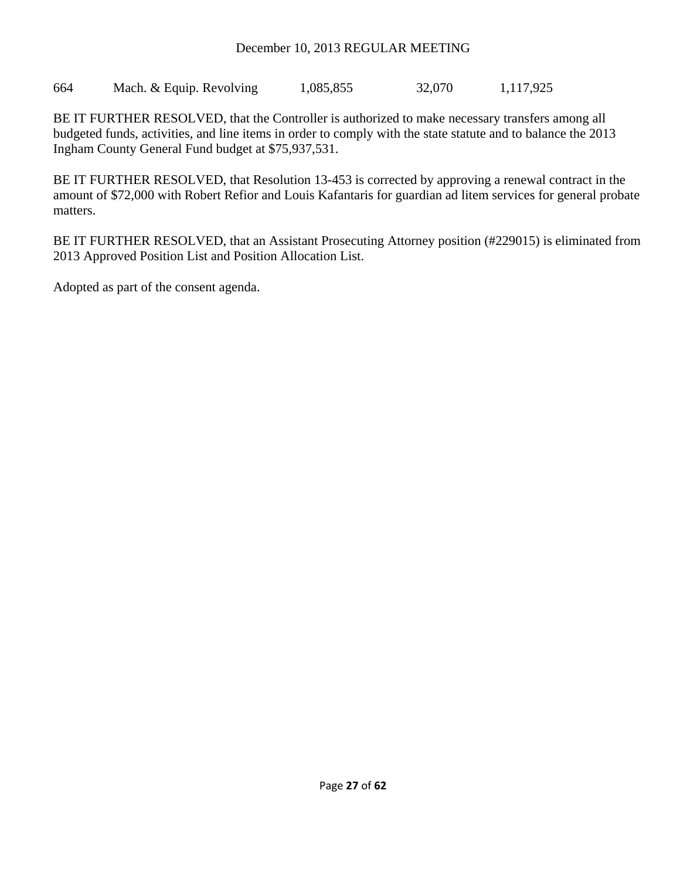664 Mach. & Equip. Revolving 1,085,855 32,070 1,117,925

BE IT FURTHER RESOLVED, that the Controller is authorized to make necessary transfers among all budgeted funds, activities, and line items in order to comply with the state statute and to balance the 2013 Ingham County General Fund budget at \$75,937,531.

BE IT FURTHER RESOLVED, that Resolution 13-453 is corrected by approving a renewal contract in the amount of \$72,000 with Robert Refior and Louis Kafantaris for guardian ad litem services for general probate matters.

BE IT FURTHER RESOLVED, that an Assistant Prosecuting Attorney position (#229015) is eliminated from 2013 Approved Position List and Position Allocation List.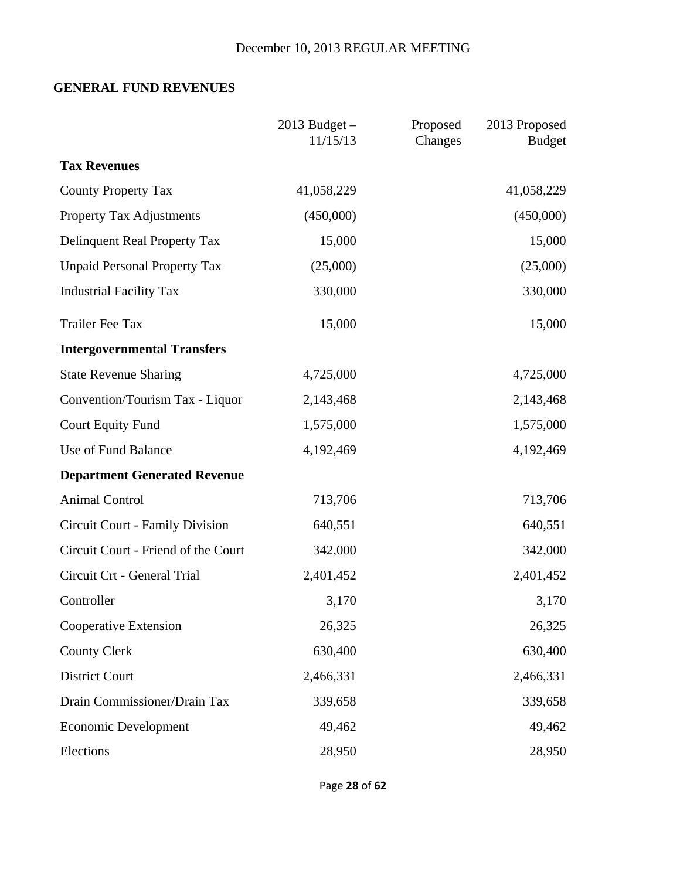# **GENERAL FUND REVENUES**

|                                     | $2013$ Budget $-$<br>11/15/13 | Proposed<br>Changes | 2013 Proposed<br><b>Budget</b> |
|-------------------------------------|-------------------------------|---------------------|--------------------------------|
| <b>Tax Revenues</b>                 |                               |                     |                                |
| <b>County Property Tax</b>          | 41,058,229                    |                     | 41,058,229                     |
| <b>Property Tax Adjustments</b>     | (450,000)                     |                     | (450,000)                      |
| Delinquent Real Property Tax        | 15,000                        |                     | 15,000                         |
| <b>Unpaid Personal Property Tax</b> | (25,000)                      |                     | (25,000)                       |
| <b>Industrial Facility Tax</b>      | 330,000                       |                     | 330,000                        |
| <b>Trailer Fee Tax</b>              | 15,000                        |                     | 15,000                         |
| <b>Intergovernmental Transfers</b>  |                               |                     |                                |
| <b>State Revenue Sharing</b>        | 4,725,000                     |                     | 4,725,000                      |
| Convention/Tourism Tax - Liquor     | 2,143,468                     |                     | 2,143,468                      |
| <b>Court Equity Fund</b>            | 1,575,000                     |                     | 1,575,000                      |
| Use of Fund Balance                 | 4,192,469                     |                     | 4,192,469                      |
| <b>Department Generated Revenue</b> |                               |                     |                                |
| <b>Animal Control</b>               | 713,706                       |                     | 713,706                        |
| Circuit Court - Family Division     | 640,551                       |                     | 640,551                        |
| Circuit Court - Friend of the Court | 342,000                       |                     | 342,000                        |
| Circuit Crt - General Trial         | 2,401,452                     |                     | 2,401,452                      |
| Controller                          | 3,170                         |                     | 3,170                          |
| Cooperative Extension               | 26,325                        |                     | 26,325                         |
| <b>County Clerk</b>                 | 630,400                       |                     | 630,400                        |
| <b>District Court</b>               | 2,466,331                     |                     | 2,466,331                      |
| Drain Commissioner/Drain Tax        | 339,658                       |                     | 339,658                        |
| <b>Economic Development</b>         | 49,462                        |                     | 49,462                         |
| Elections                           | 28,950                        |                     | 28,950                         |

Page **28** of **62**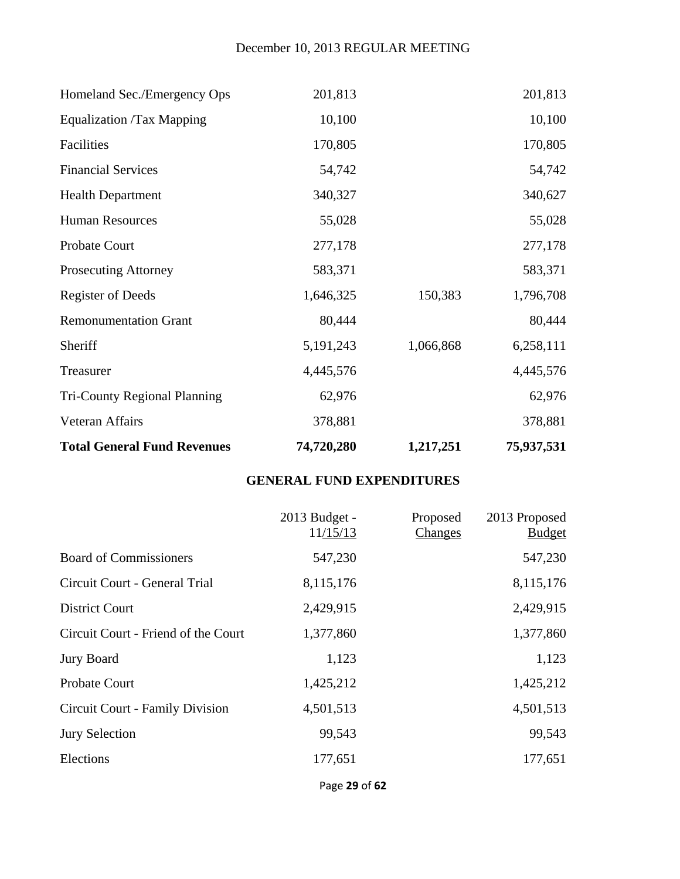| <b>Total General Fund Revenues</b>  | 74,720,280  | 1,217,251 | 75,937,531 |
|-------------------------------------|-------------|-----------|------------|
| Veteran Affairs                     | 378,881     |           | 378,881    |
| <b>Tri-County Regional Planning</b> | 62,976      |           | 62,976     |
| Treasurer                           | 4,445,576   |           | 4,445,576  |
| Sheriff                             | 5, 191, 243 | 1,066,868 | 6,258,111  |
| <b>Remonumentation Grant</b>        | 80,444      |           | 80,444     |
| <b>Register of Deeds</b>            | 1,646,325   | 150,383   | 1,796,708  |
| <b>Prosecuting Attorney</b>         | 583,371     |           | 583,371    |
| <b>Probate Court</b>                | 277,178     |           | 277,178    |
| <b>Human Resources</b>              | 55,028      |           | 55,028     |
| <b>Health Department</b>            | 340,327     |           | 340,627    |
| <b>Financial Services</b>           | 54,742      |           | 54,742     |
| Facilities                          | 170,805     |           | 170,805    |
| <b>Equalization /Tax Mapping</b>    | 10,100      |           | 10,100     |
| Homeland Sec./Emergency Ops         | 201,813     |           | 201,813    |

# **GENERAL FUND EXPENDITURES**

|                                        | 2013 Budget -<br>11/15/13 | Proposed<br>Changes | 2013 Proposed<br><b>Budget</b> |
|----------------------------------------|---------------------------|---------------------|--------------------------------|
| <b>Board of Commissioners</b>          | 547,230                   |                     | 547,230                        |
| Circuit Court - General Trial          | 8,115,176                 |                     | 8,115,176                      |
| <b>District Court</b>                  | 2,429,915                 |                     | 2,429,915                      |
| Circuit Court - Friend of the Court    | 1,377,860                 |                     | 1,377,860                      |
| Jury Board                             | 1,123                     |                     | 1,123                          |
| <b>Probate Court</b>                   | 1,425,212                 |                     | 1,425,212                      |
| <b>Circuit Court - Family Division</b> | 4,501,513                 |                     | 4,501,513                      |
| <b>Jury Selection</b>                  | 99,543                    |                     | 99,543                         |
| Elections                              | 177,651                   |                     | 177,651                        |

Page **29** of **62**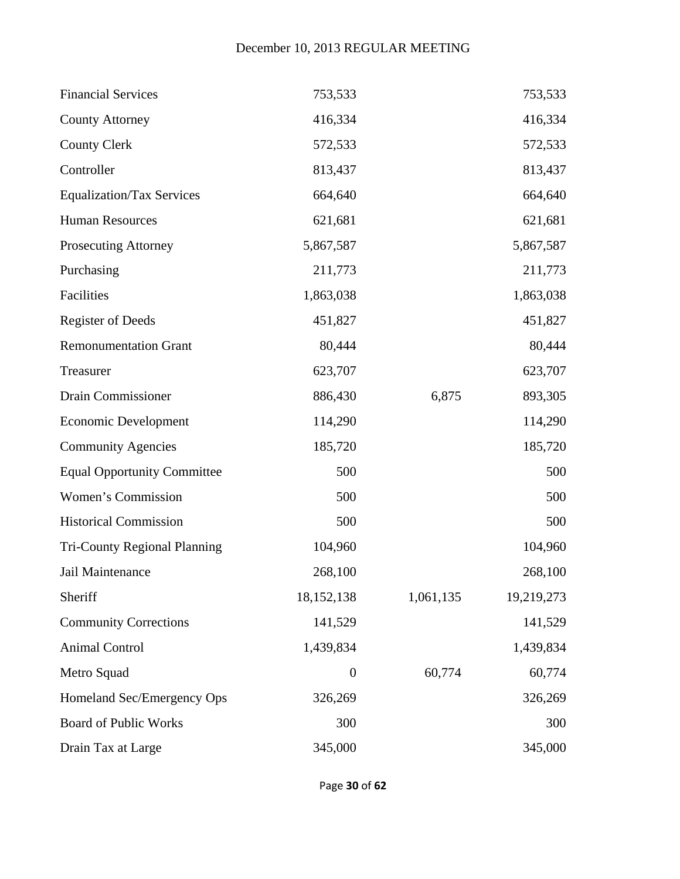| <b>Financial Services</b>           | 753,533          |           | 753,533    |
|-------------------------------------|------------------|-----------|------------|
| <b>County Attorney</b>              | 416,334          |           | 416,334    |
| <b>County Clerk</b>                 | 572,533          |           | 572,533    |
| Controller                          | 813,437          |           | 813,437    |
| <b>Equalization/Tax Services</b>    | 664,640          |           | 664,640    |
| <b>Human Resources</b>              | 621,681          |           | 621,681    |
| <b>Prosecuting Attorney</b>         | 5,867,587        |           | 5,867,587  |
| Purchasing                          | 211,773          |           | 211,773    |
| Facilities                          | 1,863,038        |           | 1,863,038  |
| <b>Register of Deeds</b>            | 451,827          |           | 451,827    |
| <b>Remonumentation Grant</b>        | 80,444           |           | 80,444     |
| Treasurer                           | 623,707          |           | 623,707    |
| Drain Commissioner                  | 886,430          | 6,875     | 893,305    |
| <b>Economic Development</b>         | 114,290          |           | 114,290    |
| <b>Community Agencies</b>           | 185,720          |           | 185,720    |
| <b>Equal Opportunity Committee</b>  | 500              |           | 500        |
| Women's Commission                  | 500              |           | 500        |
| <b>Historical Commission</b>        | 500              |           | 500        |
| <b>Tri-County Regional Planning</b> | 104,960          |           | 104,960    |
| Jail Maintenance                    | 268,100          |           | 268,100    |
| Sheriff                             | 18, 152, 138     | 1,061,135 | 19,219,273 |
| <b>Community Corrections</b>        | 141,529          |           | 141,529    |
| <b>Animal Control</b>               | 1,439,834        |           | 1,439,834  |
| Metro Squad                         | $\boldsymbol{0}$ | 60,774    | 60,774     |
| Homeland Sec/Emergency Ops          | 326,269          |           | 326,269    |
| <b>Board of Public Works</b>        | 300              |           | 300        |
| Drain Tax at Large                  | 345,000          |           | 345,000    |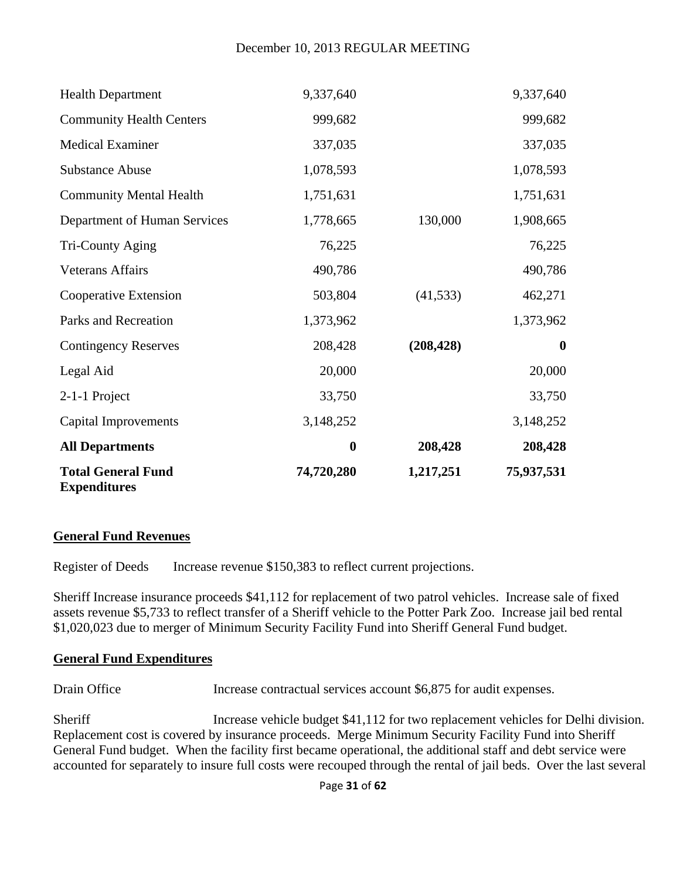| <b>Total General Fund</b><br><b>Expenditures</b> | 74,720,280       | 1,217,251  | 75,937,531       |
|--------------------------------------------------|------------------|------------|------------------|
| <b>All Departments</b>                           | $\boldsymbol{0}$ | 208,428    | 208,428          |
| <b>Capital Improvements</b>                      | 3,148,252        |            | 3,148,252        |
| 2-1-1 Project                                    | 33,750           |            | 33,750           |
| Legal Aid                                        | 20,000           |            | 20,000           |
| <b>Contingency Reserves</b>                      | 208,428          | (208, 428) | $\boldsymbol{0}$ |
| Parks and Recreation                             | 1,373,962        |            | 1,373,962        |
| Cooperative Extension                            | 503,804          | (41, 533)  | 462,271          |
| <b>Veterans Affairs</b>                          | 490,786          |            | 490,786          |
| Tri-County Aging                                 | 76,225           |            | 76,225           |
| Department of Human Services                     | 1,778,665        | 130,000    | 1,908,665        |
| <b>Community Mental Health</b>                   | 1,751,631        |            | 1,751,631        |
| <b>Substance Abuse</b>                           | 1,078,593        |            | 1,078,593        |
| <b>Medical Examiner</b>                          | 337,035          |            | 337,035          |
| <b>Community Health Centers</b>                  | 999,682          |            | 999,682          |
| <b>Health Department</b>                         | 9,337,640        |            | 9,337,640        |

#### **General Fund Revenues**

Register of Deeds Increase revenue \$150,383 to reflect current projections.

Sheriff Increase insurance proceeds \$41,112 for replacement of two patrol vehicles. Increase sale of fixed assets revenue \$5,733 to reflect transfer of a Sheriff vehicle to the Potter Park Zoo. Increase jail bed rental \$1,020,023 due to merger of Minimum Security Facility Fund into Sheriff General Fund budget.

#### **General Fund Expenditures**

Drain Office Increase contractual services account \$6,875 for audit expenses.

Sheriff Increase vehicle budget \$41,112 for two replacement vehicles for Delhi division. Replacement cost is covered by insurance proceeds. Merge Minimum Security Facility Fund into Sheriff General Fund budget. When the facility first became operational, the additional staff and debt service were accounted for separately to insure full costs were recouped through the rental of jail beds. Over the last several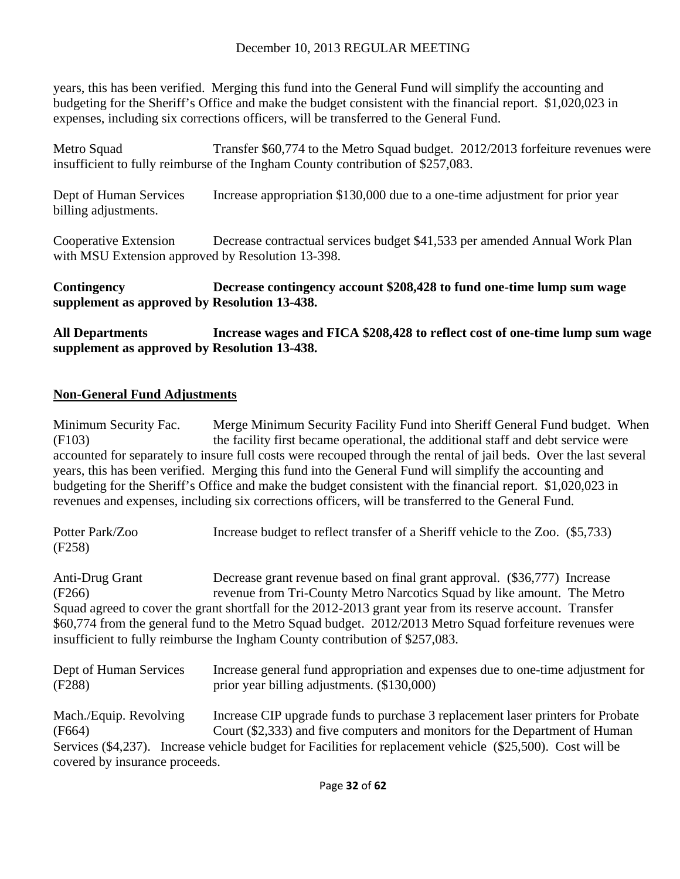years, this has been verified. Merging this fund into the General Fund will simplify the accounting and budgeting for the Sheriff's Office and make the budget consistent with the financial report. \$1,020,023 in expenses, including six corrections officers, will be transferred to the General Fund.

Metro Squad Transfer \$60,774 to the Metro Squad budget. 2012/2013 for feiture revenues were insufficient to fully reimburse of the Ingham County contribution of \$257,083.

Dept of Human Services Increase appropriation \$130,000 due to a one-time adjustment for prior year billing adjustments.

Cooperative Extension Decrease contractual services budget \$41,533 per amended Annual Work Plan with MSU Extension approved by Resolution 13-398.

**Contingency Decrease contingency account \$208,428 to fund one-time lump sum wage supplement as approved by Resolution 13-438.** 

**All Departments Increase wages and FICA \$208,428 to reflect cost of one-time lump sum wage supplement as approved by Resolution 13-438.** 

#### **Non-General Fund Adjustments**

Minimum Security Fac. Merge Minimum Security Facility Fund into Sheriff General Fund budget. When (F103) the facility first became operational, the additional staff and debt service were accounted for separately to insure full costs were recouped through the rental of jail beds. Over the last several years, this has been verified. Merging this fund into the General Fund will simplify the accounting and budgeting for the Sheriff's Office and make the budget consistent with the financial report. \$1,020,023 in revenues and expenses, including six corrections officers, will be transferred to the General Fund.

| Potter Park/Zoo | Increase budget to reflect transfer of a Sheriff vehicle to the Zoo. (\$5,733) |
|-----------------|--------------------------------------------------------------------------------|
| (F258)          |                                                                                |
|                 |                                                                                |

Anti-Drug Grant Decrease grant revenue based on final grant approval. (\$36,777) Increase (F266) revenue from Tri-County Metro Narcotics Squad by like amount. The Metro Squad agreed to cover the grant shortfall for the 2012-2013 grant year from its reserve account. Transfer \$60,774 from the general fund to the Metro Squad budget. 2012/2013 Metro Squad forfeiture revenues were insufficient to fully reimburse the Ingham County contribution of \$257,083.

| Dept of Human Services         | Increase general fund appropriation and expenses due to one-time adjustment for                             |
|--------------------------------|-------------------------------------------------------------------------------------------------------------|
| (F288)                         | prior year billing adjustments. (\$130,000)                                                                 |
| Mach./Equip. Revolving         | Increase CIP upgrade funds to purchase 3 replacement laser printers for Probate                             |
| (F664)                         | Court (\$2,333) and five computers and monitors for the Department of Human                                 |
|                                | Services (\$4,237). Increase vehicle budget for Facilities for replacement vehicle (\$25,500). Cost will be |
| covered by insurance proceeds. |                                                                                                             |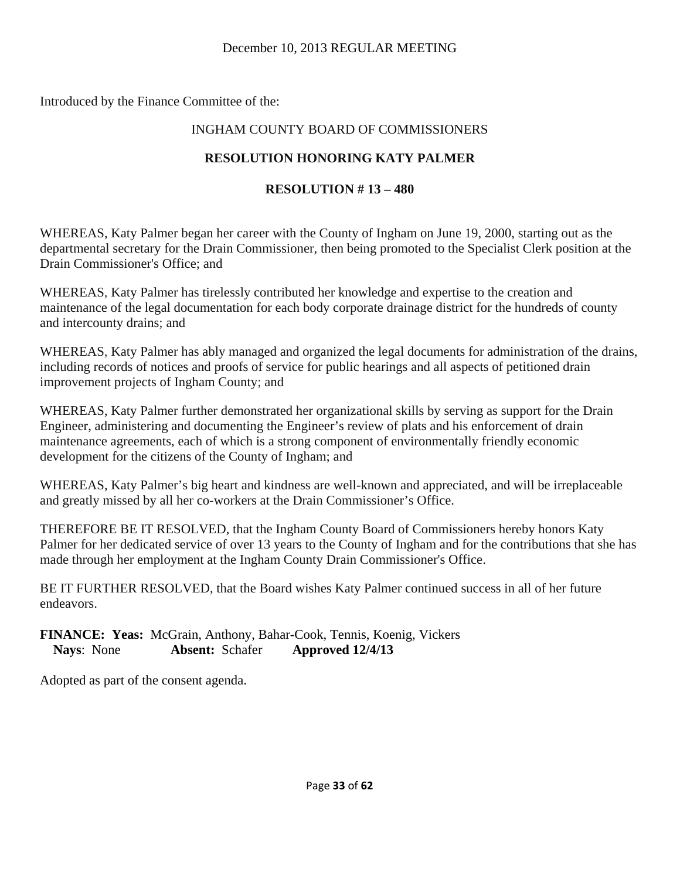Introduced by the Finance Committee of the:

## INGHAM COUNTY BOARD OF COMMISSIONERS

## **RESOLUTION HONORING KATY PALMER**

## **RESOLUTION # 13 – 480**

WHEREAS, Katy Palmer began her career with the County of Ingham on June 19, 2000, starting out as the departmental secretary for the Drain Commissioner, then being promoted to the Specialist Clerk position at the Drain Commissioner's Office; and

WHEREAS, Katy Palmer has tirelessly contributed her knowledge and expertise to the creation and maintenance of the legal documentation for each body corporate drainage district for the hundreds of county and intercounty drains; and

WHEREAS, Katy Palmer has ably managed and organized the legal documents for administration of the drains, including records of notices and proofs of service for public hearings and all aspects of petitioned drain improvement projects of Ingham County; and

WHEREAS, Katy Palmer further demonstrated her organizational skills by serving as support for the Drain Engineer, administering and documenting the Engineer's review of plats and his enforcement of drain maintenance agreements, each of which is a strong component of environmentally friendly economic development for the citizens of the County of Ingham; and

WHEREAS, Katy Palmer's big heart and kindness are well-known and appreciated, and will be irreplaceable and greatly missed by all her co-workers at the Drain Commissioner's Office.

THEREFORE BE IT RESOLVED, that the Ingham County Board of Commissioners hereby honors Katy Palmer for her dedicated service of over 13 years to the County of Ingham and for the contributions that she has made through her employment at the Ingham County Drain Commissioner's Office.

BE IT FURTHER RESOLVED, that the Board wishes Katy Palmer continued success in all of her future endeavors.

**FINANCE: Yeas:** McGrain, Anthony, Bahar-Cook, Tennis, Koenig, Vickers **Nays**: None **Absent:** Schafer **Approved 12/4/13**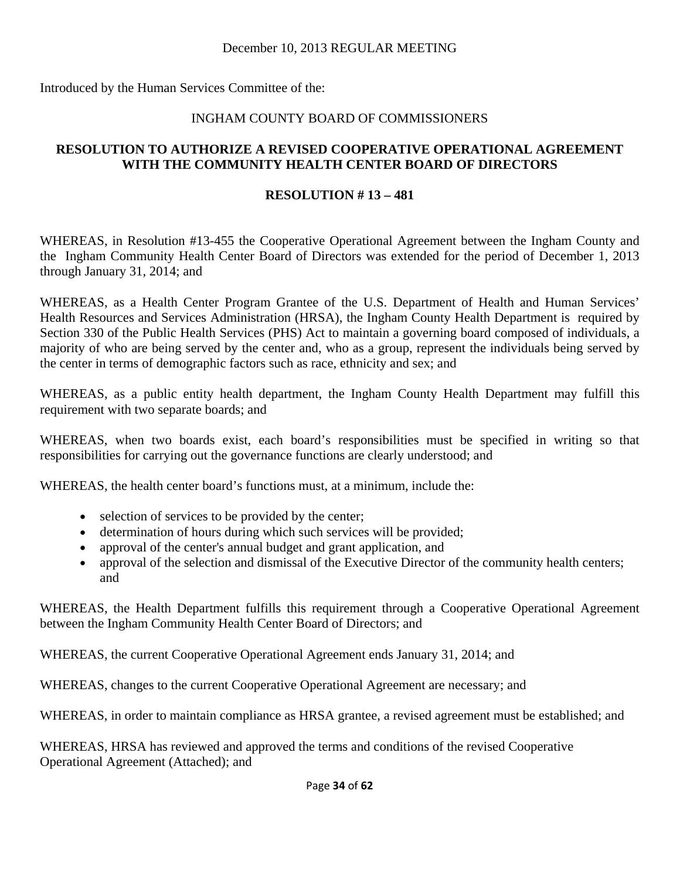Introduced by the Human Services Committee of the:

## INGHAM COUNTY BOARD OF COMMISSIONERS

## **RESOLUTION TO AUTHORIZE A REVISED COOPERATIVE OPERATIONAL AGREEMENT WITH THE COMMUNITY HEALTH CENTER BOARD OF DIRECTORS**

## **RESOLUTION # 13 – 481**

WHEREAS, in Resolution #13-455 the Cooperative Operational Agreement between the Ingham County and the Ingham Community Health Center Board of Directors was extended for the period of December 1, 2013 through January 31, 2014; and

WHEREAS, as a Health Center Program Grantee of the U.S. Department of Health and Human Services' Health Resources and Services Administration (HRSA), the Ingham County Health Department is required by Section 330 of the Public Health Services (PHS) Act to maintain a governing board composed of individuals, a majority of who are being served by the center and, who as a group, represent the individuals being served by the center in terms of demographic factors such as race, ethnicity and sex; and

WHEREAS, as a public entity health department, the Ingham County Health Department may fulfill this requirement with two separate boards; and

WHEREAS, when two boards exist, each board's responsibilities must be specified in writing so that responsibilities for carrying out the governance functions are clearly understood; and

WHEREAS, the health center board's functions must, at a minimum, include the:

- selection of services to be provided by the center;
- determination of hours during which such services will be provided;
- approval of the center's annual budget and grant application, and
- approval of the selection and dismissal of the Executive Director of the community health centers; and

WHEREAS, the Health Department fulfills this requirement through a Cooperative Operational Agreement between the Ingham Community Health Center Board of Directors; and

WHEREAS, the current Cooperative Operational Agreement ends January 31, 2014; and

WHEREAS, changes to the current Cooperative Operational Agreement are necessary; and

WHEREAS, in order to maintain compliance as HRSA grantee, a revised agreement must be established; and

WHEREAS, HRSA has reviewed and approved the terms and conditions of the revised Cooperative Operational Agreement (Attached); and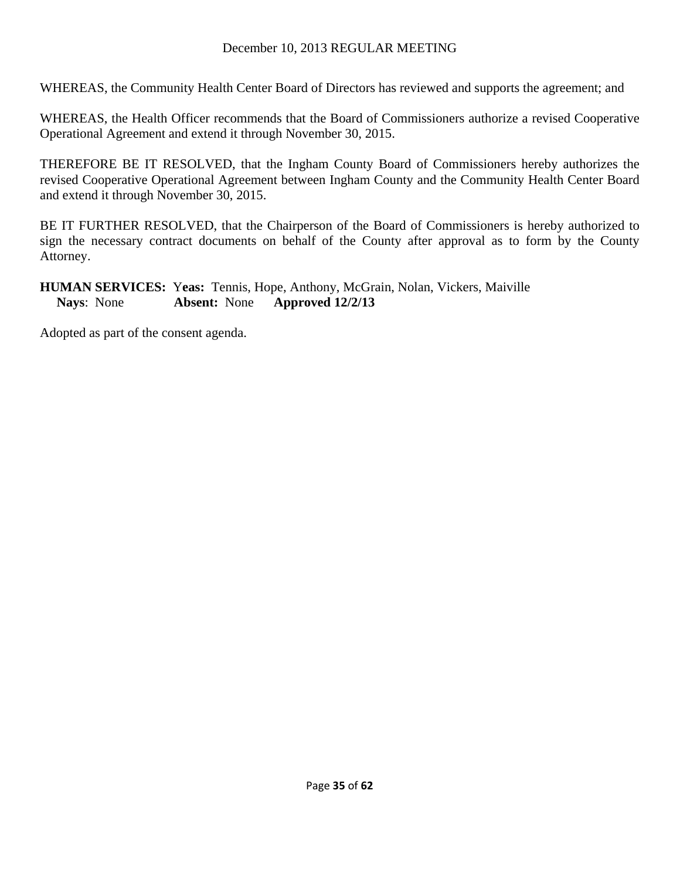WHEREAS, the Community Health Center Board of Directors has reviewed and supports the agreement; and

WHEREAS, the Health Officer recommends that the Board of Commissioners authorize a revised Cooperative Operational Agreement and extend it through November 30, 2015.

THEREFORE BE IT RESOLVED, that the Ingham County Board of Commissioners hereby authorizes the revised Cooperative Operational Agreement between Ingham County and the Community Health Center Board and extend it through November 30, 2015.

BE IT FURTHER RESOLVED, that the Chairperson of the Board of Commissioners is hereby authorized to sign the necessary contract documents on behalf of the County after approval as to form by the County Attorney.

## **HUMAN SERVICES:** Y**eas:** Tennis, Hope, Anthony, McGrain, Nolan, Vickers, Maiville **Nays**: None **Absent:** None **Approved 12/2/13**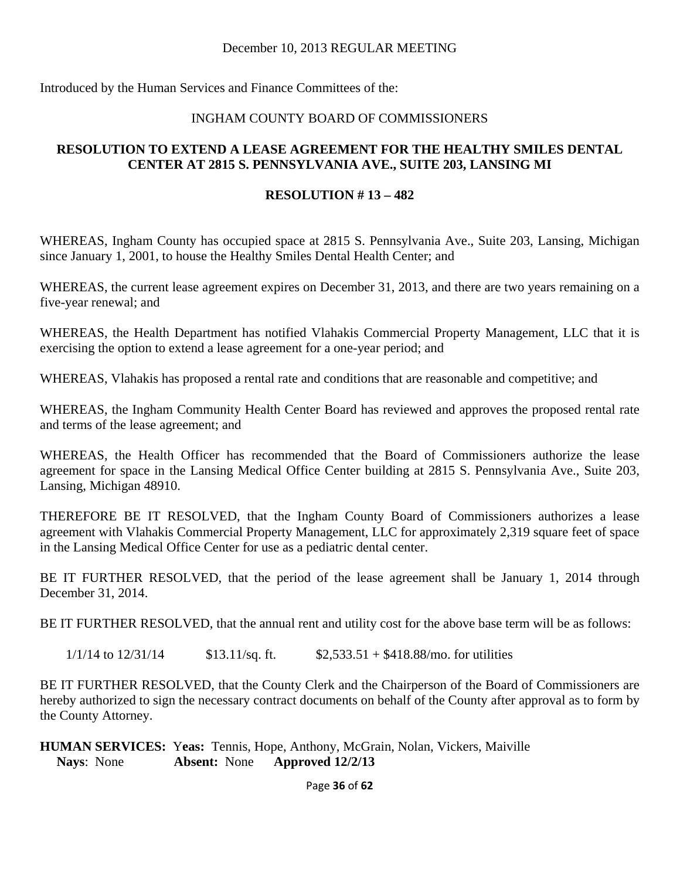Introduced by the Human Services and Finance Committees of the:

#### INGHAM COUNTY BOARD OF COMMISSIONERS

#### **RESOLUTION TO EXTEND A LEASE AGREEMENT FOR THE HEALTHY SMILES DENTAL CENTER AT 2815 S. PENNSYLVANIA AVE., SUITE 203, LANSING MI**

#### **RESOLUTION # 13 – 482**

WHEREAS, Ingham County has occupied space at 2815 S. Pennsylvania Ave., Suite 203, Lansing, Michigan since January 1, 2001, to house the Healthy Smiles Dental Health Center; and

WHEREAS, the current lease agreement expires on December 31, 2013, and there are two years remaining on a five-year renewal; and

WHEREAS, the Health Department has notified Vlahakis Commercial Property Management, LLC that it is exercising the option to extend a lease agreement for a one-year period; and

WHEREAS, Vlahakis has proposed a rental rate and conditions that are reasonable and competitive; and

WHEREAS, the Ingham Community Health Center Board has reviewed and approves the proposed rental rate and terms of the lease agreement; and

WHEREAS, the Health Officer has recommended that the Board of Commissioners authorize the lease agreement for space in the Lansing Medical Office Center building at 2815 S. Pennsylvania Ave., Suite 203, Lansing, Michigan 48910.

THEREFORE BE IT RESOLVED, that the Ingham County Board of Commissioners authorizes a lease agreement with Vlahakis Commercial Property Management, LLC for approximately 2,319 square feet of space in the Lansing Medical Office Center for use as a pediatric dental center.

BE IT FURTHER RESOLVED, that the period of the lease agreement shall be January 1, 2014 through December 31, 2014.

BE IT FURTHER RESOLVED, that the annual rent and utility cost for the above base term will be as follows:

 $1/1/14$  to  $12/31/14$  \$13.11/sq. ft. \$2,533.51 + \$418.88/mo. for utilities

BE IT FURTHER RESOLVED, that the County Clerk and the Chairperson of the Board of Commissioners are hereby authorized to sign the necessary contract documents on behalf of the County after approval as to form by the County Attorney.

**HUMAN SERVICES:** Y**eas:** Tennis, Hope, Anthony, McGrain, Nolan, Vickers, Maiville **Nays**: None **Absent:** None **Approved 12/2/13**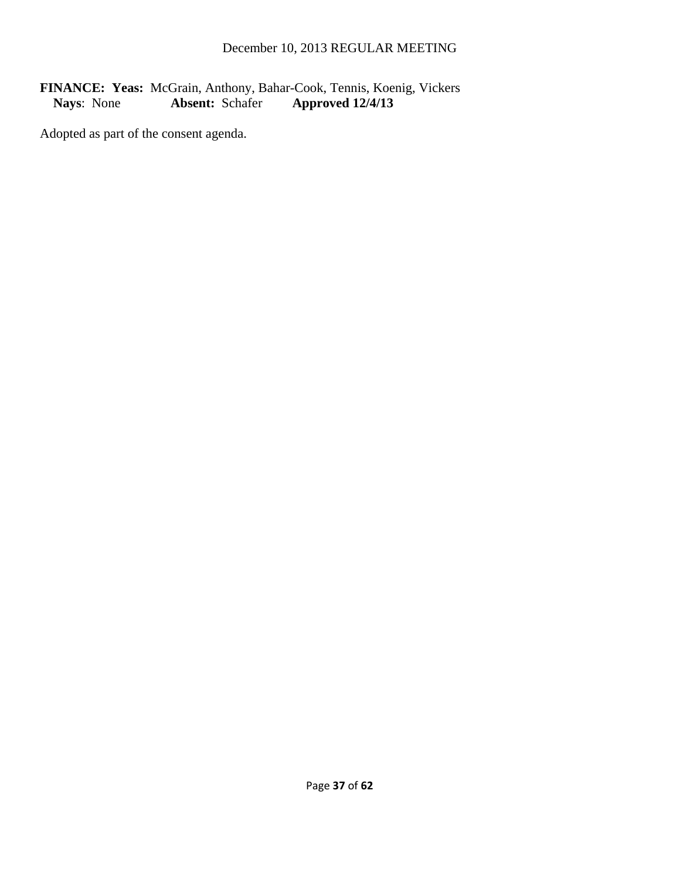## FINANCE: Yeas: McGrain, Anthony, Bahar-Cook, Tennis, Koenig, Vickers<br>Nays: None **Absent:** Schafer **Approved 12/4/13 Nays**: None **Absent:** Schafer **Approved 12/4/13**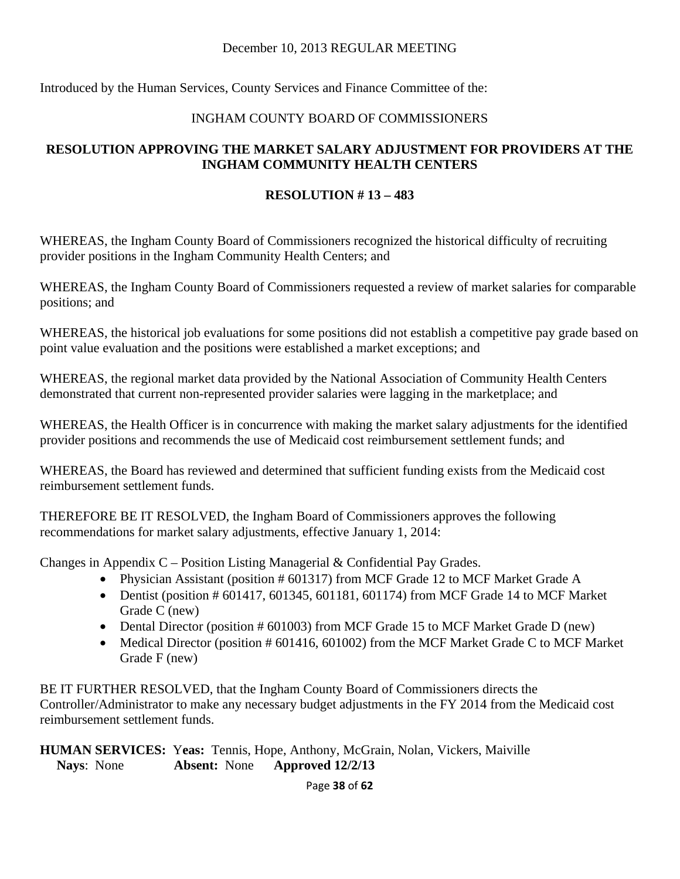Introduced by the Human Services, County Services and Finance Committee of the:

## INGHAM COUNTY BOARD OF COMMISSIONERS

## **RESOLUTION APPROVING THE MARKET SALARY ADJUSTMENT FOR PROVIDERS AT THE INGHAM COMMUNITY HEALTH CENTERS**

#### **RESOLUTION # 13 – 483**

WHEREAS, the Ingham County Board of Commissioners recognized the historical difficulty of recruiting provider positions in the Ingham Community Health Centers; and

WHEREAS, the Ingham County Board of Commissioners requested a review of market salaries for comparable positions; and

WHEREAS, the historical job evaluations for some positions did not establish a competitive pay grade based on point value evaluation and the positions were established a market exceptions; and

WHEREAS, the regional market data provided by the National Association of Community Health Centers demonstrated that current non-represented provider salaries were lagging in the marketplace; and

WHEREAS, the Health Officer is in concurrence with making the market salary adjustments for the identified provider positions and recommends the use of Medicaid cost reimbursement settlement funds; and

WHEREAS, the Board has reviewed and determined that sufficient funding exists from the Medicaid cost reimbursement settlement funds.

THEREFORE BE IT RESOLVED, the Ingham Board of Commissioners approves the following recommendations for market salary adjustments, effective January 1, 2014:

Changes in Appendix C – Position Listing Managerial & Confidential Pay Grades.

- Physician Assistant (position # 601317) from MCF Grade 12 to MCF Market Grade A
- Dentist (position # 601417, 601345, 601181, 601174) from MCF Grade 14 to MCF Market Grade C (new)
- Dental Director (position # 601003) from MCF Grade 15 to MCF Market Grade D (new)
- Medical Director (position # 601416, 601002) from the MCF Market Grade C to MCF Market Grade F (new)

BE IT FURTHER RESOLVED, that the Ingham County Board of Commissioners directs the Controller/Administrator to make any necessary budget adjustments in the FY 2014 from the Medicaid cost reimbursement settlement funds.

**HUMAN SERVICES:** Y**eas:** Tennis, Hope, Anthony, McGrain, Nolan, Vickers, Maiville **Nays**: None **Absent:** None **Approved 12/2/13** 

Page **38** of **62**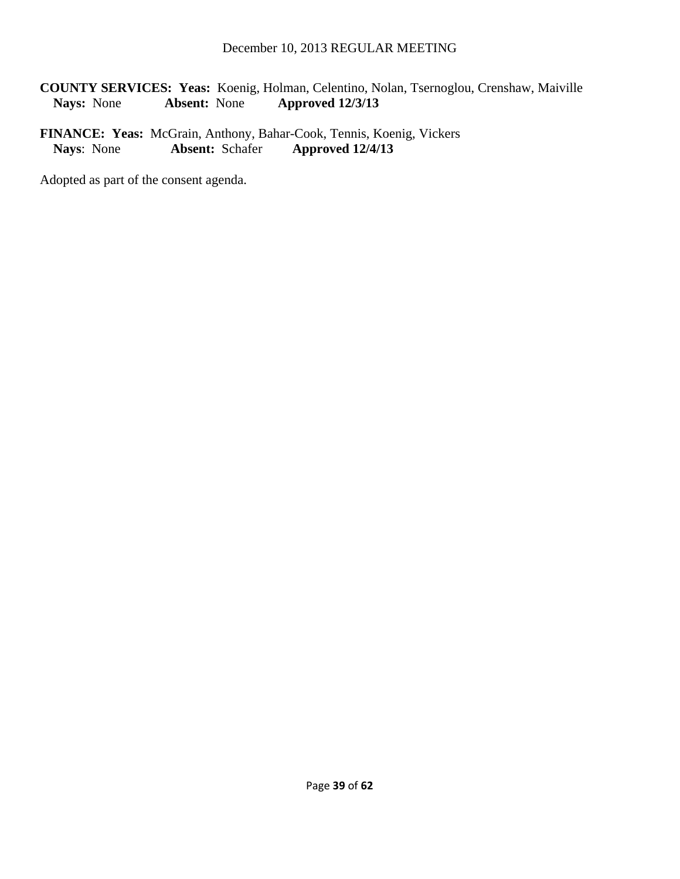**COUNTY SERVICES: Yeas:** Koenig, Holman, Celentino, Nolan, Tsernoglou, Crenshaw, Maiville **Nays:** None **Absent:** None **Approved 12/3/13** 

FINANCE: Yeas: McGrain, Anthony, Bahar-Cook, Tennis, Koenig, Vickers<br>Nays: None **Absent:** Schafer **Approved 12/4/13 Nays**: None **Absent:** Schafer **Approved 12/4/13**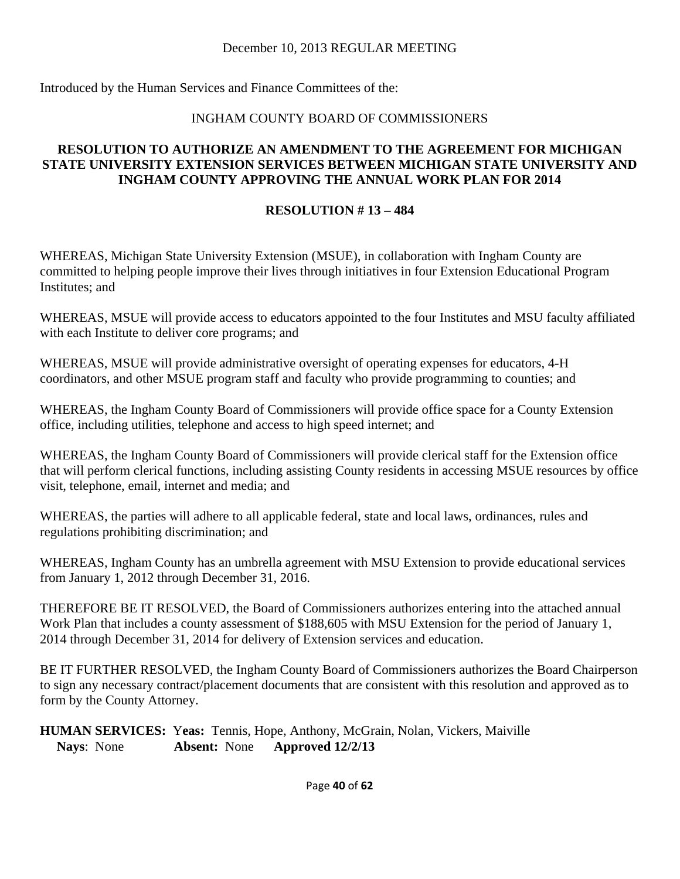Introduced by the Human Services and Finance Committees of the:

## INGHAM COUNTY BOARD OF COMMISSIONERS

#### **RESOLUTION TO AUTHORIZE AN AMENDMENT TO THE AGREEMENT FOR MICHIGAN STATE UNIVERSITY EXTENSION SERVICES BETWEEN MICHIGAN STATE UNIVERSITY AND INGHAM COUNTY APPROVING THE ANNUAL WORK PLAN FOR 2014**

#### **RESOLUTION # 13 – 484**

WHEREAS, Michigan State University Extension (MSUE), in collaboration with Ingham County are committed to helping people improve their lives through initiatives in four Extension Educational Program Institutes; and

WHEREAS, MSUE will provide access to educators appointed to the four Institutes and MSU faculty affiliated with each Institute to deliver core programs; and

WHEREAS, MSUE will provide administrative oversight of operating expenses for educators, 4-H coordinators, and other MSUE program staff and faculty who provide programming to counties; and

WHEREAS, the Ingham County Board of Commissioners will provide office space for a County Extension office, including utilities, telephone and access to high speed internet; and

WHEREAS, the Ingham County Board of Commissioners will provide clerical staff for the Extension office that will perform clerical functions, including assisting County residents in accessing MSUE resources by office visit, telephone, email, internet and media; and

WHEREAS, the parties will adhere to all applicable federal, state and local laws, ordinances, rules and regulations prohibiting discrimination; and

WHEREAS, Ingham County has an umbrella agreement with MSU Extension to provide educational services from January 1, 2012 through December 31, 2016.

THEREFORE BE IT RESOLVED, the Board of Commissioners authorizes entering into the attached annual Work Plan that includes a county assessment of \$188,605 with MSU Extension for the period of January 1, 2014 through December 31, 2014 for delivery of Extension services and education.

BE IT FURTHER RESOLVED, the Ingham County Board of Commissioners authorizes the Board Chairperson to sign any necessary contract/placement documents that are consistent with this resolution and approved as to form by the County Attorney.

**HUMAN SERVICES:** Y**eas:** Tennis, Hope, Anthony, McGrain, Nolan, Vickers, Maiville **Nays**: None **Absent:** None **Approved 12/2/13**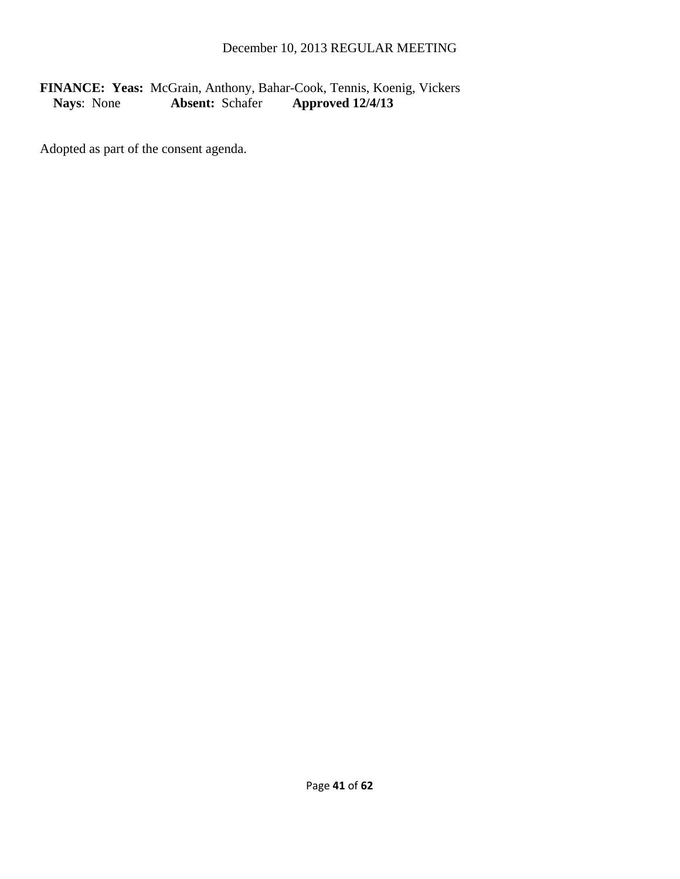## FINANCE: Yeas: McGrain, Anthony, Bahar-Cook, Tennis, Koenig, Vickers<br>Nays: None **Absent:** Schafer **Approved 12/4/13 Nays**: None **Absent:** Schafer **Approved 12/4/13**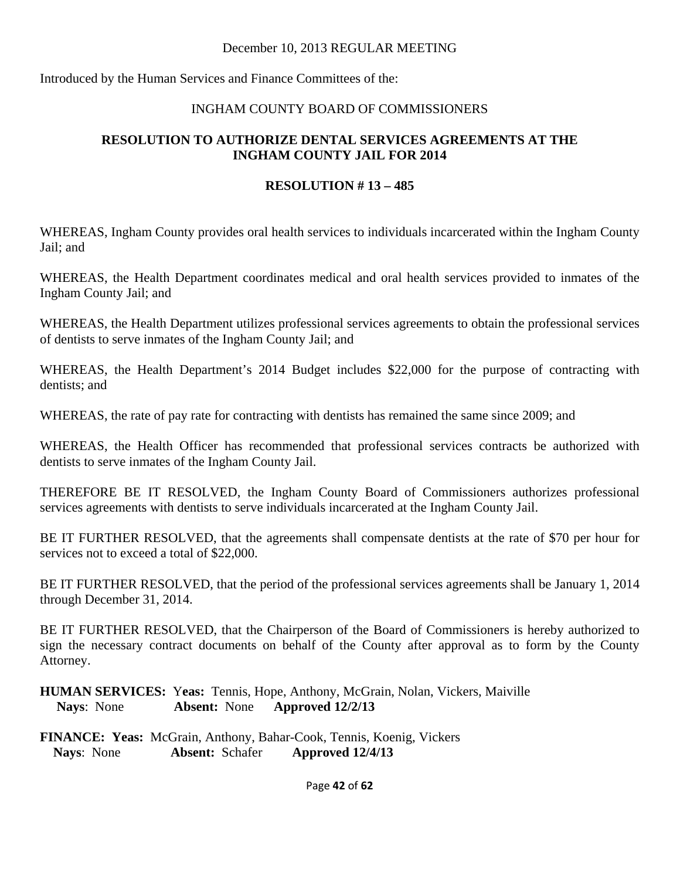Introduced by the Human Services and Finance Committees of the:

#### INGHAM COUNTY BOARD OF COMMISSIONERS

## **RESOLUTION TO AUTHORIZE DENTAL SERVICES AGREEMENTS AT THE INGHAM COUNTY JAIL FOR 2014**

#### **RESOLUTION # 13 – 485**

WHEREAS, Ingham County provides oral health services to individuals incarcerated within the Ingham County Jail; and

WHEREAS, the Health Department coordinates medical and oral health services provided to inmates of the Ingham County Jail; and

WHEREAS, the Health Department utilizes professional services agreements to obtain the professional services of dentists to serve inmates of the Ingham County Jail; and

WHEREAS, the Health Department's 2014 Budget includes \$22,000 for the purpose of contracting with dentists; and

WHEREAS, the rate of pay rate for contracting with dentists has remained the same since 2009; and

WHEREAS, the Health Officer has recommended that professional services contracts be authorized with dentists to serve inmates of the Ingham County Jail.

THEREFORE BE IT RESOLVED, the Ingham County Board of Commissioners authorizes professional services agreements with dentists to serve individuals incarcerated at the Ingham County Jail.

BE IT FURTHER RESOLVED, that the agreements shall compensate dentists at the rate of \$70 per hour for services not to exceed a total of \$22,000.

BE IT FURTHER RESOLVED, that the period of the professional services agreements shall be January 1, 2014 through December 31, 2014.

BE IT FURTHER RESOLVED, that the Chairperson of the Board of Commissioners is hereby authorized to sign the necessary contract documents on behalf of the County after approval as to form by the County Attorney.

**HUMAN SERVICES:** Y**eas:** Tennis, Hope, Anthony, McGrain, Nolan, Vickers, Maiville **Nays**: None **Absent:** None **Approved 12/2/13** 

**FINANCE: Yeas:** McGrain, Anthony, Bahar-Cook, Tennis, Koenig, Vickers **Nays**: None **Absent:** Schafer **Approved 12/4/13**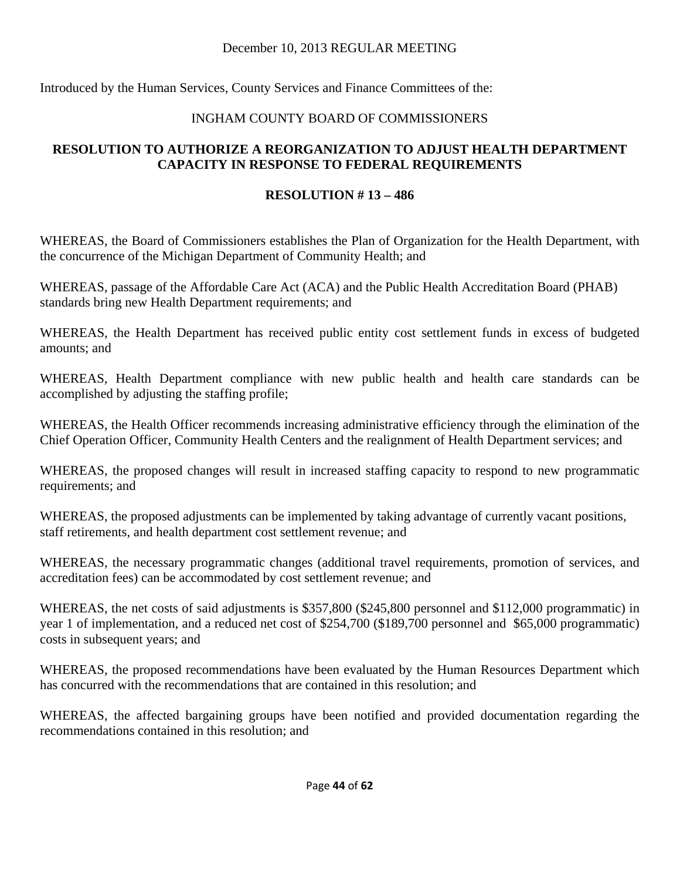Introduced by the Human Services, County Services and Finance Committees of the:

## INGHAM COUNTY BOARD OF COMMISSIONERS

## **RESOLUTION TO AUTHORIZE A REORGANIZATION TO ADJUST HEALTH DEPARTMENT CAPACITY IN RESPONSE TO FEDERAL REQUIREMENTS**

## **RESOLUTION # 13 – 486**

WHEREAS, the Board of Commissioners establishes the Plan of Organization for the Health Department, with the concurrence of the Michigan Department of Community Health; and

WHEREAS, passage of the Affordable Care Act (ACA) and the Public Health Accreditation Board (PHAB) standards bring new Health Department requirements; and

WHEREAS, the Health Department has received public entity cost settlement funds in excess of budgeted amounts; and

WHEREAS, Health Department compliance with new public health and health care standards can be accomplished by adjusting the staffing profile;

WHEREAS, the Health Officer recommends increasing administrative efficiency through the elimination of the Chief Operation Officer, Community Health Centers and the realignment of Health Department services; and

WHEREAS, the proposed changes will result in increased staffing capacity to respond to new programmatic requirements; and

WHEREAS, the proposed adjustments can be implemented by taking advantage of currently vacant positions, staff retirements, and health department cost settlement revenue; and

WHEREAS, the necessary programmatic changes (additional travel requirements, promotion of services, and accreditation fees) can be accommodated by cost settlement revenue; and

WHEREAS, the net costs of said adjustments is \$357,800 (\$245,800 personnel and \$112,000 programmatic) in year 1 of implementation, and a reduced net cost of \$254,700 (\$189,700 personnel and \$65,000 programmatic) costs in subsequent years; and

WHEREAS, the proposed recommendations have been evaluated by the Human Resources Department which has concurred with the recommendations that are contained in this resolution; and

WHEREAS, the affected bargaining groups have been notified and provided documentation regarding the recommendations contained in this resolution; and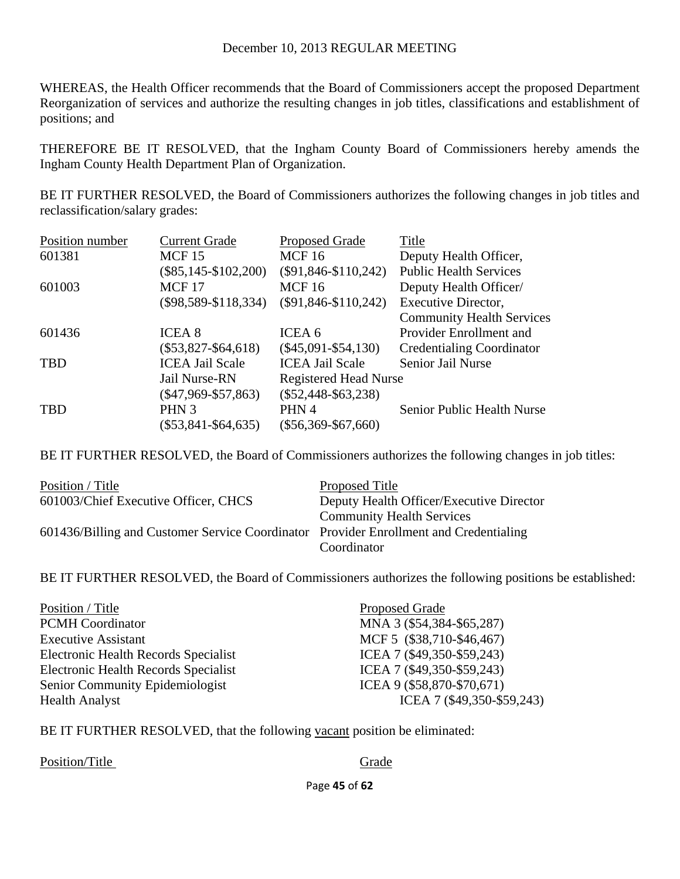WHEREAS, the Health Officer recommends that the Board of Commissioners accept the proposed Department Reorganization of services and authorize the resulting changes in job titles, classifications and establishment of positions; and

THEREFORE BE IT RESOLVED, that the Ingham County Board of Commissioners hereby amends the Ingham County Health Department Plan of Organization.

BE IT FURTHER RESOLVED, the Board of Commissioners authorizes the following changes in job titles and reclassification/salary grades:

| Position number | <b>Current Grade</b>     | <b>Proposed Grade</b>        | Title                            |
|-----------------|--------------------------|------------------------------|----------------------------------|
| 601381          | <b>MCF 15</b>            | <b>MCF16</b>                 | Deputy Health Officer,           |
|                 | $(\$85,145-\$102,200)$   | $(\$91,846-S110,242)$        | <b>Public Health Services</b>    |
| 601003          | <b>MCF 17</b>            | <b>MCF16</b>                 | Deputy Health Officer/           |
|                 | $(\$98,589 - \$118,334)$ | $(\$91,846-S110,242)$        | Executive Director,              |
|                 |                          |                              | <b>Community Health Services</b> |
| 601436          | <b>ICEA 8</b>            | ICEA 6                       | Provider Enrollment and          |
|                 | $(\$53,827 - \$64,618)$  | $(\$45,091 - \$54,130)$      | <b>Credentialing Coordinator</b> |
| <b>TBD</b>      | <b>ICEA Jail Scale</b>   | <b>ICEA Jail Scale</b>       | Senior Jail Nurse                |
|                 | Jail Nurse-RN            | <b>Registered Head Nurse</b> |                                  |
|                 | $(\$47,969 - \$57,863)$  | $(\$52,448-S63,238)$         |                                  |
| <b>TBD</b>      | PHN <sub>3</sub>         | PHN 4                        | Senior Public Health Nurse       |
|                 | $(\$53,841 - \$64,635)$  | $(\$56,369-S67,660)$         |                                  |

BE IT FURTHER RESOLVED, the Board of Commissioners authorizes the following changes in job titles:

| Position / Title                                                                      | Proposed Title                           |
|---------------------------------------------------------------------------------------|------------------------------------------|
| 601003/Chief Executive Officer, CHCS                                                  | Deputy Health Officer/Executive Director |
|                                                                                       | <b>Community Health Services</b>         |
| 601436/Billing and Customer Service Coordinator Provider Enrollment and Credentialing |                                          |
|                                                                                       | Coordinator                              |

BE IT FURTHER RESOLVED, the Board of Commissioners authorizes the following positions be established:

| Position / Title                     | <b>Proposed Grade</b>      |
|--------------------------------------|----------------------------|
| <b>PCMH</b> Coordinator              | MNA 3 (\$54,384-\$65,287)  |
| <b>Executive Assistant</b>           | MCF 5 (\$38,710-\$46,467)  |
| Electronic Health Records Specialist | ICEA 7 (\$49,350-\$59,243) |
| Electronic Health Records Specialist | ICEA 7 (\$49,350-\$59,243) |
| Senior Community Epidemiologist      | ICEA 9 (\$58,870-\$70,671) |
| <b>Health Analyst</b>                | ICEA 7 (\$49,350-\$59,243) |

BE IT FURTHER RESOLVED, that the following vacant position be eliminated:

Position/Title Grade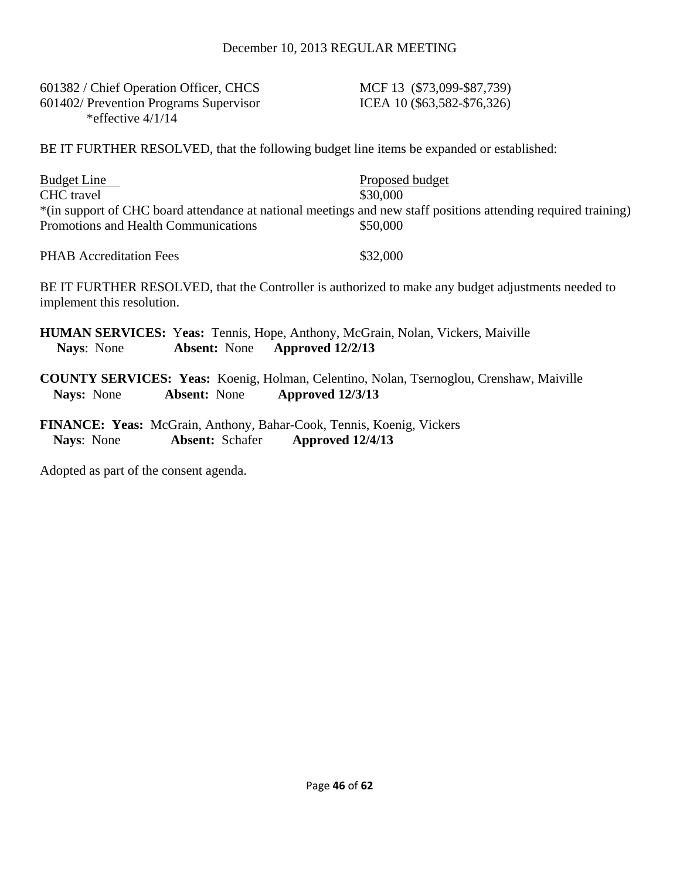601382 / Chief Operation Officer, CHCS MCF 13 (\$73,099-\$87,739) 601402/ Prevention Programs Supervisor ICEA 10 (\$63,582-\$76,326) \*effective 4/1/14

BE IT FURTHER RESOLVED, that the following budget line items be expanded or established:

| Budget Line                                                                                                    | Proposed budget |
|----------------------------------------------------------------------------------------------------------------|-----------------|
| CHC travel                                                                                                     | \$30,000        |
| *(in support of CHC board attendance at national meetings and new staff positions attending required training) |                 |
| Promotions and Health Communications                                                                           | \$50,000        |
|                                                                                                                |                 |

PHAB Accreditation Fees \$32,000

BE IT FURTHER RESOLVED, that the Controller is authorized to make any budget adjustments needed to implement this resolution.

| <b>Nays:</b> None |                                          | <b>HUMAN SERVICES: Yeas: Tennis, Hope, Anthony, McGrain, Nolan, Vickers, Maiville</b><br><b>Absent:</b> None <b>Approved</b> 12/2/13 |  |
|-------------------|------------------------------------------|--------------------------------------------------------------------------------------------------------------------------------------|--|
|                   | Nays: None Absent: None Approved 12/3/13 | <b>COUNTY SERVICES: Yeas:</b> Koenig, Holman, Celentino, Nolan, Tsernoglou, Crenshaw, Maiville                                       |  |
|                   |                                          |                                                                                                                                      |  |

**FINANCE: Yeas:** McGrain, Anthony, Bahar-Cook, Tennis, Koenig, Vickers **Nays**: None **Absent:** Schafer **Approved 12/4/13**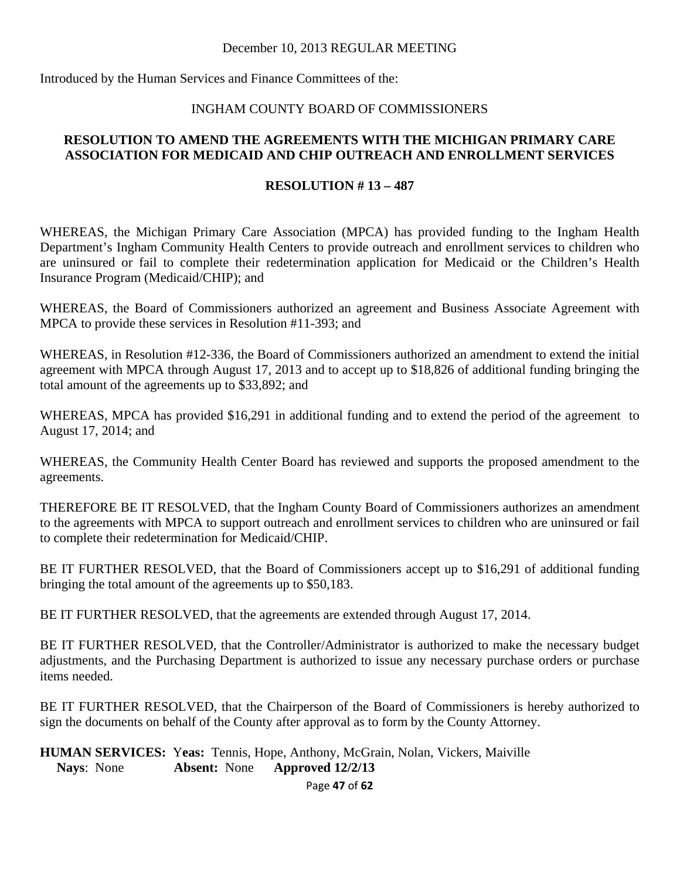Introduced by the Human Services and Finance Committees of the:

#### INGHAM COUNTY BOARD OF COMMISSIONERS

#### **RESOLUTION TO AMEND THE AGREEMENTS WITH THE MICHIGAN PRIMARY CARE ASSOCIATION FOR MEDICAID AND CHIP OUTREACH AND ENROLLMENT SERVICES**

#### **RESOLUTION # 13 – 487**

WHEREAS, the Michigan Primary Care Association (MPCA) has provided funding to the Ingham Health Department's Ingham Community Health Centers to provide outreach and enrollment services to children who are uninsured or fail to complete their redetermination application for Medicaid or the Children's Health Insurance Program (Medicaid/CHIP); and

WHEREAS, the Board of Commissioners authorized an agreement and Business Associate Agreement with MPCA to provide these services in Resolution #11-393; and

WHEREAS, in Resolution #12-336, the Board of Commissioners authorized an amendment to extend the initial agreement with MPCA through August 17, 2013 and to accept up to \$18,826 of additional funding bringing the total amount of the agreements up to \$33,892; and

WHEREAS, MPCA has provided \$16,291 in additional funding and to extend the period of the agreement to August 17, 2014; and

WHEREAS, the Community Health Center Board has reviewed and supports the proposed amendment to the agreements.

THEREFORE BE IT RESOLVED, that the Ingham County Board of Commissioners authorizes an amendment to the agreements with MPCA to support outreach and enrollment services to children who are uninsured or fail to complete their redetermination for Medicaid/CHIP.

BE IT FURTHER RESOLVED, that the Board of Commissioners accept up to \$16,291 of additional funding bringing the total amount of the agreements up to \$50,183.

BE IT FURTHER RESOLVED, that the agreements are extended through August 17, 2014.

BE IT FURTHER RESOLVED, that the Controller/Administrator is authorized to make the necessary budget adjustments, and the Purchasing Department is authorized to issue any necessary purchase orders or purchase items needed.

BE IT FURTHER RESOLVED, that the Chairperson of the Board of Commissioners is hereby authorized to sign the documents on behalf of the County after approval as to form by the County Attorney.

**HUMAN SERVICES:** Y**eas:** Tennis, Hope, Anthony, McGrain, Nolan, Vickers, Maiville **Nays**: None **Absent:** None **Approved 12/2/13** 

Page **47** of **62**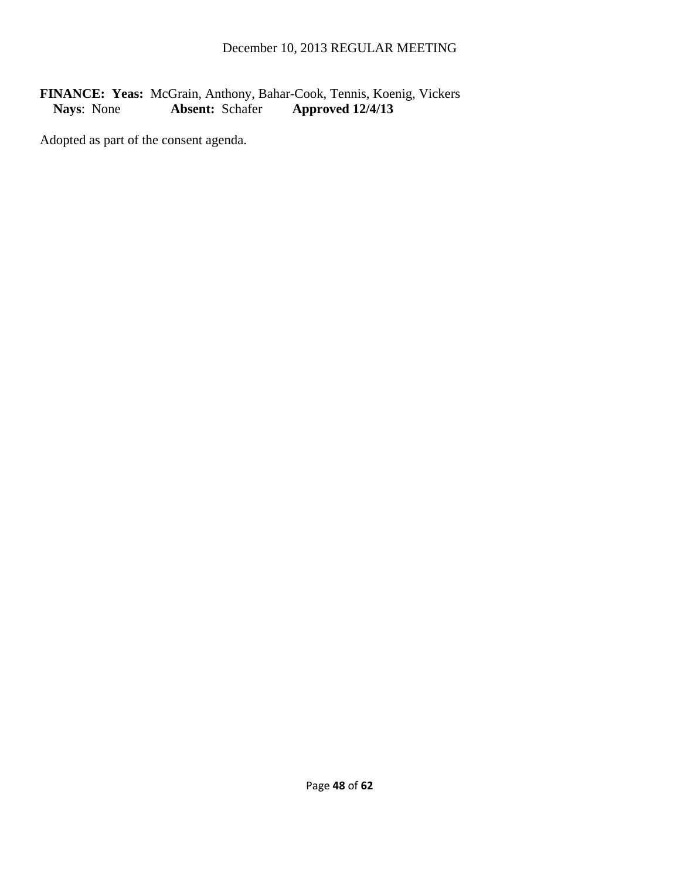## FINANCE: Yeas: McGrain, Anthony, Bahar-Cook, Tennis, Koenig, Vickers<br>Nays: None **Absent:** Schafer **Approved 12/4/13 Nays**: None **Absent:** Schafer **Approved 12/4/13**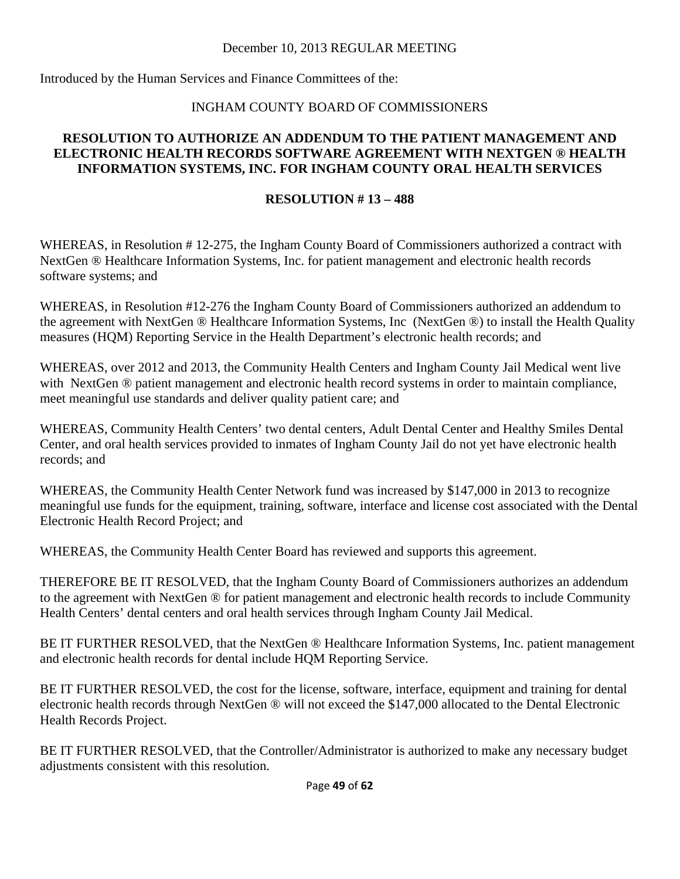Introduced by the Human Services and Finance Committees of the:

## INGHAM COUNTY BOARD OF COMMISSIONERS

#### **RESOLUTION TO AUTHORIZE AN ADDENDUM TO THE PATIENT MANAGEMENT AND ELECTRONIC HEALTH RECORDS SOFTWARE AGREEMENT WITH NEXTGEN ® HEALTH INFORMATION SYSTEMS, INC. FOR INGHAM COUNTY ORAL HEALTH SERVICES**

## **RESOLUTION # 13 – 488**

WHEREAS, in Resolution #12-275, the Ingham County Board of Commissioners authorized a contract with NextGen ® Healthcare Information Systems, Inc. for patient management and electronic health records software systems; and

WHEREAS, in Resolution #12-276 the Ingham County Board of Commissioners authorized an addendum to the agreement with NextGen ® Healthcare Information Systems, Inc (NextGen ®) to install the Health Quality measures (HQM) Reporting Service in the Health Department's electronic health records; and

WHEREAS, over 2012 and 2013, the Community Health Centers and Ingham County Jail Medical went live with NextGen ® patient management and electronic health record systems in order to maintain compliance, meet meaningful use standards and deliver quality patient care; and

WHEREAS, Community Health Centers' two dental centers, Adult Dental Center and Healthy Smiles Dental Center, and oral health services provided to inmates of Ingham County Jail do not yet have electronic health records; and

WHEREAS, the Community Health Center Network fund was increased by \$147,000 in 2013 to recognize meaningful use funds for the equipment, training, software, interface and license cost associated with the Dental Electronic Health Record Project; and

WHEREAS, the Community Health Center Board has reviewed and supports this agreement.

THEREFORE BE IT RESOLVED, that the Ingham County Board of Commissioners authorizes an addendum to the agreement with NextGen ® for patient management and electronic health records to include Community Health Centers' dental centers and oral health services through Ingham County Jail Medical.

BE IT FURTHER RESOLVED, that the NextGen ® Healthcare Information Systems, Inc. patient management and electronic health records for dental include HQM Reporting Service.

BE IT FURTHER RESOLVED, the cost for the license, software, interface, equipment and training for dental electronic health records through NextGen ® will not exceed the \$147,000 allocated to the Dental Electronic Health Records Project.

BE IT FURTHER RESOLVED, that the Controller/Administrator is authorized to make any necessary budget adjustments consistent with this resolution.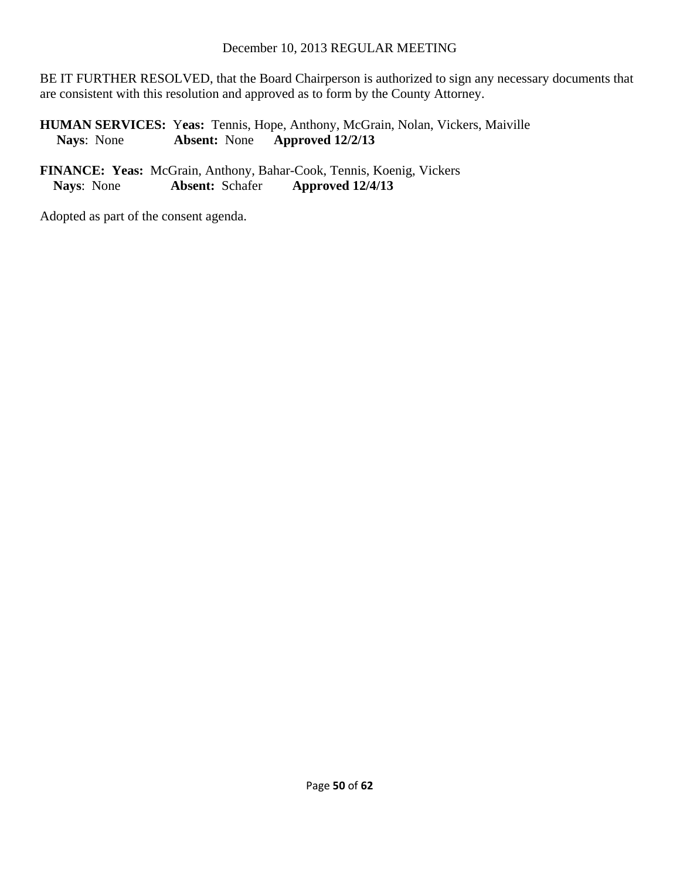BE IT FURTHER RESOLVED, that the Board Chairperson is authorized to sign any necessary documents that are consistent with this resolution and approved as to form by the County Attorney.

**HUMAN SERVICES:** Yeas: Tennis, Hope, Anthony, McGrain, Nolan, Vickers, Maiville<br>Nays: None **Absent:** None **Approved 12/2/13 Nays**: None **Absent:** None **Approved 12/2/13** 

**FINANCE: Yeas:** McGrain, Anthony, Bahar-Cook, Tennis, Koenig, Vickers **Nays**: None **Absent:** Schafer **Approved 12/4/13**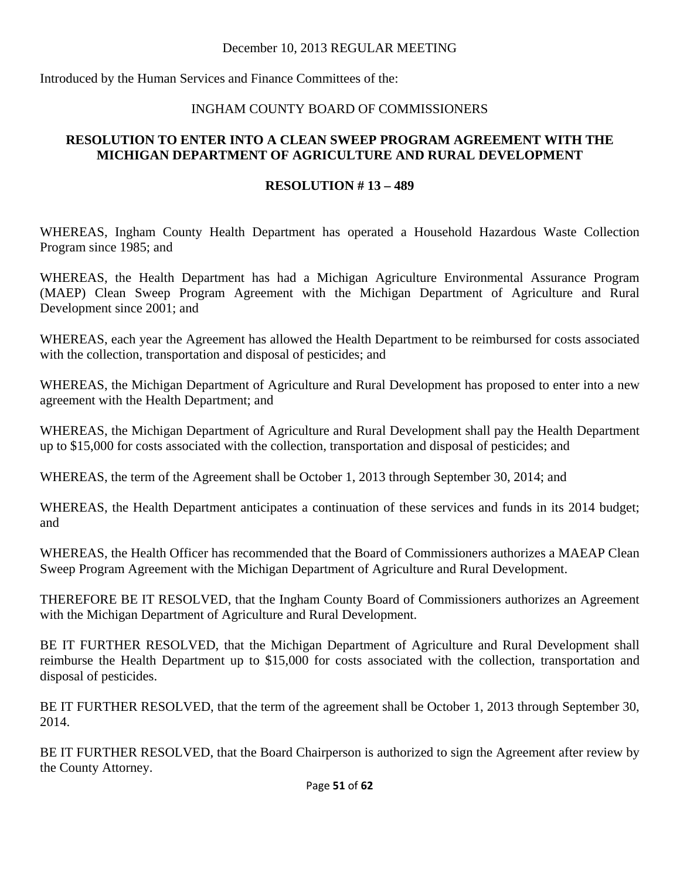Introduced by the Human Services and Finance Committees of the:

#### INGHAM COUNTY BOARD OF COMMISSIONERS

#### **RESOLUTION TO ENTER INTO A CLEAN SWEEP PROGRAM AGREEMENT WITH THE MICHIGAN DEPARTMENT OF AGRICULTURE AND RURAL DEVELOPMENT**

#### **RESOLUTION # 13 – 489**

WHEREAS, Ingham County Health Department has operated a Household Hazardous Waste Collection Program since 1985; and

WHEREAS, the Health Department has had a Michigan Agriculture Environmental Assurance Program (MAEP) Clean Sweep Program Agreement with the Michigan Department of Agriculture and Rural Development since 2001; and

WHEREAS, each year the Agreement has allowed the Health Department to be reimbursed for costs associated with the collection, transportation and disposal of pesticides; and

WHEREAS, the Michigan Department of Agriculture and Rural Development has proposed to enter into a new agreement with the Health Department; and

WHEREAS, the Michigan Department of Agriculture and Rural Development shall pay the Health Department up to \$15,000 for costs associated with the collection, transportation and disposal of pesticides; and

WHEREAS, the term of the Agreement shall be October 1, 2013 through September 30, 2014; and

WHEREAS, the Health Department anticipates a continuation of these services and funds in its 2014 budget; and

WHEREAS, the Health Officer has recommended that the Board of Commissioners authorizes a MAEAP Clean Sweep Program Agreement with the Michigan Department of Agriculture and Rural Development.

THEREFORE BE IT RESOLVED, that the Ingham County Board of Commissioners authorizes an Agreement with the Michigan Department of Agriculture and Rural Development.

BE IT FURTHER RESOLVED, that the Michigan Department of Agriculture and Rural Development shall reimburse the Health Department up to \$15,000 for costs associated with the collection, transportation and disposal of pesticides.

BE IT FURTHER RESOLVED, that the term of the agreement shall be October 1, 2013 through September 30, 2014.

BE IT FURTHER RESOLVED, that the Board Chairperson is authorized to sign the Agreement after review by the County Attorney.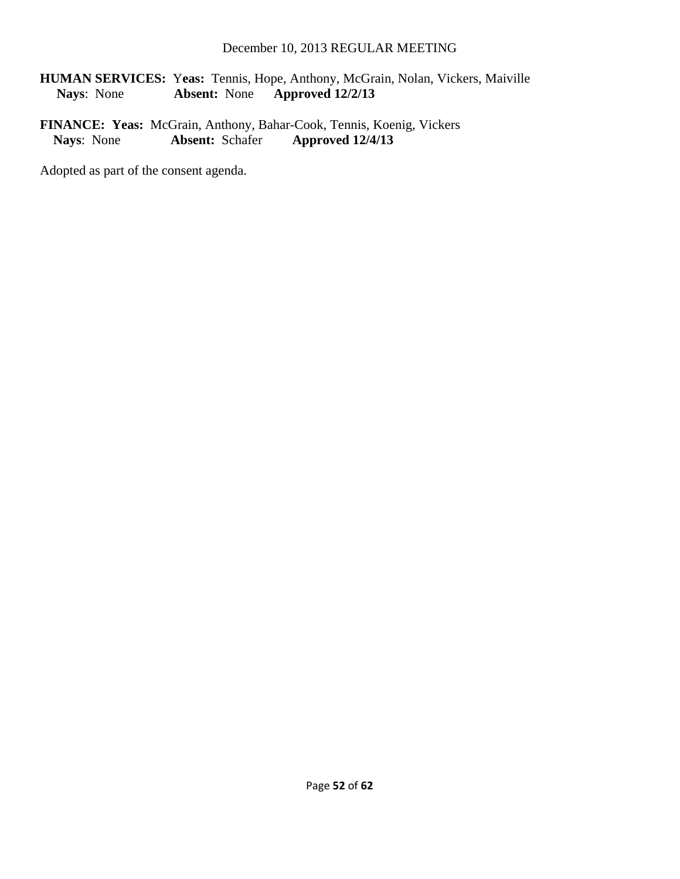**HUMAN SERVICES: Yeas:** Tennis, Hope, Anthony, McGrain, Nolan, Vickers, Maiville Nays: None **Absent:** None **Approved 12/2/13 Nays**: None **Absent:** None **Approved 12/2/13** 

**FINANCE: Yeas:** McGrain, Anthony, Bahar-Cook, Tennis, Koenig, Vickers<br>Nays: None **Absent:** Schafer **Approved 12/4/13 Absent:** Schafer **Approved 12/4/13**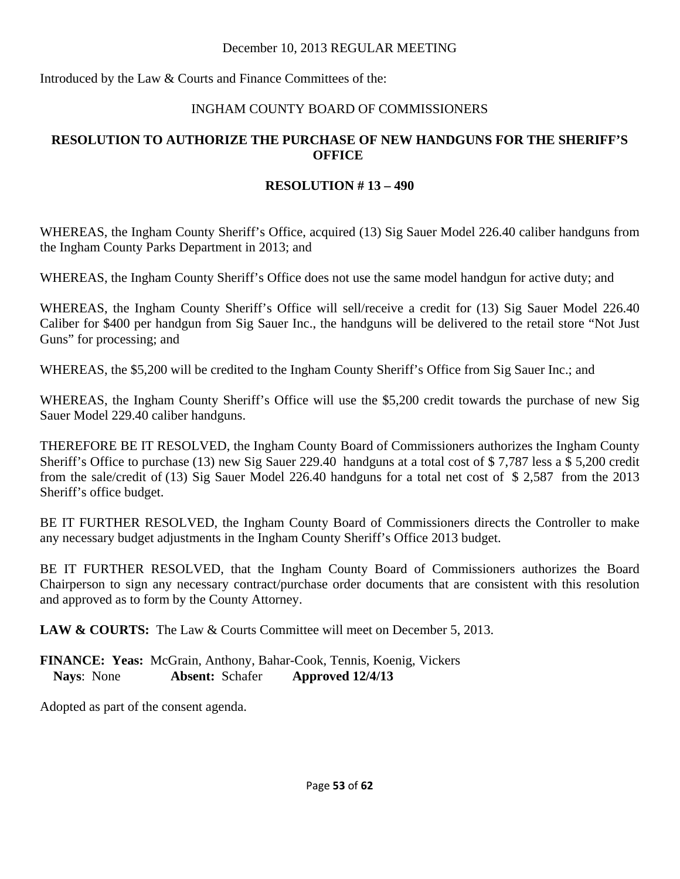Introduced by the Law & Courts and Finance Committees of the:

## INGHAM COUNTY BOARD OF COMMISSIONERS

## **RESOLUTION TO AUTHORIZE THE PURCHASE OF NEW HANDGUNS FOR THE SHERIFF'S OFFICE**

## **RESOLUTION # 13 – 490**

WHEREAS, the Ingham County Sheriff's Office, acquired (13) Sig Sauer Model 226.40 caliber handguns from the Ingham County Parks Department in 2013; and

WHEREAS, the Ingham County Sheriff's Office does not use the same model handgun for active duty; and

WHEREAS, the Ingham County Sheriff's Office will sell/receive a credit for (13) Sig Sauer Model 226.40 Caliber for \$400 per handgun from Sig Sauer Inc., the handguns will be delivered to the retail store "Not Just Guns" for processing; and

WHEREAS, the \$5,200 will be credited to the Ingham County Sheriff's Office from Sig Sauer Inc.; and

WHEREAS, the Ingham County Sheriff's Office will use the \$5,200 credit towards the purchase of new Sig Sauer Model 229.40 caliber handguns.

THEREFORE BE IT RESOLVED, the Ingham County Board of Commissioners authorizes the Ingham County Sheriff's Office to purchase (13) new Sig Sauer 229.40 handguns at a total cost of \$ 7,787 less a \$ 5,200 credit from the sale/credit of (13) Sig Sauer Model 226.40 handguns for a total net cost of \$ 2,587 from the 2013 Sheriff's office budget.

BE IT FURTHER RESOLVED, the Ingham County Board of Commissioners directs the Controller to make any necessary budget adjustments in the Ingham County Sheriff's Office 2013 budget.

BE IT FURTHER RESOLVED, that the Ingham County Board of Commissioners authorizes the Board Chairperson to sign any necessary contract/purchase order documents that are consistent with this resolution and approved as to form by the County Attorney.

**LAW & COURTS:** The Law & Courts Committee will meet on December 5, 2013.

**FINANCE: Yeas:** McGrain, Anthony, Bahar-Cook, Tennis, Koenig, Vickers **Nays**: None **Absent:** Schafer **Approved 12/4/13**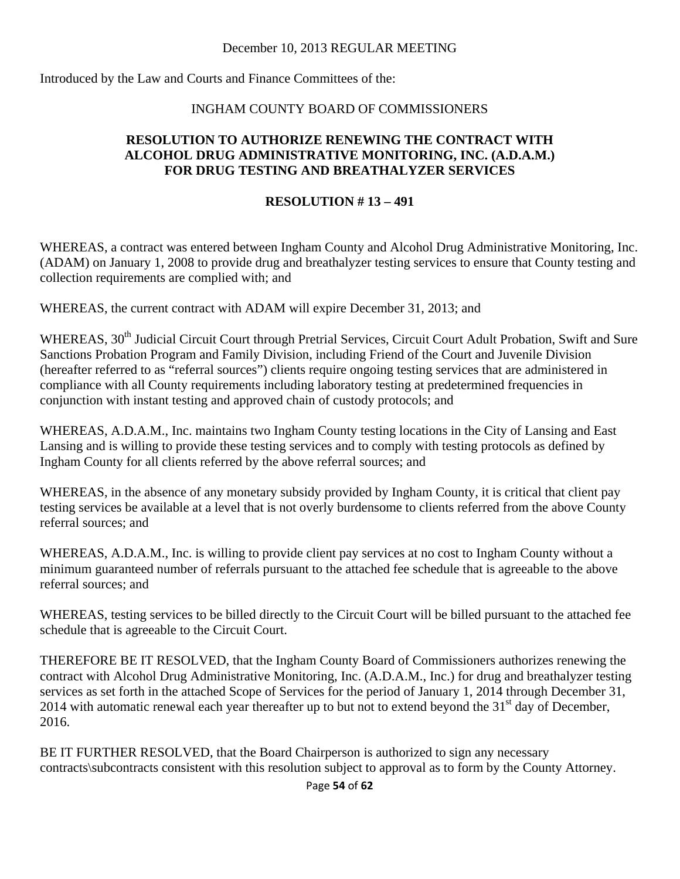Introduced by the Law and Courts and Finance Committees of the:

## INGHAM COUNTY BOARD OF COMMISSIONERS

#### **RESOLUTION TO AUTHORIZE RENEWING THE CONTRACT WITH ALCOHOL DRUG ADMINISTRATIVE MONITORING, INC. (A.D.A.M.) FOR DRUG TESTING AND BREATHALYZER SERVICES**

#### **RESOLUTION # 13 – 491**

WHEREAS, a contract was entered between Ingham County and Alcohol Drug Administrative Monitoring, Inc. (ADAM) on January 1, 2008 to provide drug and breathalyzer testing services to ensure that County testing and collection requirements are complied with; and

WHEREAS, the current contract with ADAM will expire December 31, 2013; and

WHEREAS, 30<sup>th</sup> Judicial Circuit Court through Pretrial Services, Circuit Court Adult Probation, Swift and Sure Sanctions Probation Program and Family Division, including Friend of the Court and Juvenile Division (hereafter referred to as "referral sources") clients require ongoing testing services that are administered in compliance with all County requirements including laboratory testing at predetermined frequencies in conjunction with instant testing and approved chain of custody protocols; and

WHEREAS, A.D.A.M., Inc. maintains two Ingham County testing locations in the City of Lansing and East Lansing and is willing to provide these testing services and to comply with testing protocols as defined by Ingham County for all clients referred by the above referral sources; and

WHEREAS, in the absence of any monetary subsidy provided by Ingham County, it is critical that client pay testing services be available at a level that is not overly burdensome to clients referred from the above County referral sources; and

WHEREAS, A.D.A.M., Inc. is willing to provide client pay services at no cost to Ingham County without a minimum guaranteed number of referrals pursuant to the attached fee schedule that is agreeable to the above referral sources; and

WHEREAS, testing services to be billed directly to the Circuit Court will be billed pursuant to the attached fee schedule that is agreeable to the Circuit Court.

THEREFORE BE IT RESOLVED, that the Ingham County Board of Commissioners authorizes renewing the contract with Alcohol Drug Administrative Monitoring, Inc. (A.D.A.M., Inc.) for drug and breathalyzer testing services as set forth in the attached Scope of Services for the period of January 1, 2014 through December 31, 2014 with automatic renewal each year thereafter up to but not to extend beyond the 31<sup>st</sup> day of December, 2016.

BE IT FURTHER RESOLVED, that the Board Chairperson is authorized to sign any necessary contracts\subcontracts consistent with this resolution subject to approval as to form by the County Attorney.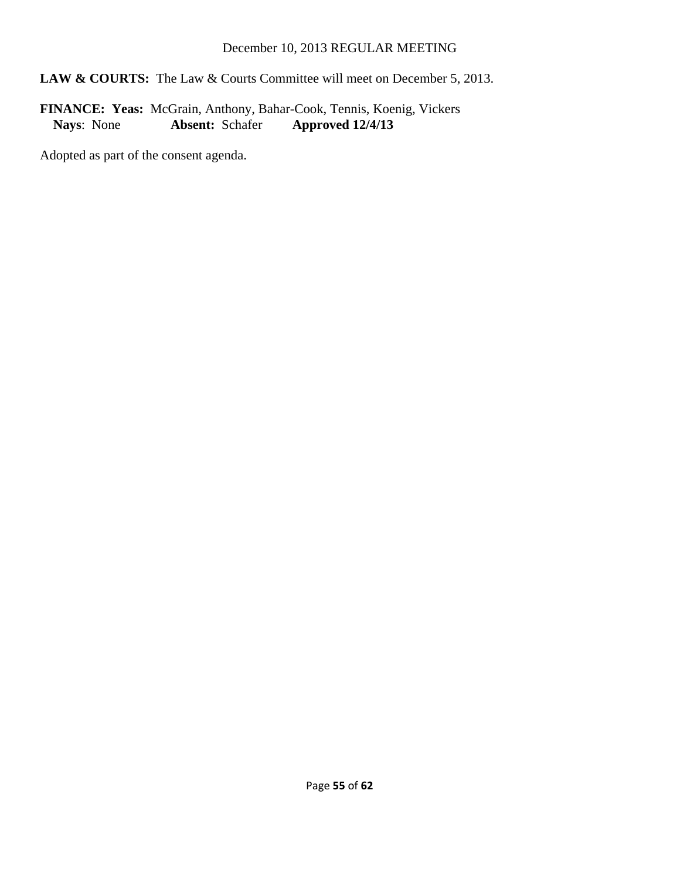## LAW & COURTS: The Law & Courts Committee will meet on December 5, 2013.

FINANCE: Yeas: McGrain, Anthony, Bahar-Cook, Tennis, Koenig, Vickers<br>Nays: None **Absent:** Schafer **Approved 12/4/13** Absent: Schafer **Approved 12/4/13**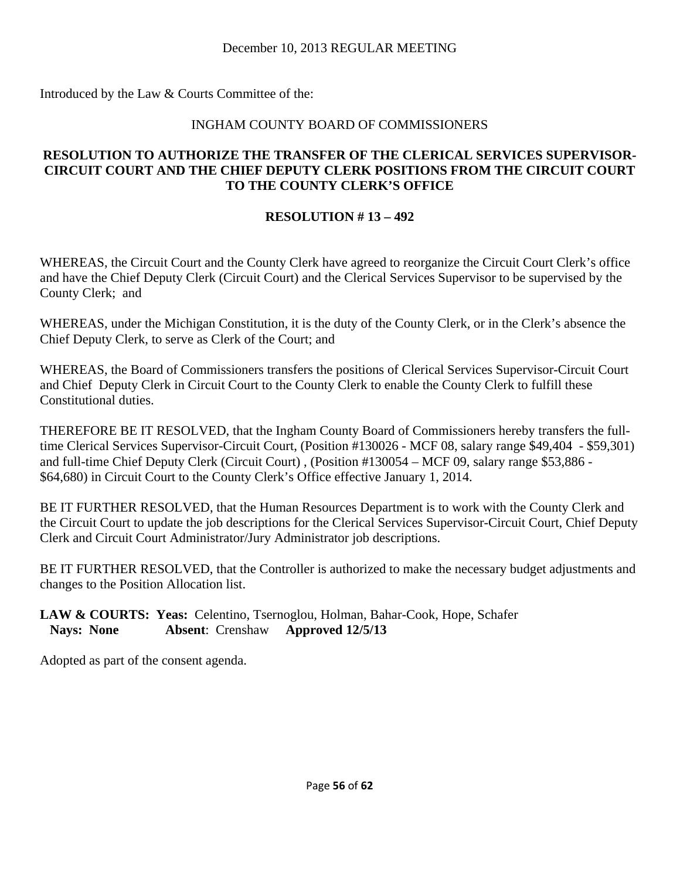Introduced by the Law & Courts Committee of the:

## INGHAM COUNTY BOARD OF COMMISSIONERS

## **RESOLUTION TO AUTHORIZE THE TRANSFER OF THE CLERICAL SERVICES SUPERVISOR-CIRCUIT COURT AND THE CHIEF DEPUTY CLERK POSITIONS FROM THE CIRCUIT COURT TO THE COUNTY CLERK'S OFFICE**

## **RESOLUTION # 13 – 492**

WHEREAS, the Circuit Court and the County Clerk have agreed to reorganize the Circuit Court Clerk's office and have the Chief Deputy Clerk (Circuit Court) and the Clerical Services Supervisor to be supervised by the County Clerk; and

WHEREAS, under the Michigan Constitution, it is the duty of the County Clerk, or in the Clerk's absence the Chief Deputy Clerk, to serve as Clerk of the Court; and

WHEREAS, the Board of Commissioners transfers the positions of Clerical Services Supervisor-Circuit Court and Chief Deputy Clerk in Circuit Court to the County Clerk to enable the County Clerk to fulfill these Constitutional duties.

THEREFORE BE IT RESOLVED, that the Ingham County Board of Commissioners hereby transfers the fulltime Clerical Services Supervisor-Circuit Court, (Position #130026 - MCF 08, salary range \$49,404 - \$59,301) and full-time Chief Deputy Clerk (Circuit Court) , (Position #130054 – MCF 09, salary range \$53,886 - \$64,680) in Circuit Court to the County Clerk's Office effective January 1, 2014.

BE IT FURTHER RESOLVED, that the Human Resources Department is to work with the County Clerk and the Circuit Court to update the job descriptions for the Clerical Services Supervisor-Circuit Court, Chief Deputy Clerk and Circuit Court Administrator/Jury Administrator job descriptions.

BE IT FURTHER RESOLVED, that the Controller is authorized to make the necessary budget adjustments and changes to the Position Allocation list.

#### **LAW & COURTS: Yeas:** Celentino, Tsernoglou, Holman, Bahar-Cook, Hope, Schafer  **Nays: None Absent**: Crenshaw **Approved 12/5/13**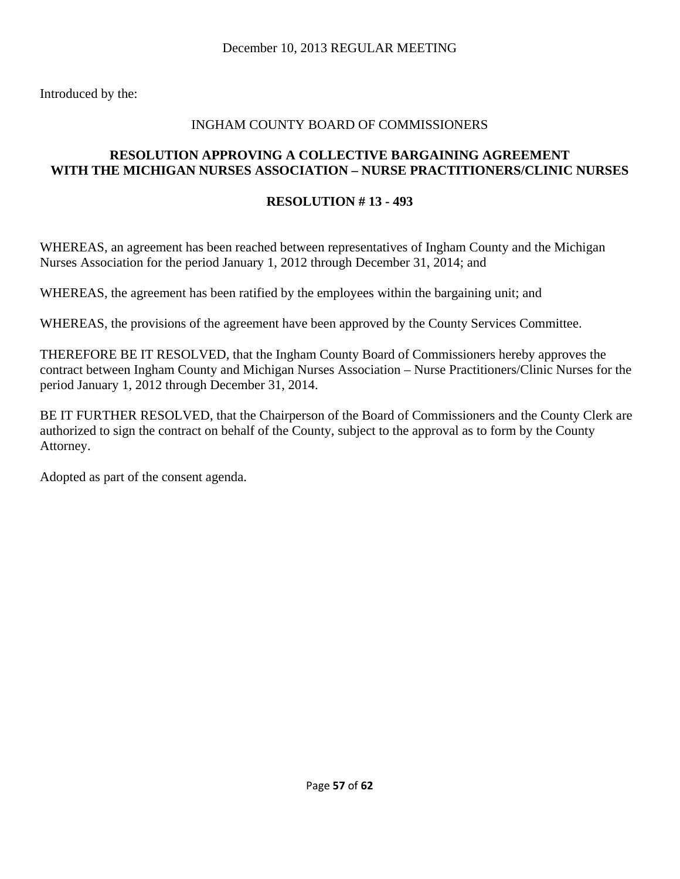Introduced by the:

#### INGHAM COUNTY BOARD OF COMMISSIONERS

#### **RESOLUTION APPROVING A COLLECTIVE BARGAINING AGREEMENT WITH THE MICHIGAN NURSES ASSOCIATION – NURSE PRACTITIONERS/CLINIC NURSES**

#### **RESOLUTION # 13 - 493**

WHEREAS, an agreement has been reached between representatives of Ingham County and the Michigan Nurses Association for the period January 1, 2012 through December 31, 2014; and

WHEREAS, the agreement has been ratified by the employees within the bargaining unit; and

WHEREAS, the provisions of the agreement have been approved by the County Services Committee.

THEREFORE BE IT RESOLVED, that the Ingham County Board of Commissioners hereby approves the contract between Ingham County and Michigan Nurses Association – Nurse Practitioners/Clinic Nurses for the period January 1, 2012 through December 31, 2014.

BE IT FURTHER RESOLVED, that the Chairperson of the Board of Commissioners and the County Clerk are authorized to sign the contract on behalf of the County, subject to the approval as to form by the County Attorney.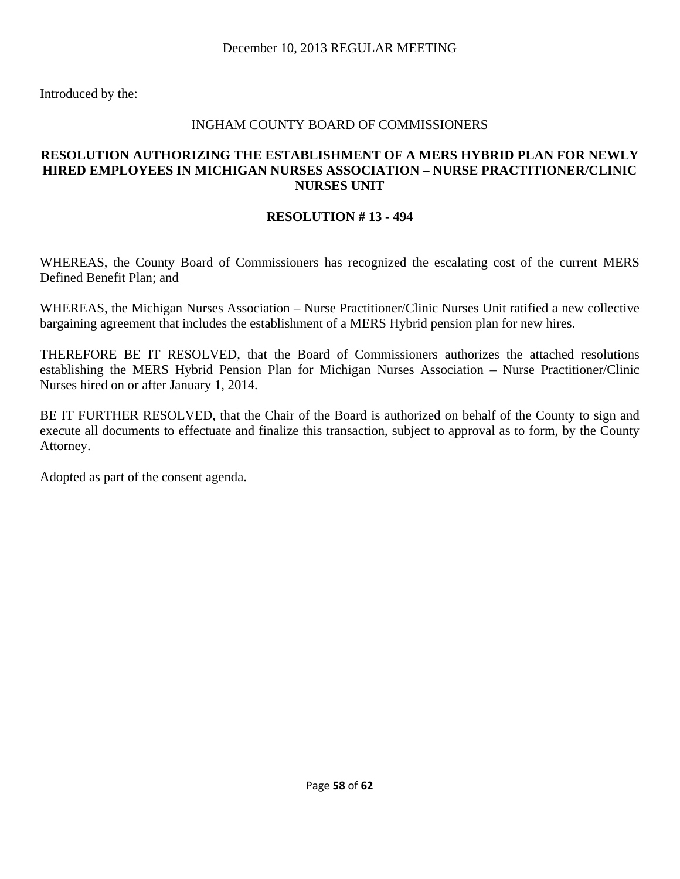#### INGHAM COUNTY BOARD OF COMMISSIONERS

#### **RESOLUTION AUTHORIZING THE ESTABLISHMENT OF A MERS HYBRID PLAN FOR NEWLY HIRED EMPLOYEES IN MICHIGAN NURSES ASSOCIATION – NURSE PRACTITIONER/CLINIC NURSES UNIT**

#### **RESOLUTION # 13 - 494**

WHEREAS, the County Board of Commissioners has recognized the escalating cost of the current MERS Defined Benefit Plan; and

WHEREAS, the Michigan Nurses Association – Nurse Practitioner/Clinic Nurses Unit ratified a new collective bargaining agreement that includes the establishment of a MERS Hybrid pension plan for new hires.

THEREFORE BE IT RESOLVED, that the Board of Commissioners authorizes the attached resolutions establishing the MERS Hybrid Pension Plan for Michigan Nurses Association – Nurse Practitioner/Clinic Nurses hired on or after January 1, 2014.

BE IT FURTHER RESOLVED, that the Chair of the Board is authorized on behalf of the County to sign and execute all documents to effectuate and finalize this transaction, subject to approval as to form, by the County Attorney.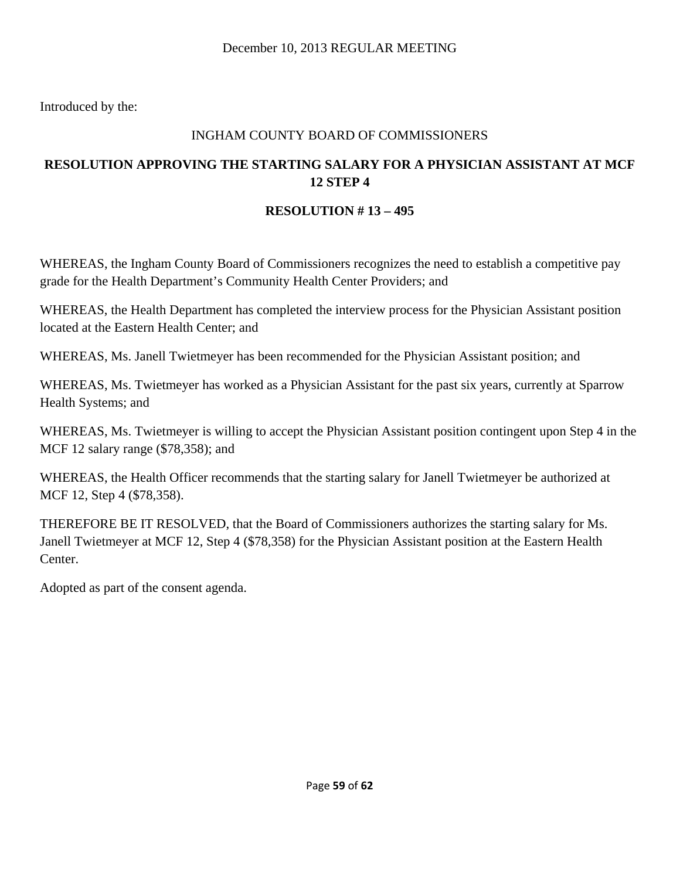## INGHAM COUNTY BOARD OF COMMISSIONERS

## **RESOLUTION APPROVING THE STARTING SALARY FOR A PHYSICIAN ASSISTANT AT MCF 12 STEP 4**

## **RESOLUTION # 13 – 495**

WHEREAS, the Ingham County Board of Commissioners recognizes the need to establish a competitive pay grade for the Health Department's Community Health Center Providers; and

WHEREAS, the Health Department has completed the interview process for the Physician Assistant position located at the Eastern Health Center; and

WHEREAS, Ms. Janell Twietmeyer has been recommended for the Physician Assistant position; and

WHEREAS, Ms. Twietmeyer has worked as a Physician Assistant for the past six years, currently at Sparrow Health Systems; and

WHEREAS, Ms. Twietmeyer is willing to accept the Physician Assistant position contingent upon Step 4 in the MCF 12 salary range (\$78,358); and

WHEREAS, the Health Officer recommends that the starting salary for Janell Twietmeyer be authorized at MCF 12, Step 4 (\$78,358).

THEREFORE BE IT RESOLVED, that the Board of Commissioners authorizes the starting salary for Ms. Janell Twietmeyer at MCF 12, Step 4 (\$78,358) for the Physician Assistant position at the Eastern Health Center.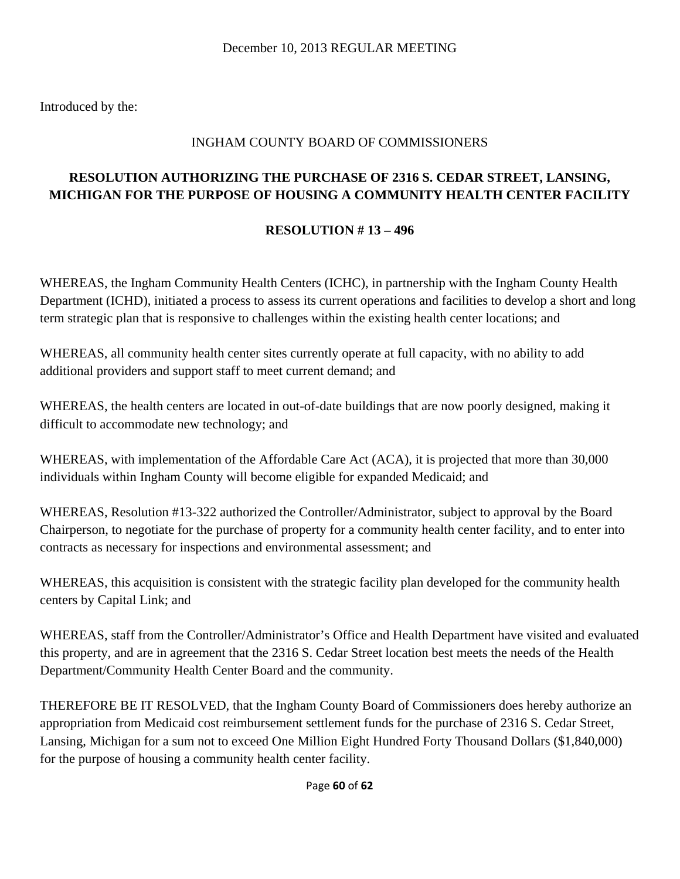# INGHAM COUNTY BOARD OF COMMISSIONERS

# **RESOLUTION AUTHORIZING THE PURCHASE OF 2316 S. CEDAR STREET, LANSING, MICHIGAN FOR THE PURPOSE OF HOUSING A COMMUNITY HEALTH CENTER FACILITY**

## **RESOLUTION # 13 – 496**

WHEREAS, the Ingham Community Health Centers (ICHC), in partnership with the Ingham County Health Department (ICHD), initiated a process to assess its current operations and facilities to develop a short and long term strategic plan that is responsive to challenges within the existing health center locations; and

WHEREAS, all community health center sites currently operate at full capacity, with no ability to add additional providers and support staff to meet current demand; and

WHEREAS, the health centers are located in out-of-date buildings that are now poorly designed, making it difficult to accommodate new technology; and

WHEREAS, with implementation of the Affordable Care Act (ACA), it is projected that more than 30,000 individuals within Ingham County will become eligible for expanded Medicaid; and

WHEREAS, Resolution #13-322 authorized the Controller/Administrator, subject to approval by the Board Chairperson, to negotiate for the purchase of property for a community health center facility, and to enter into contracts as necessary for inspections and environmental assessment; and

WHEREAS, this acquisition is consistent with the strategic facility plan developed for the community health centers by Capital Link; and

WHEREAS, staff from the Controller/Administrator's Office and Health Department have visited and evaluated this property, and are in agreement that the 2316 S. Cedar Street location best meets the needs of the Health Department/Community Health Center Board and the community.

THEREFORE BE IT RESOLVED, that the Ingham County Board of Commissioners does hereby authorize an appropriation from Medicaid cost reimbursement settlement funds for the purchase of 2316 S. Cedar Street, Lansing, Michigan for a sum not to exceed One Million Eight Hundred Forty Thousand Dollars (\$1,840,000) for the purpose of housing a community health center facility.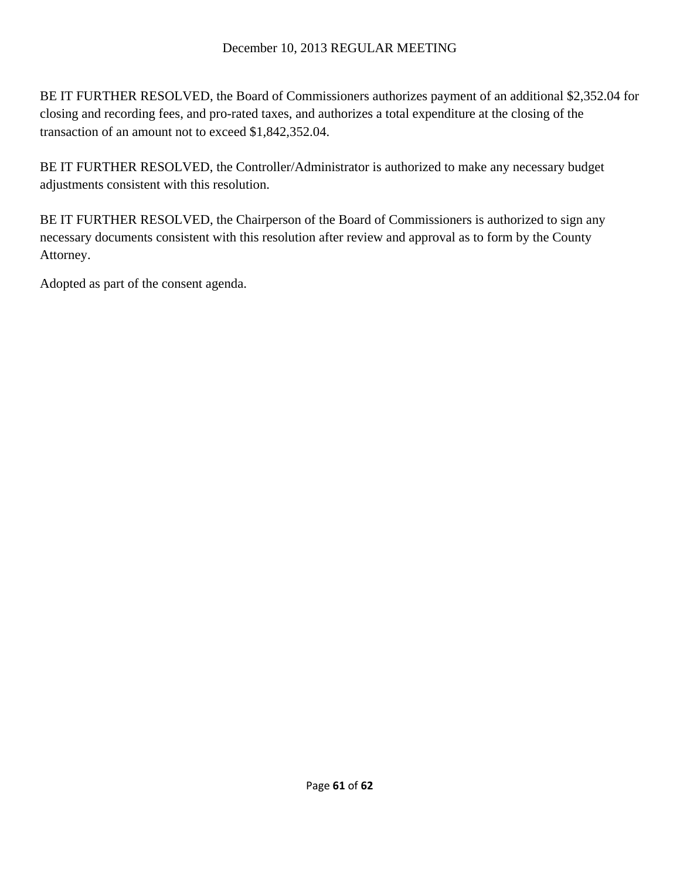BE IT FURTHER RESOLVED, the Board of Commissioners authorizes payment of an additional \$2,352.04 for closing and recording fees, and pro-rated taxes, and authorizes a total expenditure at the closing of the transaction of an amount not to exceed \$1,842,352.04.

BE IT FURTHER RESOLVED, the Controller/Administrator is authorized to make any necessary budget adjustments consistent with this resolution.

BE IT FURTHER RESOLVED, the Chairperson of the Board of Commissioners is authorized to sign any necessary documents consistent with this resolution after review and approval as to form by the County Attorney.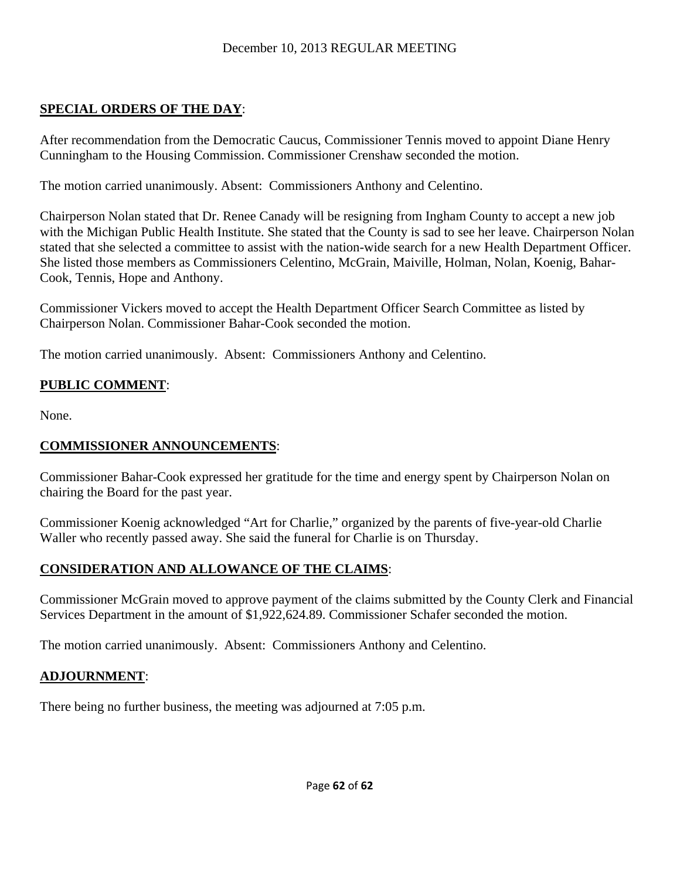## **SPECIAL ORDERS OF THE DAY**:

After recommendation from the Democratic Caucus, Commissioner Tennis moved to appoint Diane Henry Cunningham to the Housing Commission. Commissioner Crenshaw seconded the motion.

The motion carried unanimously. Absent: Commissioners Anthony and Celentino.

Chairperson Nolan stated that Dr. Renee Canady will be resigning from Ingham County to accept a new job with the Michigan Public Health Institute. She stated that the County is sad to see her leave. Chairperson Nolan stated that she selected a committee to assist with the nation-wide search for a new Health Department Officer. She listed those members as Commissioners Celentino, McGrain, Maiville, Holman, Nolan, Koenig, Bahar-Cook, Tennis, Hope and Anthony.

Commissioner Vickers moved to accept the Health Department Officer Search Committee as listed by Chairperson Nolan. Commissioner Bahar-Cook seconded the motion.

The motion carried unanimously. Absent: Commissioners Anthony and Celentino.

## **PUBLIC COMMENT**:

None.

## **COMMISSIONER ANNOUNCEMENTS**:

Commissioner Bahar-Cook expressed her gratitude for the time and energy spent by Chairperson Nolan on chairing the Board for the past year.

Commissioner Koenig acknowledged "Art for Charlie," organized by the parents of five-year-old Charlie Waller who recently passed away. She said the funeral for Charlie is on Thursday.

## **CONSIDERATION AND ALLOWANCE OF THE CLAIMS**:

Commissioner McGrain moved to approve payment of the claims submitted by the County Clerk and Financial Services Department in the amount of \$1,922,624.89. Commissioner Schafer seconded the motion.

The motion carried unanimously. Absent: Commissioners Anthony and Celentino.

## **ADJOURNMENT**:

There being no further business, the meeting was adjourned at 7:05 p.m.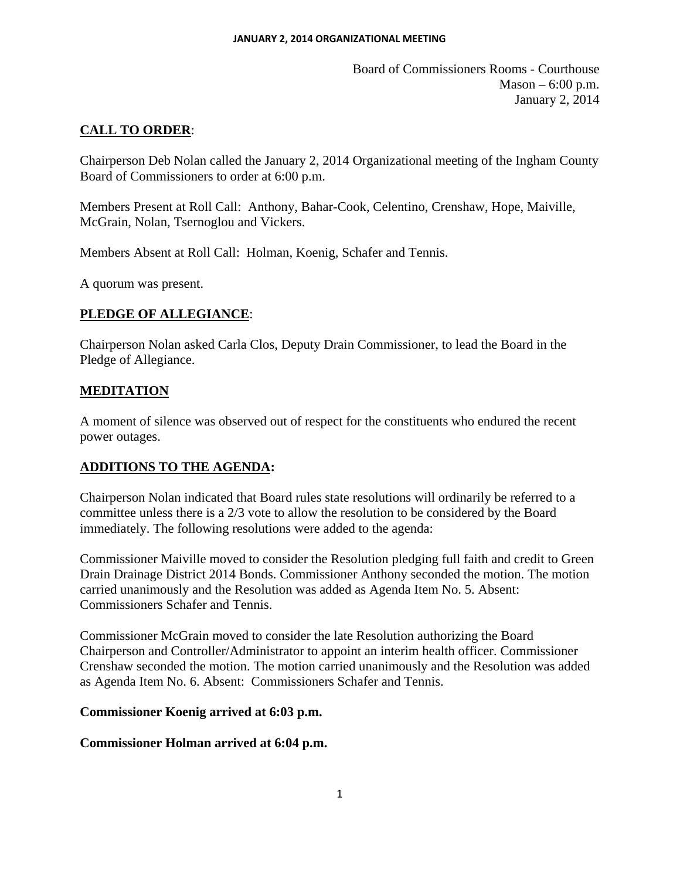Board of Commissioners Rooms - Courthouse  $Mason - 6:00 p.m.$ January 2, 2014

## **CALL TO ORDER**:

Chairperson Deb Nolan called the January 2, 2014 Organizational meeting of the Ingham County Board of Commissioners to order at 6:00 p.m.

Members Present at Roll Call: Anthony, Bahar-Cook, Celentino, Crenshaw, Hope, Maiville, McGrain, Nolan, Tsernoglou and Vickers.

Members Absent at Roll Call: Holman, Koenig, Schafer and Tennis.

A quorum was present.

#### **PLEDGE OF ALLEGIANCE**:

Chairperson Nolan asked Carla Clos, Deputy Drain Commissioner, to lead the Board in the Pledge of Allegiance.

#### **MEDITATION**

A moment of silence was observed out of respect for the constituents who endured the recent power outages.

#### **ADDITIONS TO THE AGENDA:**

Chairperson Nolan indicated that Board rules state resolutions will ordinarily be referred to a committee unless there is a 2/3 vote to allow the resolution to be considered by the Board immediately. The following resolutions were added to the agenda:

Commissioner Maiville moved to consider the Resolution pledging full faith and credit to Green Drain Drainage District 2014 Bonds. Commissioner Anthony seconded the motion. The motion carried unanimously and the Resolution was added as Agenda Item No. 5. Absent: Commissioners Schafer and Tennis.

Commissioner McGrain moved to consider the late Resolution authorizing the Board Chairperson and Controller/Administrator to appoint an interim health officer. Commissioner Crenshaw seconded the motion. The motion carried unanimously and the Resolution was added as Agenda Item No. 6. Absent: Commissioners Schafer and Tennis.

#### **Commissioner Koenig arrived at 6:03 p.m.**

**Commissioner Holman arrived at 6:04 p.m.**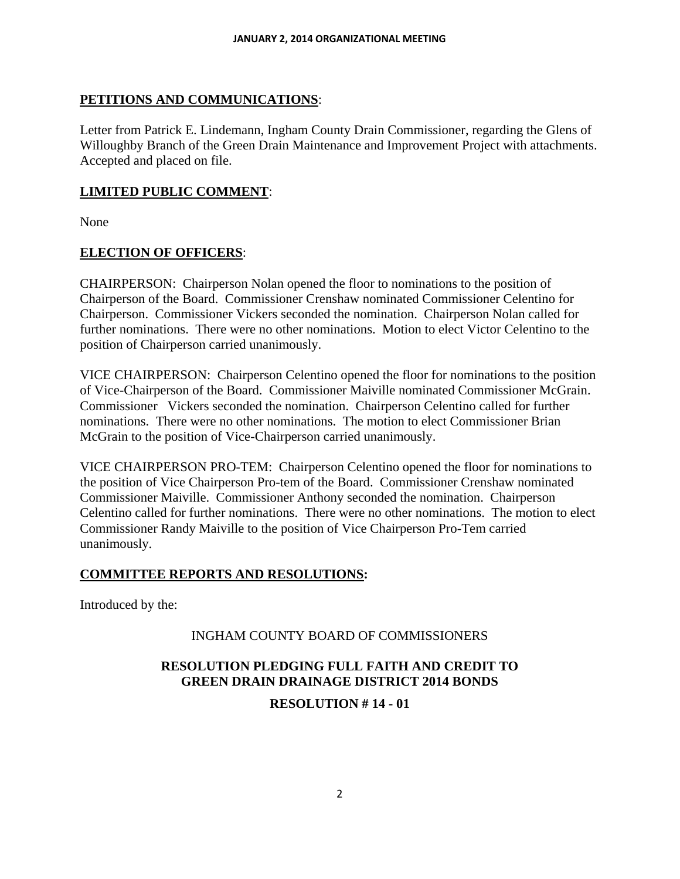#### **PETITIONS AND COMMUNICATIONS**:

Letter from Patrick E. Lindemann, Ingham County Drain Commissioner, regarding the Glens of Willoughby Branch of the Green Drain Maintenance and Improvement Project with attachments. Accepted and placed on file.

#### **LIMITED PUBLIC COMMENT**:

None

#### **ELECTION OF OFFICERS**:

CHAIRPERSON: Chairperson Nolan opened the floor to nominations to the position of Chairperson of the Board. Commissioner Crenshaw nominated Commissioner Celentino for Chairperson. Commissioner Vickers seconded the nomination. Chairperson Nolan called for further nominations. There were no other nominations. Motion to elect Victor Celentino to the position of Chairperson carried unanimously.

VICE CHAIRPERSON: Chairperson Celentino opened the floor for nominations to the position of Vice-Chairperson of the Board. Commissioner Maiville nominated Commissioner McGrain. Commissioner Vickers seconded the nomination. Chairperson Celentino called for further nominations. There were no other nominations. The motion to elect Commissioner Brian McGrain to the position of Vice-Chairperson carried unanimously.

VICE CHAIRPERSON PRO-TEM: Chairperson Celentino opened the floor for nominations to the position of Vice Chairperson Pro-tem of the Board. Commissioner Crenshaw nominated Commissioner Maiville. Commissioner Anthony seconded the nomination. Chairperson Celentino called for further nominations. There were no other nominations. The motion to elect Commissioner Randy Maiville to the position of Vice Chairperson Pro-Tem carried unanimously.

#### **COMMITTEE REPORTS AND RESOLUTIONS:**

Introduced by the:

#### INGHAM COUNTY BOARD OF COMMISSIONERS

#### **RESOLUTION PLEDGING FULL FAITH AND CREDIT TO GREEN DRAIN DRAINAGE DISTRICT 2014 BONDS**

**RESOLUTION # 14 - 01**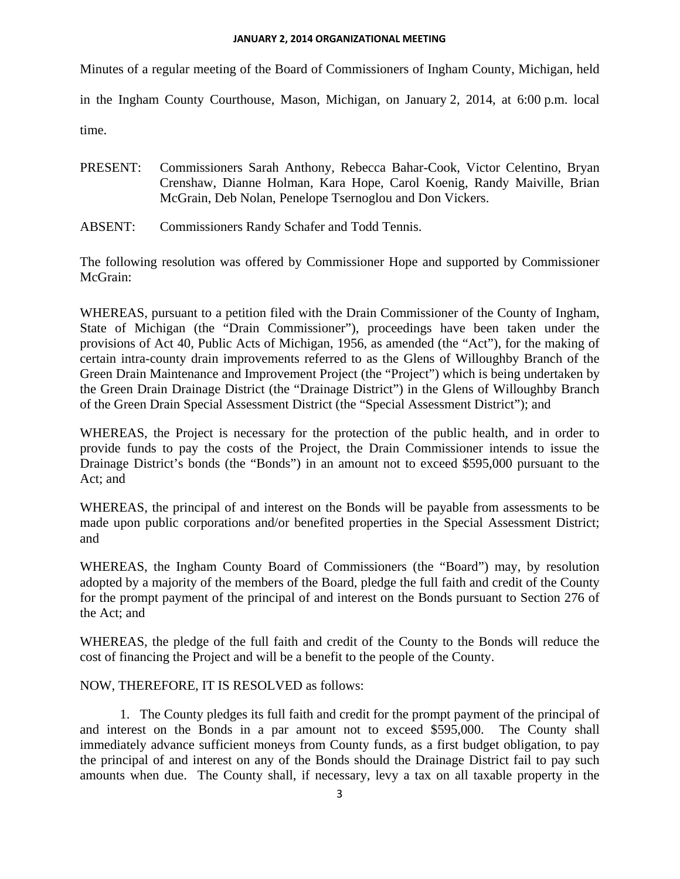#### **JANUARY 2, 2014 ORGANIZATIONAL MEETING**

Minutes of a regular meeting of the Board of Commissioners of Ingham County, Michigan, held

in the Ingham County Courthouse, Mason, Michigan, on January 2, 2014, at 6:00 p.m. local

time.

- PRESENT: Commissioners Sarah Anthony, Rebecca Bahar-Cook, Victor Celentino, Bryan Crenshaw, Dianne Holman, Kara Hope, Carol Koenig, Randy Maiville, Brian McGrain, Deb Nolan, Penelope Tsernoglou and Don Vickers.
- ABSENT: Commissioners Randy Schafer and Todd Tennis.

The following resolution was offered by Commissioner Hope and supported by Commissioner McGrain:

WHEREAS, pursuant to a petition filed with the Drain Commissioner of the County of Ingham, State of Michigan (the "Drain Commissioner"), proceedings have been taken under the provisions of Act 40, Public Acts of Michigan, 1956, as amended (the "Act"), for the making of certain intra-county drain improvements referred to as the Glens of Willoughby Branch of the Green Drain Maintenance and Improvement Project (the "Project") which is being undertaken by the Green Drain Drainage District (the "Drainage District") in the Glens of Willoughby Branch of the Green Drain Special Assessment District (the "Special Assessment District"); and

WHEREAS, the Project is necessary for the protection of the public health, and in order to provide funds to pay the costs of the Project, the Drain Commissioner intends to issue the Drainage District's bonds (the "Bonds") in an amount not to exceed \$595,000 pursuant to the Act; and

WHEREAS, the principal of and interest on the Bonds will be payable from assessments to be made upon public corporations and/or benefited properties in the Special Assessment District; and

WHEREAS, the Ingham County Board of Commissioners (the "Board") may, by resolution adopted by a majority of the members of the Board, pledge the full faith and credit of the County for the prompt payment of the principal of and interest on the Bonds pursuant to Section 276 of the Act; and

WHEREAS, the pledge of the full faith and credit of the County to the Bonds will reduce the cost of financing the Project and will be a benefit to the people of the County.

#### NOW, THEREFORE, IT IS RESOLVED as follows:

1. The County pledges its full faith and credit for the prompt payment of the principal of and interest on the Bonds in a par amount not to exceed \$595,000. The County shall immediately advance sufficient moneys from County funds, as a first budget obligation, to pay the principal of and interest on any of the Bonds should the Drainage District fail to pay such amounts when due. The County shall, if necessary, levy a tax on all taxable property in the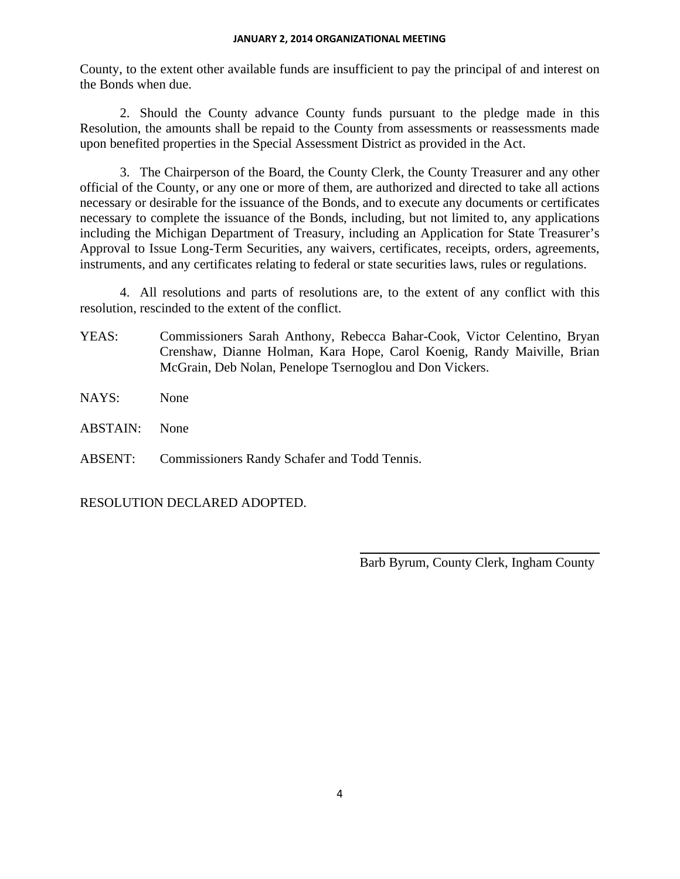#### **JANUARY 2, 2014 ORGANIZATIONAL MEETING**

County, to the extent other available funds are insufficient to pay the principal of and interest on the Bonds when due.

2. Should the County advance County funds pursuant to the pledge made in this Resolution, the amounts shall be repaid to the County from assessments or reassessments made upon benefited properties in the Special Assessment District as provided in the Act.

3. The Chairperson of the Board, the County Clerk, the County Treasurer and any other official of the County, or any one or more of them, are authorized and directed to take all actions necessary or desirable for the issuance of the Bonds, and to execute any documents or certificates necessary to complete the issuance of the Bonds, including, but not limited to, any applications including the Michigan Department of Treasury, including an Application for State Treasurer's Approval to Issue Long-Term Securities, any waivers, certificates, receipts, orders, agreements, instruments, and any certificates relating to federal or state securities laws, rules or regulations.

4. All resolutions and parts of resolutions are, to the extent of any conflict with this resolution, rescinded to the extent of the conflict.

YEAS: Commissioners Sarah Anthony, Rebecca Bahar-Cook, Victor Celentino, Bryan Crenshaw, Dianne Holman, Kara Hope, Carol Koenig, Randy Maiville, Brian McGrain, Deb Nolan, Penelope Tsernoglou and Don Vickers.

 $\overline{a}$ 

- NAYS: None
- ABSTAIN: None

ABSENT: Commissioners Randy Schafer and Todd Tennis.

RESOLUTION DECLARED ADOPTED.

Barb Byrum, County Clerk, Ingham County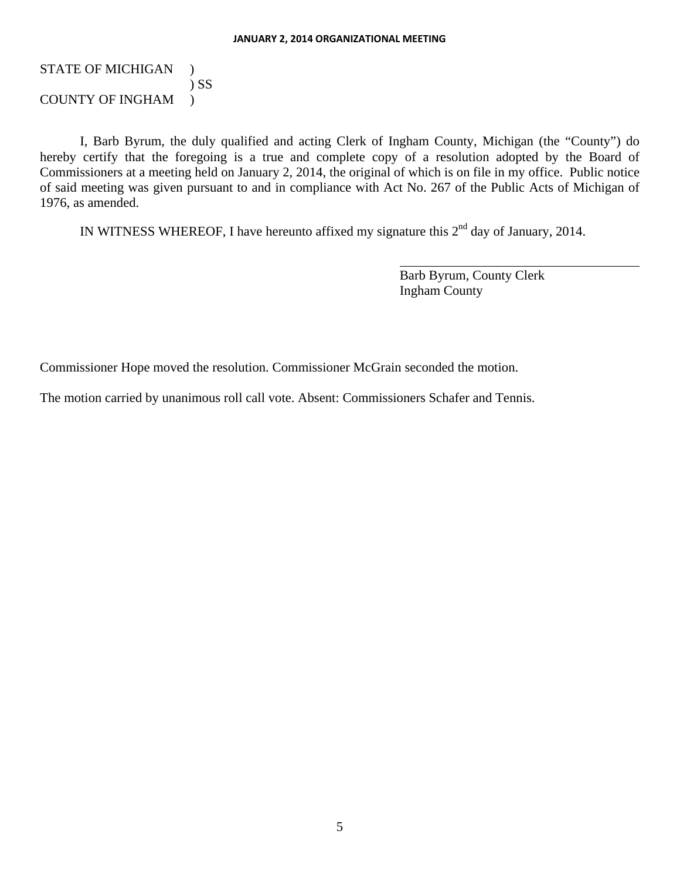#### STATE OF MICHIGAN ) ) SS COUNTY OF INGHAM )

I, Barb Byrum, the duly qualified and acting Clerk of Ingham County, Michigan (the "County") do hereby certify that the foregoing is a true and complete copy of a resolution adopted by the Board of Commissioners at a meeting held on January 2, 2014, the original of which is on file in my office. Public notice of said meeting was given pursuant to and in compliance with Act No. 267 of the Public Acts of Michigan of 1976, as amended.

IN WITNESS WHEREOF, I have hereunto affixed my signature this  $2<sup>nd</sup>$  day of January, 2014.

l

Barb Byrum, County Clerk Ingham County

Commissioner Hope moved the resolution. Commissioner McGrain seconded the motion.

The motion carried by unanimous roll call vote. Absent: Commissioners Schafer and Tennis.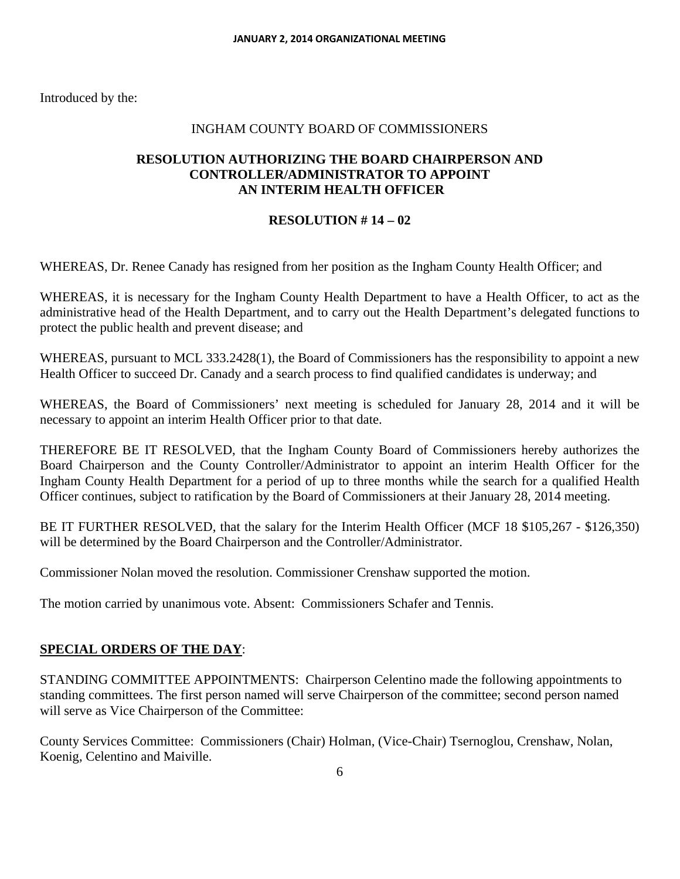#### INGHAM COUNTY BOARD OF COMMISSIONERS

#### **RESOLUTION AUTHORIZING THE BOARD CHAIRPERSON AND CONTROLLER/ADMINISTRATOR TO APPOINT AN INTERIM HEALTH OFFICER**

#### **RESOLUTION # 14 – 02**

WHEREAS, Dr. Renee Canady has resigned from her position as the Ingham County Health Officer; and

WHEREAS, it is necessary for the Ingham County Health Department to have a Health Officer, to act as the administrative head of the Health Department, and to carry out the Health Department's delegated functions to protect the public health and prevent disease; and

WHEREAS, pursuant to MCL 333.2428(1), the Board of Commissioners has the responsibility to appoint a new Health Officer to succeed Dr. Canady and a search process to find qualified candidates is underway; and

WHEREAS, the Board of Commissioners' next meeting is scheduled for January 28, 2014 and it will be necessary to appoint an interim Health Officer prior to that date.

THEREFORE BE IT RESOLVED, that the Ingham County Board of Commissioners hereby authorizes the Board Chairperson and the County Controller/Administrator to appoint an interim Health Officer for the Ingham County Health Department for a period of up to three months while the search for a qualified Health Officer continues, subject to ratification by the Board of Commissioners at their January 28, 2014 meeting.

BE IT FURTHER RESOLVED, that the salary for the Interim Health Officer (MCF 18 \$105,267 - \$126,350) will be determined by the Board Chairperson and the Controller/Administrator.

Commissioner Nolan moved the resolution. Commissioner Crenshaw supported the motion.

The motion carried by unanimous vote. Absent: Commissioners Schafer and Tennis.

#### **SPECIAL ORDERS OF THE DAY**:

STANDING COMMITTEE APPOINTMENTS: Chairperson Celentino made the following appointments to standing committees. The first person named will serve Chairperson of the committee; second person named will serve as Vice Chairperson of the Committee:

County Services Committee: Commissioners (Chair) Holman, (Vice-Chair) Tsernoglou, Crenshaw, Nolan, Koenig, Celentino and Maiville.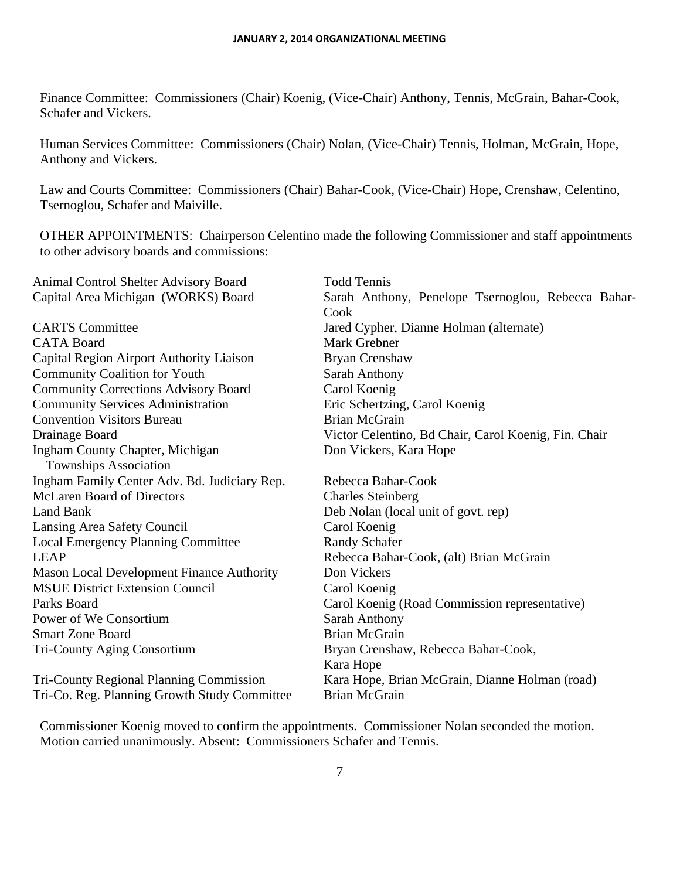Finance Committee: Commissioners (Chair) Koenig, (Vice-Chair) Anthony, Tennis, McGrain, Bahar-Cook, Schafer and Vickers.

Human Services Committee: Commissioners (Chair) Nolan, (Vice-Chair) Tennis, Holman, McGrain, Hope, Anthony and Vickers.

Law and Courts Committee: Commissioners (Chair) Bahar-Cook, (Vice-Chair) Hope, Crenshaw, Celentino, Tsernoglou, Schafer and Maiville.

OTHER APPOINTMENTS: Chairperson Celentino made the following Commissioner and staff appointments to other advisory boards and commissions:

| Animal Control Shelter Advisory Board            | <b>Todd Tennis</b>                                   |
|--------------------------------------------------|------------------------------------------------------|
| Capital Area Michigan (WORKS) Board              | Sarah Anthony, Penelope Tsernoglou, Rebecca Bahar-   |
|                                                  | Cook                                                 |
| <b>CARTS</b> Committee                           | Jared Cypher, Dianne Holman (alternate)              |
| <b>CATA Board</b>                                | Mark Grebner                                         |
| Capital Region Airport Authority Liaison         | Bryan Crenshaw                                       |
| <b>Community Coalition for Youth</b>             | <b>Sarah Anthony</b>                                 |
| <b>Community Corrections Advisory Board</b>      | Carol Koenig                                         |
| <b>Community Services Administration</b>         | Eric Schertzing, Carol Koenig                        |
| <b>Convention Visitors Bureau</b>                | <b>Brian McGrain</b>                                 |
| Drainage Board                                   | Victor Celentino, Bd Chair, Carol Koenig, Fin. Chair |
| Ingham County Chapter, Michigan                  | Don Vickers, Kara Hope                               |
| <b>Townships Association</b>                     |                                                      |
| Ingham Family Center Adv. Bd. Judiciary Rep.     | Rebecca Bahar-Cook                                   |
| <b>McLaren Board of Directors</b>                | <b>Charles Steinberg</b>                             |
| <b>Land Bank</b>                                 | Deb Nolan (local unit of govt. rep)                  |
| Lansing Area Safety Council                      | Carol Koenig                                         |
| <b>Local Emergency Planning Committee</b>        | <b>Randy Schafer</b>                                 |
| <b>LEAP</b>                                      | Rebecca Bahar-Cook, (alt) Brian McGrain              |
| <b>Mason Local Development Finance Authority</b> | Don Vickers                                          |
| <b>MSUE District Extension Council</b>           | Carol Koenig                                         |
| Parks Board                                      | Carol Koenig (Road Commission representative)        |
| Power of We Consortium                           | <b>Sarah Anthony</b>                                 |
| <b>Smart Zone Board</b>                          | <b>Brian McGrain</b>                                 |
| <b>Tri-County Aging Consortium</b>               | Bryan Crenshaw, Rebecca Bahar-Cook,                  |
|                                                  | Kara Hope                                            |
| <b>Tri-County Regional Planning Commission</b>   | Kara Hope, Brian McGrain, Dianne Holman (road)       |
| Tri-Co. Reg. Planning Growth Study Committee     | <b>Brian McGrain</b>                                 |

Commissioner Koenig moved to confirm the appointments. Commissioner Nolan seconded the motion. Motion carried unanimously. Absent: Commissioners Schafer and Tennis.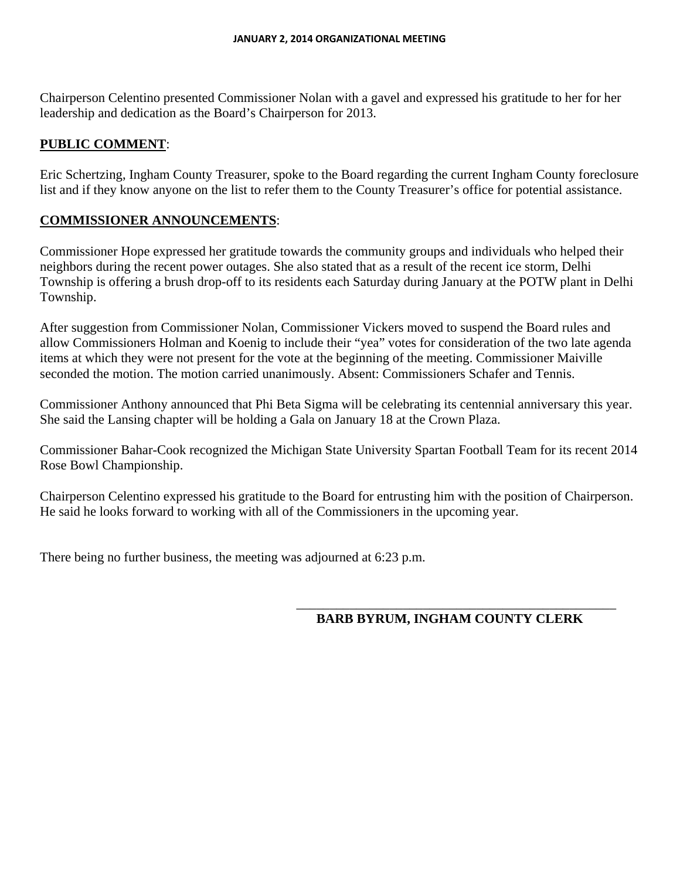Chairperson Celentino presented Commissioner Nolan with a gavel and expressed his gratitude to her for her leadership and dedication as the Board's Chairperson for 2013.

# **PUBLIC COMMENT**:

Eric Schertzing, Ingham County Treasurer, spoke to the Board regarding the current Ingham County foreclosure list and if they know anyone on the list to refer them to the County Treasurer's office for potential assistance.

# **COMMISSIONER ANNOUNCEMENTS**:

Commissioner Hope expressed her gratitude towards the community groups and individuals who helped their neighbors during the recent power outages. She also stated that as a result of the recent ice storm, Delhi Township is offering a brush drop-off to its residents each Saturday during January at the POTW plant in Delhi Township.

After suggestion from Commissioner Nolan, Commissioner Vickers moved to suspend the Board rules and allow Commissioners Holman and Koenig to include their "yea" votes for consideration of the two late agenda items at which they were not present for the vote at the beginning of the meeting. Commissioner Maiville seconded the motion. The motion carried unanimously. Absent: Commissioners Schafer and Tennis.

Commissioner Anthony announced that Phi Beta Sigma will be celebrating its centennial anniversary this year. She said the Lansing chapter will be holding a Gala on January 18 at the Crown Plaza.

Commissioner Bahar-Cook recognized the Michigan State University Spartan Football Team for its recent 2014 Rose Bowl Championship.

Chairperson Celentino expressed his gratitude to the Board for entrusting him with the position of Chairperson. He said he looks forward to working with all of the Commissioners in the upcoming year.

There being no further business, the meeting was adjourned at 6:23 p.m.

#### \_\_\_\_\_\_\_\_\_\_\_\_\_\_\_\_\_\_\_\_\_\_\_\_\_\_\_\_\_\_\_\_\_\_\_\_\_\_\_\_\_\_\_\_\_\_\_\_ **BARB BYRUM, INGHAM COUNTY CLERK**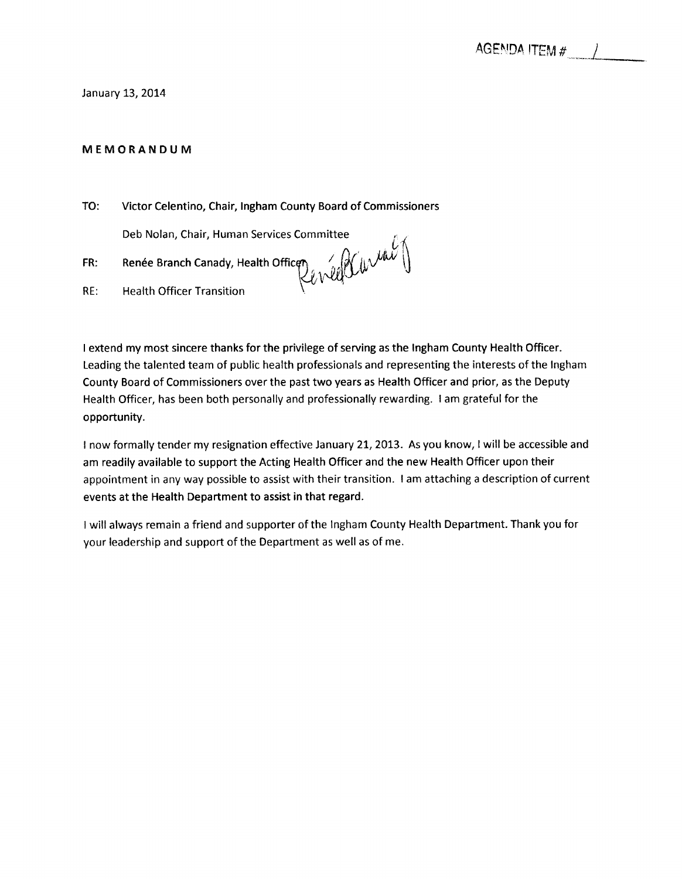#### January 13, 2014

#### MEMORANDUM

TO: Victor Celentino, Chair, Ingham County Board of Commissioners

Deb Nolan, Chair, Human Services Committee

Renée Branch Canady, Health Office<br>Health Officer Transition FR:  $RE:$ 

I extend my most sincere thanks for the privilege of serving as the Ingham County Health Officer. Leading the talented team of public health professionals and representing the interests of the Ingham County Board of Commissioners over the past two years as Health Officer and prior, as the Deputy Health Officer, has been both personally and professionally rewarding. I am grateful for the opportunity.

I now formally tender my resignation effective January 21, 2013. As you know, I will be accessible and am readily available to support the Acting Health Officer and the new Health Officer upon their appointment in any way possible to assist with their transition. I am attaching a description of current events at the Health Department to assist in that regard.

I will always remain a friend and supporter of the Ingham County Health Department. Thank you for your leadership and support of the Department as well as of me.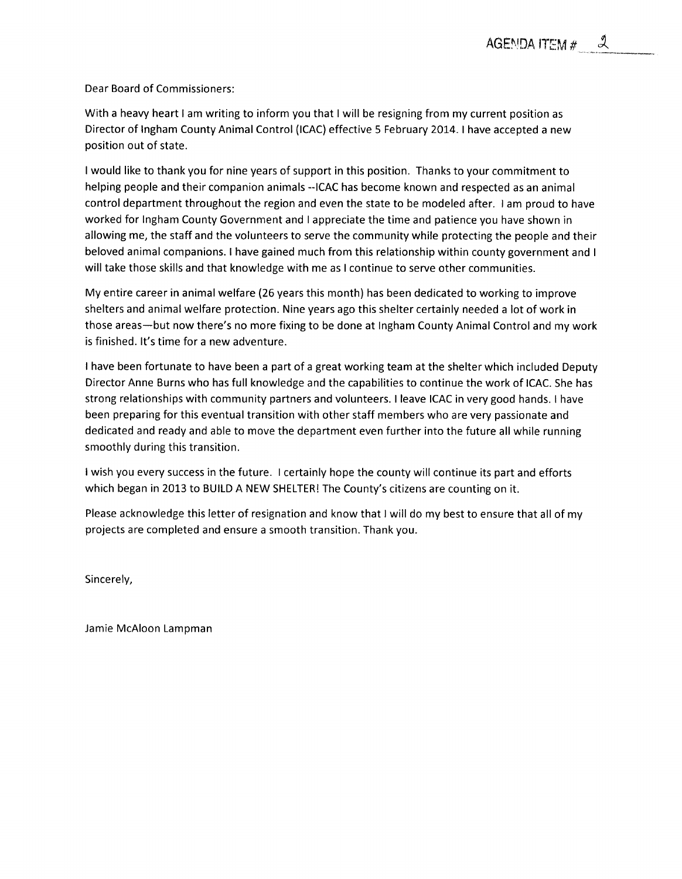Dear Board of Commissioners:

With a heavy heart I am writing to inform you that I will be resigning from my current position as Director of Ingham County Animal Control (ICAC) effective 5 February 2014. I have accepted a new position out of state.

I would like to thank you for nine years of support in this position. Thanks to your commitment to helping people and their companion animals --ICAC has become known and respected as an animal control department throughout the region and even the state to be modeled after. I am proud to have worked for Ingham County Government and I appreciate the time and patience you have shown in allowing me, the staff and the volunteers to serve the community while protecting the people and their beloved animal companions. I have gained much from this relationship within county government and I will take those skills and that knowledge with me as I continue to serve other communities.

My entire career in animal welfare (26 years this month) has been dedicated to working to improve shelters and animal welfare protection. Nine years ago this shelter certainly needed a lot of work in those areas-but now there's no more fixing to be done at Ingham County Animal Control and my work is finished. It's time for a new adventure.

I have been fortunate to have been a part of a great working team at the shelter which included Deputy Director Anne Burns who has full knowledge and the capabilities to continue the work of ICAC. She has strong relationships with community partners and volunteers. I leave ICAC in very good hands. I have been preparing for this eventual transition with other staff members who are very passionate and dedicated and ready and able to move the department even further into the future all while running smoothly during this transition.

I wish you every success in the future. I certainly hope the county will continue its part and efforts which began in 2013 to BUILD A NEW SHELTER! The County's citizens are counting on it.

Please acknowledge this letter of resignation and know that I will do my best to ensure that all of my projects are completed and ensure a smooth transition. Thank you.

Sincerely,

Jamie McAloon Lampman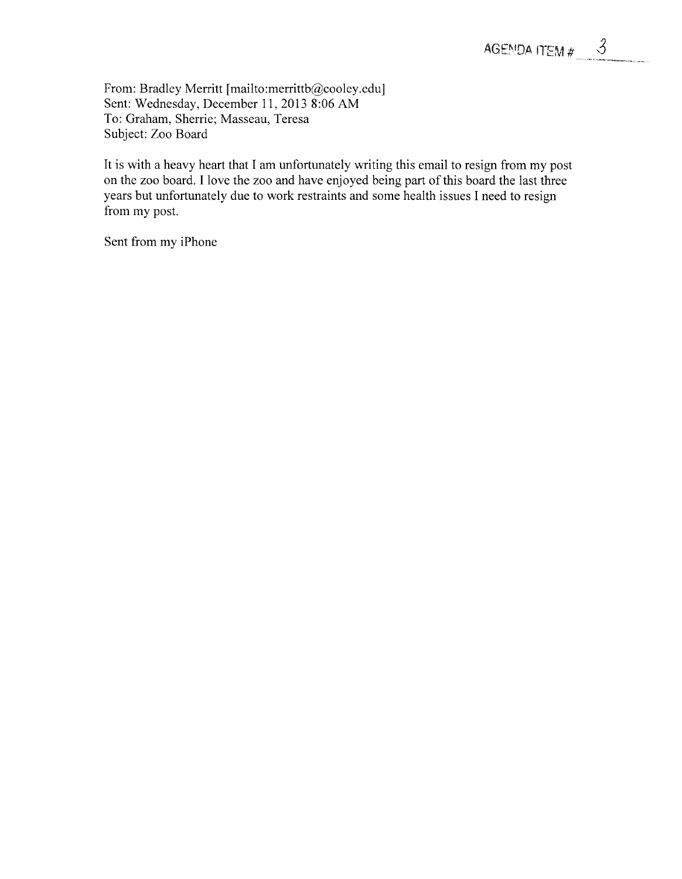From: Bradley Merritt [mailto:merrittb@cooley.edu] Sent: Wednesday, December 11, 2013 8:06 AM To: Graham, Sherrie; Masseau, Teresa Subject: Zoo Board

It is with a heavy heart that I am unfortunately writing this email to resign from my post on the zoo board. I love the zoo and have enjoyed being part of this board the last three years but unfortunately due to work restraints and some health issues I need to resign from my post.

Sent from my iPhone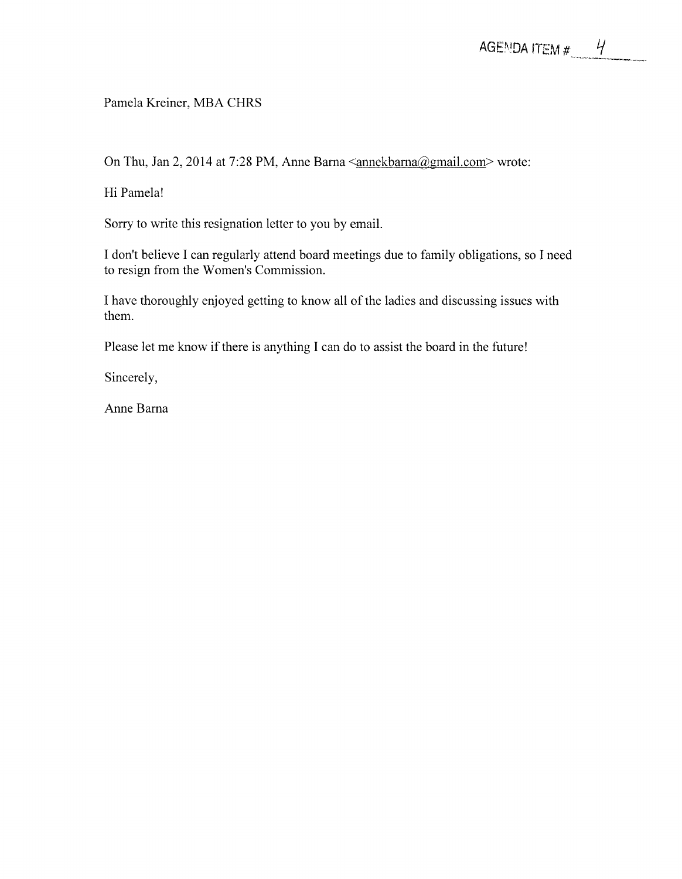### Pamela Kreiner, MBA CHRS

On Thu, Jan 2, 2014 at 7:28 PM, Anne Barna <annekbarna@gmail.com> wrote:

Hi Pamela!

Sorry to write this resignation letter to you by email.

I don't believe I can regularly attend board meetings due to family obligations, so I need to resign from the Women's Commission.

I have thoroughly enjoyed getting to know all of the ladies and discussing issues with them.

Please let me know if there is anything I can do to assist the board in the future!

Sincerely,

Anne Barna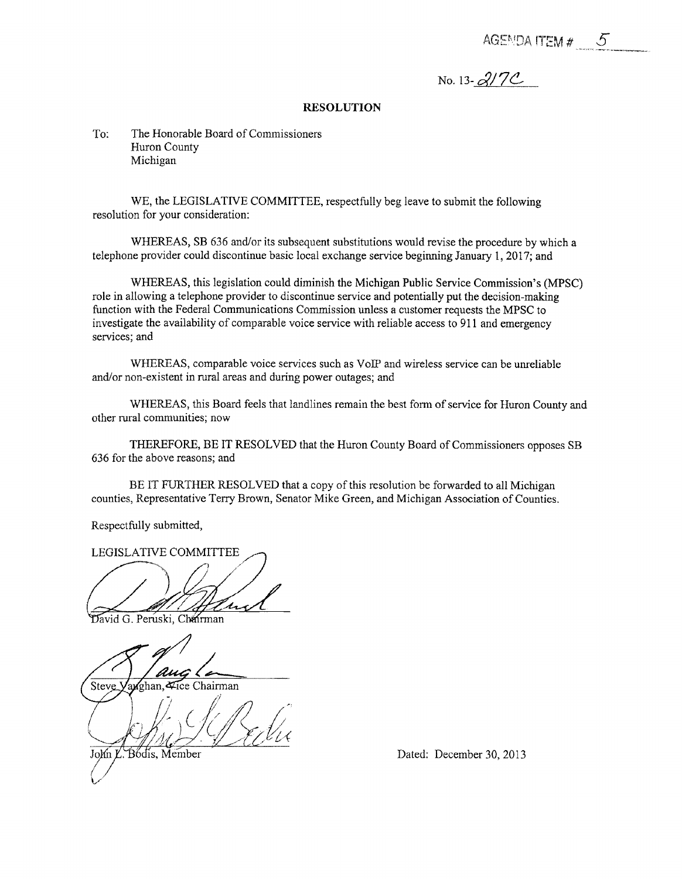AGENDA ITEM  $#$  5

No. 13- $2/7C$ 

#### **RESOLUTION**

To: The Honorable Board of Commissioners Huron County Michigan

WE, the LEGISLATIVE COMMITTEE, respectfully beg leave to submit the following resolution for your consideration:

WHEREAS, SB 636 and/or its subsequent substitutions would revise the procedure by which a telephone provider could discontinue basic local exchange service beginning January 1, 2017; and

WHEREAS, this legislation could diminish the Michigan Public Service Commission's (MPSC) role in allowing a telephone provider to discontinue service and potentially put the decision-making function with the Federal Communications Commission unless a customer requests the MPSC to investigate the availability of comparable voice service with reliable access to 911 and emergency services; and

WHEREAS, comparable voice services such as VoIP and wireless service can be unreliable and/or non-existent in rural areas and during power outages; and

WHEREAS, this Board feels that landlines remain the best form of service for Huron County and other rural communities; now

THEREFORE, BE IT RESOLVED that the Huron County Board of Commissioners opposes SB 636 for the above reasons; and

BE IT FURTHER RESOLVED that a copy of this resolution be forwarded to all Michigan counties, Representative Terry Brown, Senator Mike Green, and Michigan Association of Counties.

Respectfully submitted,

LEGISLATIVE COMMITTEE

ux David G. Peruski, Chairman

wghan, Fice Chairman **Steve** 

Jolfn L. Bodis, Member

Dated: December 30, 2013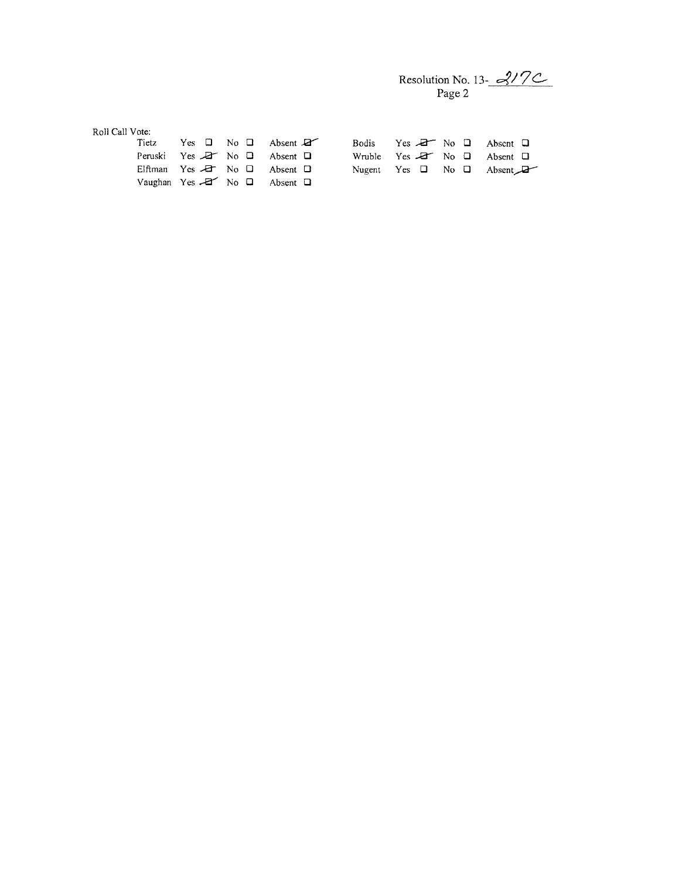Resolution No. 13- 
$$
3^{17}
$$

| Roll Call Vote: |                                                    |                      |  |                       |                                                   |  |  |                                            |  |
|-----------------|----------------------------------------------------|----------------------|--|-----------------------|---------------------------------------------------|--|--|--------------------------------------------|--|
|                 | Tietz                                              | Yes $\Box$ No $\Box$ |  | Absent $\mathbb{Z}^r$ | Bodis                                             |  |  | Yes $\overline{A}$ No $\Box$ Absent $\Box$ |  |
|                 | Peruski Yes $A$ No $\Box$ Absent $\Box$            |                      |  |                       | Wruble Yes $\mathbb{Z}^r$ No $\Box$ Absent $\Box$ |  |  |                                            |  |
|                 | Elftman Yes $\Box$ No $\Box$ Absent $\Box$         |                      |  |                       | Nugent Yes $\Box$ No $\Box$ Absent                |  |  |                                            |  |
|                 | Vaughan Yes $\overline{z}$ No $\Box$ Absent $\Box$ |                      |  |                       |                                                   |  |  |                                            |  |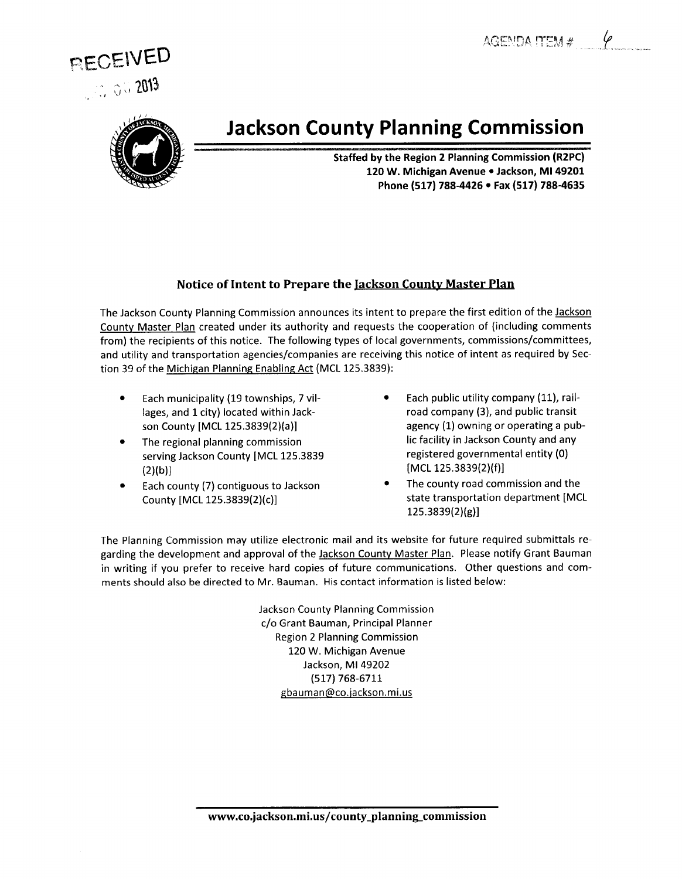AGENDA ITEM #





# **Jackson County Planning Commission**

**Staffed by the Region 2 Planning Commission (R2PC)** 120 W. Michigan Avenue . Jackson, MI 49201 Phone (517) 788-4426 . Fax (517) 788-4635

#### Notice of Intent to Prepare the Jackson County Master Plan

The Jackson County Planning Commission announces its intent to prepare the first edition of the Jackson County Master Plan created under its authority and requests the cooperation of (including comments from) the recipients of this notice. The following types of local governments, commissions/committees, and utility and transportation agencies/companies are receiving this notice of intent as required by Section 39 of the Michigan Planning Enabling Act (MCL 125.3839):

- Each municipality (19 townships, 7 vil- $\bullet$ lages, and 1 city) located within Jackson County [MCL 125.3839(2)(a)]
- The regional planning commission serving Jackson County [MCL 125.3839  $(2)(b)$
- Each county (7) contiguous to Jackson County [MCL 125.3839(2)(c)]
- Each public utility company (11), railroad company (3), and public transit agency (1) owning or operating a public facility in Jackson County and any registered governmental entity (0) [MCL 125.3839(2)(f)]
- The county road commission and the state transportation department [MCL  $125.3839(2)(g)$

The Planning Commission may utilize electronic mail and its website for future required submittals regarding the development and approval of the Jackson County Master Plan. Please notify Grant Bauman in writing if you prefer to receive hard copies of future communications. Other questions and comments should also be directed to Mr. Bauman. His contact information is listed below:

> **Jackson County Planning Commission** c/o Grant Bauman, Principal Planner **Region 2 Planning Commission** 120 W. Michigan Avenue Jackson, MI 49202 (517) 768-6711 gbauman@co.jackson.mi.us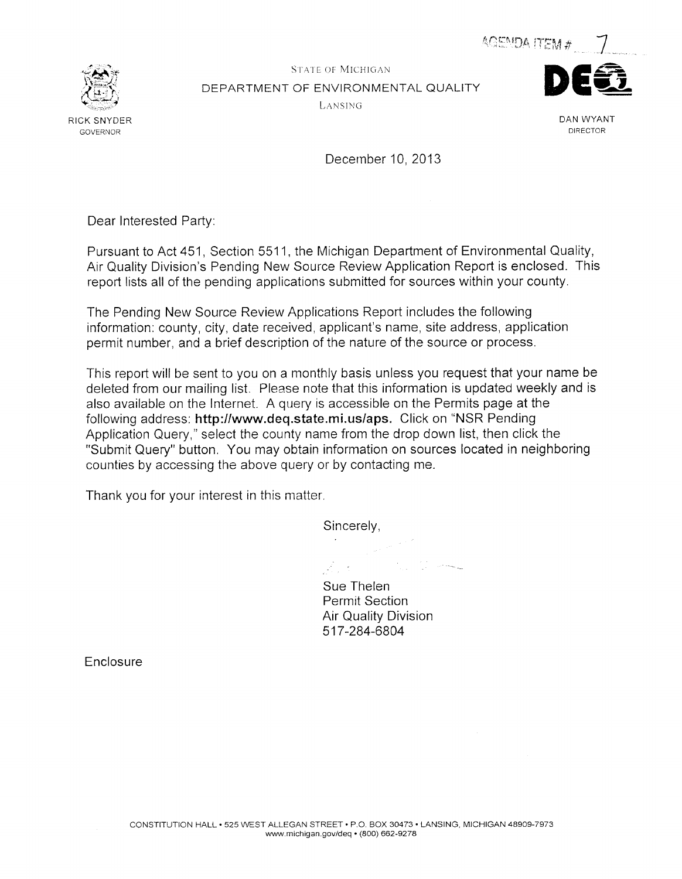AGEMDA ITEM #



**STATE OF MICHIGAN** DEPARTMENT OF ENVIRONMENTAL QUALITY LANSING



DAN WYANT DIRECTOR

December 10, 2013

Dear Interested Party:

Pursuant to Act 451, Section 5511, the Michigan Department of Environmental Quality, Air Quality Division's Pending New Source Review Application Report is enclosed. This report lists all of the pending applications submitted for sources within your county.

The Pending New Source Review Applications Report includes the following information: county, city, date received, applicant's name, site address, application permit number, and a brief description of the nature of the source or process.

This report will be sent to you on a monthly basis unless you request that your name be deleted from our mailing list. Please note that this information is updated weekly and is also available on the Internet. A query is accessible on the Permits page at the following address: http://www.deq.state.mi.us/aps. Click on "NSR Pending Application Query," select the county name from the drop down list, then click the "Submit Query" button. You may obtain information on sources located in neighboring counties by accessing the above query or by contacting me.

Thank you for your interest in this matter.

Sincerely,  $\frac{1}{\sqrt{2\pi}\epsilon^2} \frac{1}{\sqrt{2\pi}} \frac{1}{\sqrt{2\pi}} \frac{1}{\sqrt{2\pi}} \frac{1}{\sqrt{2\pi}} \frac{1}{\sqrt{2\pi}} \frac{1}{\sqrt{2\pi}} \frac{1}{\sqrt{2\pi}} \frac{1}{\sqrt{2\pi}} \frac{1}{\sqrt{2\pi}} \frac{1}{\sqrt{2\pi}} \frac{1}{\sqrt{2\pi}} \frac{1}{\sqrt{2\pi}} \frac{1}{\sqrt{2\pi}} \frac{1}{\sqrt{2\pi}} \frac{1}{\sqrt{2\pi}} \frac{1}{\sqrt{2\pi}} \frac{1}{\sqrt{2\pi}}$ 

a tij die keel Sue Thelen **Permit Section** 

**Air Quality Division** 517-284-6804

Enclosure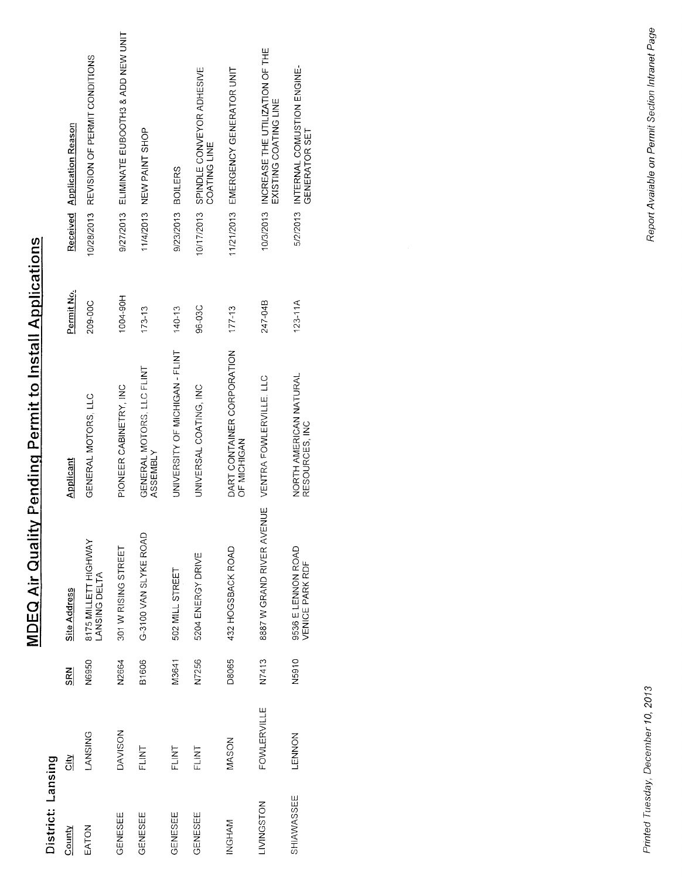| District: Lansing |                    |              |                                       |                                           |             |                                                                       |
|-------------------|--------------------|--------------|---------------------------------------|-------------------------------------------|-------------|-----------------------------------------------------------------------|
| County            | 틦                  | <b>SRN</b>   | <b>Site Address</b>                   | Applicant                                 | Permit No.  | <b>Application Reason</b><br>Received                                 |
| EATON             | LANSING            | N6950        | 8175 MILLETT HIGHWAY<br>LANSING DELTA | GENERAL MOTORS, LLC                       | 209-00C     | REVISION OF PERMIT CONDITIONS<br>10/28/2013                           |
| GENESEE           | DAVISON            | N2664        | 301 W RISING STREET                   | PIONEER CABINETRY, INC                    | 1004-90H    | ELIMINATE EUBOOTH3 & ADD NEW UNIT<br>9/27/2013                        |
| GENESEE           | FLINT              | B1606        | G-3100 VAN SLYKE ROAD                 | GENERAL MOTORS, LLC FLINT<br>ASSEMBLY     | $173 - 13$  | NEW PAINT SHOP<br>11/4/2013                                           |
| <b>GENESEE</b>    | FLINT              | M3641        | 502 MILL STREET                       | UNIVERSITY OF MICHIGAN - FLINT            | $140 - 13$  | 9/23/2013 BOILERS                                                     |
| GENESEE           | FLINT              | N7256        | 5204 ENERGY DRIVE                     | UNIVERSAL COATING, INC                    | 96-03C      | SPINDLE CONVEYOR ADHESIVE<br>COATING LINE<br>10/17/2013               |
| INGHAM            | MASON              | <b>D8065</b> | 432 HOGSBACK ROAD                     | DART CONTAINER CORPORATION<br>OF MICHIGAN | $177 - 13$  | 11/21/2013 EMERGENCY GENERATOR UNIT                                   |
| LIVINGSTON        | <b>FOWLERVILLE</b> | N7413        | 8887 W GRAND RIVER AVENUE             | VENTRA FOWLERVILLE. LLC                   | 247-04B     | INCREASE THE UTILIZATION OF THE<br>EXISTING COATING LINE<br>10/3/2013 |
| SHIAWASSEE        | <b>LENNON</b>      | N5910        | 9536 E LENNON ROAD<br>VENICE PARK RDF | NORTH AMERICAN NATURAL<br>RESOURCES, INC  | $123 - 11A$ | 5/2/2013 INTERNAL COMUSTION ENGINE-<br>GENERATOR SET                  |

**MDEQ Air Quality Pending Permit to Install Applications** 

# Printed Tuesday, December 10, 2013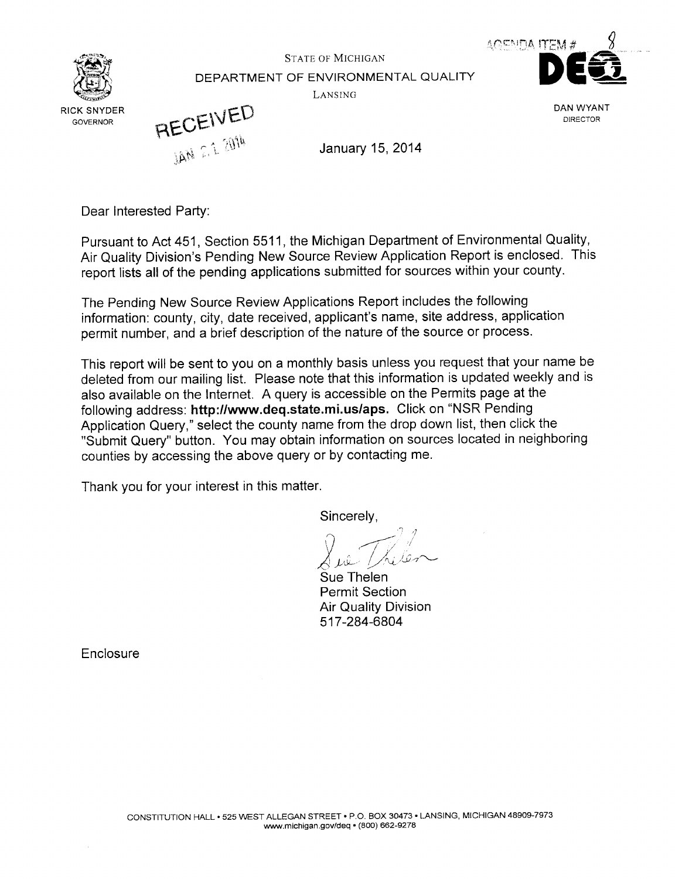

**STATE OF MICHIGAN** DEPARTMENT OF ENVIRONMENTAL QUALITY LANSING



DAN WYANT **DIRECTOR** 

RECEIVED

January 15, 2014

Dear Interested Party:

Pursuant to Act 451, Section 5511, the Michigan Department of Environmental Quality. Air Quality Division's Pending New Source Review Application Report is enclosed. This report lists all of the pending applications submitted for sources within your county.

The Pending New Source Review Applications Report includes the following information: county, city, date received, applicant's name, site address, application permit number, and a brief description of the nature of the source or process.

This report will be sent to you on a monthly basis unless you request that your name be deleted from our mailing list. Please note that this information is updated weekly and is also available on the Internet. A query is accessible on the Permits page at the following address: http://www.deq.state.mi.us/aps. Click on "NSR Pending Application Query," select the county name from the drop down list, then click the "Submit Query" button. You may obtain information on sources located in neighboring counties by accessing the above query or by contacting me.

Thank you for your interest in this matter.

Sincerely,

Sue Thelen **Permit Section Air Quality Division** 517-284-6804

Enclosure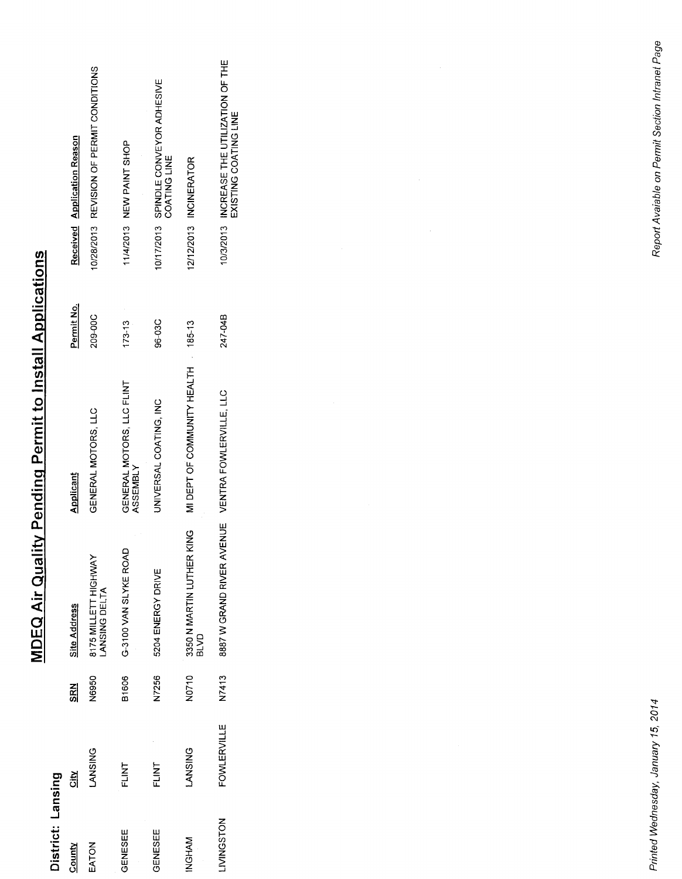| District: Lansing |                    |            |                                                    |                                       |            |                                                                    |
|-------------------|--------------------|------------|----------------------------------------------------|---------------------------------------|------------|--------------------------------------------------------------------|
| County            | 흼                  | <b>SRN</b> | Site Address                                       | Applicant                             | Permit No. | Received Application Reason                                        |
| EATON             | <b>LANSING</b>     | N6950      | 8175 MILLETT HIGHWAY<br>ANSING DELTA               | GENERAL MOTORS, LLC                   | 209-00C    | 10/28/2013 REVISION OF PERMIT CONDITIONS                           |
| GENESEE           | FLINT              | B1606      | G-3100 VAN SLYKE ROAI                              | GENERAL MOTORS, LLC FLINT<br>ASSEMBLY | $173 - 13$ | 11/4/2013 NEW PAINT SHOP                                           |
| GENESEE           | FLINT              | N7256      | 5204 ENERGY DRIVE                                  | UNIVERSAL COATING, INC                | 96-03C     | 10/17/2013 SPINDLE CONVEYOR ADHESIVE<br>COATING LINE               |
| INGHAM            | <b>LANSING</b>     | N0710      | <b>SNIX</b><br>3350 N MARTIN LUTHER<br><b>GVJB</b> | MIDEPT OF COMMUNITY HEALTH 185-13     |            | 12/12/2013 INCINERATOR                                             |
| LIVINGSTON        | <b>FOWLERVILLE</b> | N7413      | 8887 W GRAND RIVER AVENUE VENTRA FOWLERVILLE, LLC  |                                       | 247-04B    | 10/3/2013 INCREASE THE UTILIZATION OF THE<br>EXISTING COATING LINE |

**MDEQ Air Quality Pending Permit to Install Applications** 

# Printed Wednesday, January 15, 2014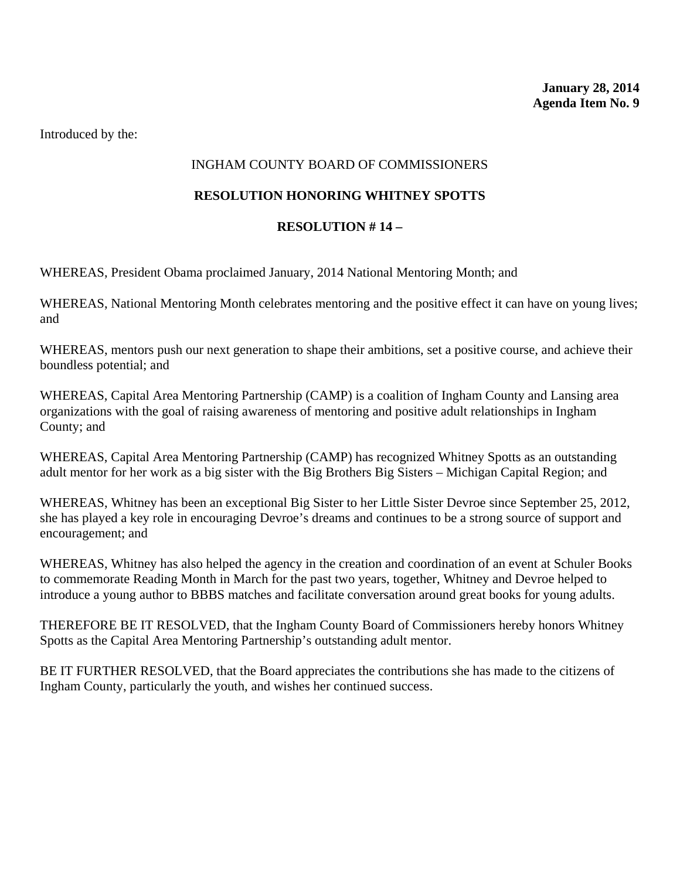# INGHAM COUNTY BOARD OF COMMISSIONERS

## **RESOLUTION HONORING WHITNEY SPOTTS**

### **RESOLUTION # 14 –**

WHEREAS, President Obama proclaimed January, 2014 National Mentoring Month; and

WHEREAS, National Mentoring Month celebrates mentoring and the positive effect it can have on young lives; and

WHEREAS, mentors push our next generation to shape their ambitions, set a positive course, and achieve their boundless potential; and

WHEREAS, Capital Area Mentoring Partnership (CAMP) is a coalition of Ingham County and Lansing area organizations with the goal of raising awareness of mentoring and positive adult relationships in Ingham County; and

WHEREAS, Capital Area Mentoring Partnership (CAMP) has recognized Whitney Spotts as an outstanding adult mentor for her work as a big sister with the Big Brothers Big Sisters – Michigan Capital Region; and

WHEREAS, Whitney has been an exceptional Big Sister to her Little Sister Devroe since September 25, 2012, she has played a key role in encouraging Devroe's dreams and continues to be a strong source of support and encouragement; and

WHEREAS, Whitney has also helped the agency in the creation and coordination of an event at Schuler Books to commemorate Reading Month in March for the past two years, together, Whitney and Devroe helped to introduce a young author to BBBS matches and facilitate conversation around great books for young adults.

THEREFORE BE IT RESOLVED, that the Ingham County Board of Commissioners hereby honors Whitney Spotts as the Capital Area Mentoring Partnership's outstanding adult mentor.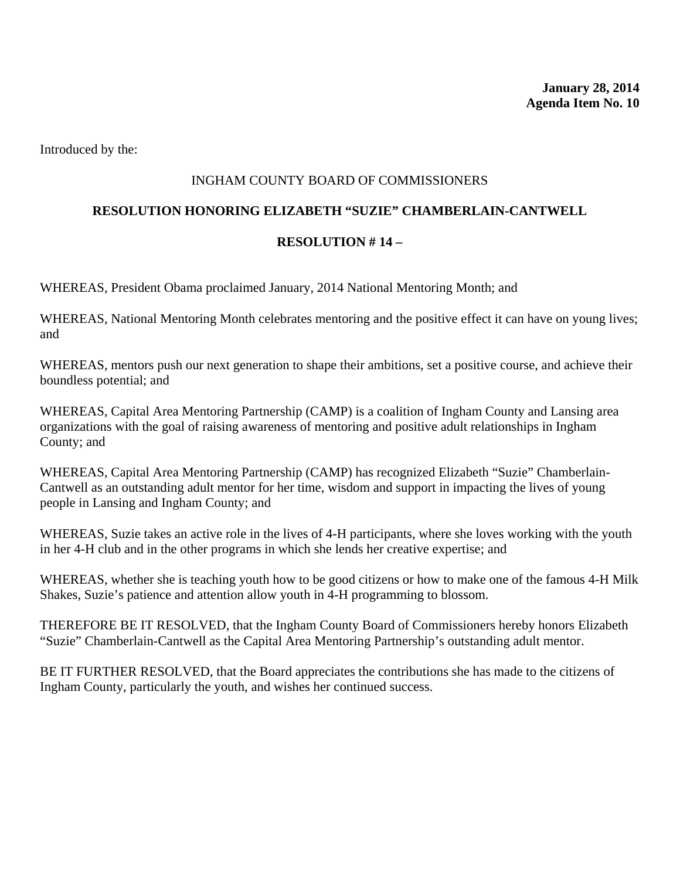## INGHAM COUNTY BOARD OF COMMISSIONERS

#### **RESOLUTION HONORING ELIZABETH "SUZIE" CHAMBERLAIN-CANTWELL**

#### **RESOLUTION # 14 –**

WHEREAS, President Obama proclaimed January, 2014 National Mentoring Month; and

WHEREAS, National Mentoring Month celebrates mentoring and the positive effect it can have on young lives; and

WHEREAS, mentors push our next generation to shape their ambitions, set a positive course, and achieve their boundless potential; and

WHEREAS, Capital Area Mentoring Partnership (CAMP) is a coalition of Ingham County and Lansing area organizations with the goal of raising awareness of mentoring and positive adult relationships in Ingham County; and

WHEREAS, Capital Area Mentoring Partnership (CAMP) has recognized Elizabeth "Suzie" Chamberlain-Cantwell as an outstanding adult mentor for her time, wisdom and support in impacting the lives of young people in Lansing and Ingham County; and

WHEREAS, Suzie takes an active role in the lives of 4-H participants, where she loves working with the youth in her 4-H club and in the other programs in which she lends her creative expertise; and

WHEREAS, whether she is teaching youth how to be good citizens or how to make one of the famous 4-H Milk Shakes, Suzie's patience and attention allow youth in 4-H programming to blossom.

THEREFORE BE IT RESOLVED, that the Ingham County Board of Commissioners hereby honors Elizabeth "Suzie" Chamberlain-Cantwell as the Capital Area Mentoring Partnership's outstanding adult mentor.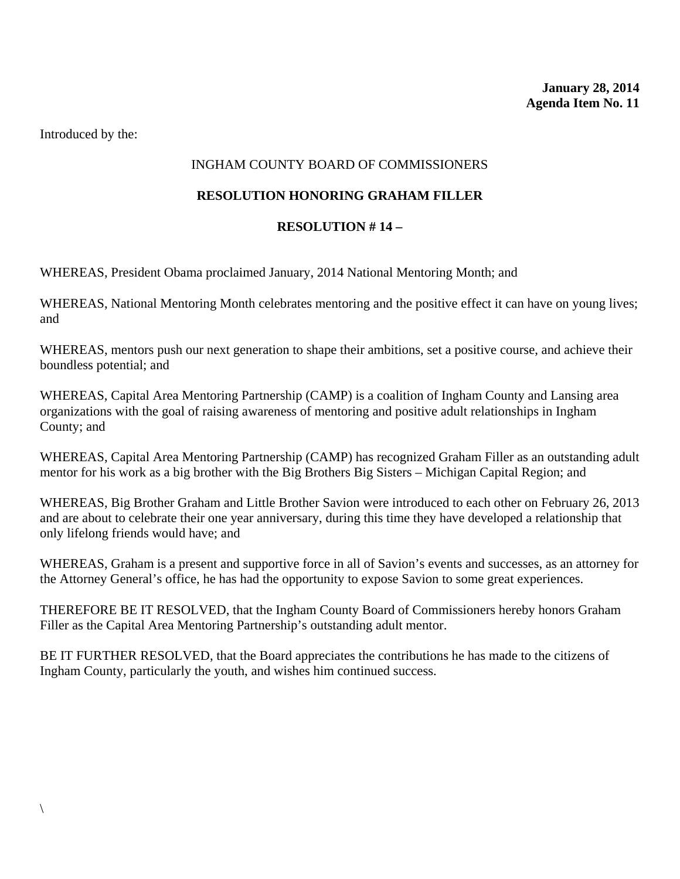# INGHAM COUNTY BOARD OF COMMISSIONERS

# **RESOLUTION HONORING GRAHAM FILLER**

#### **RESOLUTION # 14 –**

WHEREAS, President Obama proclaimed January, 2014 National Mentoring Month; and

WHEREAS, National Mentoring Month celebrates mentoring and the positive effect it can have on young lives; and

WHEREAS, mentors push our next generation to shape their ambitions, set a positive course, and achieve their boundless potential; and

WHEREAS, Capital Area Mentoring Partnership (CAMP) is a coalition of Ingham County and Lansing area organizations with the goal of raising awareness of mentoring and positive adult relationships in Ingham County; and

WHEREAS, Capital Area Mentoring Partnership (CAMP) has recognized Graham Filler as an outstanding adult mentor for his work as a big brother with the Big Brothers Big Sisters – Michigan Capital Region; and

WHEREAS, Big Brother Graham and Little Brother Savion were introduced to each other on February 26, 2013 and are about to celebrate their one year anniversary, during this time they have developed a relationship that only lifelong friends would have; and

WHEREAS, Graham is a present and supportive force in all of Savion's events and successes, as an attorney for the Attorney General's office, he has had the opportunity to expose Savion to some great experiences.

THEREFORE BE IT RESOLVED, that the Ingham County Board of Commissioners hereby honors Graham Filler as the Capital Area Mentoring Partnership's outstanding adult mentor.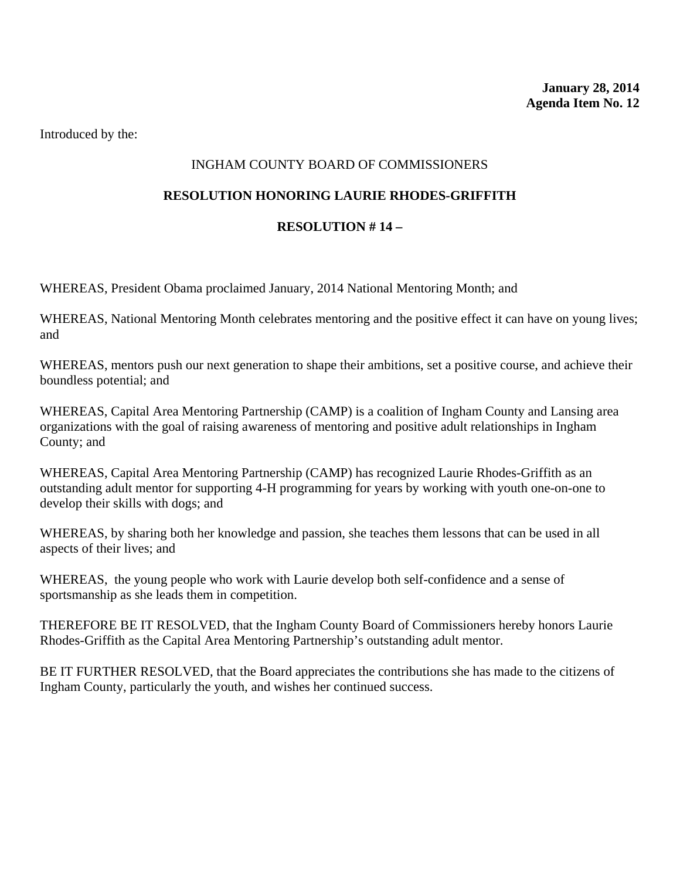# INGHAM COUNTY BOARD OF COMMISSIONERS

#### **RESOLUTION HONORING LAURIE RHODES-GRIFFITH**

#### **RESOLUTION # 14 –**

WHEREAS, President Obama proclaimed January, 2014 National Mentoring Month; and

WHEREAS, National Mentoring Month celebrates mentoring and the positive effect it can have on young lives; and

WHEREAS, mentors push our next generation to shape their ambitions, set a positive course, and achieve their boundless potential; and

WHEREAS, Capital Area Mentoring Partnership (CAMP) is a coalition of Ingham County and Lansing area organizations with the goal of raising awareness of mentoring and positive adult relationships in Ingham County; and

WHEREAS, Capital Area Mentoring Partnership (CAMP) has recognized Laurie Rhodes-Griffith as an outstanding adult mentor for supporting 4-H programming for years by working with youth one-on-one to develop their skills with dogs; and

WHEREAS, by sharing both her knowledge and passion, she teaches them lessons that can be used in all aspects of their lives; and

WHEREAS, the young people who work with Laurie develop both self-confidence and a sense of sportsmanship as she leads them in competition.

THEREFORE BE IT RESOLVED, that the Ingham County Board of Commissioners hereby honors Laurie Rhodes-Griffith as the Capital Area Mentoring Partnership's outstanding adult mentor.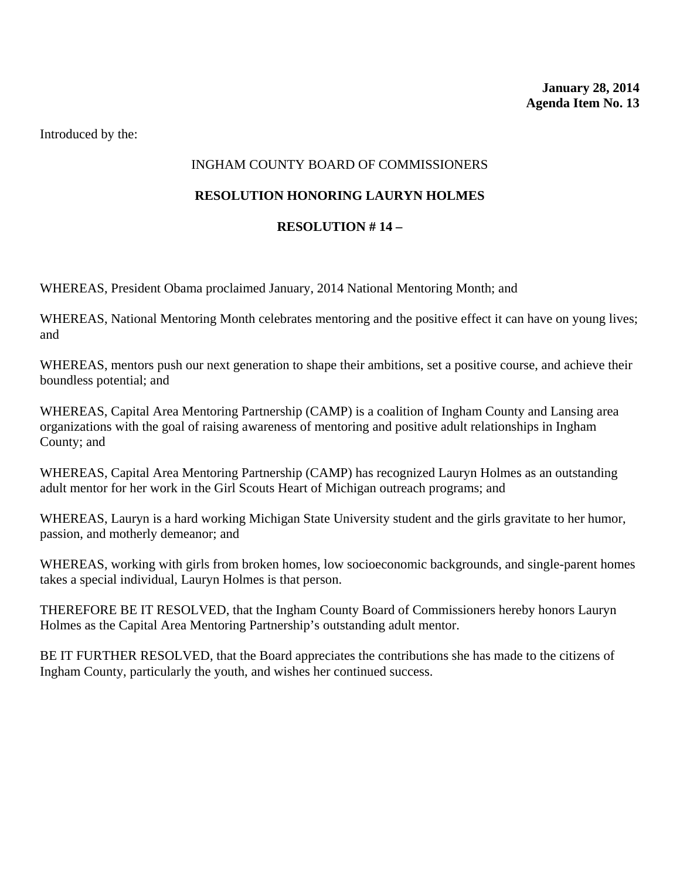# INGHAM COUNTY BOARD OF COMMISSIONERS

#### **RESOLUTION HONORING LAURYN HOLMES**

### **RESOLUTION # 14 –**

WHEREAS, President Obama proclaimed January, 2014 National Mentoring Month; and

WHEREAS, National Mentoring Month celebrates mentoring and the positive effect it can have on young lives; and

WHEREAS, mentors push our next generation to shape their ambitions, set a positive course, and achieve their boundless potential; and

WHEREAS, Capital Area Mentoring Partnership (CAMP) is a coalition of Ingham County and Lansing area organizations with the goal of raising awareness of mentoring and positive adult relationships in Ingham County; and

WHEREAS, Capital Area Mentoring Partnership (CAMP) has recognized Lauryn Holmes as an outstanding adult mentor for her work in the Girl Scouts Heart of Michigan outreach programs; and

WHEREAS, Lauryn is a hard working Michigan State University student and the girls gravitate to her humor, passion, and motherly demeanor; and

WHEREAS, working with girls from broken homes, low socioeconomic backgrounds, and single-parent homes takes a special individual, Lauryn Holmes is that person.

THEREFORE BE IT RESOLVED, that the Ingham County Board of Commissioners hereby honors Lauryn Holmes as the Capital Area Mentoring Partnership's outstanding adult mentor.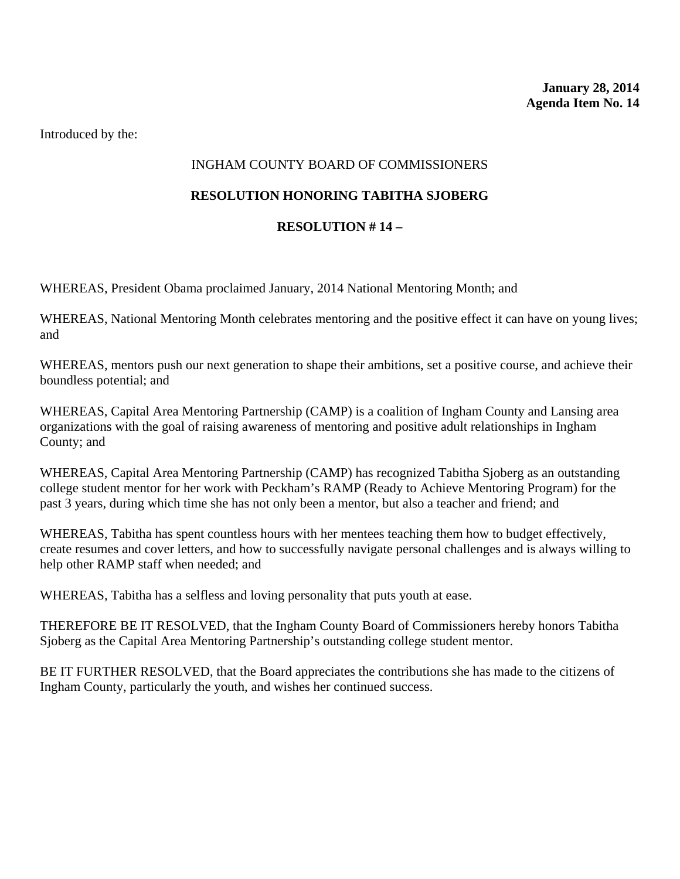# INGHAM COUNTY BOARD OF COMMISSIONERS

## **RESOLUTION HONORING TABITHA SJOBERG**

# **RESOLUTION # 14 –**

WHEREAS, President Obama proclaimed January, 2014 National Mentoring Month; and

WHEREAS, National Mentoring Month celebrates mentoring and the positive effect it can have on young lives; and

WHEREAS, mentors push our next generation to shape their ambitions, set a positive course, and achieve their boundless potential; and

WHEREAS, Capital Area Mentoring Partnership (CAMP) is a coalition of Ingham County and Lansing area organizations with the goal of raising awareness of mentoring and positive adult relationships in Ingham County; and

WHEREAS, Capital Area Mentoring Partnership (CAMP) has recognized Tabitha Sjoberg as an outstanding college student mentor for her work with Peckham's RAMP (Ready to Achieve Mentoring Program) for the past 3 years, during which time she has not only been a mentor, but also a teacher and friend; and

WHEREAS, Tabitha has spent countless hours with her mentees teaching them how to budget effectively, create resumes and cover letters, and how to successfully navigate personal challenges and is always willing to help other RAMP staff when needed; and

WHEREAS, Tabitha has a selfless and loving personality that puts youth at ease.

THEREFORE BE IT RESOLVED, that the Ingham County Board of Commissioners hereby honors Tabitha Sjoberg as the Capital Area Mentoring Partnership's outstanding college student mentor.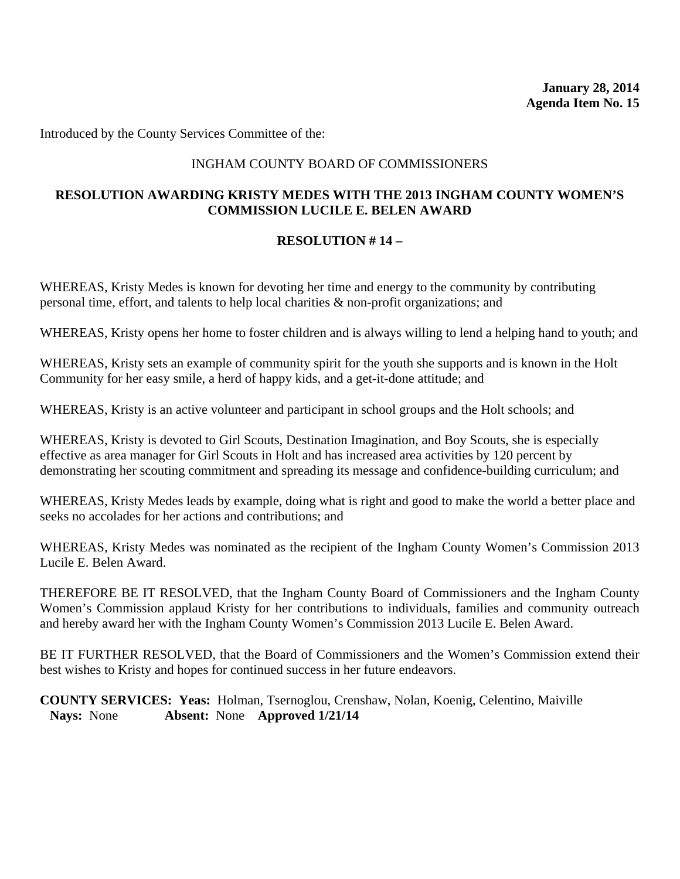Introduced by the County Services Committee of the:

#### INGHAM COUNTY BOARD OF COMMISSIONERS

#### **RESOLUTION AWARDING KRISTY MEDES WITH THE 2013 INGHAM COUNTY WOMEN'S COMMISSION LUCILE E. BELEN AWARD**

#### **RESOLUTION # 14 –**

WHEREAS, Kristy Medes is known for devoting her time and energy to the community by contributing personal time, effort, and talents to help local charities & non-profit organizations; and

WHEREAS, Kristy opens her home to foster children and is always willing to lend a helping hand to youth; and

WHEREAS, Kristy sets an example of community spirit for the youth she supports and is known in the Holt Community for her easy smile, a herd of happy kids, and a get-it-done attitude; and

WHEREAS, Kristy is an active volunteer and participant in school groups and the Holt schools; and

WHEREAS, Kristy is devoted to Girl Scouts, Destination Imagination, and Boy Scouts, she is especially effective as area manager for Girl Scouts in Holt and has increased area activities by 120 percent by demonstrating her scouting commitment and spreading its message and confidence-building curriculum; and

WHEREAS, Kristy Medes leads by example, doing what is right and good to make the world a better place and seeks no accolades for her actions and contributions; and

WHEREAS, Kristy Medes was nominated as the recipient of the Ingham County Women's Commission 2013 Lucile E. Belen Award.

THEREFORE BE IT RESOLVED, that the Ingham County Board of Commissioners and the Ingham County Women's Commission applaud Kristy for her contributions to individuals, families and community outreach and hereby award her with the Ingham County Women's Commission 2013 Lucile E. Belen Award.

BE IT FURTHER RESOLVED, that the Board of Commissioners and the Women's Commission extend their best wishes to Kristy and hopes for continued success in her future endeavors.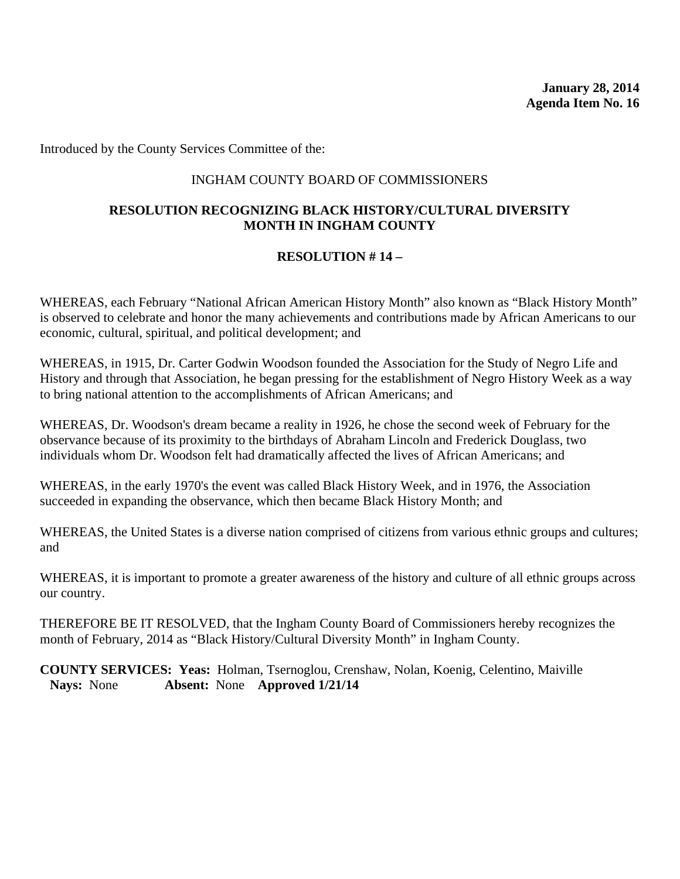Introduced by the County Services Committee of the:

#### INGHAM COUNTY BOARD OF COMMISSIONERS

#### **RESOLUTION RECOGNIZING BLACK HISTORY/CULTURAL DIVERSITY MONTH IN INGHAM COUNTY**

#### **RESOLUTION # 14 –**

WHEREAS, each February "National African American History Month" also known as "Black History Month" is observed to celebrate and honor the many achievements and contributions made by African Americans to our economic, cultural, spiritual, and political development; and

WHEREAS, in 1915, Dr. Carter Godwin Woodson founded the Association for the Study of Negro Life and History and through that Association, he began pressing for the establishment of Negro History Week as a way to bring national attention to the accomplishments of African Americans; and

WHEREAS, Dr. Woodson's dream became a reality in 1926, he chose the second week of February for the observance because of its proximity to the birthdays of Abraham Lincoln and Frederick Douglass, two individuals whom Dr. Woodson felt had dramatically affected the lives of African Americans; and

WHEREAS, in the early 1970's the event was called Black History Week, and in 1976, the Association succeeded in expanding the observance, which then became Black History Month; and

WHEREAS, the United States is a diverse nation comprised of citizens from various ethnic groups and cultures; and

WHEREAS, it is important to promote a greater awareness of the history and culture of all ethnic groups across our country.

THEREFORE BE IT RESOLVED, that the Ingham County Board of Commissioners hereby recognizes the month of February, 2014 as "Black History/Cultural Diversity Month" in Ingham County.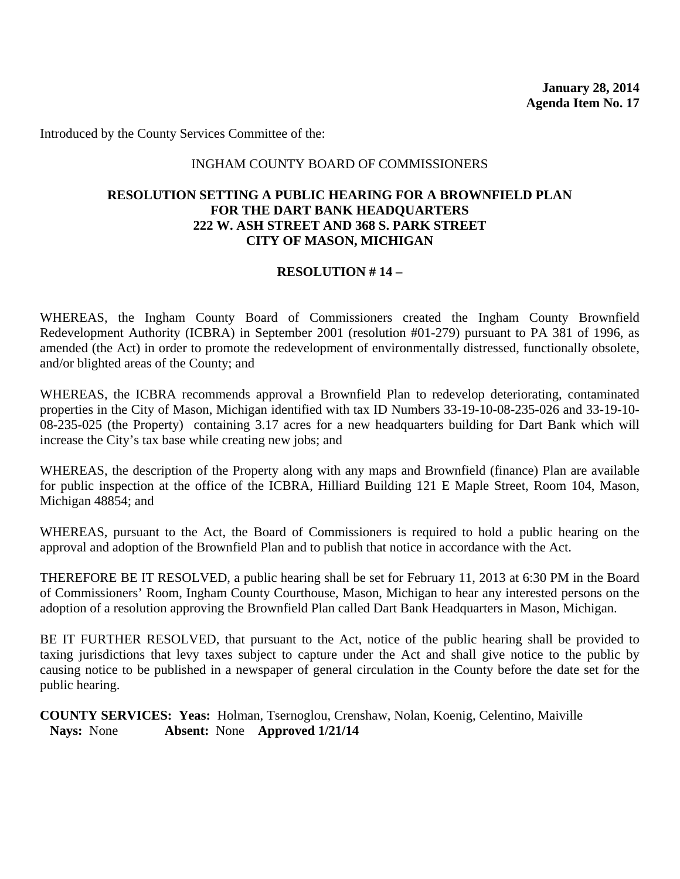**January 28, 2014 Agenda Item No. 17** 

Introduced by the County Services Committee of the:

#### INGHAM COUNTY BOARD OF COMMISSIONERS

#### **RESOLUTION SETTING A PUBLIC HEARING FOR A BROWNFIELD PLAN FOR THE DART BANK HEADQUARTERS 222 W. ASH STREET AND 368 S. PARK STREET CITY OF MASON, MICHIGAN**

#### **RESOLUTION # 14 –**

WHEREAS, the Ingham County Board of Commissioners created the Ingham County Brownfield Redevelopment Authority (ICBRA) in September 2001 (resolution #01-279) pursuant to PA 381 of 1996, as amended (the Act) in order to promote the redevelopment of environmentally distressed, functionally obsolete, and/or blighted areas of the County; and

WHEREAS, the ICBRA recommends approval a Brownfield Plan to redevelop deteriorating, contaminated properties in the City of Mason, Michigan identified with tax ID Numbers 33-19-10-08-235-026 and 33-19-10- 08-235-025 (the Property) containing 3.17 acres for a new headquarters building for Dart Bank which will increase the City's tax base while creating new jobs; and

WHEREAS, the description of the Property along with any maps and Brownfield (finance) Plan are available for public inspection at the office of the ICBRA, Hilliard Building 121 E Maple Street, Room 104, Mason, Michigan 48854; and

WHEREAS, pursuant to the Act, the Board of Commissioners is required to hold a public hearing on the approval and adoption of the Brownfield Plan and to publish that notice in accordance with the Act.

THEREFORE BE IT RESOLVED, a public hearing shall be set for February 11, 2013 at 6:30 PM in the Board of Commissioners' Room, Ingham County Courthouse, Mason, Michigan to hear any interested persons on the adoption of a resolution approving the Brownfield Plan called Dart Bank Headquarters in Mason, Michigan.

BE IT FURTHER RESOLVED, that pursuant to the Act, notice of the public hearing shall be provided to taxing jurisdictions that levy taxes subject to capture under the Act and shall give notice to the public by causing notice to be published in a newspaper of general circulation in the County before the date set for the public hearing.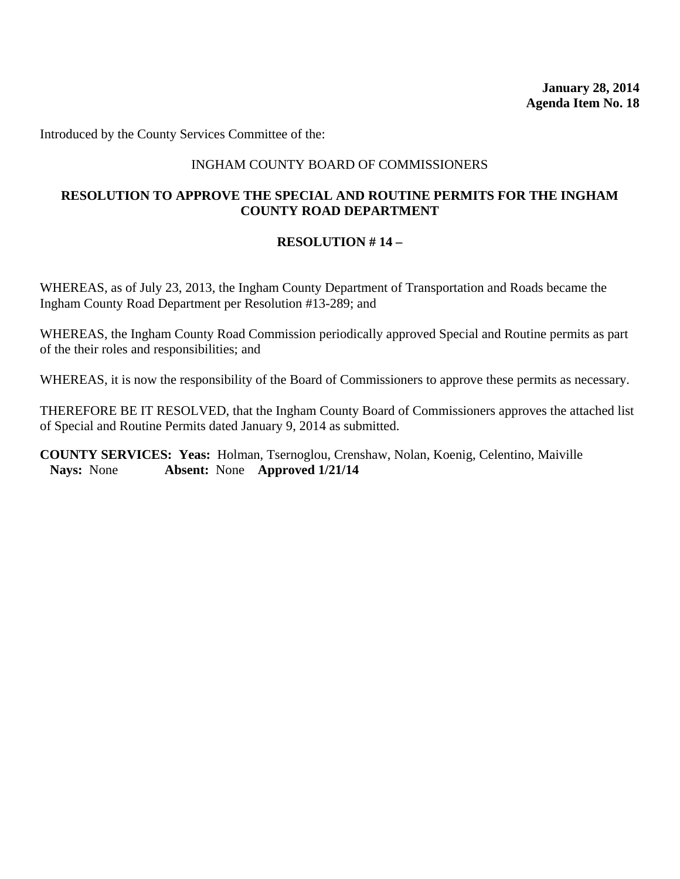Introduced by the County Services Committee of the:

#### INGHAM COUNTY BOARD OF COMMISSIONERS

#### **RESOLUTION TO APPROVE THE SPECIAL AND ROUTINE PERMITS FOR THE INGHAM COUNTY ROAD DEPARTMENT**

#### **RESOLUTION # 14 –**

WHEREAS, as of July 23, 2013, the Ingham County Department of Transportation and Roads became the Ingham County Road Department per Resolution #13-289; and

WHEREAS, the Ingham County Road Commission periodically approved Special and Routine permits as part of the their roles and responsibilities; and

WHEREAS, it is now the responsibility of the Board of Commissioners to approve these permits as necessary.

THEREFORE BE IT RESOLVED, that the Ingham County Board of Commissioners approves the attached list of Special and Routine Permits dated January 9, 2014 as submitted.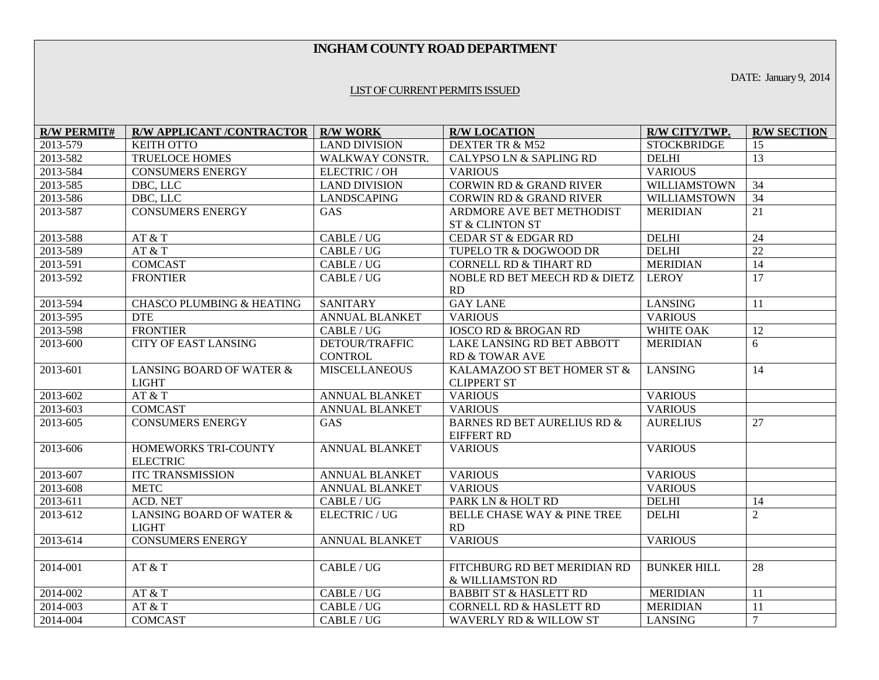#### **INGHAM COUNTY ROAD DEPARTMENT**

DATE: January 9, 2014

#### LIST OF CURRENT PERMITS ISSUED

| <b>R/W PERMIT#</b> | <b>R/W APPLICANT /CONTRACTOR   R/W WORK</b> |                                  | <b>R/W LOCATION</b>                                     | R/W CITY/TWP.       | <b>R/W SECTION</b> |
|--------------------|---------------------------------------------|----------------------------------|---------------------------------------------------------|---------------------|--------------------|
| 2013-579           | <b>KEITH OTTO</b>                           | <b>LAND DIVISION</b>             | DEXTER TR & M52                                         | <b>STOCKBRIDGE</b>  | 15                 |
| 2013-582           | <b>TRUELOCE HOMES</b>                       | WALKWAY CONSTR.                  | CALYPSO LN & SAPLING RD                                 | <b>DELHI</b>        | 13                 |
| 2013-584           | <b>CONSUMERS ENERGY</b>                     | ELECTRIC / OH                    | <b>VARIOUS</b>                                          | <b>VARIOUS</b>      |                    |
| 2013-585           | DBC, LLC                                    | <b>LAND DIVISION</b>             | <b>CORWIN RD &amp; GRAND RIVER</b>                      | WILLIAMSTOWN        | 34                 |
| 2013-586           | DBC, LLC                                    | <b>LANDSCAPING</b>               | <b>CORWIN RD &amp; GRAND RIVER</b>                      | <b>WILLIAMSTOWN</b> | $\overline{34}$    |
| 2013-587           | <b>CONSUMERS ENERGY</b>                     | <b>GAS</b>                       | ARDMORE AVE BET METHODIST<br><b>ST &amp; CLINTON ST</b> | <b>MERIDIAN</b>     | 21                 |
| 2013-588           | AT & T                                      | CABLE/UG                         | CEDAR ST & EDGAR RD                                     | <b>DELHI</b>        | 24                 |
|                    | AT & T                                      | CABLE/UG                         |                                                         | <b>DELHI</b>        | $\overline{22}$    |
| 2013-589           |                                             |                                  | TUPELO TR & DOGWOOD DR                                  |                     |                    |
| 2013-591           | <b>COMCAST</b>                              | CABLE / UG                       | <b>CORNELL RD &amp; TIHART RD</b>                       | <b>MERIDIAN</b>     | $\overline{14}$    |
| 2013-592           | <b>FRONTIER</b>                             | CABLE / UG                       | NOBLE RD BET MEECH RD & DIETZ<br>RD                     | <b>LEROY</b>        | $\overline{17}$    |
| 2013-594           | <b>CHASCO PLUMBING &amp; HEATING</b>        | <b>SANITARY</b>                  | <b>GAY LANE</b>                                         | <b>LANSING</b>      | 11                 |
| 2013-595           | <b>DTE</b>                                  | <b>ANNUAL BLANKET</b>            | <b>VARIOUS</b>                                          | <b>VARIOUS</b>      |                    |
| 2013-598           | <b>FRONTIER</b>                             | CABLE / UG                       | <b>IOSCO RD &amp; BROGAN RD</b>                         | WHITE OAK           | 12                 |
| 2013-600           | <b>CITY OF EAST LANSING</b>                 | DETOUR/TRAFFIC<br><b>CONTROL</b> | LAKE LANSING RD BET ABBOTT<br>RD & TOWAR AVE            | <b>MERIDIAN</b>     | 6                  |
| 2013-601           | LANSING BOARD OF WATER &<br><b>LIGHT</b>    | <b>MISCELLANEOUS</b>             | KALAMAZOO ST BET HOMER ST &<br><b>CLIPPERT ST</b>       | <b>LANSING</b>      | 14                 |
| 2013-602           | AT & T                                      | <b>ANNUAL BLANKET</b>            | <b>VARIOUS</b>                                          | <b>VARIOUS</b>      |                    |
| 2013-603           | <b>COMCAST</b>                              | <b>ANNUAL BLANKET</b>            | <b>VARIOUS</b>                                          | <b>VARIOUS</b>      |                    |
| 2013-605           | <b>CONSUMERS ENERGY</b>                     | GAS                              | BARNES RD BET AURELIUS RD &<br><b>EIFFERT RD</b>        | <b>AURELIUS</b>     | 27                 |
| 2013-606           | HOMEWORKS TRI-COUNTY<br><b>ELECTRIC</b>     | <b>ANNUAL BLANKET</b>            | <b>VARIOUS</b>                                          | <b>VARIOUS</b>      |                    |
| 2013-607           | <b>ITC TRANSMISSION</b>                     | <b>ANNUAL BLANKET</b>            | <b>VARIOUS</b>                                          | <b>VARIOUS</b>      |                    |
| 2013-608           | <b>METC</b>                                 | <b>ANNUAL BLANKET</b>            | <b>VARIOUS</b>                                          | <b>VARIOUS</b>      |                    |
| 2013-611           | <b>ACD. NET</b>                             | CABLE / UG                       | PARK LN & HOLT RD                                       | <b>DELHI</b>        | 14                 |
| 2013-612           | LANSING BOARD OF WATER &<br><b>LIGHT</b>    | ELECTRIC / UG                    | BELLE CHASE WAY & PINE TREE<br>RD                       | <b>DELHI</b>        | $\overline{2}$     |
| 2013-614           | <b>CONSUMERS ENERGY</b>                     | <b>ANNUAL BLANKET</b>            | <b>VARIOUS</b>                                          | <b>VARIOUS</b>      |                    |
|                    |                                             |                                  |                                                         |                     |                    |
| 2014-001           | AT & T                                      | CABLE / UG                       | FITCHBURG RD BET MERIDIAN RD<br>& WILLIAMSTON RD        | <b>BUNKER HILL</b>  | 28                 |
| 2014-002           | AT & T                                      | CABLE/UG                         | <b>BABBIT ST &amp; HASLETT RD</b>                       | <b>MERIDIAN</b>     | 11                 |
| 2014-003           | AT & T                                      | CABLE / UG                       | <b>CORNELL RD &amp; HASLETT RD</b>                      | <b>MERIDIAN</b>     | 11                 |
| 2014-004           | <b>COMCAST</b>                              | CABLE / UG                       | <b>WAVERLY RD &amp; WILLOW ST</b>                       | <b>LANSING</b>      | $\overline{7}$     |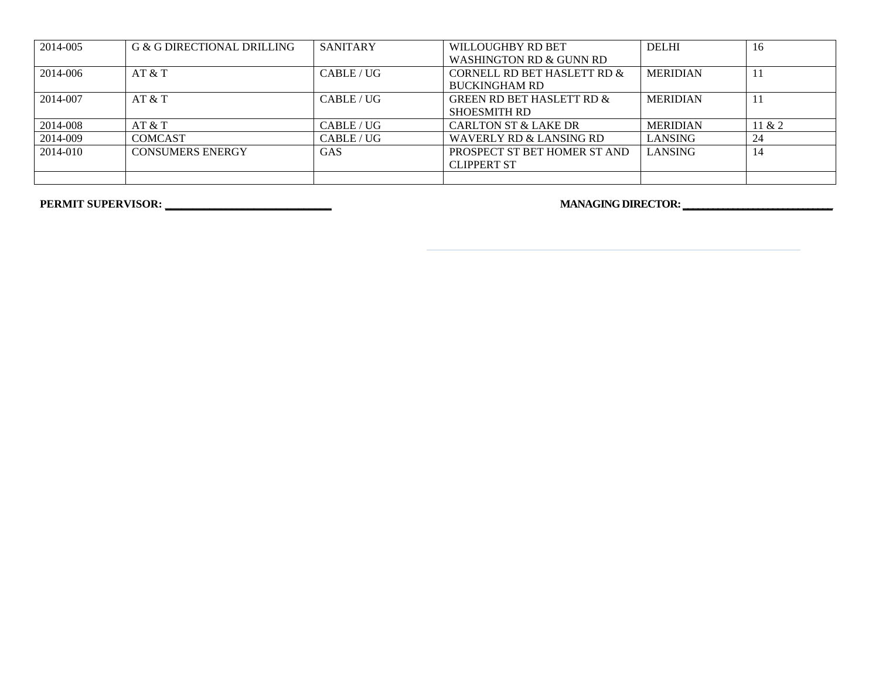| 2014-005 | G & G DIRECTIONAL DRILLING | <b>SANITARY</b> | WILLOUGHBY RD BET                    | <b>DELHI</b>    | 16     |
|----------|----------------------------|-----------------|--------------------------------------|-----------------|--------|
|          |                            |                 | WASHINGTON RD & GUNN RD              |                 |        |
| 2014-006 | AT & T                     | CABLE/UG        | CORNELL RD BET HASLETT RD &          | <b>MERIDIAN</b> |        |
|          |                            |                 | <b>BUCKINGHAM RD</b>                 |                 |        |
| 2014-007 | AT & T                     | CABLE/UG        | <b>GREEN RD BET HASLETT RD &amp;</b> | <b>MERIDIAN</b> |        |
|          |                            |                 | <b>SHOESMITH RD</b>                  |                 |        |
| 2014-008 | AT & T                     | CABLE / UG      | <b>CARLTON ST &amp; LAKE DR</b>      | <b>MERIDIAN</b> | 11 & 2 |
| 2014-009 | <b>COMCAST</b>             | CABLE/UG        | WAVERLY RD & LANSING RD              | <b>LANSING</b>  | 24     |
| 2014-010 | <b>CONSUMERS ENERGY</b>    | <b>GAS</b>      | PROSPECT ST BET HOMER ST AND         | <b>LANSING</b>  | 14     |
|          |                            |                 | <b>CLIPPERT ST</b>                   |                 |        |
|          |                            |                 |                                      |                 |        |

**PERMIT SUPERVISOR: \_\_\_\_\_\_\_\_\_\_\_\_\_\_\_\_\_\_\_\_\_\_\_\_\_\_\_\_\_\_ MANAGING DIRECTOR: \_\_\_\_\_\_\_\_\_\_\_\_\_\_\_\_\_\_\_\_\_\_\_\_\_\_\_\_\_\_**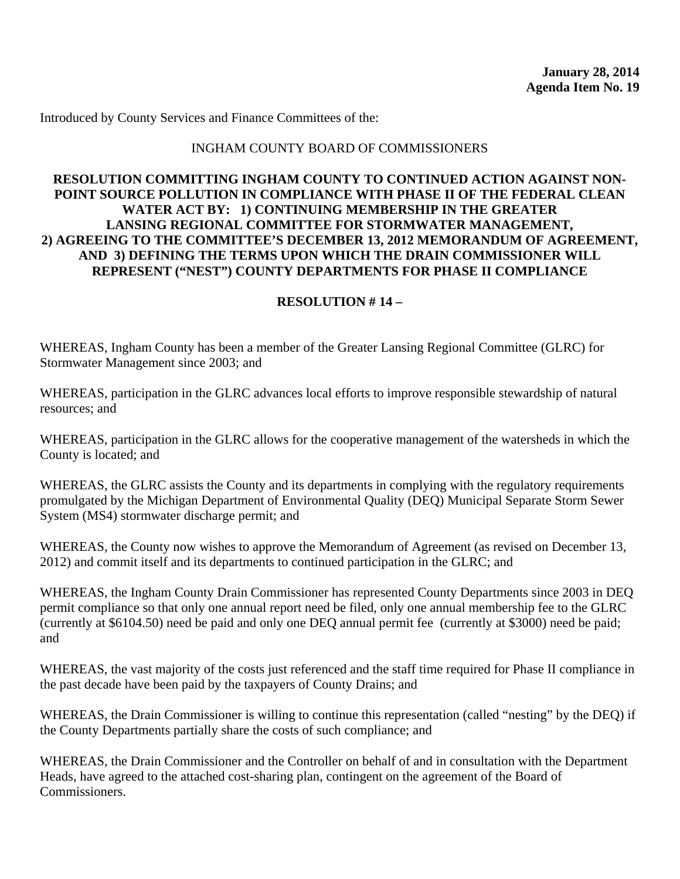Introduced by County Services and Finance Committees of the:

#### INGHAM COUNTY BOARD OF COMMISSIONERS

#### **RESOLUTION COMMITTING INGHAM COUNTY TO CONTINUED ACTION AGAINST NON-POINT SOURCE POLLUTION IN COMPLIANCE WITH PHASE II OF THE FEDERAL CLEAN WATER ACT BY: 1) CONTINUING MEMBERSHIP IN THE GREATER LANSING REGIONAL COMMITTEE FOR STORMWATER MANAGEMENT, 2) AGREEING TO THE COMMITTEE'S DECEMBER 13, 2012 MEMORANDUM OF AGREEMENT, AND 3) DEFINING THE TERMS UPON WHICH THE DRAIN COMMISSIONER WILL REPRESENT ("NEST") COUNTY DEPARTMENTS FOR PHASE II COMPLIANCE**

#### **RESOLUTION # 14 –**

WHEREAS, Ingham County has been a member of the Greater Lansing Regional Committee (GLRC) for Stormwater Management since 2003; and

WHEREAS, participation in the GLRC advances local efforts to improve responsible stewardship of natural resources; and

WHEREAS, participation in the GLRC allows for the cooperative management of the watersheds in which the County is located; and

WHEREAS, the GLRC assists the County and its departments in complying with the regulatory requirements promulgated by the Michigan Department of Environmental Quality (DEQ) Municipal Separate Storm Sewer System (MS4) stormwater discharge permit; and

WHEREAS, the County now wishes to approve the Memorandum of Agreement (as revised on December 13, 2012) and commit itself and its departments to continued participation in the GLRC; and

WHEREAS, the Ingham County Drain Commissioner has represented County Departments since 2003 in DEQ permit compliance so that only one annual report need be filed, only one annual membership fee to the GLRC (currently at \$6104.50) need be paid and only one DEQ annual permit fee (currently at \$3000) need be paid; and

WHEREAS, the vast majority of the costs just referenced and the staff time required for Phase II compliance in the past decade have been paid by the taxpayers of County Drains; and

WHEREAS, the Drain Commissioner is willing to continue this representation (called "nesting" by the DEQ) if the County Departments partially share the costs of such compliance; and

WHEREAS, the Drain Commissioner and the Controller on behalf of and in consultation with the Department Heads, have agreed to the attached cost-sharing plan, contingent on the agreement of the Board of Commissioners.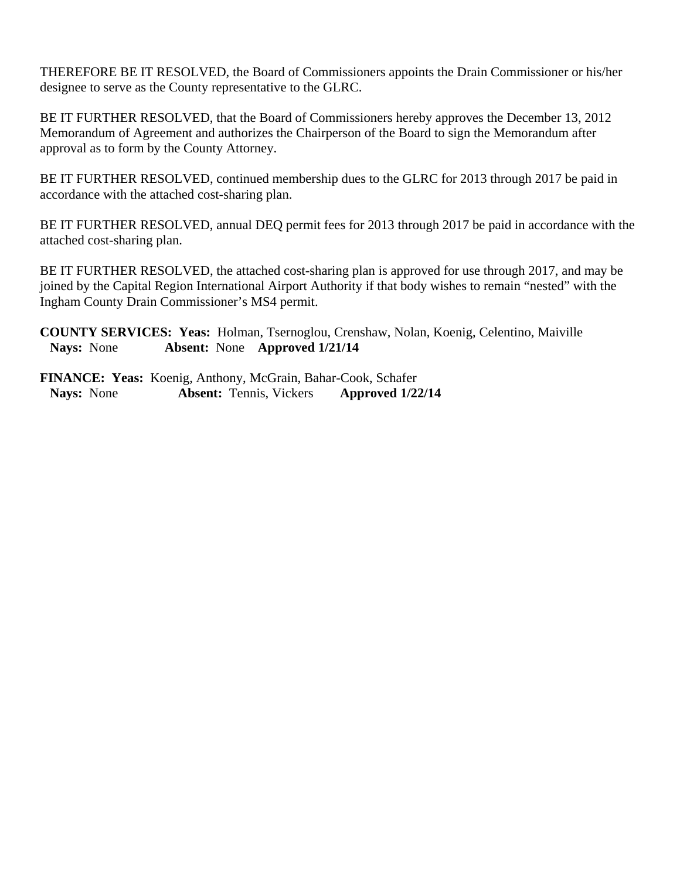THEREFORE BE IT RESOLVED, the Board of Commissioners appoints the Drain Commissioner or his/her designee to serve as the County representative to the GLRC.

BE IT FURTHER RESOLVED, that the Board of Commissioners hereby approves the December 13, 2012 Memorandum of Agreement and authorizes the Chairperson of the Board to sign the Memorandum after approval as to form by the County Attorney.

BE IT FURTHER RESOLVED, continued membership dues to the GLRC for 2013 through 2017 be paid in accordance with the attached cost-sharing plan.

BE IT FURTHER RESOLVED, annual DEQ permit fees for 2013 through 2017 be paid in accordance with the attached cost-sharing plan.

BE IT FURTHER RESOLVED, the attached cost-sharing plan is approved for use through 2017, and may be joined by the Capital Region International Airport Authority if that body wishes to remain "nested" with the Ingham County Drain Commissioner's MS4 permit.

**COUNTY SERVICES: Yeas:** Holman, Tsernoglou, Crenshaw, Nolan, Koenig, Celentino, Maiville **Nays:** None **Absent:** None **Approved 1/21/14** 

**FINANCE: Yeas:** Koenig, Anthony, McGrain, Bahar-Cook, Schafer **Nays:** None **Absent:** Tennis, Vickers **Approved 1/22/14**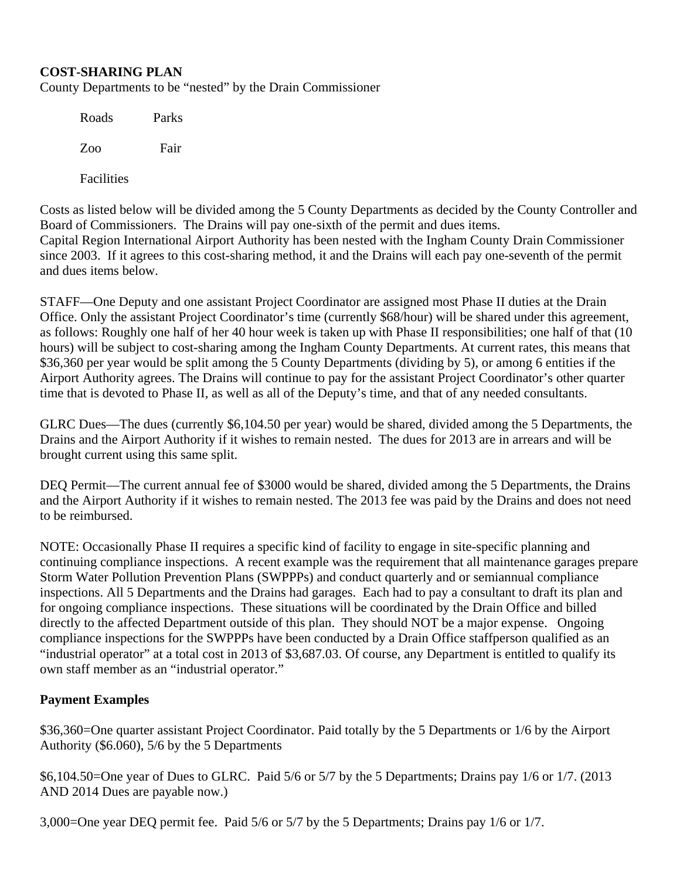#### **COST-SHARING PLAN**

County Departments to be "nested" by the Drain Commissioner

| Roads      | Parks |
|------------|-------|
| Zoo        | Fair  |
| Facilities |       |

Costs as listed below will be divided among the 5 County Departments as decided by the County Controller and Board of Commissioners. The Drains will pay one-sixth of the permit and dues items. Capital Region International Airport Authority has been nested with the Ingham County Drain Commissioner since 2003. If it agrees to this cost-sharing method, it and the Drains will each pay one-seventh of the permit and dues items below.

STAFF—One Deputy and one assistant Project Coordinator are assigned most Phase II duties at the Drain Office. Only the assistant Project Coordinator's time (currently \$68/hour) will be shared under this agreement, as follows: Roughly one half of her 40 hour week is taken up with Phase II responsibilities; one half of that (10 hours) will be subject to cost-sharing among the Ingham County Departments. At current rates, this means that \$36,360 per year would be split among the 5 County Departments (dividing by 5), or among 6 entities if the Airport Authority agrees. The Drains will continue to pay for the assistant Project Coordinator's other quarter time that is devoted to Phase II, as well as all of the Deputy's time, and that of any needed consultants.

GLRC Dues—The dues (currently \$6,104.50 per year) would be shared, divided among the 5 Departments, the Drains and the Airport Authority if it wishes to remain nested. The dues for 2013 are in arrears and will be brought current using this same split.

DEQ Permit—The current annual fee of \$3000 would be shared, divided among the 5 Departments, the Drains and the Airport Authority if it wishes to remain nested. The 2013 fee was paid by the Drains and does not need to be reimbursed.

NOTE: Occasionally Phase II requires a specific kind of facility to engage in site-specific planning and continuing compliance inspections. A recent example was the requirement that all maintenance garages prepare Storm Water Pollution Prevention Plans (SWPPPs) and conduct quarterly and or semiannual compliance inspections. All 5 Departments and the Drains had garages. Each had to pay a consultant to draft its plan and for ongoing compliance inspections. These situations will be coordinated by the Drain Office and billed directly to the affected Department outside of this plan. They should NOT be a major expense. Ongoing compliance inspections for the SWPPPs have been conducted by a Drain Office staffperson qualified as an "industrial operator" at a total cost in 2013 of \$3,687.03. Of course, any Department is entitled to qualify its own staff member as an "industrial operator."

#### **Payment Examples**

\$36,360=One quarter assistant Project Coordinator. Paid totally by the 5 Departments or 1/6 by the Airport Authority (\$6.060), 5/6 by the 5 Departments

\$6,104.50=One year of Dues to GLRC. Paid 5/6 or 5/7 by the 5 Departments; Drains pay 1/6 or 1/7. (2013 AND 2014 Dues are payable now.)

3,000=One year DEQ permit fee. Paid 5/6 or 5/7 by the 5 Departments; Drains pay 1/6 or 1/7.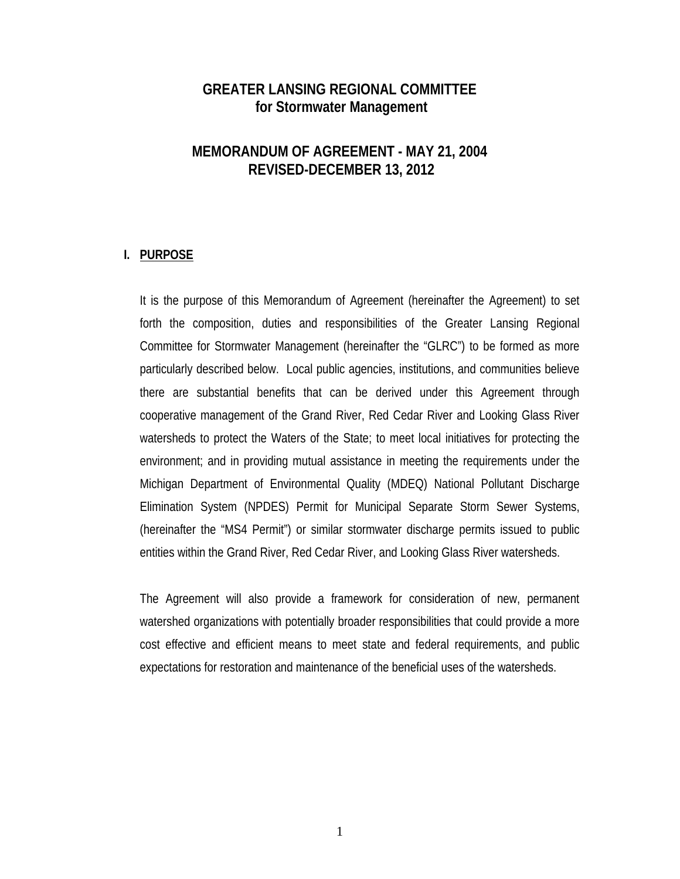# **GREATER LANSING REGIONAL COMMITTEE for Stormwater Management**

# **MEMORANDUM OF AGREEMENT - MAY 21, 2004 REVISED-DECEMBER 13, 2012**

#### **I. PURPOSE**

It is the purpose of this Memorandum of Agreement (hereinafter the Agreement) to set forth the composition, duties and responsibilities of the Greater Lansing Regional Committee for Stormwater Management (hereinafter the "GLRC") to be formed as more particularly described below. Local public agencies, institutions, and communities believe there are substantial benefits that can be derived under this Agreement through cooperative management of the Grand River, Red Cedar River and Looking Glass River watersheds to protect the Waters of the State; to meet local initiatives for protecting the environment; and in providing mutual assistance in meeting the requirements under the Michigan Department of Environmental Quality (MDEQ) National Pollutant Discharge Elimination System (NPDES) Permit for Municipal Separate Storm Sewer Systems, (hereinafter the "MS4 Permit") or similar stormwater discharge permits issued to public entities within the Grand River, Red Cedar River, and Looking Glass River watersheds.

The Agreement will also provide a framework for consideration of new, permanent watershed organizations with potentially broader responsibilities that could provide a more cost effective and efficient means to meet state and federal requirements, and public expectations for restoration and maintenance of the beneficial uses of the watersheds.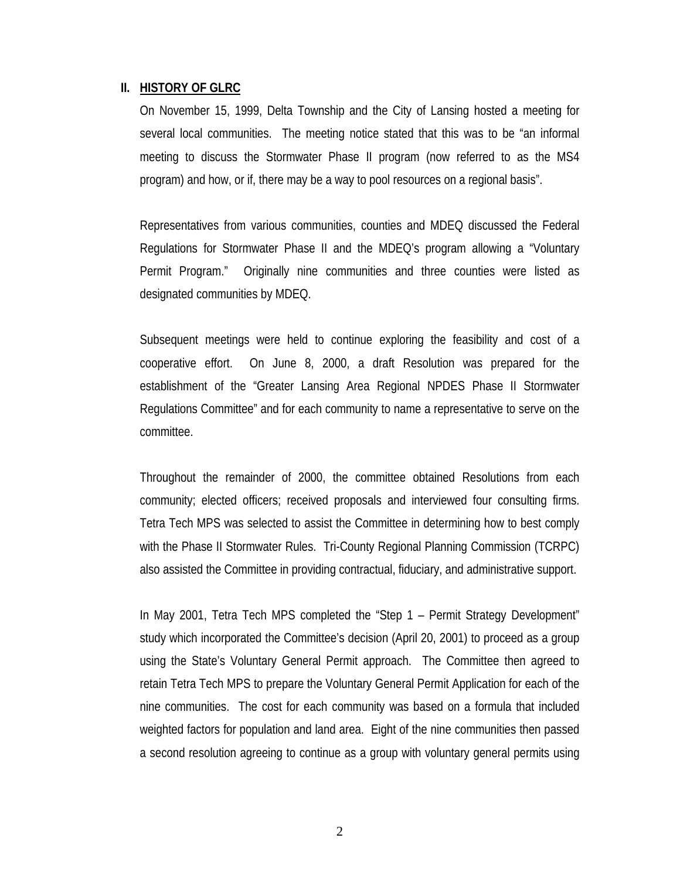#### **II. HISTORY OF GLRC**

On November 15, 1999, Delta Township and the City of Lansing hosted a meeting for several local communities. The meeting notice stated that this was to be "an informal meeting to discuss the Stormwater Phase II program (now referred to as the MS4 program) and how, or if, there may be a way to pool resources on a regional basis".

Representatives from various communities, counties and MDEQ discussed the Federal Regulations for Stormwater Phase II and the MDEQ's program allowing a "Voluntary Permit Program." Originally nine communities and three counties were listed as designated communities by MDEQ.

Subsequent meetings were held to continue exploring the feasibility and cost of a cooperative effort. On June 8, 2000, a draft Resolution was prepared for the establishment of the "Greater Lansing Area Regional NPDES Phase II Stormwater Regulations Committee" and for each community to name a representative to serve on the committee.

Throughout the remainder of 2000, the committee obtained Resolutions from each community; elected officers; received proposals and interviewed four consulting firms. Tetra Tech MPS was selected to assist the Committee in determining how to best comply with the Phase II Stormwater Rules. Tri-County Regional Planning Commission (TCRPC) also assisted the Committee in providing contractual, fiduciary, and administrative support.

In May 2001, Tetra Tech MPS completed the "Step 1 – Permit Strategy Development" study which incorporated the Committee's decision (April 20, 2001) to proceed as a group using the State's Voluntary General Permit approach. The Committee then agreed to retain Tetra Tech MPS to prepare the Voluntary General Permit Application for each of the nine communities. The cost for each community was based on a formula that included weighted factors for population and land area. Eight of the nine communities then passed a second resolution agreeing to continue as a group with voluntary general permits using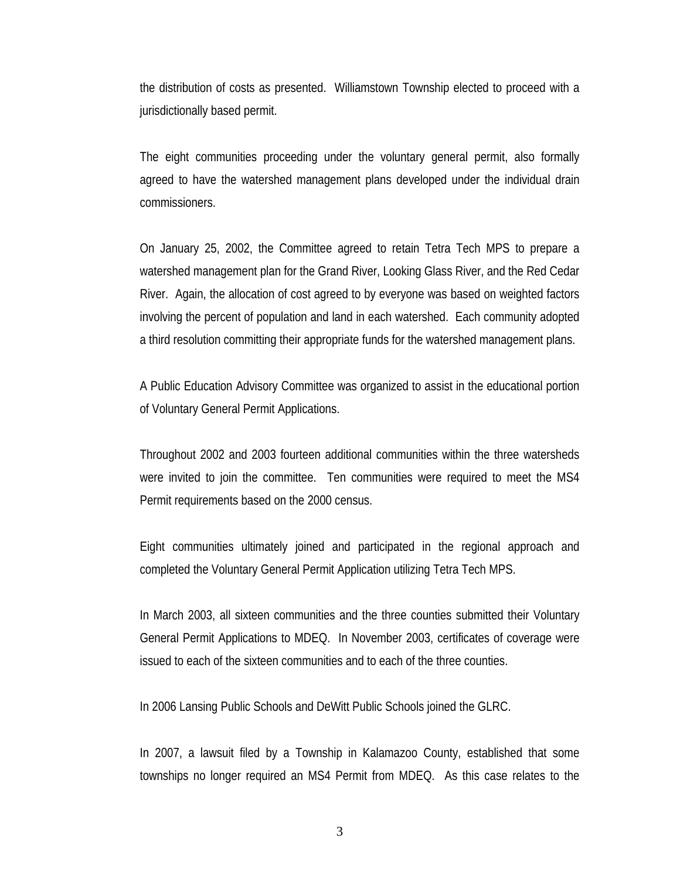the distribution of costs as presented. Williamstown Township elected to proceed with a jurisdictionally based permit.

The eight communities proceeding under the voluntary general permit, also formally agreed to have the watershed management plans developed under the individual drain commissioners.

On January 25, 2002, the Committee agreed to retain Tetra Tech MPS to prepare a watershed management plan for the Grand River, Looking Glass River, and the Red Cedar River. Again, the allocation of cost agreed to by everyone was based on weighted factors involving the percent of population and land in each watershed. Each community adopted a third resolution committing their appropriate funds for the watershed management plans.

A Public Education Advisory Committee was organized to assist in the educational portion of Voluntary General Permit Applications.

Throughout 2002 and 2003 fourteen additional communities within the three watersheds were invited to join the committee. Ten communities were required to meet the MS4 Permit requirements based on the 2000 census.

Eight communities ultimately joined and participated in the regional approach and completed the Voluntary General Permit Application utilizing Tetra Tech MPS.

In March 2003, all sixteen communities and the three counties submitted their Voluntary General Permit Applications to MDEQ. In November 2003, certificates of coverage were issued to each of the sixteen communities and to each of the three counties.

In 2006 Lansing Public Schools and DeWitt Public Schools joined the GLRC.

In 2007, a lawsuit filed by a Township in Kalamazoo County, established that some townships no longer required an MS4 Permit from MDEQ. As this case relates to the

3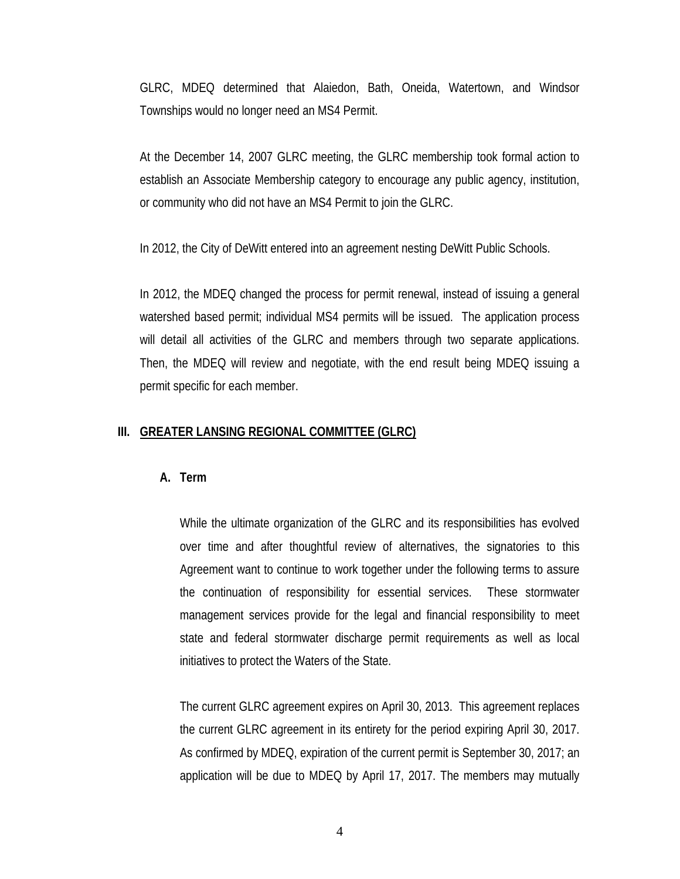GLRC, MDEQ determined that Alaiedon, Bath, Oneida, Watertown, and Windsor Townships would no longer need an MS4 Permit.

At the December 14, 2007 GLRC meeting, the GLRC membership took formal action to establish an Associate Membership category to encourage any public agency, institution, or community who did not have an MS4 Permit to join the GLRC.

In 2012, the City of DeWitt entered into an agreement nesting DeWitt Public Schools.

In 2012, the MDEQ changed the process for permit renewal, instead of issuing a general watershed based permit; individual MS4 permits will be issued. The application process will detail all activities of the GLRC and members through two separate applications. Then, the MDEQ will review and negotiate, with the end result being MDEQ issuing a permit specific for each member.

#### **III. GREATER LANSING REGIONAL COMMITTEE (GLRC)**

#### **A. Term**

While the ultimate organization of the GLRC and its responsibilities has evolved over time and after thoughtful review of alternatives, the signatories to this Agreement want to continue to work together under the following terms to assure the continuation of responsibility for essential services. These stormwater management services provide for the legal and financial responsibility to meet state and federal stormwater discharge permit requirements as well as local initiatives to protect the Waters of the State.

The current GLRC agreement expires on April 30, 2013. This agreement replaces the current GLRC agreement in its entirety for the period expiring April 30, 2017. As confirmed by MDEQ, expiration of the current permit is September 30, 2017; an application will be due to MDEQ by April 17, 2017. The members may mutually

4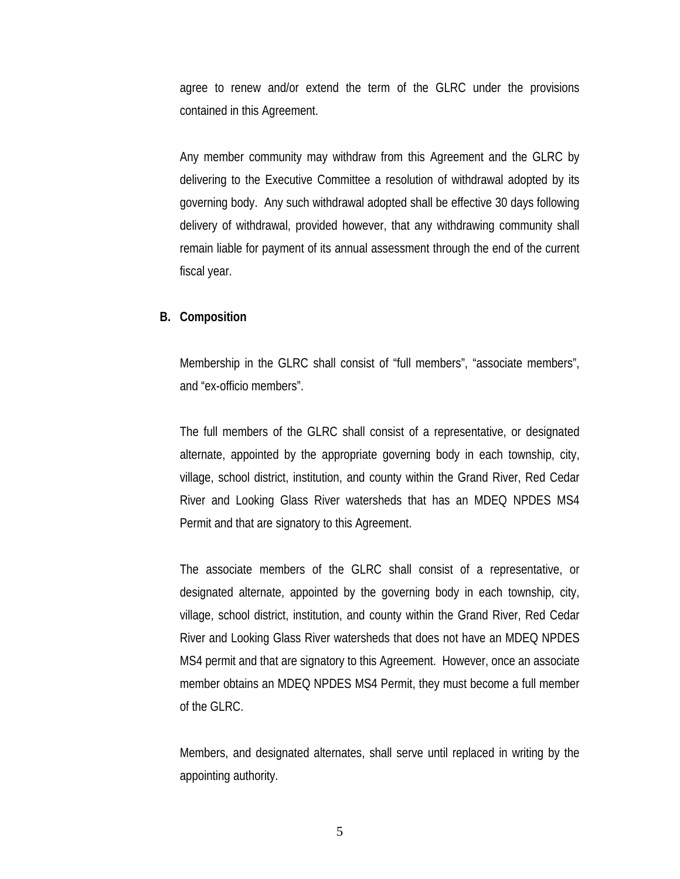agree to renew and/or extend the term of the GLRC under the provisions contained in this Agreement.

Any member community may withdraw from this Agreement and the GLRC by delivering to the Executive Committee a resolution of withdrawal adopted by its governing body. Any such withdrawal adopted shall be effective 30 days following delivery of withdrawal, provided however, that any withdrawing community shall remain liable for payment of its annual assessment through the end of the current fiscal year.

#### **B. Composition**

Membership in the GLRC shall consist of "full members", "associate members", and "ex-officio members".

The full members of the GLRC shall consist of a representative, or designated alternate, appointed by the appropriate governing body in each township, city, village, school district, institution, and county within the Grand River, Red Cedar River and Looking Glass River watersheds that has an MDEQ NPDES MS4 Permit and that are signatory to this Agreement.

The associate members of the GLRC shall consist of a representative, or designated alternate, appointed by the governing body in each township, city, village, school district, institution, and county within the Grand River, Red Cedar River and Looking Glass River watersheds that does not have an MDEQ NPDES MS4 permit and that are signatory to this Agreement. However, once an associate member obtains an MDEQ NPDES MS4 Permit, they must become a full member of the GLRC.

Members, and designated alternates, shall serve until replaced in writing by the appointing authority.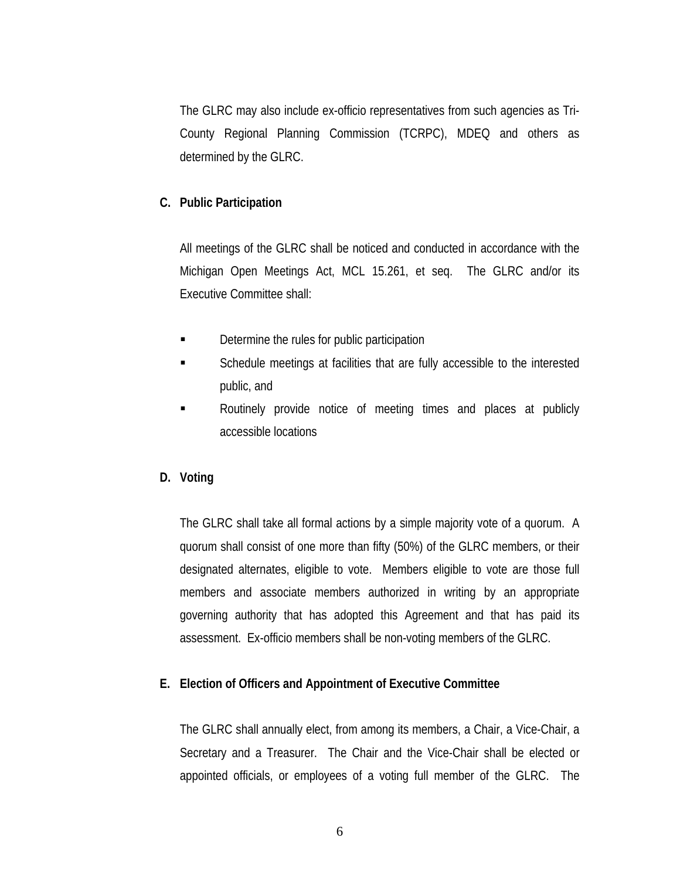The GLRC may also include ex-officio representatives from such agencies as Tri-County Regional Planning Commission (TCRPC), MDEQ and others as determined by the GLRC.

#### **C. Public Participation**

All meetings of the GLRC shall be noticed and conducted in accordance with the Michigan Open Meetings Act, MCL 15.261, et seq. The GLRC and/or its Executive Committee shall:

- **Determine the rules for public participation**
- Schedule meetings at facilities that are fully accessible to the interested public, and
- Routinely provide notice of meeting times and places at publicly accessible locations

#### **D. Voting**

The GLRC shall take all formal actions by a simple majority vote of a quorum. A quorum shall consist of one more than fifty (50%) of the GLRC members, or their designated alternates, eligible to vote. Members eligible to vote are those full members and associate members authorized in writing by an appropriate governing authority that has adopted this Agreement and that has paid its assessment. Ex-officio members shall be non-voting members of the GLRC.

#### **E. Election of Officers and Appointment of Executive Committee**

The GLRC shall annually elect, from among its members, a Chair, a Vice-Chair, a Secretary and a Treasurer. The Chair and the Vice-Chair shall be elected or appointed officials, or employees of a voting full member of the GLRC. The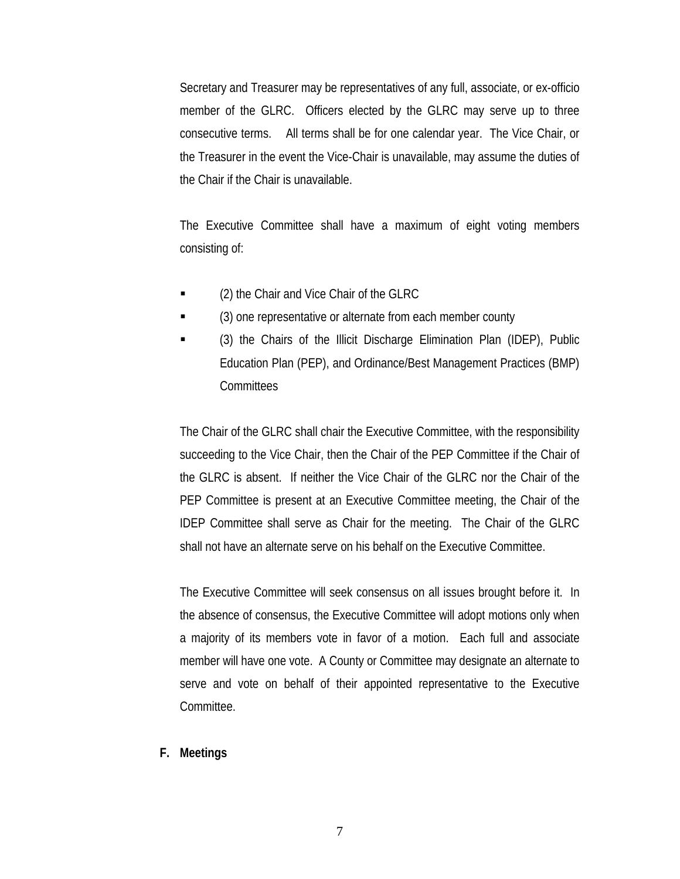Secretary and Treasurer may be representatives of any full, associate, or ex-officio member of the GLRC. Officers elected by the GLRC may serve up to three consecutive terms. All terms shall be for one calendar year. The Vice Chair, or the Treasurer in the event the Vice-Chair is unavailable, may assume the duties of the Chair if the Chair is unavailable.

The Executive Committee shall have a maximum of eight voting members consisting of:

- (2) the Chair and Vice Chair of the GLRC
- (3) one representative or alternate from each member county
- (3) the Chairs of the Illicit Discharge Elimination Plan (IDEP), Public Education Plan (PEP), and Ordinance/Best Management Practices (BMP) **Committees**

The Chair of the GLRC shall chair the Executive Committee, with the responsibility succeeding to the Vice Chair, then the Chair of the PEP Committee if the Chair of the GLRC is absent. If neither the Vice Chair of the GLRC nor the Chair of the PEP Committee is present at an Executive Committee meeting, the Chair of the IDEP Committee shall serve as Chair for the meeting. The Chair of the GLRC shall not have an alternate serve on his behalf on the Executive Committee.

The Executive Committee will seek consensus on all issues brought before it. In the absence of consensus, the Executive Committee will adopt motions only when a majority of its members vote in favor of a motion. Each full and associate member will have one vote. A County or Committee may designate an alternate to serve and vote on behalf of their appointed representative to the Executive Committee.

**F. Meetings**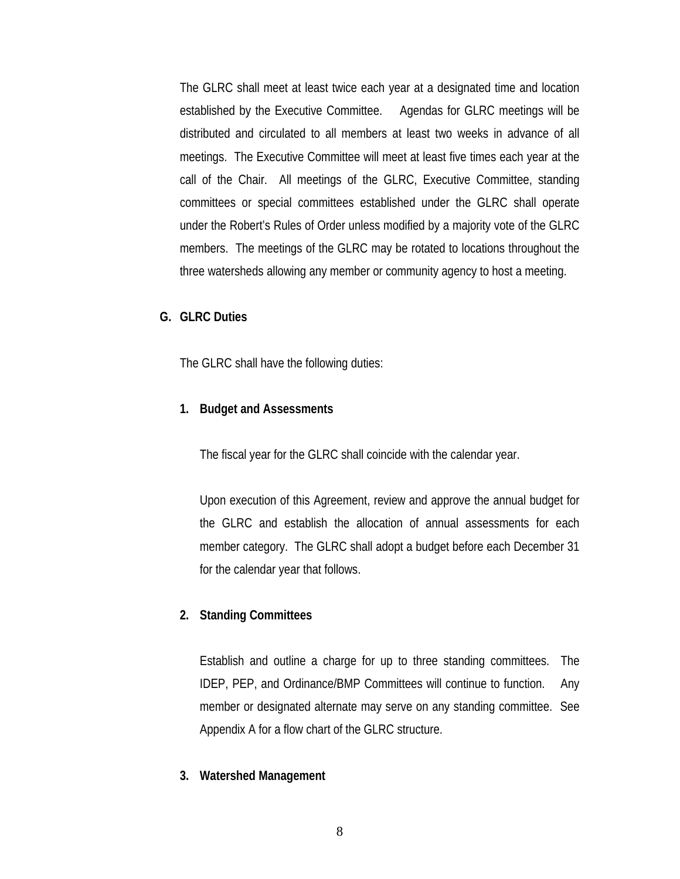The GLRC shall meet at least twice each year at a designated time and location established by the Executive Committee. Agendas for GLRC meetings will be distributed and circulated to all members at least two weeks in advance of all meetings. The Executive Committee will meet at least five times each year at the call of the Chair. All meetings of the GLRC, Executive Committee, standing committees or special committees established under the GLRC shall operate under the Robert's Rules of Order unless modified by a majority vote of the GLRC members. The meetings of the GLRC may be rotated to locations throughout the three watersheds allowing any member or community agency to host a meeting.

#### **G. GLRC Duties**

The GLRC shall have the following duties:

#### **1. Budget and Assessments**

The fiscal year for the GLRC shall coincide with the calendar year.

Upon execution of this Agreement, review and approve the annual budget for the GLRC and establish the allocation of annual assessments for each member category. The GLRC shall adopt a budget before each December 31 for the calendar year that follows.

#### **2. Standing Committees**

Establish and outline a charge for up to three standing committees. The IDEP, PEP, and Ordinance/BMP Committees will continue to function. Any member or designated alternate may serve on any standing committee. See Appendix A for a flow chart of the GLRC structure.

#### **3. Watershed Management**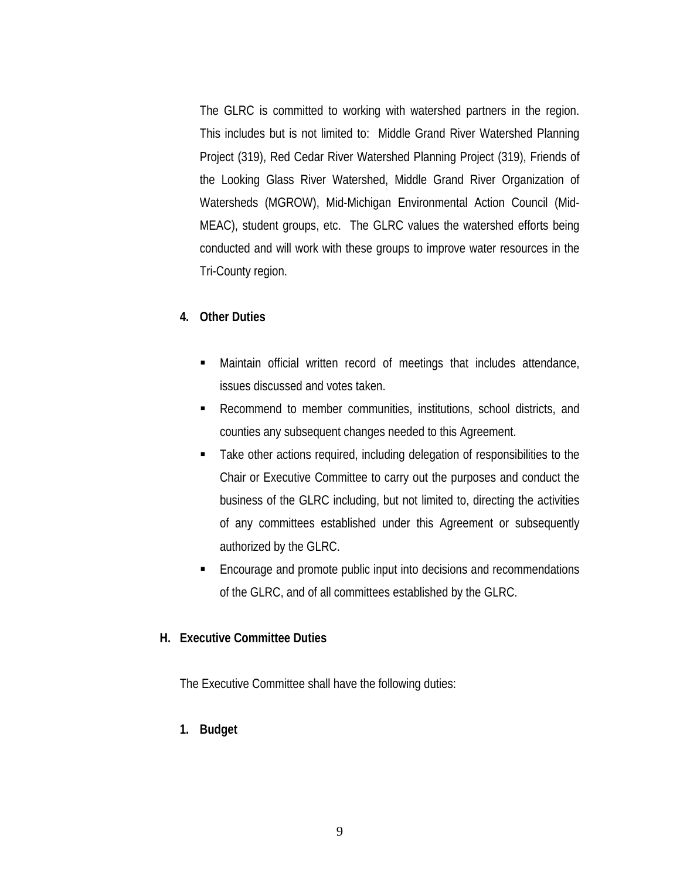The GLRC is committed to working with watershed partners in the region. This includes but is not limited to: Middle Grand River Watershed Planning Project (319), Red Cedar River Watershed Planning Project (319), Friends of the Looking Glass River Watershed, Middle Grand River Organization of Watersheds (MGROW), Mid-Michigan Environmental Action Council (Mid-MEAC), student groups, etc. The GLRC values the watershed efforts being conducted and will work with these groups to improve water resources in the Tri-County region.

#### **4. Other Duties**

- Maintain official written record of meetings that includes attendance, issues discussed and votes taken.
- Recommend to member communities, institutions, school districts, and counties any subsequent changes needed to this Agreement.
- Take other actions required, including delegation of responsibilities to the Chair or Executive Committee to carry out the purposes and conduct the business of the GLRC including, but not limited to, directing the activities of any committees established under this Agreement or subsequently authorized by the GLRC.
- Encourage and promote public input into decisions and recommendations of the GLRC, and of all committees established by the GLRC.

#### **H. Executive Committee Duties**

The Executive Committee shall have the following duties:

**1. Budget**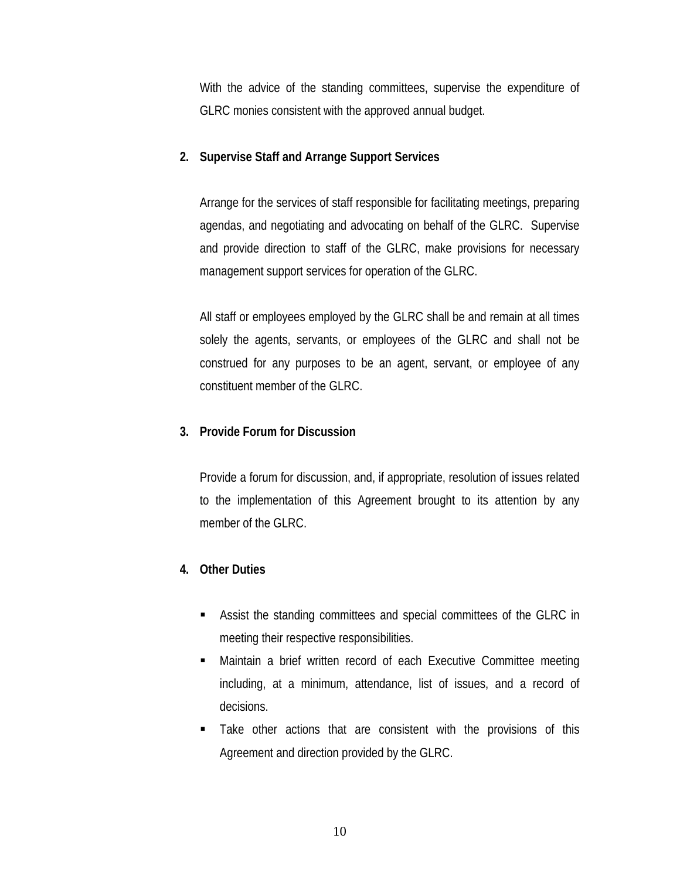With the advice of the standing committees, supervise the expenditure of GLRC monies consistent with the approved annual budget.

### **2. Supervise Staff and Arrange Support Services**

Arrange for the services of staff responsible for facilitating meetings, preparing agendas, and negotiating and advocating on behalf of the GLRC. Supervise and provide direction to staff of the GLRC, make provisions for necessary management support services for operation of the GLRC.

All staff or employees employed by the GLRC shall be and remain at all times solely the agents, servants, or employees of the GLRC and shall not be construed for any purposes to be an agent, servant, or employee of any constituent member of the GLRC.

#### **3. Provide Forum for Discussion**

Provide a forum for discussion, and, if appropriate, resolution of issues related to the implementation of this Agreement brought to its attention by any member of the GLRC.

## **4. Other Duties**

- Assist the standing committees and special committees of the GLRC in meeting their respective responsibilities.
- Maintain a brief written record of each Executive Committee meeting including, at a minimum, attendance, list of issues, and a record of decisions.
- Take other actions that are consistent with the provisions of this Agreement and direction provided by the GLRC.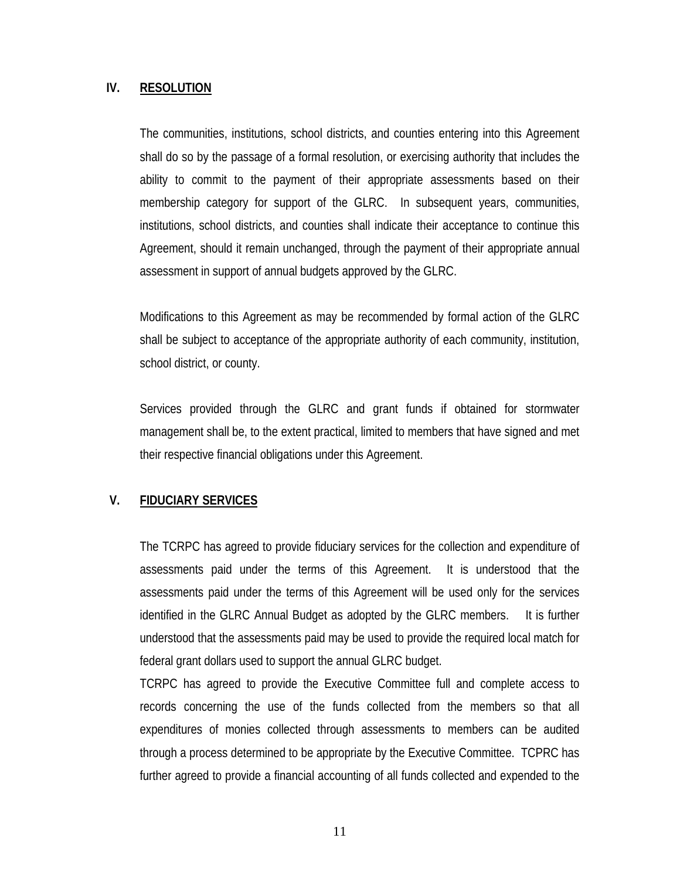### **IV. RESOLUTION**

The communities, institutions, school districts, and counties entering into this Agreement shall do so by the passage of a formal resolution, or exercising authority that includes the ability to commit to the payment of their appropriate assessments based on their membership category for support of the GLRC. In subsequent years, communities, institutions, school districts, and counties shall indicate their acceptance to continue this Agreement, should it remain unchanged, through the payment of their appropriate annual assessment in support of annual budgets approved by the GLRC.

Modifications to this Agreement as may be recommended by formal action of the GLRC shall be subject to acceptance of the appropriate authority of each community, institution, school district, or county.

Services provided through the GLRC and grant funds if obtained for stormwater management shall be, to the extent practical, limited to members that have signed and met their respective financial obligations under this Agreement.

## **V. FIDUCIARY SERVICES**

The TCRPC has agreed to provide fiduciary services for the collection and expenditure of assessments paid under the terms of this Agreement. It is understood that the assessments paid under the terms of this Agreement will be used only for the services identified in the GLRC Annual Budget as adopted by the GLRC members. It is further understood that the assessments paid may be used to provide the required local match for federal grant dollars used to support the annual GLRC budget.

TCRPC has agreed to provide the Executive Committee full and complete access to records concerning the use of the funds collected from the members so that all expenditures of monies collected through assessments to members can be audited through a process determined to be appropriate by the Executive Committee. TCPRC has further agreed to provide a financial accounting of all funds collected and expended to the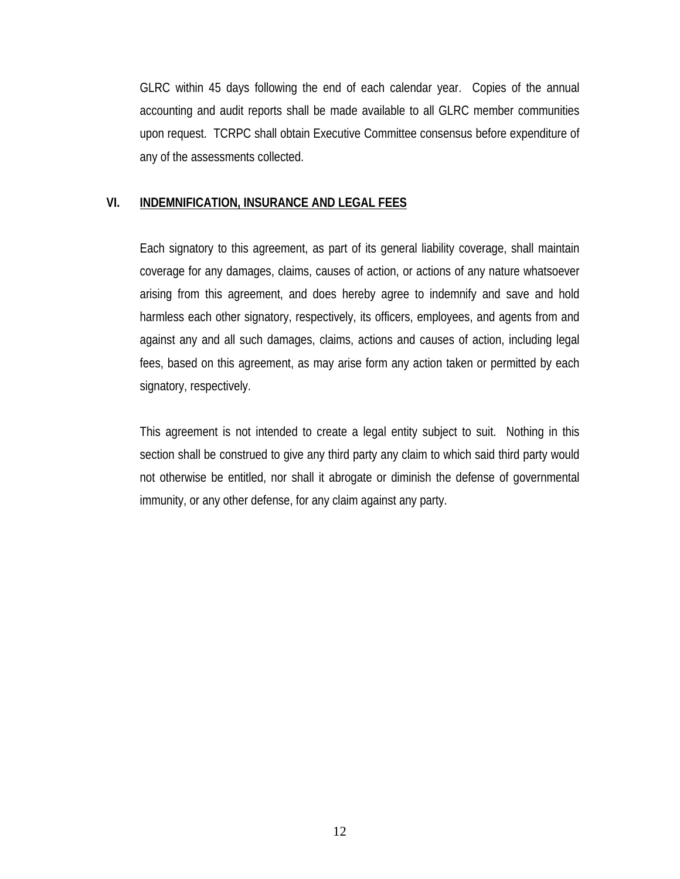GLRC within 45 days following the end of each calendar year. Copies of the annual accounting and audit reports shall be made available to all GLRC member communities upon request. TCRPC shall obtain Executive Committee consensus before expenditure of any of the assessments collected.

#### **VI. INDEMNIFICATION, INSURANCE AND LEGAL FEES**

Each signatory to this agreement, as part of its general liability coverage, shall maintain coverage for any damages, claims, causes of action, or actions of any nature whatsoever arising from this agreement, and does hereby agree to indemnify and save and hold harmless each other signatory, respectively, its officers, employees, and agents from and against any and all such damages, claims, actions and causes of action, including legal fees, based on this agreement, as may arise form any action taken or permitted by each signatory, respectively.

This agreement is not intended to create a legal entity subject to suit. Nothing in this section shall be construed to give any third party any claim to which said third party would not otherwise be entitled, nor shall it abrogate or diminish the defense of governmental immunity, or any other defense, for any claim against any party.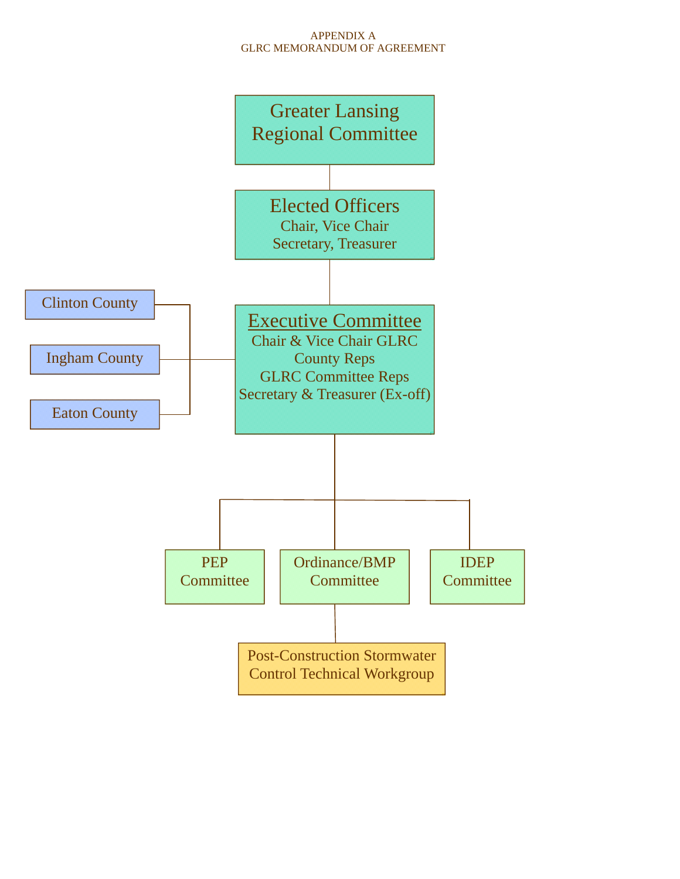#### APPENDIX A GLRC MEMORANDUM OF AGREEMENT

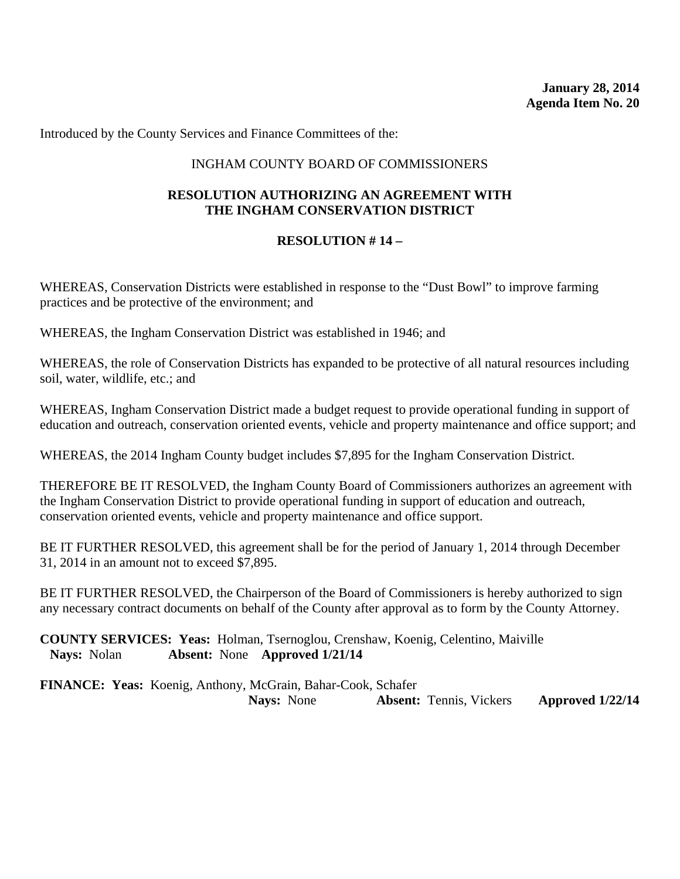### INGHAM COUNTY BOARD OF COMMISSIONERS

### **RESOLUTION AUTHORIZING AN AGREEMENT WITH THE INGHAM CONSERVATION DISTRICT**

#### **RESOLUTION # 14 –**

WHEREAS, Conservation Districts were established in response to the "Dust Bowl" to improve farming practices and be protective of the environment; and

WHEREAS, the Ingham Conservation District was established in 1946; and

WHEREAS, the role of Conservation Districts has expanded to be protective of all natural resources including soil, water, wildlife, etc.; and

WHEREAS, Ingham Conservation District made a budget request to provide operational funding in support of education and outreach, conservation oriented events, vehicle and property maintenance and office support; and

WHEREAS, the 2014 Ingham County budget includes \$7,895 for the Ingham Conservation District.

THEREFORE BE IT RESOLVED, the Ingham County Board of Commissioners authorizes an agreement with the Ingham Conservation District to provide operational funding in support of education and outreach, conservation oriented events, vehicle and property maintenance and office support.

BE IT FURTHER RESOLVED, this agreement shall be for the period of January 1, 2014 through December 31, 2014 in an amount not to exceed \$7,895.

BE IT FURTHER RESOLVED, the Chairperson of the Board of Commissioners is hereby authorized to sign any necessary contract documents on behalf of the County after approval as to form by the County Attorney.

**COUNTY SERVICES: Yeas:** Holman, Tsernoglou, Crenshaw, Koenig, Celentino, Maiville **Nays:** Nolan **Absent:** None **Approved 1/21/14**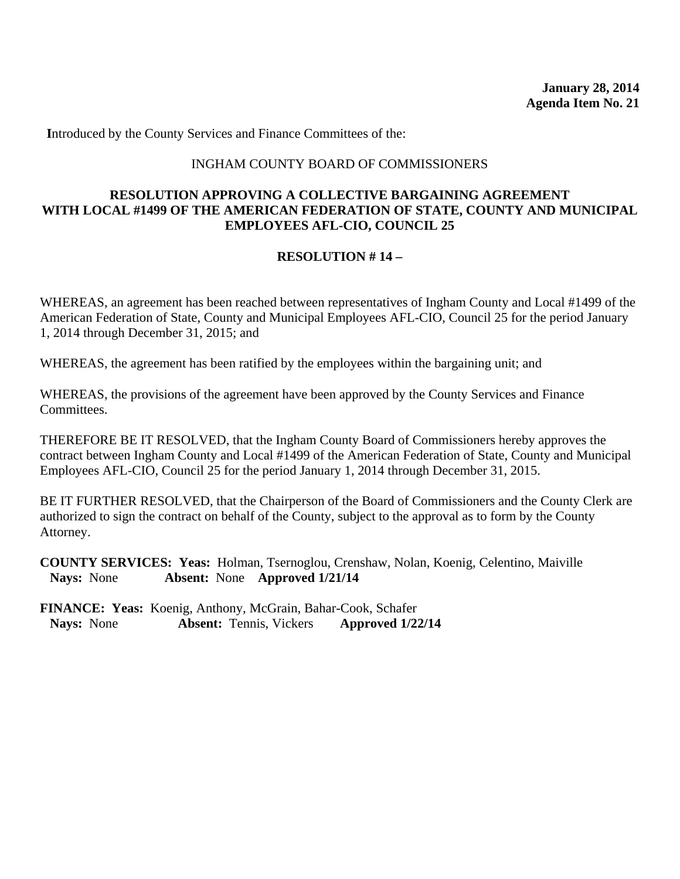#### INGHAM COUNTY BOARD OF COMMISSIONERS

### **RESOLUTION APPROVING A COLLECTIVE BARGAINING AGREEMENT WITH LOCAL #1499 OF THE AMERICAN FEDERATION OF STATE, COUNTY AND MUNICIPAL EMPLOYEES AFL-CIO, COUNCIL 25**

## **RESOLUTION # 14 –**

WHEREAS, an agreement has been reached between representatives of Ingham County and Local #1499 of the American Federation of State, County and Municipal Employees AFL-CIO, Council 25 for the period January 1, 2014 through December 31, 2015; and

WHEREAS, the agreement has been ratified by the employees within the bargaining unit; and

WHEREAS, the provisions of the agreement have been approved by the County Services and Finance Committees.

THEREFORE BE IT RESOLVED, that the Ingham County Board of Commissioners hereby approves the contract between Ingham County and Local #1499 of the American Federation of State, County and Municipal Employees AFL-CIO, Council 25 for the period January 1, 2014 through December 31, 2015.

BE IT FURTHER RESOLVED, that the Chairperson of the Board of Commissioners and the County Clerk are authorized to sign the contract on behalf of the County, subject to the approval as to form by the County Attorney.

**COUNTY SERVICES: Yeas:** Holman, Tsernoglou, Crenshaw, Nolan, Koenig, Celentino, Maiville **Nays:** None **Absent:** None **Approved 1/21/14**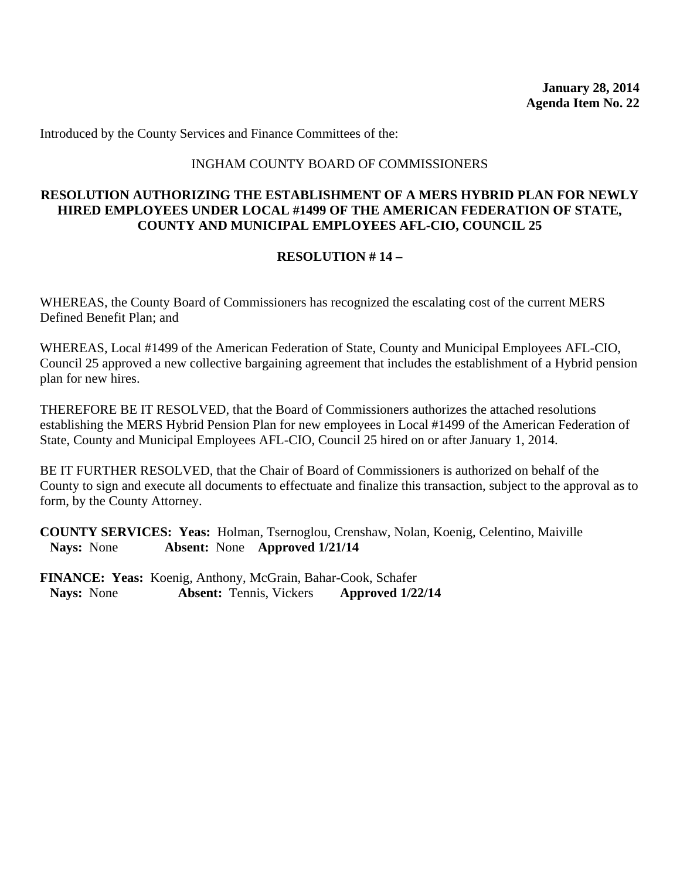#### INGHAM COUNTY BOARD OF COMMISSIONERS

### **RESOLUTION AUTHORIZING THE ESTABLISHMENT OF A MERS HYBRID PLAN FOR NEWLY HIRED EMPLOYEES UNDER LOCAL #1499 OF THE AMERICAN FEDERATION OF STATE, COUNTY AND MUNICIPAL EMPLOYEES AFL-CIO, COUNCIL 25**

#### **RESOLUTION # 14 –**

WHEREAS, the County Board of Commissioners has recognized the escalating cost of the current MERS Defined Benefit Plan; and

WHEREAS, Local #1499 of the American Federation of State, County and Municipal Employees AFL-CIO, Council 25 approved a new collective bargaining agreement that includes the establishment of a Hybrid pension plan for new hires.

THEREFORE BE IT RESOLVED, that the Board of Commissioners authorizes the attached resolutions establishing the MERS Hybrid Pension Plan for new employees in Local #1499 of the American Federation of State, County and Municipal Employees AFL-CIO, Council 25 hired on or after January 1, 2014.

BE IT FURTHER RESOLVED, that the Chair of Board of Commissioners is authorized on behalf of the County to sign and execute all documents to effectuate and finalize this transaction, subject to the approval as to form, by the County Attorney.

**COUNTY SERVICES: Yeas:** Holman, Tsernoglou, Crenshaw, Nolan, Koenig, Celentino, Maiville **Nays:** None **Absent:** None **Approved 1/21/14**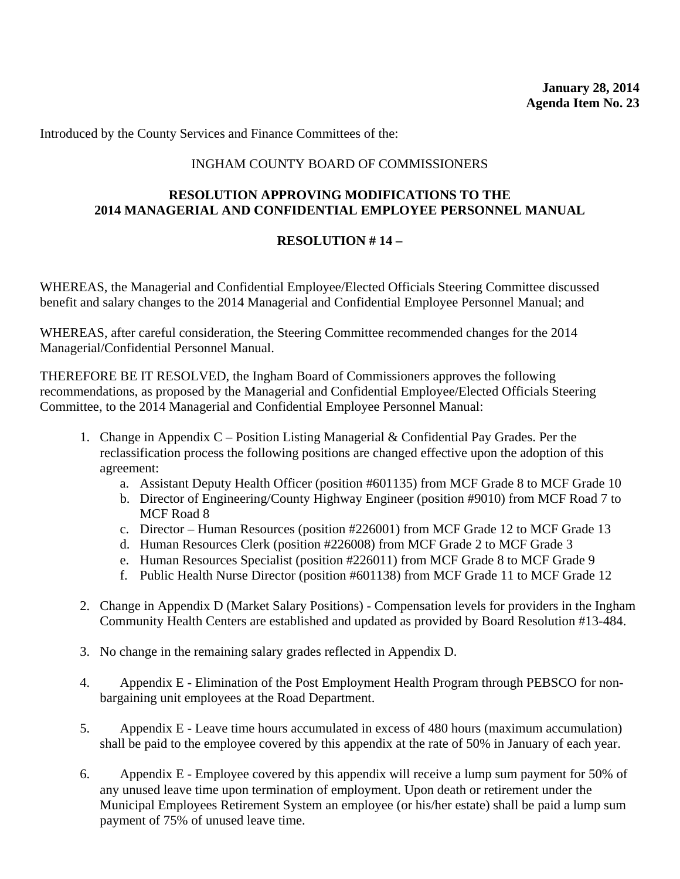### INGHAM COUNTY BOARD OF COMMISSIONERS

### **RESOLUTION APPROVING MODIFICATIONS TO THE 2014 MANAGERIAL AND CONFIDENTIAL EMPLOYEE PERSONNEL MANUAL**

#### **RESOLUTION # 14 –**

WHEREAS, the Managerial and Confidential Employee/Elected Officials Steering Committee discussed benefit and salary changes to the 2014 Managerial and Confidential Employee Personnel Manual; and

WHEREAS, after careful consideration, the Steering Committee recommended changes for the 2014 Managerial/Confidential Personnel Manual.

THEREFORE BE IT RESOLVED, the Ingham Board of Commissioners approves the following recommendations, as proposed by the Managerial and Confidential Employee/Elected Officials Steering Committee, to the 2014 Managerial and Confidential Employee Personnel Manual:

- 1. Change in Appendix C Position Listing Managerial & Confidential Pay Grades. Per the reclassification process the following positions are changed effective upon the adoption of this agreement:
	- a. Assistant Deputy Health Officer (position #601135) from MCF Grade 8 to MCF Grade 10
	- b. Director of Engineering/County Highway Engineer (position #9010) from MCF Road 7 to MCF Road 8
	- c. Director Human Resources (position #226001) from MCF Grade 12 to MCF Grade 13
	- d. Human Resources Clerk (position #226008) from MCF Grade 2 to MCF Grade 3
	- e. Human Resources Specialist (position #226011) from MCF Grade 8 to MCF Grade 9
	- f. Public Health Nurse Director (position #601138) from MCF Grade 11 to MCF Grade 12
- 2. Change in Appendix D (Market Salary Positions) Compensation levels for providers in the Ingham Community Health Centers are established and updated as provided by Board Resolution #13-484.
- 3. No change in the remaining salary grades reflected in Appendix D.
- 4. Appendix E Elimination of the Post Employment Health Program through PEBSCO for nonbargaining unit employees at the Road Department.
- 5. Appendix E Leave time hours accumulated in excess of 480 hours (maximum accumulation) shall be paid to the employee covered by this appendix at the rate of 50% in January of each year.
- 6. Appendix E Employee covered by this appendix will receive a lump sum payment for 50% of any unused leave time upon termination of employment. Upon death or retirement under the Municipal Employees Retirement System an employee (or his/her estate) shall be paid a lump sum payment of 75% of unused leave time.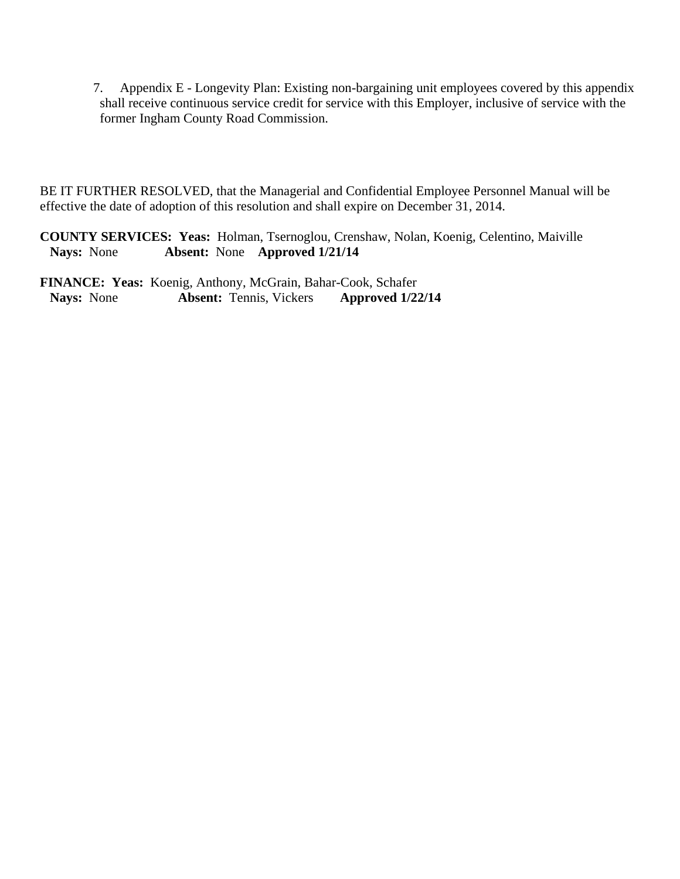7. Appendix E - Longevity Plan: Existing non-bargaining unit employees covered by this appendix shall receive continuous service credit for service with this Employer, inclusive of service with the former Ingham County Road Commission.

BE IT FURTHER RESOLVED, that the Managerial and Confidential Employee Personnel Manual will be effective the date of adoption of this resolution and shall expire on December 31, 2014.

**COUNTY SERVICES: Yeas:** Holman, Tsernoglou, Crenshaw, Nolan, Koenig, Celentino, Maiville **Nays:** None **Absent:** None **Approved 1/21/14**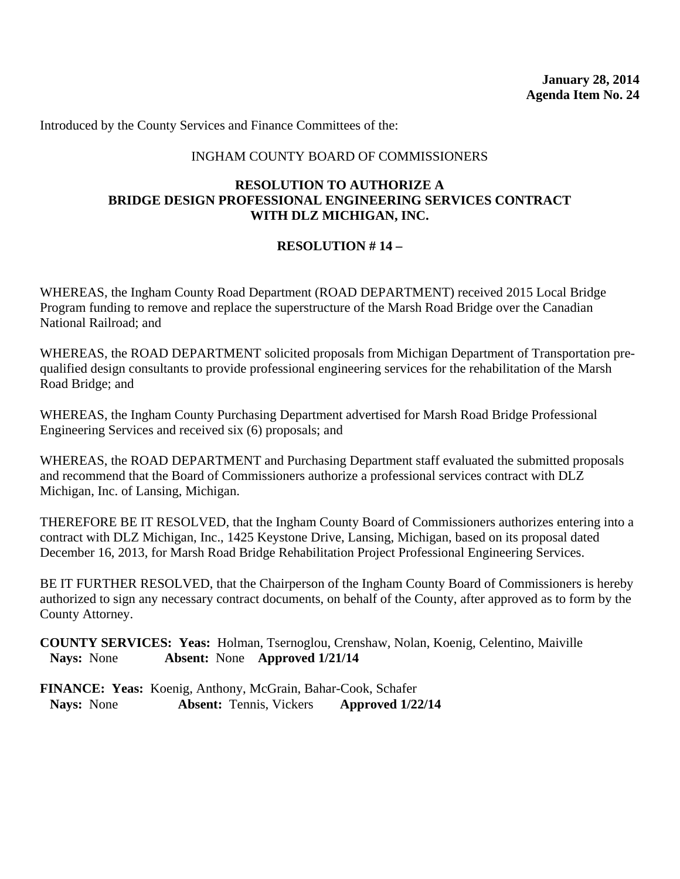#### INGHAM COUNTY BOARD OF COMMISSIONERS

#### **RESOLUTION TO AUTHORIZE A BRIDGE DESIGN PROFESSIONAL ENGINEERING SERVICES CONTRACT WITH DLZ MICHIGAN, INC.**

## **RESOLUTION # 14 –**

WHEREAS, the Ingham County Road Department (ROAD DEPARTMENT) received 2015 Local Bridge Program funding to remove and replace the superstructure of the Marsh Road Bridge over the Canadian National Railroad; and

WHEREAS, the ROAD DEPARTMENT solicited proposals from Michigan Department of Transportation prequalified design consultants to provide professional engineering services for the rehabilitation of the Marsh Road Bridge; and

WHEREAS, the Ingham County Purchasing Department advertised for Marsh Road Bridge Professional Engineering Services and received six (6) proposals; and

WHEREAS, the ROAD DEPARTMENT and Purchasing Department staff evaluated the submitted proposals and recommend that the Board of Commissioners authorize a professional services contract with DLZ Michigan, Inc. of Lansing, Michigan.

THEREFORE BE IT RESOLVED, that the Ingham County Board of Commissioners authorizes entering into a contract with DLZ Michigan, Inc., 1425 Keystone Drive, Lansing, Michigan, based on its proposal dated December 16, 2013, for Marsh Road Bridge Rehabilitation Project Professional Engineering Services.

BE IT FURTHER RESOLVED, that the Chairperson of the Ingham County Board of Commissioners is hereby authorized to sign any necessary contract documents, on behalf of the County, after approved as to form by the County Attorney.

**COUNTY SERVICES: Yeas:** Holman, Tsernoglou, Crenshaw, Nolan, Koenig, Celentino, Maiville **Nays:** None **Absent:** None **Approved 1/21/14**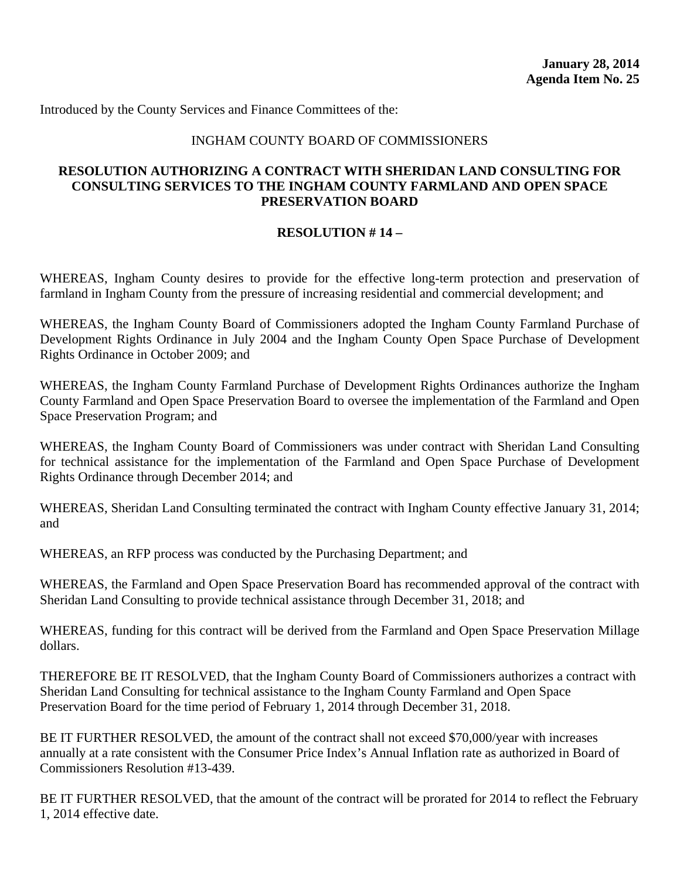#### INGHAM COUNTY BOARD OF COMMISSIONERS

#### **RESOLUTION AUTHORIZING A CONTRACT WITH SHERIDAN LAND CONSULTING FOR CONSULTING SERVICES TO THE INGHAM COUNTY FARMLAND AND OPEN SPACE PRESERVATION BOARD**

#### **RESOLUTION # 14 –**

WHEREAS, Ingham County desires to provide for the effective long-term protection and preservation of farmland in Ingham County from the pressure of increasing residential and commercial development; and

WHEREAS, the Ingham County Board of Commissioners adopted the Ingham County Farmland Purchase of Development Rights Ordinance in July 2004 and the Ingham County Open Space Purchase of Development Rights Ordinance in October 2009; and

WHEREAS, the Ingham County Farmland Purchase of Development Rights Ordinances authorize the Ingham County Farmland and Open Space Preservation Board to oversee the implementation of the Farmland and Open Space Preservation Program; and

WHEREAS, the Ingham County Board of Commissioners was under contract with Sheridan Land Consulting for technical assistance for the implementation of the Farmland and Open Space Purchase of Development Rights Ordinance through December 2014; and

WHEREAS, Sheridan Land Consulting terminated the contract with Ingham County effective January 31, 2014; and

WHEREAS, an RFP process was conducted by the Purchasing Department; and

WHEREAS, the Farmland and Open Space Preservation Board has recommended approval of the contract with Sheridan Land Consulting to provide technical assistance through December 31, 2018; and

WHEREAS, funding for this contract will be derived from the Farmland and Open Space Preservation Millage dollars.

THEREFORE BE IT RESOLVED, that the Ingham County Board of Commissioners authorizes a contract with Sheridan Land Consulting for technical assistance to the Ingham County Farmland and Open Space Preservation Board for the time period of February 1, 2014 through December 31, 2018.

BE IT FURTHER RESOLVED, the amount of the contract shall not exceed \$70,000/year with increases annually at a rate consistent with the Consumer Price Index's Annual Inflation rate as authorized in Board of Commissioners Resolution #13-439.

BE IT FURTHER RESOLVED, that the amount of the contract will be prorated for 2014 to reflect the February 1, 2014 effective date.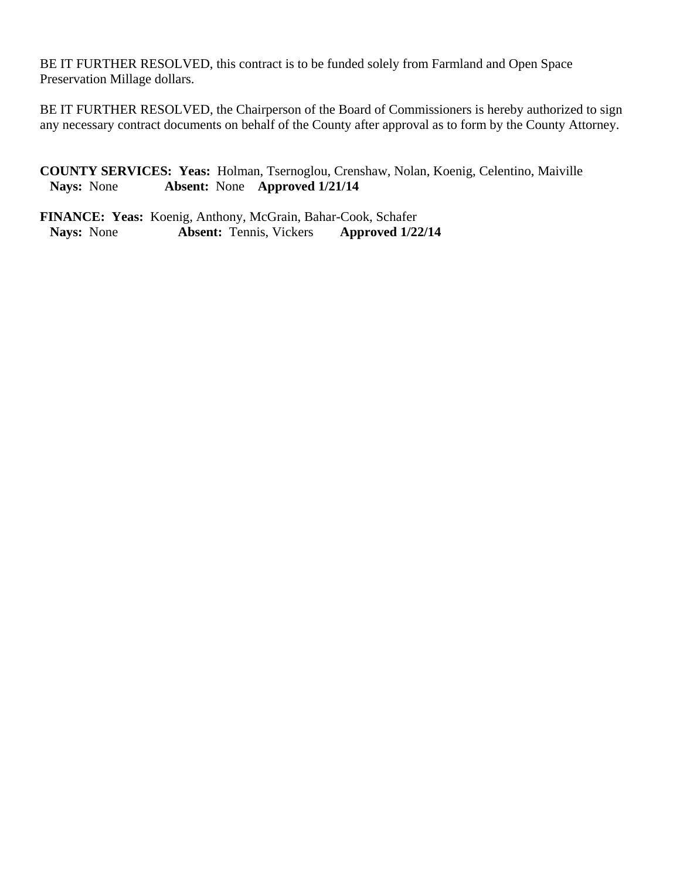BE IT FURTHER RESOLVED, this contract is to be funded solely from Farmland and Open Space Preservation Millage dollars.

BE IT FURTHER RESOLVED, the Chairperson of the Board of Commissioners is hereby authorized to sign any necessary contract documents on behalf of the County after approval as to form by the County Attorney.

**COUNTY SERVICES: Yeas:** Holman, Tsernoglou, Crenshaw, Nolan, Koenig, Celentino, Maiville **Nays:** None **Absent:** None **Approved 1/21/14**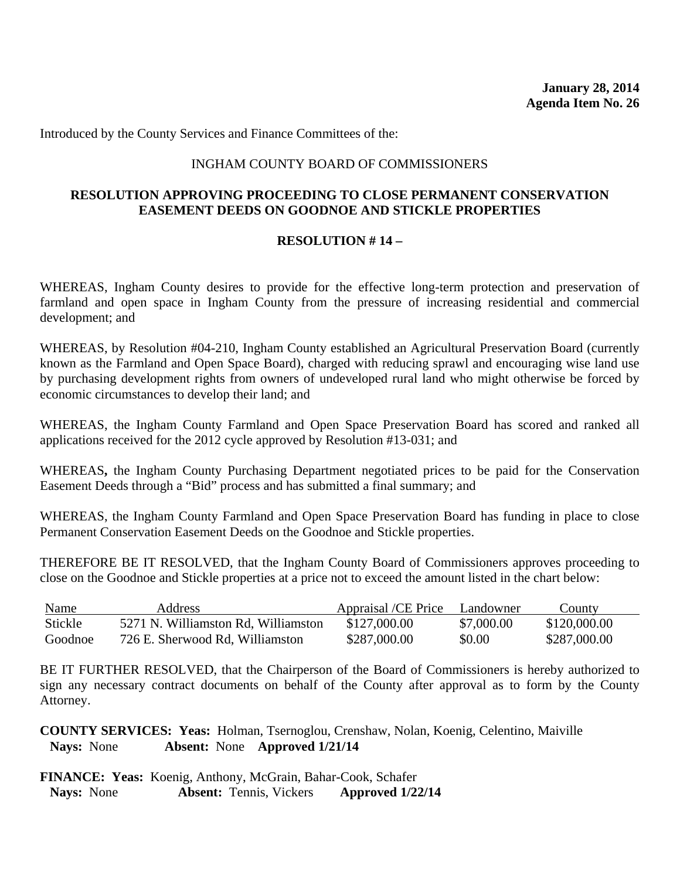#### INGHAM COUNTY BOARD OF COMMISSIONERS

### **RESOLUTION APPROVING PROCEEDING TO CLOSE PERMANENT CONSERVATION EASEMENT DEEDS ON GOODNOE AND STICKLE PROPERTIES**

#### **RESOLUTION # 14 –**

WHEREAS, Ingham County desires to provide for the effective long-term protection and preservation of farmland and open space in Ingham County from the pressure of increasing residential and commercial development; and

WHEREAS, by Resolution #04-210, Ingham County established an Agricultural Preservation Board (currently known as the Farmland and Open Space Board), charged with reducing sprawl and encouraging wise land use by purchasing development rights from owners of undeveloped rural land who might otherwise be forced by economic circumstances to develop their land; and

WHEREAS, the Ingham County Farmland and Open Space Preservation Board has scored and ranked all applications received for the 2012 cycle approved by Resolution #13-031; and

WHEREAS**,** the Ingham County Purchasing Department negotiated prices to be paid for the Conservation Easement Deeds through a "Bid" process and has submitted a final summary; and

WHEREAS, the Ingham County Farmland and Open Space Preservation Board has funding in place to close Permanent Conservation Easement Deeds on the Goodnoe and Stickle properties.

THEREFORE BE IT RESOLVED, that the Ingham County Board of Commissioners approves proceeding to close on the Goodnoe and Stickle properties at a price not to exceed the amount listed in the chart below:

| Name    | Address                             | Appraisal /CE Price | Landowner  | County       |
|---------|-------------------------------------|---------------------|------------|--------------|
| Stickle | 5271 N. Williamston Rd, Williamston | \$127,000.00        | \$7,000.00 | \$120,000.00 |
| Goodnoe | 726 E. Sherwood Rd, Williamston     | \$287,000.00        | \$0.00     | \$287,000.00 |

BE IT FURTHER RESOLVED, that the Chairperson of the Board of Commissioners is hereby authorized to sign any necessary contract documents on behalf of the County after approval as to form by the County Attorney.

**COUNTY SERVICES: Yeas:** Holman, Tsernoglou, Crenshaw, Nolan, Koenig, Celentino, Maiville **Nays:** None **Absent:** None **Approved 1/21/14**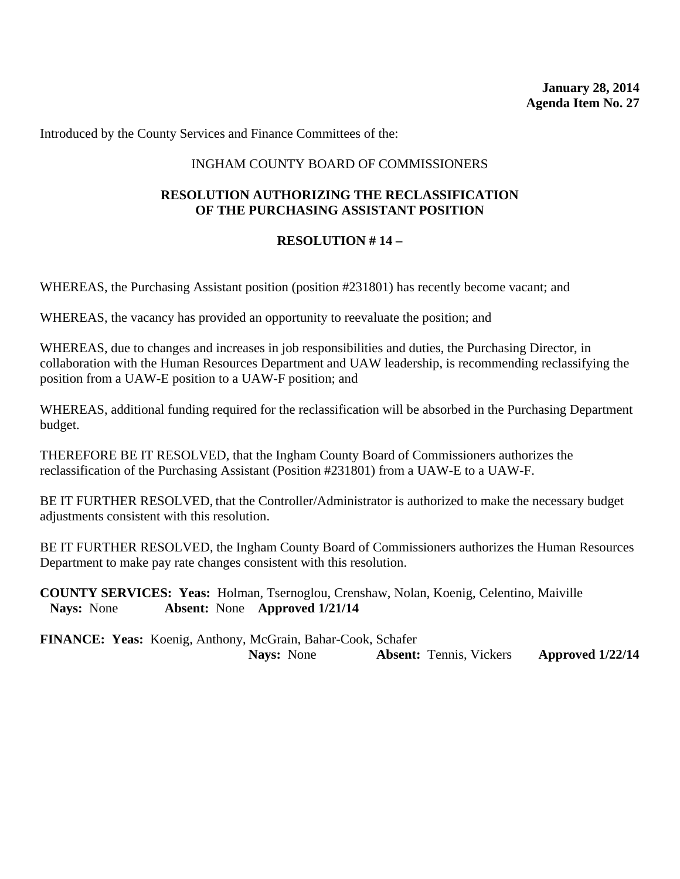#### INGHAM COUNTY BOARD OF COMMISSIONERS

### **RESOLUTION AUTHORIZING THE RECLASSIFICATION OF THE PURCHASING ASSISTANT POSITION**

#### **RESOLUTION # 14 –**

WHEREAS, the Purchasing Assistant position (position #231801) has recently become vacant; and

WHEREAS, the vacancy has provided an opportunity to reevaluate the position; and

WHEREAS, due to changes and increases in job responsibilities and duties, the Purchasing Director, in collaboration with the Human Resources Department and UAW leadership, is recommending reclassifying the position from a UAW-E position to a UAW-F position; and

WHEREAS, additional funding required for the reclassification will be absorbed in the Purchasing Department budget.

THEREFORE BE IT RESOLVED, that the Ingham County Board of Commissioners authorizes the reclassification of the Purchasing Assistant (Position #231801) from a UAW-E to a UAW-F.

BE IT FURTHER RESOLVED, that the Controller/Administrator is authorized to make the necessary budget adjustments consistent with this resolution.

BE IT FURTHER RESOLVED, the Ingham County Board of Commissioners authorizes the Human Resources Department to make pay rate changes consistent with this resolution.

**COUNTY SERVICES: Yeas:** Holman, Tsernoglou, Crenshaw, Nolan, Koenig, Celentino, Maiville **Nays:** None **Absent:** None **Approved 1/21/14**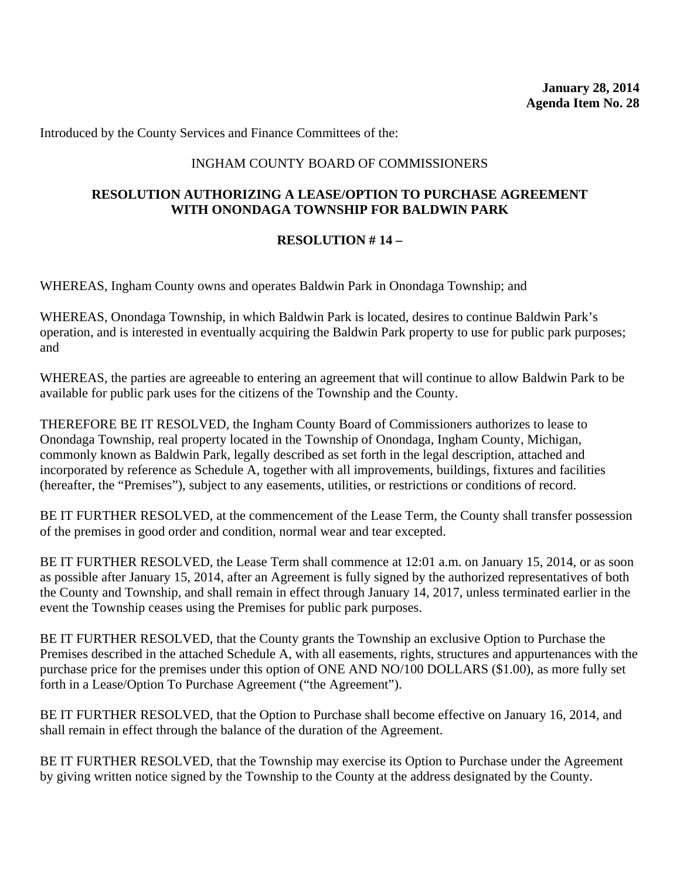### INGHAM COUNTY BOARD OF COMMISSIONERS

#### **RESOLUTION AUTHORIZING A LEASE/OPTION TO PURCHASE AGREEMENT WITH ONONDAGA TOWNSHIP FOR BALDWIN PARK**

#### **RESOLUTION # 14 –**

WHEREAS, Ingham County owns and operates Baldwin Park in Onondaga Township; and

WHEREAS, Onondaga Township, in which Baldwin Park is located, desires to continue Baldwin Park's operation, and is interested in eventually acquiring the Baldwin Park property to use for public park purposes; and

WHEREAS, the parties are agreeable to entering an agreement that will continue to allow Baldwin Park to be available for public park uses for the citizens of the Township and the County.

THEREFORE BE IT RESOLVED, the Ingham County Board of Commissioners authorizes to lease to Onondaga Township, real property located in the Township of Onondaga, Ingham County, Michigan, commonly known as Baldwin Park, legally described as set forth in the legal description, attached and incorporated by reference as Schedule A, together with all improvements, buildings, fixtures and facilities (hereafter, the "Premises"), subject to any easements, utilities, or restrictions or conditions of record.

BE IT FURTHER RESOLVED, at the commencement of the Lease Term, the County shall transfer possession of the premises in good order and condition, normal wear and tear excepted.

BE IT FURTHER RESOLVED, the Lease Term shall commence at 12:01 a.m. on January 15, 2014, or as soon as possible after January 15, 2014, after an Agreement is fully signed by the authorized representatives of both the County and Township, and shall remain in effect through January 14, 2017, unless terminated earlier in the event the Township ceases using the Premises for public park purposes.

BE IT FURTHER RESOLVED, that the County grants the Township an exclusive Option to Purchase the Premises described in the attached Schedule A, with all easements, rights, structures and appurtenances with the purchase price for the premises under this option of ONE AND NO/100 DOLLARS (\$1.00), as more fully set forth in a Lease/Option To Purchase Agreement ("the Agreement").

BE IT FURTHER RESOLVED, that the Option to Purchase shall become effective on January 16, 2014, and shall remain in effect through the balance of the duration of the Agreement.

BE IT FURTHER RESOLVED, that the Township may exercise its Option to Purchase under the Agreement by giving written notice signed by the Township to the County at the address designated by the County.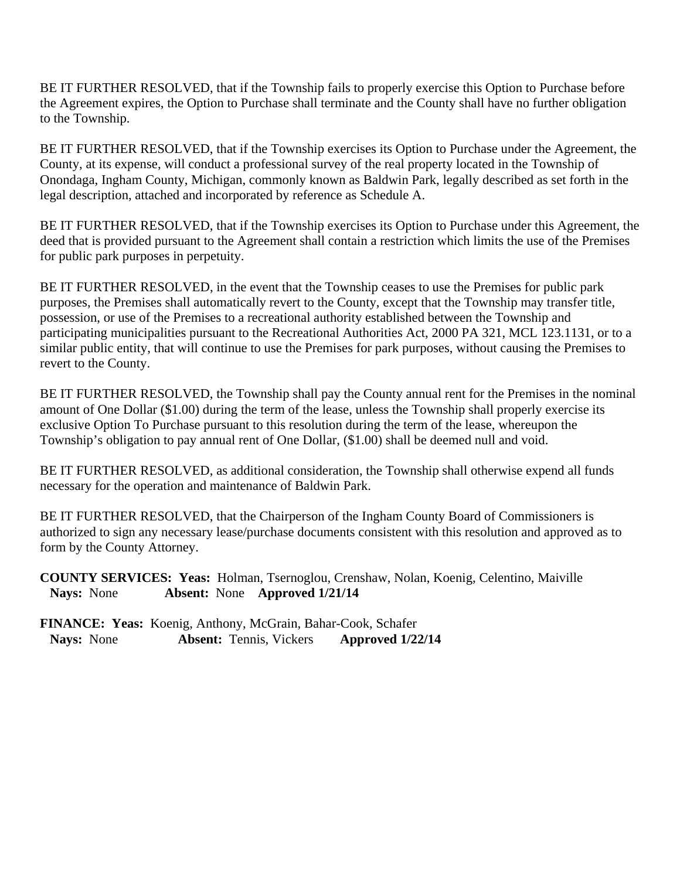BE IT FURTHER RESOLVED, that if the Township fails to properly exercise this Option to Purchase before the Agreement expires, the Option to Purchase shall terminate and the County shall have no further obligation to the Township.

BE IT FURTHER RESOLVED, that if the Township exercises its Option to Purchase under the Agreement, the County, at its expense, will conduct a professional survey of the real property located in the Township of Onondaga, Ingham County, Michigan, commonly known as Baldwin Park, legally described as set forth in the legal description, attached and incorporated by reference as Schedule A.

BE IT FURTHER RESOLVED, that if the Township exercises its Option to Purchase under this Agreement, the deed that is provided pursuant to the Agreement shall contain a restriction which limits the use of the Premises for public park purposes in perpetuity.

BE IT FURTHER RESOLVED, in the event that the Township ceases to use the Premises for public park purposes, the Premises shall automatically revert to the County, except that the Township may transfer title, possession, or use of the Premises to a recreational authority established between the Township and participating municipalities pursuant to the Recreational Authorities Act, 2000 PA 321, MCL 123.1131, or to a similar public entity, that will continue to use the Premises for park purposes, without causing the Premises to revert to the County.

BE IT FURTHER RESOLVED, the Township shall pay the County annual rent for the Premises in the nominal amount of One Dollar (\$1.00) during the term of the lease, unless the Township shall properly exercise its exclusive Option To Purchase pursuant to this resolution during the term of the lease, whereupon the Township's obligation to pay annual rent of One Dollar, (\$1.00) shall be deemed null and void.

BE IT FURTHER RESOLVED, as additional consideration, the Township shall otherwise expend all funds necessary for the operation and maintenance of Baldwin Park.

BE IT FURTHER RESOLVED, that the Chairperson of the Ingham County Board of Commissioners is authorized to sign any necessary lease/purchase documents consistent with this resolution and approved as to form by the County Attorney.

**COUNTY SERVICES: Yeas:** Holman, Tsernoglou, Crenshaw, Nolan, Koenig, Celentino, Maiville **Nays:** None **Absent:** None **Approved 1/21/14**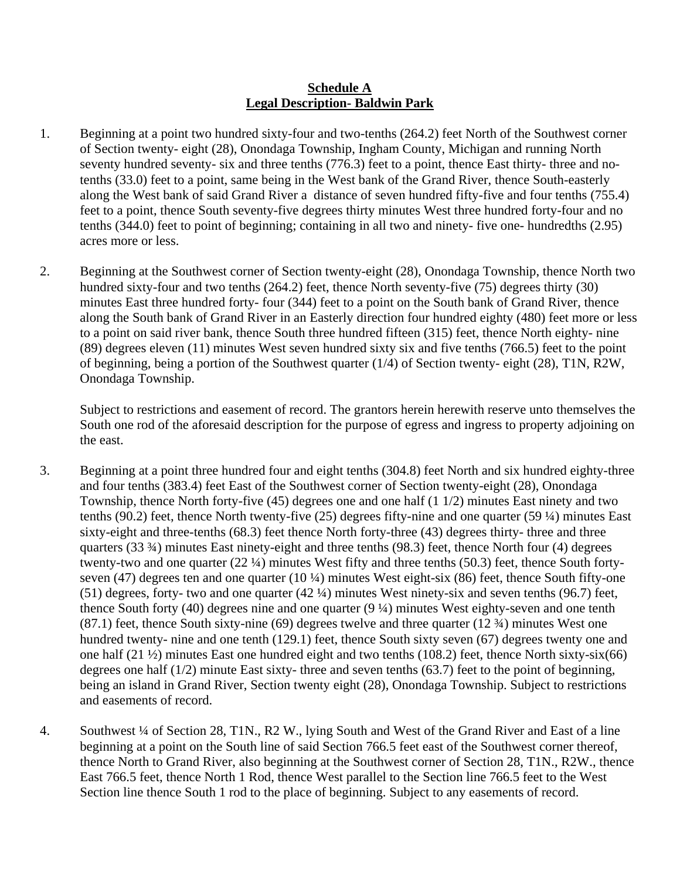#### **Schedule A Legal Description- Baldwin Park**

- 1. Beginning at a point two hundred sixty-four and two-tenths (264.2) feet North of the Southwest corner of Section twenty- eight (28), Onondaga Township, Ingham County, Michigan and running North seventy hundred seventy- six and three tenths (776.3) feet to a point, thence East thirty- three and notenths (33.0) feet to a point, same being in the West bank of the Grand River, thence South-easterly along the West bank of said Grand River a distance of seven hundred fifty-five and four tenths (755.4) feet to a point, thence South seventy-five degrees thirty minutes West three hundred forty-four and no tenths (344.0) feet to point of beginning; containing in all two and ninety- five one- hundredths (2.95) acres more or less.
- 2. Beginning at the Southwest corner of Section twenty-eight (28), Onondaga Township, thence North two hundred sixty-four and two tenths (264.2) feet, thence North seventy-five (75) degrees thirty (30) minutes East three hundred forty- four (344) feet to a point on the South bank of Grand River, thence along the South bank of Grand River in an Easterly direction four hundred eighty (480) feet more or less to a point on said river bank, thence South three hundred fifteen (315) feet, thence North eighty- nine (89) degrees eleven (11) minutes West seven hundred sixty six and five tenths (766.5) feet to the point of beginning, being a portion of the Southwest quarter (1/4) of Section twenty- eight (28), T1N, R2W, Onondaga Township.

Subject to restrictions and easement of record. The grantors herein herewith reserve unto themselves the South one rod of the aforesaid description for the purpose of egress and ingress to property adjoining on the east.

- 3. Beginning at a point three hundred four and eight tenths (304.8) feet North and six hundred eighty-three and four tenths (383.4) feet East of the Southwest corner of Section twenty-eight (28), Onondaga Township, thence North forty-five (45) degrees one and one half (1 1/2) minutes East ninety and two tenths (90.2) feet, thence North twenty-five (25) degrees fifty-nine and one quarter (59 ¼) minutes East sixty-eight and three-tenths (68.3) feet thence North forty-three (43) degrees thirty- three and three quarters (33 ¾) minutes East ninety-eight and three tenths (98.3) feet, thence North four (4) degrees twenty-two and one quarter (22 ¼) minutes West fifty and three tenths (50.3) feet, thence South fortyseven (47) degrees ten and one quarter (10 ¼) minutes West eight-six (86) feet, thence South fifty-one (51) degrees, forty- two and one quarter (42 ¼) minutes West ninety-six and seven tenths (96.7) feet, thence South forty (40) degrees nine and one quarter (9 ¼) minutes West eighty-seven and one tenth (87.1) feet, thence South sixty-nine (69) degrees twelve and three quarter (12 ¾) minutes West one hundred twenty- nine and one tenth (129.1) feet, thence South sixty seven (67) degrees twenty one and one half (21 ½) minutes East one hundred eight and two tenths (108.2) feet, thence North sixty-six(66) degrees one half (1/2) minute East sixty- three and seven tenths (63.7) feet to the point of beginning, being an island in Grand River, Section twenty eight (28), Onondaga Township. Subject to restrictions and easements of record.
- 4. Southwest ¼ of Section 28, T1N., R2 W., lying South and West of the Grand River and East of a line beginning at a point on the South line of said Section 766.5 feet east of the Southwest corner thereof, thence North to Grand River, also beginning at the Southwest corner of Section 28, T1N., R2W., thence East 766.5 feet, thence North 1 Rod, thence West parallel to the Section line 766.5 feet to the West Section line thence South 1 rod to the place of beginning. Subject to any easements of record.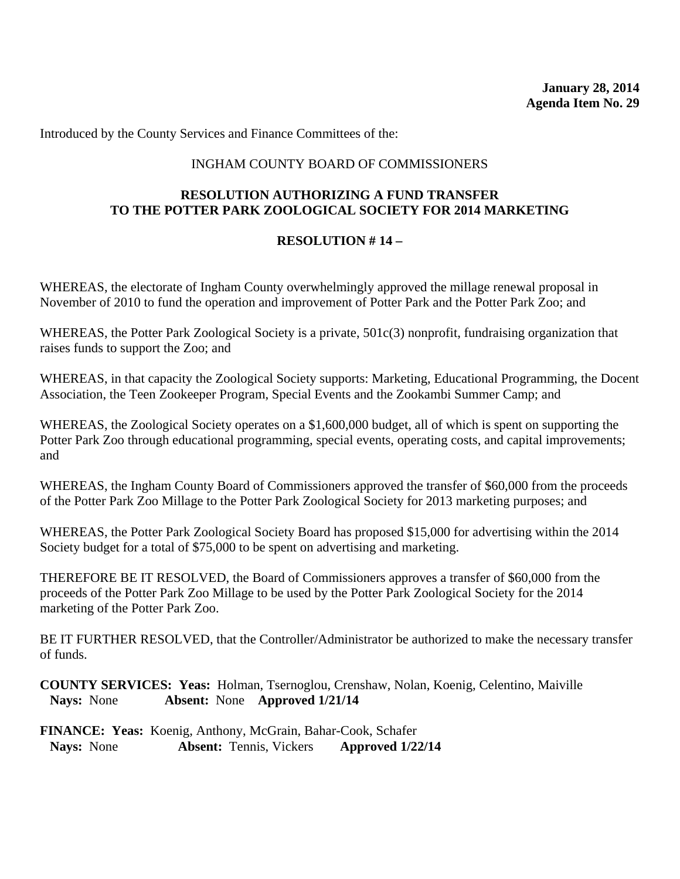### INGHAM COUNTY BOARD OF COMMISSIONERS

### **RESOLUTION AUTHORIZING A FUND TRANSFER TO THE POTTER PARK ZOOLOGICAL SOCIETY FOR 2014 MARKETING**

#### **RESOLUTION # 14 –**

WHEREAS, the electorate of Ingham County overwhelmingly approved the millage renewal proposal in November of 2010 to fund the operation and improvement of Potter Park and the Potter Park Zoo; and

WHEREAS, the Potter Park Zoological Society is a private, 501c(3) nonprofit, fundraising organization that raises funds to support the Zoo; and

WHEREAS, in that capacity the Zoological Society supports: Marketing, Educational Programming, the Docent Association, the Teen Zookeeper Program, Special Events and the Zookambi Summer Camp; and

WHEREAS, the Zoological Society operates on a \$1,600,000 budget, all of which is spent on supporting the Potter Park Zoo through educational programming, special events, operating costs, and capital improvements; and

WHEREAS, the Ingham County Board of Commissioners approved the transfer of \$60,000 from the proceeds of the Potter Park Zoo Millage to the Potter Park Zoological Society for 2013 marketing purposes; and

WHEREAS, the Potter Park Zoological Society Board has proposed \$15,000 for advertising within the 2014 Society budget for a total of \$75,000 to be spent on advertising and marketing.

THEREFORE BE IT RESOLVED, the Board of Commissioners approves a transfer of \$60,000 from the proceeds of the Potter Park Zoo Millage to be used by the Potter Park Zoological Society for the 2014 marketing of the Potter Park Zoo.

BE IT FURTHER RESOLVED, that the Controller/Administrator be authorized to make the necessary transfer of funds.

**COUNTY SERVICES: Yeas:** Holman, Tsernoglou, Crenshaw, Nolan, Koenig, Celentino, Maiville **Nays:** None **Absent:** None **Approved 1/21/14**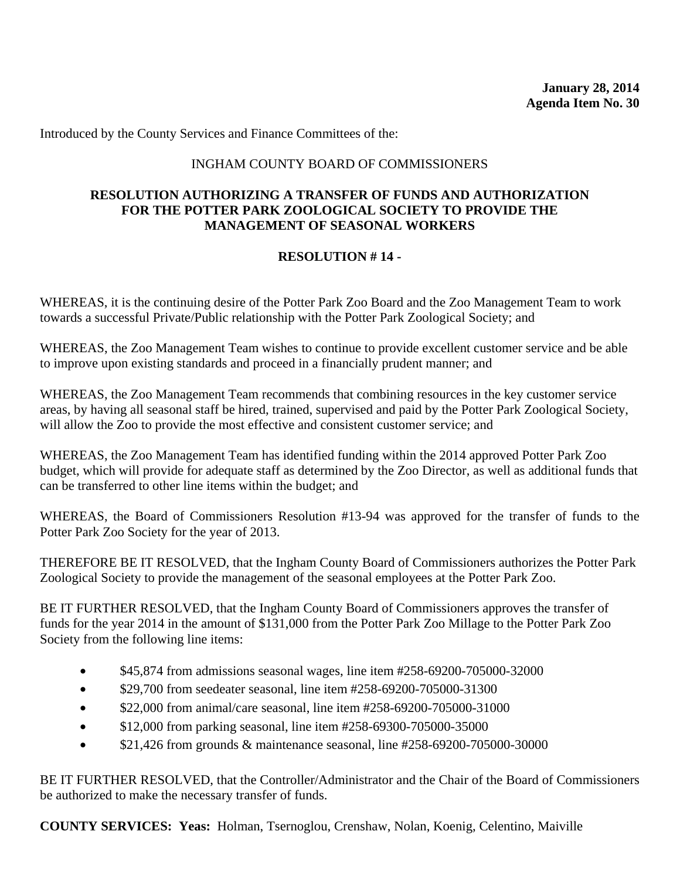### INGHAM COUNTY BOARD OF COMMISSIONERS

#### **RESOLUTION AUTHORIZING A TRANSFER OF FUNDS AND AUTHORIZATION FOR THE POTTER PARK ZOOLOGICAL SOCIETY TO PROVIDE THE MANAGEMENT OF SEASONAL WORKERS**

## **RESOLUTION # 14 -**

WHEREAS, it is the continuing desire of the Potter Park Zoo Board and the Zoo Management Team to work towards a successful Private/Public relationship with the Potter Park Zoological Society; and

WHEREAS, the Zoo Management Team wishes to continue to provide excellent customer service and be able to improve upon existing standards and proceed in a financially prudent manner; and

WHEREAS, the Zoo Management Team recommends that combining resources in the key customer service areas, by having all seasonal staff be hired, trained, supervised and paid by the Potter Park Zoological Society, will allow the Zoo to provide the most effective and consistent customer service; and

WHEREAS, the Zoo Management Team has identified funding within the 2014 approved Potter Park Zoo budget, which will provide for adequate staff as determined by the Zoo Director, as well as additional funds that can be transferred to other line items within the budget; and

WHEREAS, the Board of Commissioners Resolution #13-94 was approved for the transfer of funds to the Potter Park Zoo Society for the year of 2013.

THEREFORE BE IT RESOLVED, that the Ingham County Board of Commissioners authorizes the Potter Park Zoological Society to provide the management of the seasonal employees at the Potter Park Zoo.

BE IT FURTHER RESOLVED, that the Ingham County Board of Commissioners approves the transfer of funds for the year 2014 in the amount of \$131,000 from the Potter Park Zoo Millage to the Potter Park Zoo Society from the following line items:

- \$45,874 from admissions seasonal wages, line item #258-69200-705000-32000
- \$29,700 from seedeater seasonal, line item #258-69200-705000-31300
- \$22,000 from animal/care seasonal, line item #258-69200-705000-31000
- \$12,000 from parking seasonal, line item #258-69300-705000-35000
- \$21,426 from grounds & maintenance seasonal, line #258-69200-705000-30000

BE IT FURTHER RESOLVED, that the Controller/Administrator and the Chair of the Board of Commissioners be authorized to make the necessary transfer of funds.

**COUNTY SERVICES: Yeas:** Holman, Tsernoglou, Crenshaw, Nolan, Koenig, Celentino, Maiville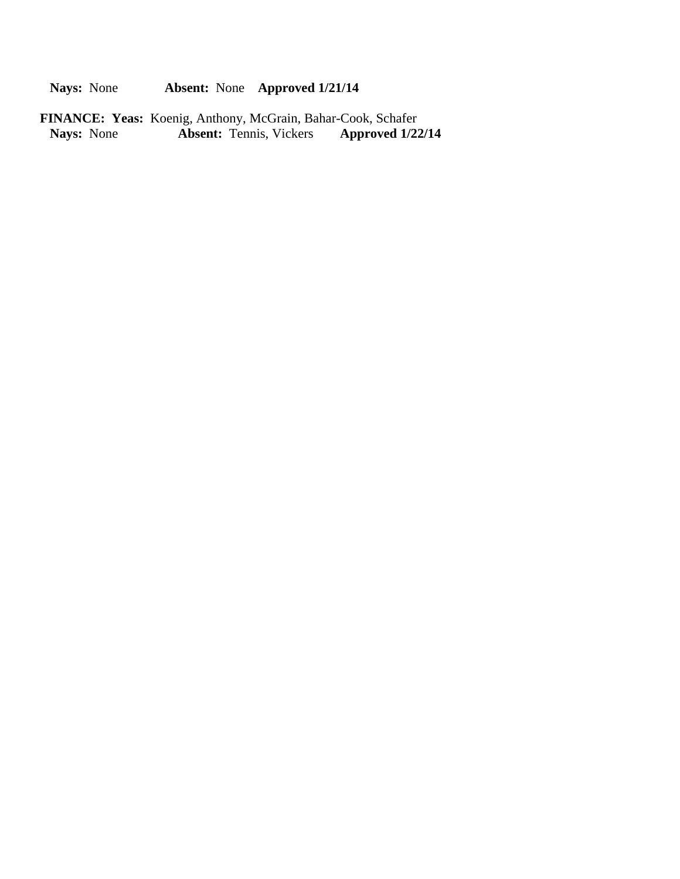**Nays:** None **Absent:** None **Approved 1/21/14**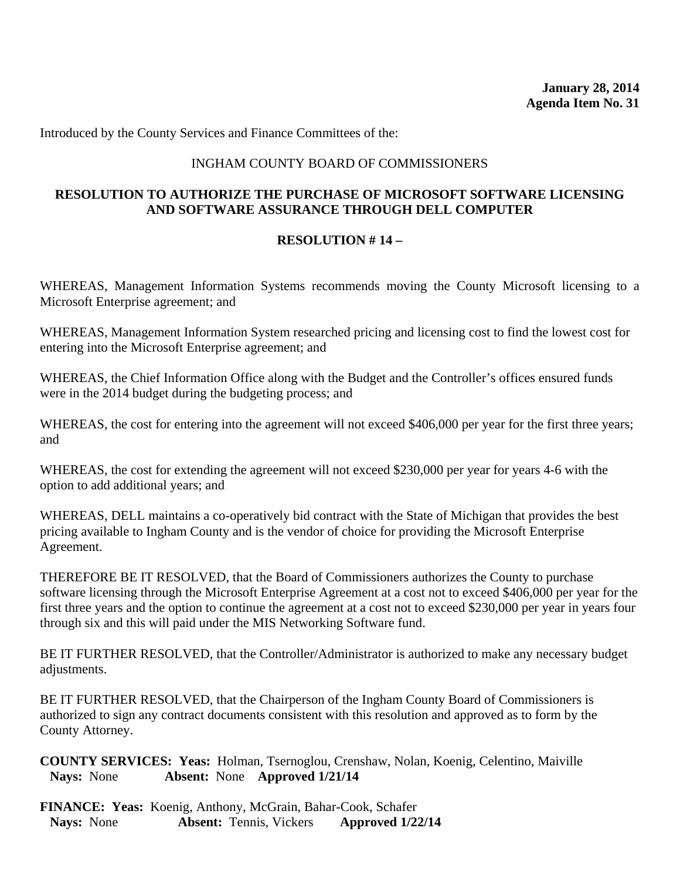#### INGHAM COUNTY BOARD OF COMMISSIONERS

#### **RESOLUTION TO AUTHORIZE THE PURCHASE OF MICROSOFT SOFTWARE LICENSING AND SOFTWARE ASSURANCE THROUGH DELL COMPUTER**

#### **RESOLUTION # 14 –**

WHEREAS, Management Information Systems recommends moving the County Microsoft licensing to a Microsoft Enterprise agreement; and

WHEREAS, Management Information System researched pricing and licensing cost to find the lowest cost for entering into the Microsoft Enterprise agreement; and

WHEREAS, the Chief Information Office along with the Budget and the Controller's offices ensured funds were in the 2014 budget during the budgeting process; and

WHEREAS, the cost for entering into the agreement will not exceed \$406,000 per year for the first three years; and

WHEREAS, the cost for extending the agreement will not exceed \$230,000 per year for years 4-6 with the option to add additional years; and

WHEREAS, DELL maintains a co-operatively bid contract with the State of Michigan that provides the best pricing available to Ingham County and is the vendor of choice for providing the Microsoft Enterprise Agreement.

THEREFORE BE IT RESOLVED, that the Board of Commissioners authorizes the County to purchase software licensing through the Microsoft Enterprise Agreement at a cost not to exceed \$406,000 per year for the first three years and the option to continue the agreement at a cost not to exceed \$230,000 per year in years four through six and this will paid under the MIS Networking Software fund.

BE IT FURTHER RESOLVED, that the Controller/Administrator is authorized to make any necessary budget adjustments.

BE IT FURTHER RESOLVED, that the Chairperson of the Ingham County Board of Commissioners is authorized to sign any contract documents consistent with this resolution and approved as to form by the County Attorney.

**COUNTY SERVICES: Yeas:** Holman, Tsernoglou, Crenshaw, Nolan, Koenig, Celentino, Maiville **Nays:** None **Absent:** None **Approved 1/21/14**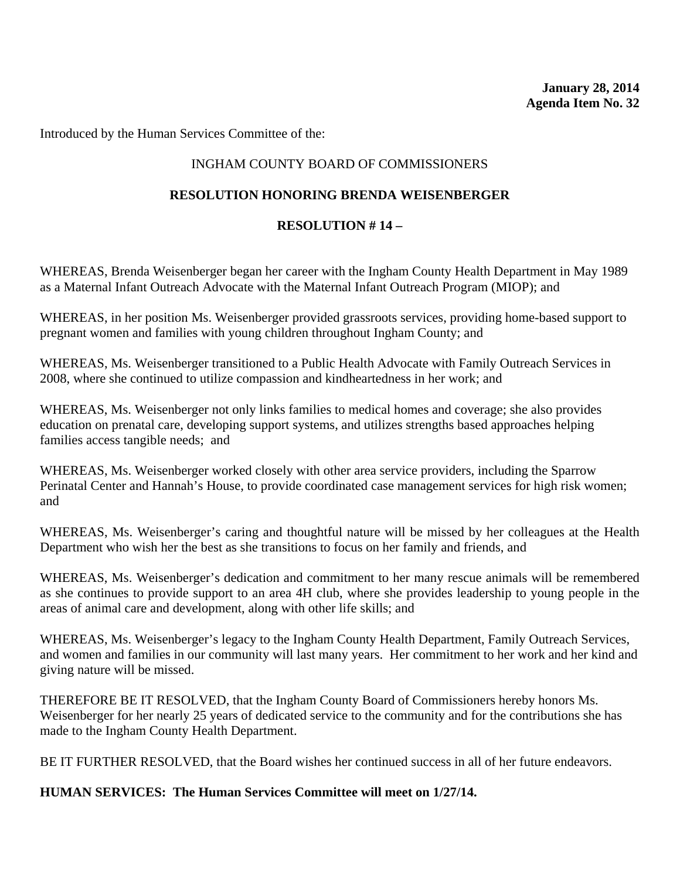Introduced by the Human Services Committee of the:

## INGHAM COUNTY BOARD OF COMMISSIONERS

## **RESOLUTION HONORING BRENDA WEISENBERGER**

## **RESOLUTION # 14 –**

WHEREAS, Brenda Weisenberger began her career with the Ingham County Health Department in May 1989 as a Maternal Infant Outreach Advocate with the Maternal Infant Outreach Program (MIOP); and

WHEREAS, in her position Ms. Weisenberger provided grassroots services, providing home-based support to pregnant women and families with young children throughout Ingham County; and

WHEREAS, Ms. Weisenberger transitioned to a Public Health Advocate with Family Outreach Services in 2008, where she continued to utilize compassion and kindheartedness in her work; and

WHEREAS, Ms. Weisenberger not only links families to medical homes and coverage; she also provides education on prenatal care, developing support systems, and utilizes strengths based approaches helping families access tangible needs; and

WHEREAS, Ms. Weisenberger worked closely with other area service providers, including the Sparrow Perinatal Center and Hannah's House, to provide coordinated case management services for high risk women; and

WHEREAS, Ms. Weisenberger's caring and thoughtful nature will be missed by her colleagues at the Health Department who wish her the best as she transitions to focus on her family and friends, and

WHEREAS, Ms. Weisenberger's dedication and commitment to her many rescue animals will be remembered as she continues to provide support to an area 4H club, where she provides leadership to young people in the areas of animal care and development, along with other life skills; and

WHEREAS, Ms. Weisenberger's legacy to the Ingham County Health Department, Family Outreach Services, and women and families in our community will last many years. Her commitment to her work and her kind and giving nature will be missed.

THEREFORE BE IT RESOLVED, that the Ingham County Board of Commissioners hereby honors Ms. Weisenberger for her nearly 25 years of dedicated service to the community and for the contributions she has made to the Ingham County Health Department.

BE IT FURTHER RESOLVED, that the Board wishes her continued success in all of her future endeavors.

## **HUMAN SERVICES: The Human Services Committee will meet on 1/27/14.**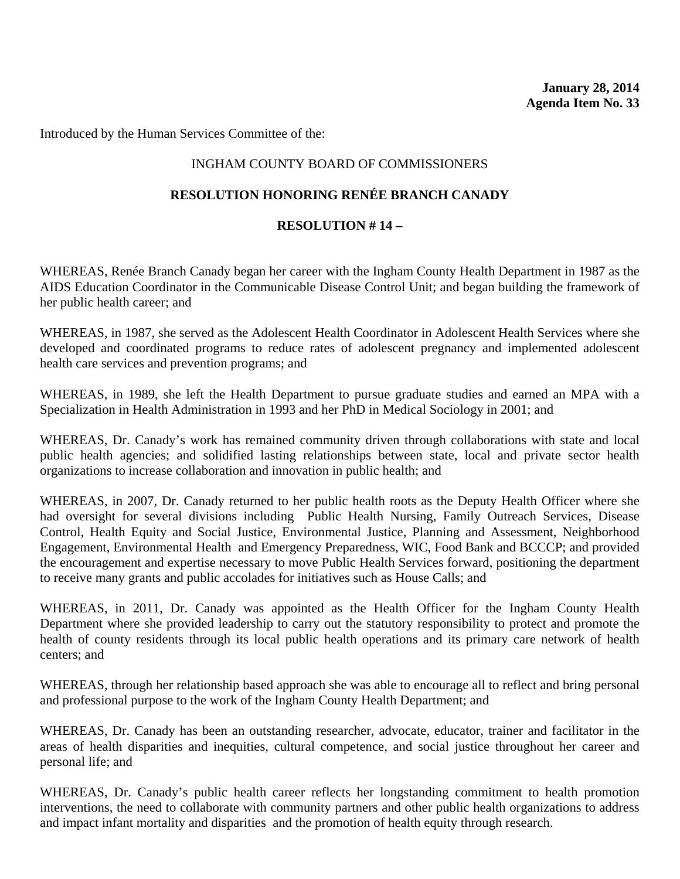Introduced by the Human Services Committee of the:

## INGHAM COUNTY BOARD OF COMMISSIONERS

## **RESOLUTION HONORING RENÉE BRANCH CANADY**

### **RESOLUTION # 14 –**

WHEREAS, Renée Branch Canady began her career with the Ingham County Health Department in 1987 as the AIDS Education Coordinator in the Communicable Disease Control Unit; and began building the framework of her public health career; and

WHEREAS, in 1987, she served as the Adolescent Health Coordinator in Adolescent Health Services where she developed and coordinated programs to reduce rates of adolescent pregnancy and implemented adolescent health care services and prevention programs; and

WHEREAS, in 1989, she left the Health Department to pursue graduate studies and earned an MPA with a Specialization in Health Administration in 1993 and her PhD in Medical Sociology in 2001; and

WHEREAS, Dr. Canady's work has remained community driven through collaborations with state and local public health agencies; and solidified lasting relationships between state, local and private sector health organizations to increase collaboration and innovation in public health; and

WHEREAS, in 2007, Dr. Canady returned to her public health roots as the Deputy Health Officer where she had oversight for several divisions including Public Health Nursing, Family Outreach Services, Disease Control, Health Equity and Social Justice, Environmental Justice, Planning and Assessment, Neighborhood Engagement, Environmental Health and Emergency Preparedness, WIC, Food Bank and BCCCP; and provided the encouragement and expertise necessary to move Public Health Services forward, positioning the department to receive many grants and public accolades for initiatives such as House Calls; and

WHEREAS, in 2011, Dr. Canady was appointed as the Health Officer for the Ingham County Health Department where she provided leadership to carry out the statutory responsibility to protect and promote the health of county residents through its local public health operations and its primary care network of health centers; and

WHEREAS, through her relationship based approach she was able to encourage all to reflect and bring personal and professional purpose to the work of the Ingham County Health Department; and

WHEREAS, Dr. Canady has been an outstanding researcher, advocate, educator, trainer and facilitator in the areas of health disparities and inequities, cultural competence, and social justice throughout her career and personal life; and

WHEREAS, Dr. Canady's public health career reflects her longstanding commitment to health promotion interventions, the need to collaborate with community partners and other public health organizations to address and impact infant mortality and disparities and the promotion of health equity through research.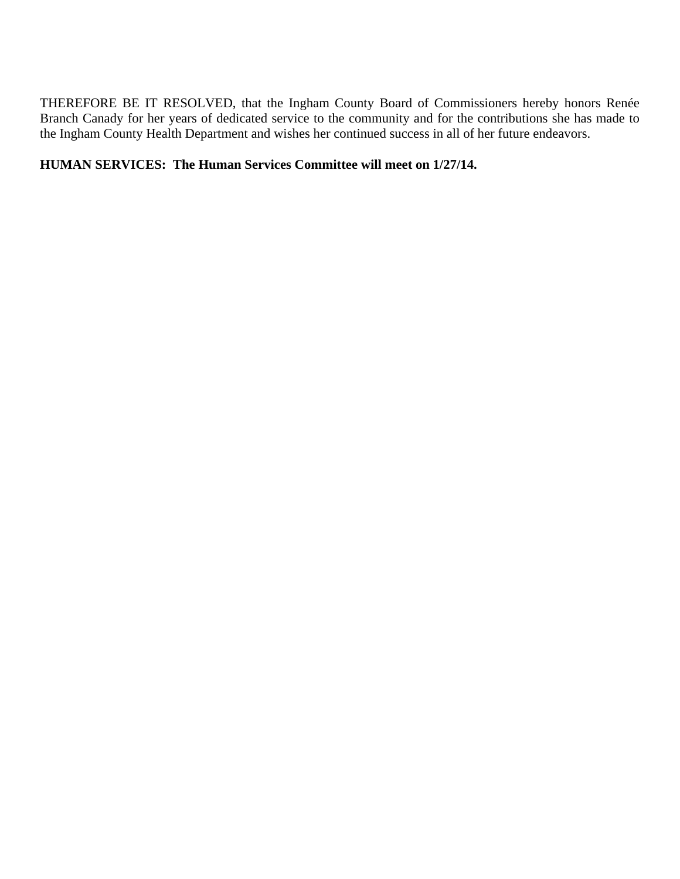THEREFORE BE IT RESOLVED, that the Ingham County Board of Commissioners hereby honors Renée Branch Canady for her years of dedicated service to the community and for the contributions she has made to the Ingham County Health Department and wishes her continued success in all of her future endeavors.

## **HUMAN SERVICES: The Human Services Committee will meet on 1/27/14.**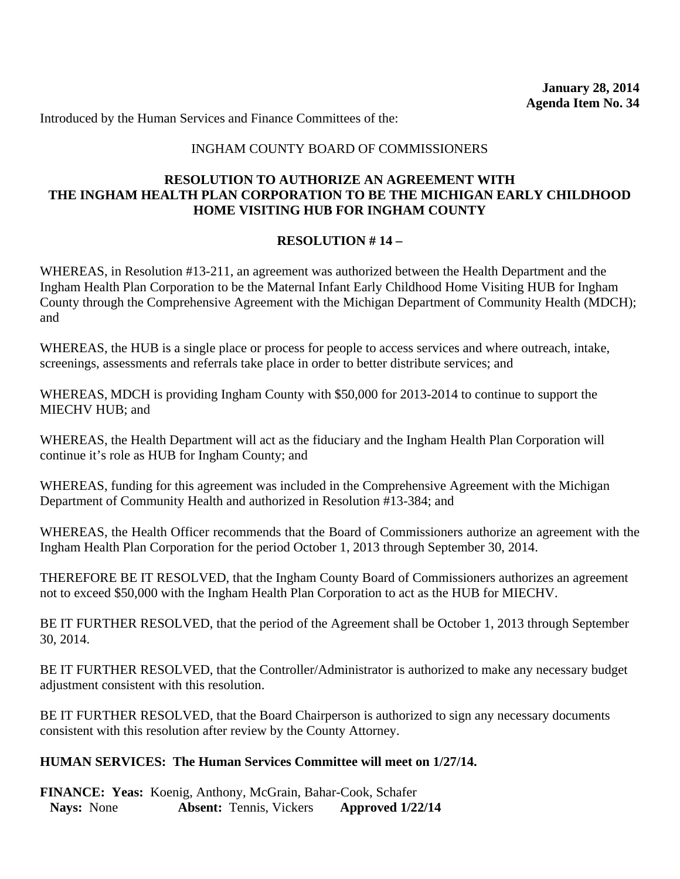### INGHAM COUNTY BOARD OF COMMISSIONERS

#### **RESOLUTION TO AUTHORIZE AN AGREEMENT WITH THE INGHAM HEALTH PLAN CORPORATION TO BE THE MICHIGAN EARLY CHILDHOOD HOME VISITING HUB FOR INGHAM COUNTY**

#### **RESOLUTION # 14 –**

WHEREAS, in Resolution #13-211, an agreement was authorized between the Health Department and the Ingham Health Plan Corporation to be the Maternal Infant Early Childhood Home Visiting HUB for Ingham County through the Comprehensive Agreement with the Michigan Department of Community Health (MDCH); and

WHEREAS, the HUB is a single place or process for people to access services and where outreach, intake, screenings, assessments and referrals take place in order to better distribute services; and

WHEREAS, MDCH is providing Ingham County with \$50,000 for 2013-2014 to continue to support the MIECHV HUB; and

WHEREAS, the Health Department will act as the fiduciary and the Ingham Health Plan Corporation will continue it's role as HUB for Ingham County; and

WHEREAS, funding for this agreement was included in the Comprehensive Agreement with the Michigan Department of Community Health and authorized in Resolution #13-384; and

WHEREAS, the Health Officer recommends that the Board of Commissioners authorize an agreement with the Ingham Health Plan Corporation for the period October 1, 2013 through September 30, 2014.

THEREFORE BE IT RESOLVED, that the Ingham County Board of Commissioners authorizes an agreement not to exceed \$50,000 with the Ingham Health Plan Corporation to act as the HUB for MIECHV.

BE IT FURTHER RESOLVED, that the period of the Agreement shall be October 1, 2013 through September 30, 2014.

BE IT FURTHER RESOLVED, that the Controller/Administrator is authorized to make any necessary budget adjustment consistent with this resolution.

BE IT FURTHER RESOLVED, that the Board Chairperson is authorized to sign any necessary documents consistent with this resolution after review by the County Attorney.

#### **HUMAN SERVICES: The Human Services Committee will meet on 1/27/14.**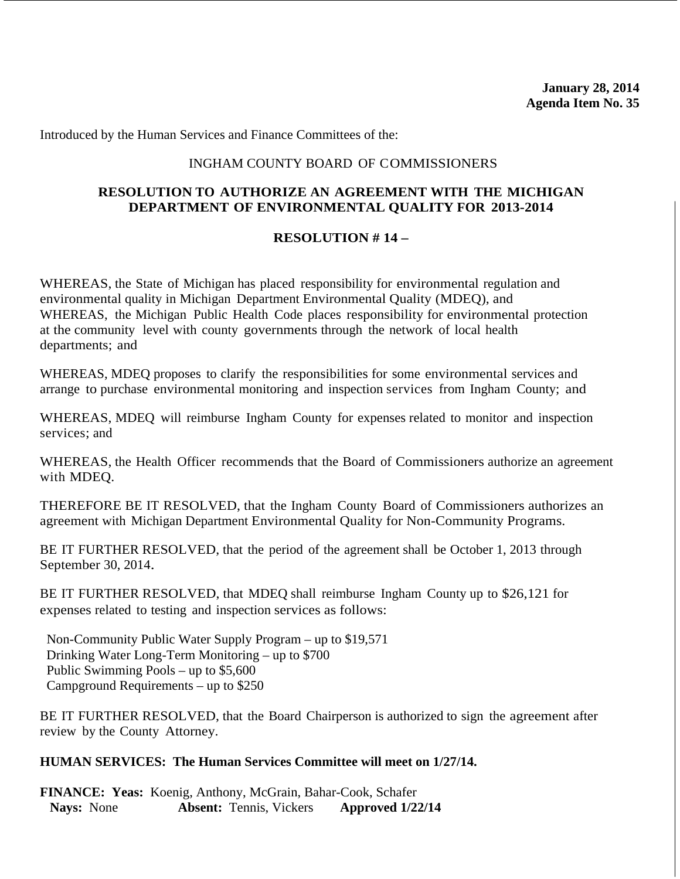#### INGHAM COUNTY BOARD OF COMMISSIONERS

### **RESOLUTION TO AUTHORIZE AN AGREEMENT WITH THE MICHIGAN DEPARTMENT OF ENVIRONMENTAL QUALITY FOR 2013-2014**

## **RESOLUTION # 14 –**

WHEREAS, the State of Michigan has placed responsibility for environmental regulation and environmental quality in Michigan Department Environmental Quality (MDEQ), and WHEREAS, the Michigan Public Health Code places responsibility for environmental protection at the community level with county governments through the network of local health departments; and

WHEREAS, MDEQ proposes to clarify the responsibilities for some environmental services and arrange to purchase environmental monitoring and inspection services from Ingham County; and

WHEREAS, MDEQ will reimburse Ingham County for expenses related to monitor and inspection services; and

WHEREAS, the Health Officer recommends that the Board of Commissioners authorize an agreement with MDEQ.

THEREFORE BE IT RESOLVED, that the Ingham County Board of Commissioners authorizes an agreement with Michigan Department Environmental Quality for Non-Community Programs.

BE IT FURTHER RESOLVED, that the period of the agreement shall be October 1, 2013 through September 30, 2014.

BE IT FURTHER RESOLVED, that MDEQ shall reimburse Ingham County up to \$26,121 for expenses related to testing and inspection services as follows:

 Non-Community Public Water Supply Program – up to \$19,571 Drinking Water Long-Term Monitoring – up to \$700 Public Swimming Pools – up to \$5,600 Campground Requirements – up to \$250

BE IT FURTHER RESOLVED, that the Board Chairperson is authorized to sign the agreement after review by the County Attorney.

#### **HUMAN SERVICES: The Human Services Committee will meet on 1/27/14.**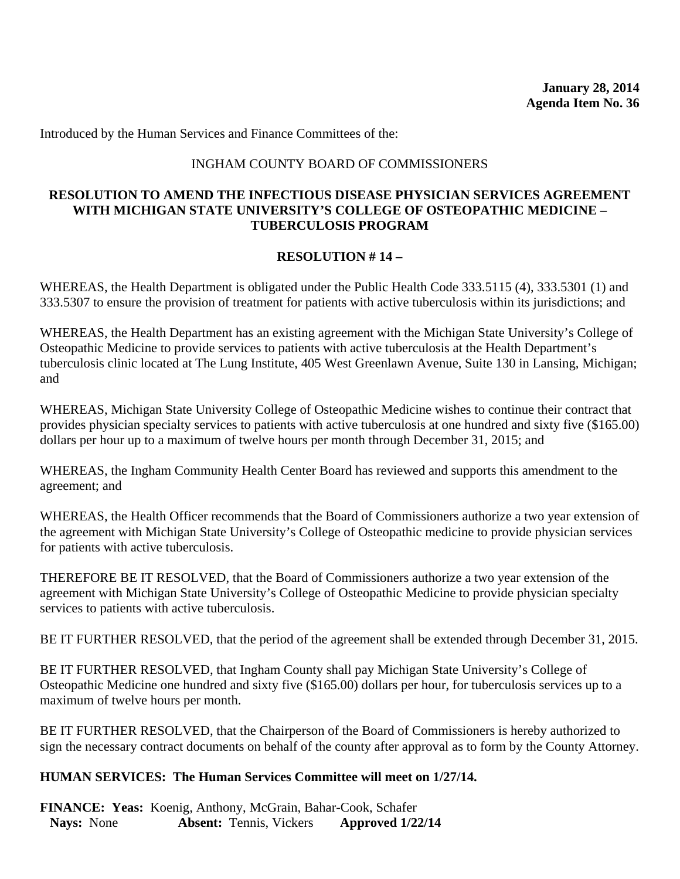#### INGHAM COUNTY BOARD OF COMMISSIONERS

### **RESOLUTION TO AMEND THE INFECTIOUS DISEASE PHYSICIAN SERVICES AGREEMENT WITH MICHIGAN STATE UNIVERSITY'S COLLEGE OF OSTEOPATHIC MEDICINE – TUBERCULOSIS PROGRAM**

#### **RESOLUTION # 14 –**

WHEREAS, the Health Department is obligated under the Public Health Code 333.5115 (4), 333.5301 (1) and 333.5307 to ensure the provision of treatment for patients with active tuberculosis within its jurisdictions; and

WHEREAS, the Health Department has an existing agreement with the Michigan State University's College of Osteopathic Medicine to provide services to patients with active tuberculosis at the Health Department's tuberculosis clinic located at The Lung Institute, 405 West Greenlawn Avenue, Suite 130 in Lansing, Michigan; and

WHEREAS, Michigan State University College of Osteopathic Medicine wishes to continue their contract that provides physician specialty services to patients with active tuberculosis at one hundred and sixty five (\$165.00) dollars per hour up to a maximum of twelve hours per month through December 31, 2015; and

WHEREAS, the Ingham Community Health Center Board has reviewed and supports this amendment to the agreement; and

WHEREAS, the Health Officer recommends that the Board of Commissioners authorize a two year extension of the agreement with Michigan State University's College of Osteopathic medicine to provide physician services for patients with active tuberculosis.

THEREFORE BE IT RESOLVED, that the Board of Commissioners authorize a two year extension of the agreement with Michigan State University's College of Osteopathic Medicine to provide physician specialty services to patients with active tuberculosis.

BE IT FURTHER RESOLVED, that the period of the agreement shall be extended through December 31, 2015.

BE IT FURTHER RESOLVED, that Ingham County shall pay Michigan State University's College of Osteopathic Medicine one hundred and sixty five (\$165.00) dollars per hour, for tuberculosis services up to a maximum of twelve hours per month.

BE IT FURTHER RESOLVED, that the Chairperson of the Board of Commissioners is hereby authorized to sign the necessary contract documents on behalf of the county after approval as to form by the County Attorney.

#### **HUMAN SERVICES: The Human Services Committee will meet on 1/27/14.**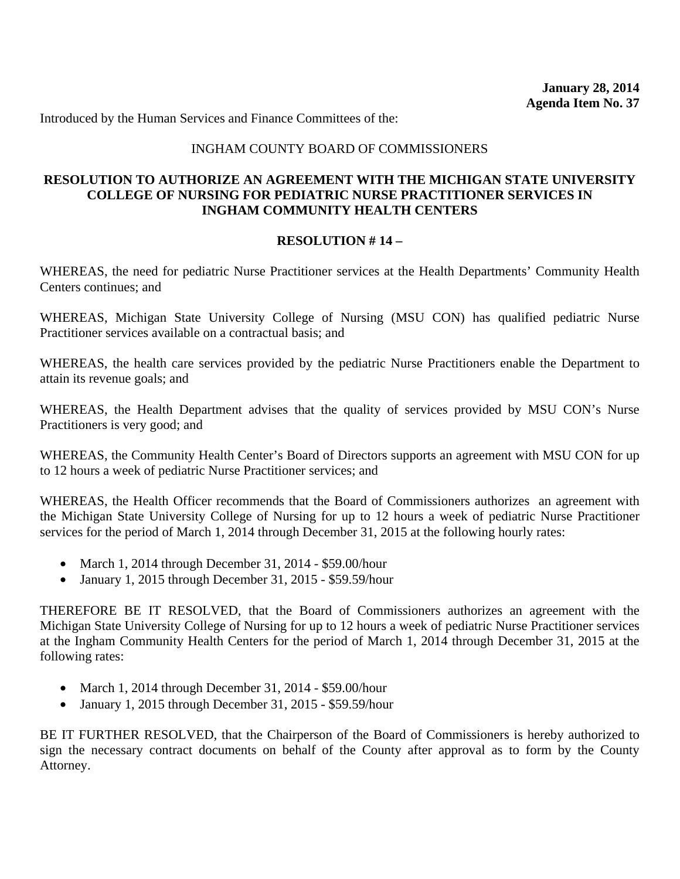#### INGHAM COUNTY BOARD OF COMMISSIONERS

### **RESOLUTION TO AUTHORIZE AN AGREEMENT WITH THE MICHIGAN STATE UNIVERSITY COLLEGE OF NURSING FOR PEDIATRIC NURSE PRACTITIONER SERVICES IN INGHAM COMMUNITY HEALTH CENTERS**

#### **RESOLUTION # 14 –**

WHEREAS, the need for pediatric Nurse Practitioner services at the Health Departments' Community Health Centers continues; and

WHEREAS, Michigan State University College of Nursing (MSU CON) has qualified pediatric Nurse Practitioner services available on a contractual basis; and

WHEREAS, the health care services provided by the pediatric Nurse Practitioners enable the Department to attain its revenue goals; and

WHEREAS, the Health Department advises that the quality of services provided by MSU CON's Nurse Practitioners is very good; and

WHEREAS, the Community Health Center's Board of Directors supports an agreement with MSU CON for up to 12 hours a week of pediatric Nurse Practitioner services; and

WHEREAS, the Health Officer recommends that the Board of Commissioners authorizes an agreement with the Michigan State University College of Nursing for up to 12 hours a week of pediatric Nurse Practitioner services for the period of March 1, 2014 through December 31, 2015 at the following hourly rates:

- March 1, 2014 through December 31, 2014 \$59.00/hour
- January 1, 2015 through December 31, 2015 \$59.59/hour

THEREFORE BE IT RESOLVED, that the Board of Commissioners authorizes an agreement with the Michigan State University College of Nursing for up to 12 hours a week of pediatric Nurse Practitioner services at the Ingham Community Health Centers for the period of March 1, 2014 through December 31, 2015 at the following rates:

- March 1, 2014 through December 31, 2014 \$59.00/hour
- January 1, 2015 through December 31, 2015 \$59.59/hour

BE IT FURTHER RESOLVED, that the Chairperson of the Board of Commissioners is hereby authorized to sign the necessary contract documents on behalf of the County after approval as to form by the County Attorney.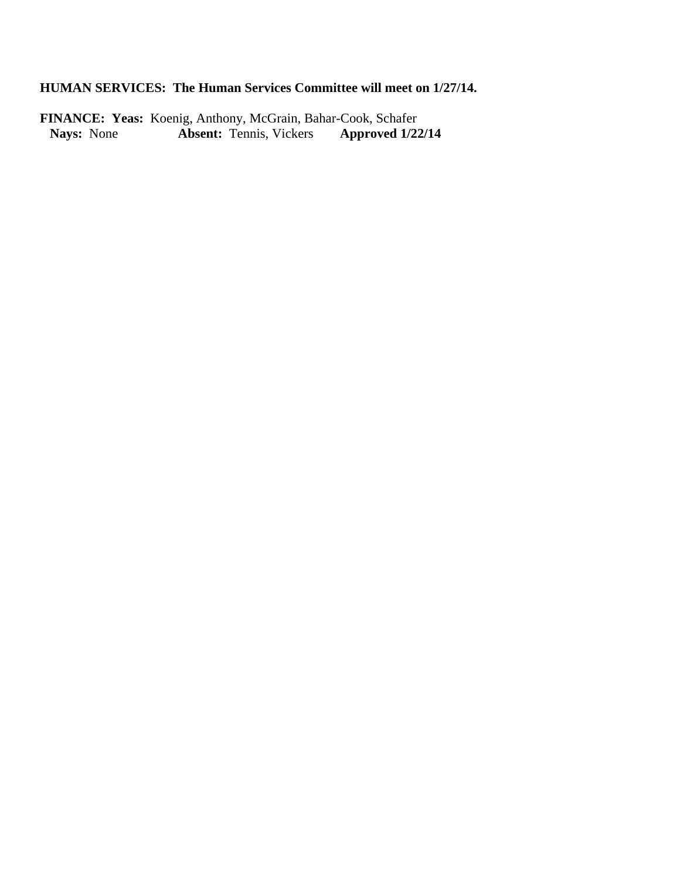# **HUMAN SERVICES: The Human Services Committee will meet on 1/27/14.**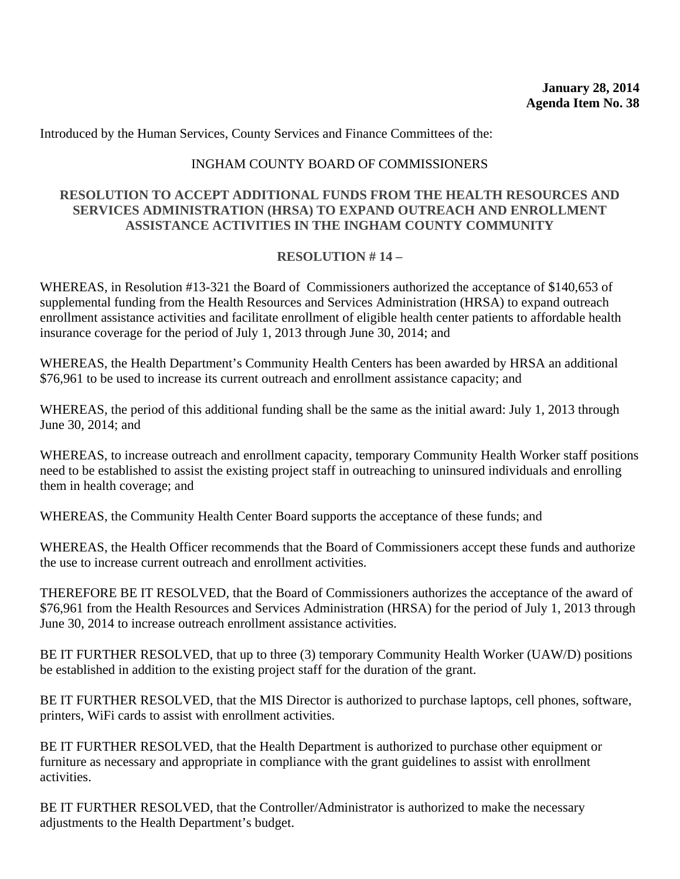Introduced by the Human Services, County Services and Finance Committees of the:

#### INGHAM COUNTY BOARD OF COMMISSIONERS

#### **RESOLUTION TO ACCEPT ADDITIONAL FUNDS FROM THE HEALTH RESOURCES AND SERVICES ADMINISTRATION (HRSA) TO EXPAND OUTREACH AND ENROLLMENT ASSISTANCE ACTIVITIES IN THE INGHAM COUNTY COMMUNITY**

#### **RESOLUTION # 14 –**

WHEREAS, in Resolution #13-321 the Board of Commissioners authorized the acceptance of \$140,653 of supplemental funding from the Health Resources and Services Administration (HRSA) to expand outreach enrollment assistance activities and facilitate enrollment of eligible health center patients to affordable health insurance coverage for the period of July 1, 2013 through June 30, 2014; and

WHEREAS, the Health Department's Community Health Centers has been awarded by HRSA an additional \$76,961 to be used to increase its current outreach and enrollment assistance capacity; and

WHEREAS, the period of this additional funding shall be the same as the initial award: July 1, 2013 through June 30, 2014; and

WHEREAS, to increase outreach and enrollment capacity, temporary Community Health Worker staff positions need to be established to assist the existing project staff in outreaching to uninsured individuals and enrolling them in health coverage; and

WHEREAS, the Community Health Center Board supports the acceptance of these funds; and

WHEREAS, the Health Officer recommends that the Board of Commissioners accept these funds and authorize the use to increase current outreach and enrollment activities.

THEREFORE BE IT RESOLVED, that the Board of Commissioners authorizes the acceptance of the award of \$76,961 from the Health Resources and Services Administration (HRSA) for the period of July 1, 2013 through June 30, 2014 to increase outreach enrollment assistance activities.

BE IT FURTHER RESOLVED, that up to three (3) temporary Community Health Worker (UAW/D) positions be established in addition to the existing project staff for the duration of the grant.

BE IT FURTHER RESOLVED, that the MIS Director is authorized to purchase laptops, cell phones, software, printers, WiFi cards to assist with enrollment activities.

BE IT FURTHER RESOLVED, that the Health Department is authorized to purchase other equipment or furniture as necessary and appropriate in compliance with the grant guidelines to assist with enrollment activities.

BE IT FURTHER RESOLVED, that the Controller/Administrator is authorized to make the necessary adjustments to the Health Department's budget.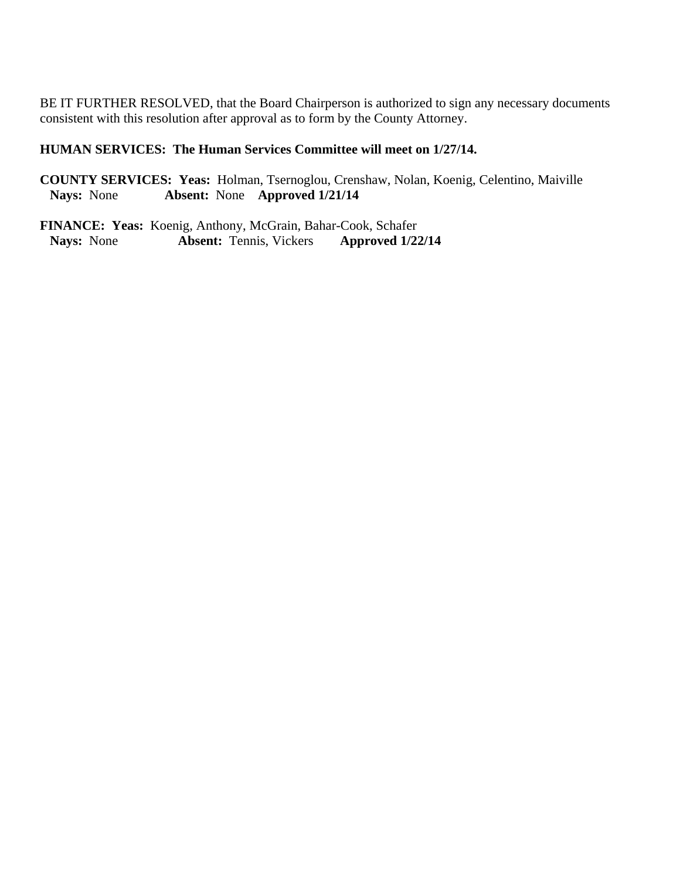BE IT FURTHER RESOLVED, that the Board Chairperson is authorized to sign any necessary documents consistent with this resolution after approval as to form by the County Attorney.

## **HUMAN SERVICES: The Human Services Committee will meet on 1/27/14.**

**COUNTY SERVICES: Yeas:** Holman, Tsernoglou, Crenshaw, Nolan, Koenig, Celentino, Maiville **Nays:** None **Absent:** None **Approved 1/21/14**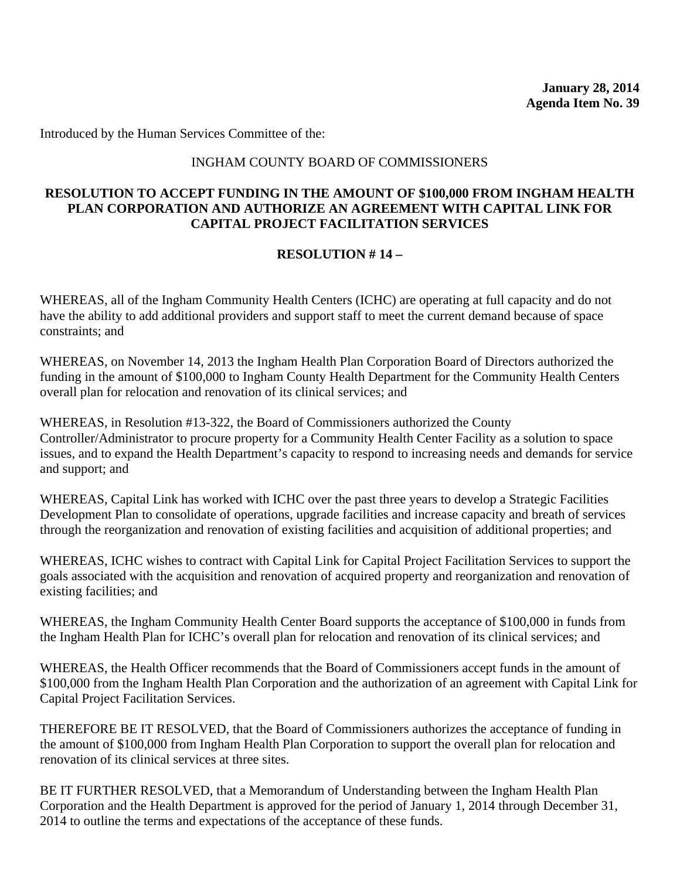Introduced by the Human Services Committee of the:

#### INGHAM COUNTY BOARD OF COMMISSIONERS

#### **RESOLUTION TO ACCEPT FUNDING IN THE AMOUNT OF \$100,000 FROM INGHAM HEALTH PLAN CORPORATION AND AUTHORIZE AN AGREEMENT WITH CAPITAL LINK FOR CAPITAL PROJECT FACILITATION SERVICES**

## **RESOLUTION # 14 –**

WHEREAS, all of the Ingham Community Health Centers (ICHC) are operating at full capacity and do not have the ability to add additional providers and support staff to meet the current demand because of space constraints; and

WHEREAS, on November 14, 2013 the Ingham Health Plan Corporation Board of Directors authorized the funding in the amount of \$100,000 to Ingham County Health Department for the Community Health Centers overall plan for relocation and renovation of its clinical services; and

WHEREAS, in Resolution #13-322, the Board of Commissioners authorized the County Controller/Administrator to procure property for a Community Health Center Facility as a solution to space issues, and to expand the Health Department's capacity to respond to increasing needs and demands for service and support; and

WHEREAS, Capital Link has worked with ICHC over the past three years to develop a Strategic Facilities Development Plan to consolidate of operations, upgrade facilities and increase capacity and breath of services through the reorganization and renovation of existing facilities and acquisition of additional properties; and

WHEREAS, ICHC wishes to contract with Capital Link for Capital Project Facilitation Services to support the goals associated with the acquisition and renovation of acquired property and reorganization and renovation of existing facilities; and

WHEREAS, the Ingham Community Health Center Board supports the acceptance of \$100,000 in funds from the Ingham Health Plan for ICHC's overall plan for relocation and renovation of its clinical services; and

WHEREAS, the Health Officer recommends that the Board of Commissioners accept funds in the amount of \$100,000 from the Ingham Health Plan Corporation and the authorization of an agreement with Capital Link for Capital Project Facilitation Services.

THEREFORE BE IT RESOLVED, that the Board of Commissioners authorizes the acceptance of funding in the amount of \$100,000 from Ingham Health Plan Corporation to support the overall plan for relocation and renovation of its clinical services at three sites.

BE IT FURTHER RESOLVED, that a Memorandum of Understanding between the Ingham Health Plan Corporation and the Health Department is approved for the period of January 1, 2014 through December 31, 2014 to outline the terms and expectations of the acceptance of these funds.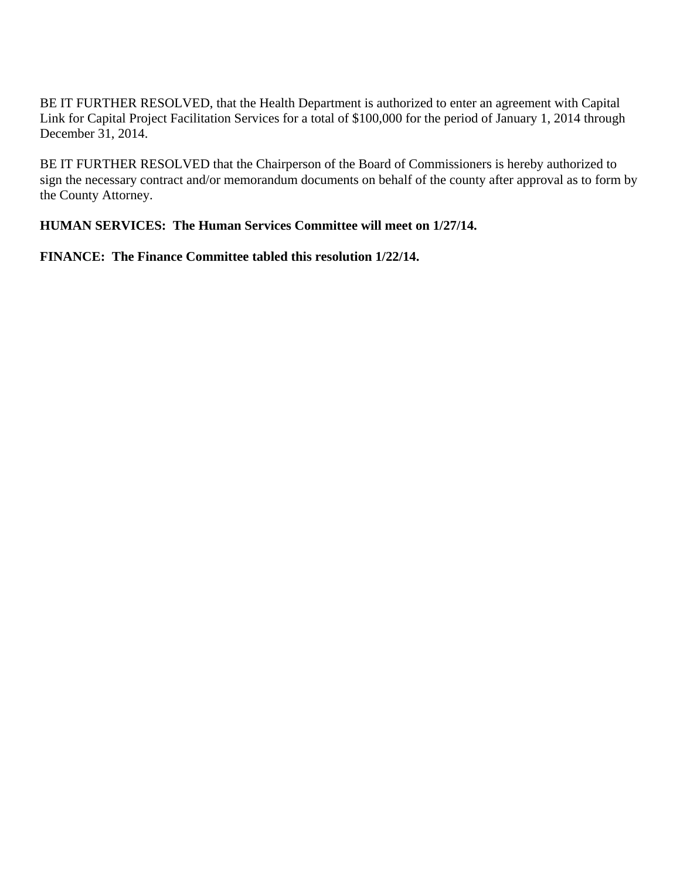BE IT FURTHER RESOLVED, that the Health Department is authorized to enter an agreement with Capital Link for Capital Project Facilitation Services for a total of \$100,000 for the period of January 1, 2014 through December 31, 2014.

BE IT FURTHER RESOLVED that the Chairperson of the Board of Commissioners is hereby authorized to sign the necessary contract and/or memorandum documents on behalf of the county after approval as to form by the County Attorney.

## **HUMAN SERVICES: The Human Services Committee will meet on 1/27/14.**

**FINANCE: The Finance Committee tabled this resolution 1/22/14.**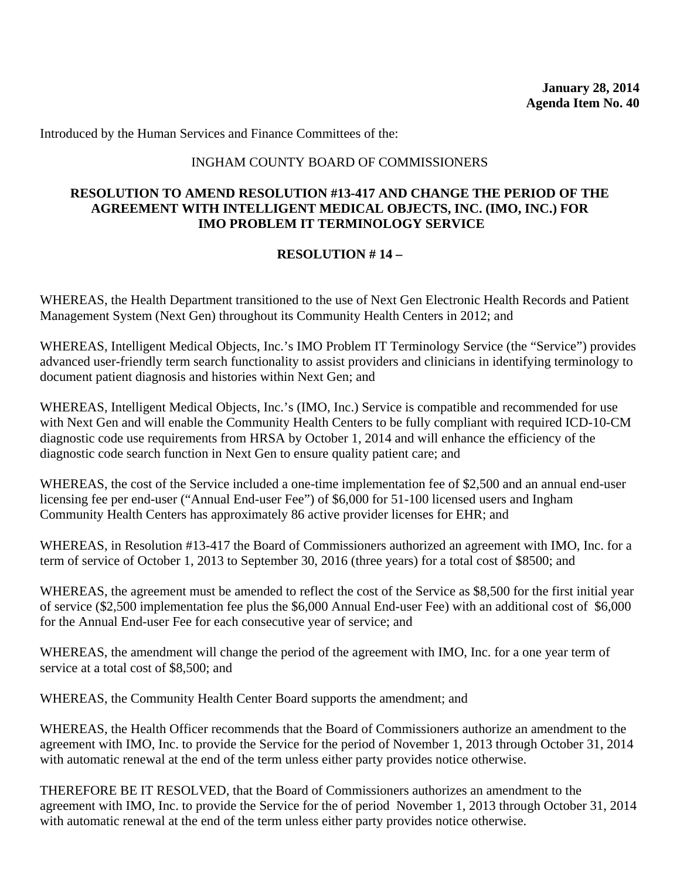#### INGHAM COUNTY BOARD OF COMMISSIONERS

#### **RESOLUTION TO AMEND RESOLUTION #13-417 AND CHANGE THE PERIOD OF THE AGREEMENT WITH INTELLIGENT MEDICAL OBJECTS, INC. (IMO, INC.) FOR IMO PROBLEM IT TERMINOLOGY SERVICE**

## **RESOLUTION # 14 –**

WHEREAS, the Health Department transitioned to the use of Next Gen Electronic Health Records and Patient Management System (Next Gen) throughout its Community Health Centers in 2012; and

WHEREAS, Intelligent Medical Objects, Inc.'s IMO Problem IT Terminology Service (the "Service") provides advanced user-friendly term search functionality to assist providers and clinicians in identifying terminology to document patient diagnosis and histories within Next Gen; and

WHEREAS, Intelligent Medical Objects, Inc.'s (IMO, Inc.) Service is compatible and recommended for use with Next Gen and will enable the Community Health Centers to be fully compliant with required ICD-10-CM diagnostic code use requirements from HRSA by October 1, 2014 and will enhance the efficiency of the diagnostic code search function in Next Gen to ensure quality patient care; and

WHEREAS, the cost of the Service included a one-time implementation fee of \$2,500 and an annual end-user licensing fee per end-user ("Annual End-user Fee") of \$6,000 for 51-100 licensed users and Ingham Community Health Centers has approximately 86 active provider licenses for EHR; and

WHEREAS, in Resolution #13-417 the Board of Commissioners authorized an agreement with IMO, Inc. for a term of service of October 1, 2013 to September 30, 2016 (three years) for a total cost of \$8500; and

WHEREAS, the agreement must be amended to reflect the cost of the Service as \$8,500 for the first initial year of service (\$2,500 implementation fee plus the \$6,000 Annual End-user Fee) with an additional cost of \$6,000 for the Annual End-user Fee for each consecutive year of service; and

WHEREAS, the amendment will change the period of the agreement with IMO, Inc. for a one year term of service at a total cost of \$8,500; and

WHEREAS, the Community Health Center Board supports the amendment; and

WHEREAS, the Health Officer recommends that the Board of Commissioners authorize an amendment to the agreement with IMO, Inc. to provide the Service for the period of November 1, 2013 through October 31, 2014 with automatic renewal at the end of the term unless either party provides notice otherwise.

THEREFORE BE IT RESOLVED, that the Board of Commissioners authorizes an amendment to the agreement with IMO, Inc. to provide the Service for the of period November 1, 2013 through October 31, 2014 with automatic renewal at the end of the term unless either party provides notice otherwise.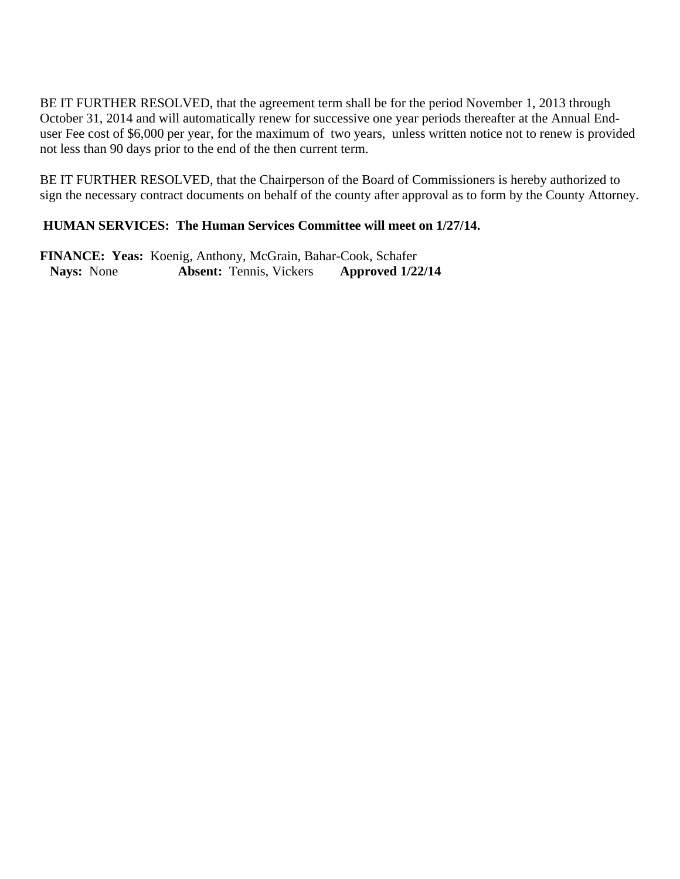BE IT FURTHER RESOLVED, that the agreement term shall be for the period November 1, 2013 through October 31, 2014 and will automatically renew for successive one year periods thereafter at the Annual Enduser Fee cost of \$6,000 per year, for the maximum of two years, unless written notice not to renew is provided not less than 90 days prior to the end of the then current term.

BE IT FURTHER RESOLVED, that the Chairperson of the Board of Commissioners is hereby authorized to sign the necessary contract documents on behalf of the county after approval as to form by the County Attorney.

## **HUMAN SERVICES: The Human Services Committee will meet on 1/27/14.**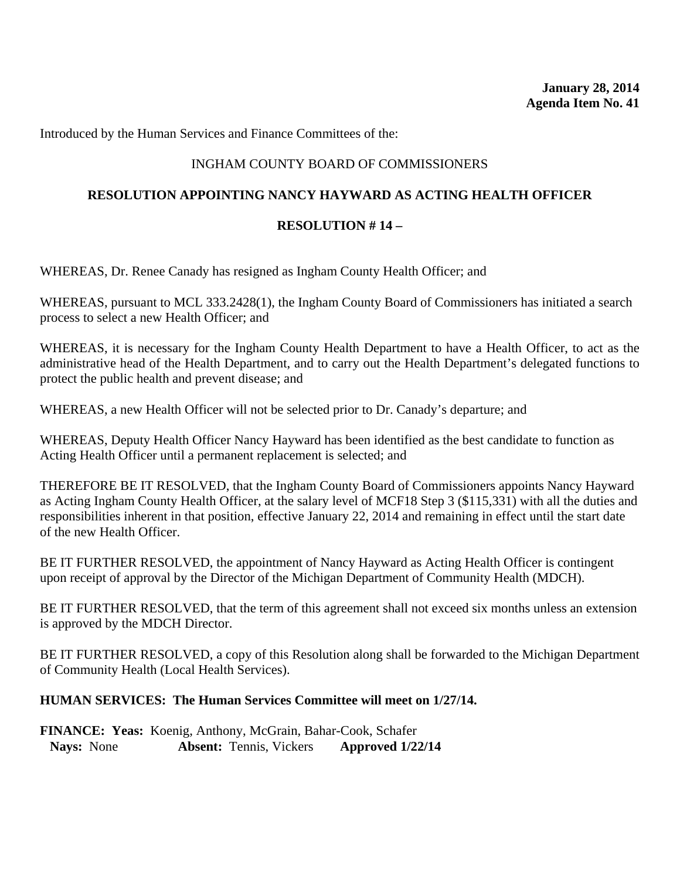Introduced by the Human Services and Finance Committees of the:

# INGHAM COUNTY BOARD OF COMMISSIONERS

# **RESOLUTION APPOINTING NANCY HAYWARD AS ACTING HEALTH OFFICER**

## **RESOLUTION # 14 –**

WHEREAS, Dr. Renee Canady has resigned as Ingham County Health Officer; and

WHEREAS, pursuant to MCL 333.2428(1), the Ingham County Board of Commissioners has initiated a search process to select a new Health Officer; and

WHEREAS, it is necessary for the Ingham County Health Department to have a Health Officer, to act as the administrative head of the Health Department, and to carry out the Health Department's delegated functions to protect the public health and prevent disease; and

WHEREAS, a new Health Officer will not be selected prior to Dr. Canady's departure; and

WHEREAS, Deputy Health Officer Nancy Hayward has been identified as the best candidate to function as Acting Health Officer until a permanent replacement is selected; and

THEREFORE BE IT RESOLVED, that the Ingham County Board of Commissioners appoints Nancy Hayward as Acting Ingham County Health Officer, at the salary level of MCF18 Step 3 (\$115,331) with all the duties and responsibilities inherent in that position, effective January 22, 2014 and remaining in effect until the start date of the new Health Officer.

BE IT FURTHER RESOLVED, the appointment of Nancy Hayward as Acting Health Officer is contingent upon receipt of approval by the Director of the Michigan Department of Community Health (MDCH).

BE IT FURTHER RESOLVED, that the term of this agreement shall not exceed six months unless an extension is approved by the MDCH Director.

BE IT FURTHER RESOLVED, a copy of this Resolution along shall be forwarded to the Michigan Department of Community Health (Local Health Services).

#### **HUMAN SERVICES: The Human Services Committee will meet on 1/27/14.**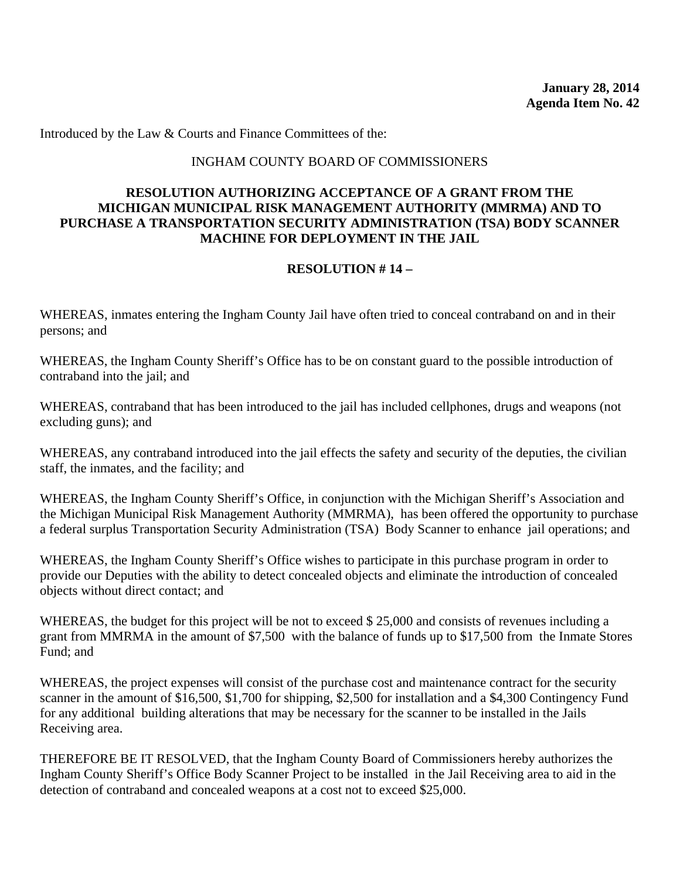Introduced by the Law & Courts and Finance Committees of the:

#### INGHAM COUNTY BOARD OF COMMISSIONERS

### **RESOLUTION AUTHORIZING ACCEPTANCE OF A GRANT FROM THE MICHIGAN MUNICIPAL RISK MANAGEMENT AUTHORITY (MMRMA) AND TO PURCHASE A TRANSPORTATION SECURITY ADMINISTRATION (TSA) BODY SCANNER MACHINE FOR DEPLOYMENT IN THE JAIL**

# **RESOLUTION # 14 –**

WHEREAS, inmates entering the Ingham County Jail have often tried to conceal contraband on and in their persons; and

WHEREAS, the Ingham County Sheriff's Office has to be on constant guard to the possible introduction of contraband into the jail; and

WHEREAS, contraband that has been introduced to the jail has included cellphones, drugs and weapons (not excluding guns); and

WHEREAS, any contraband introduced into the jail effects the safety and security of the deputies, the civilian staff, the inmates, and the facility; and

WHEREAS, the Ingham County Sheriff's Office, in conjunction with the Michigan Sheriff's Association and the Michigan Municipal Risk Management Authority (MMRMA), has been offered the opportunity to purchase a federal surplus Transportation Security Administration (TSA) Body Scanner to enhance jail operations; and

WHEREAS, the Ingham County Sheriff's Office wishes to participate in this purchase program in order to provide our Deputies with the ability to detect concealed objects and eliminate the introduction of concealed objects without direct contact; and

WHEREAS, the budget for this project will be not to exceed \$ 25,000 and consists of revenues including a grant from MMRMA in the amount of \$7,500 with the balance of funds up to \$17,500 from the Inmate Stores Fund; and

WHEREAS, the project expenses will consist of the purchase cost and maintenance contract for the security scanner in the amount of \$16,500, \$1,700 for shipping, \$2,500 for installation and a \$4,300 Contingency Fund for any additional building alterations that may be necessary for the scanner to be installed in the Jails Receiving area.

THEREFORE BE IT RESOLVED, that the Ingham County Board of Commissioners hereby authorizes the Ingham County Sheriff's Office Body Scanner Project to be installed in the Jail Receiving area to aid in the detection of contraband and concealed weapons at a cost not to exceed \$25,000.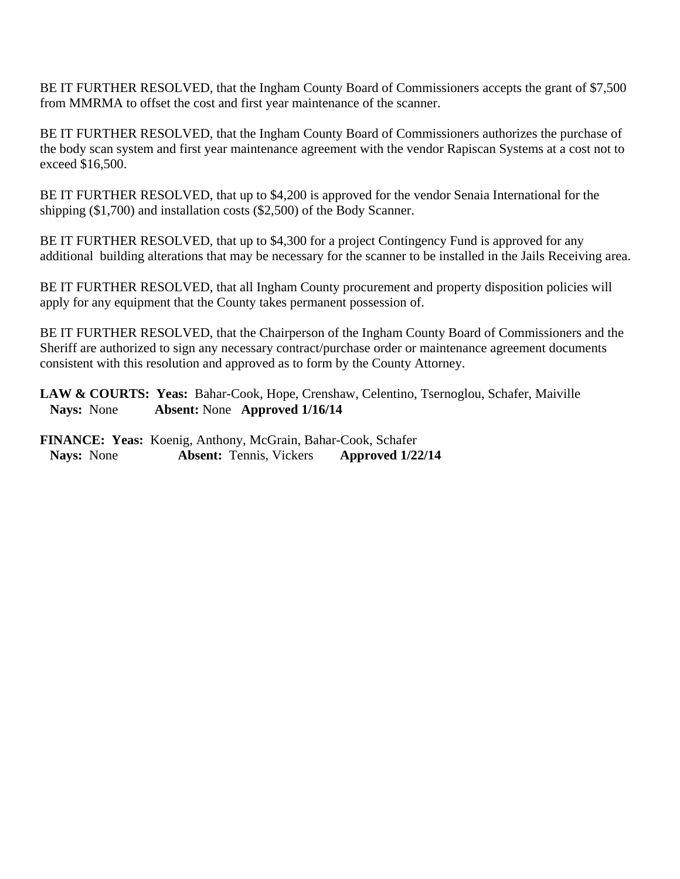BE IT FURTHER RESOLVED, that the Ingham County Board of Commissioners accepts the grant of \$7,500 from MMRMA to offset the cost and first year maintenance of the scanner.

BE IT FURTHER RESOLVED, that the Ingham County Board of Commissioners authorizes the purchase of the body scan system and first year maintenance agreement with the vendor Rapiscan Systems at a cost not to exceed \$16,500.

BE IT FURTHER RESOLVED, that up to \$4,200 is approved for the vendor Senaia International for the shipping (\$1,700) and installation costs (\$2,500) of the Body Scanner.

BE IT FURTHER RESOLVED, that up to \$4,300 for a project Contingency Fund is approved for any additional building alterations that may be necessary for the scanner to be installed in the Jails Receiving area.

BE IT FURTHER RESOLVED, that all Ingham County procurement and property disposition policies will apply for any equipment that the County takes permanent possession of.

BE IT FURTHER RESOLVED, that the Chairperson of the Ingham County Board of Commissioners and the Sheriff are authorized to sign any necessary contract/purchase order or maintenance agreement documents consistent with this resolution and approved as to form by the County Attorney.

LAW & COURTS: Yeas: Bahar-Cook, Hope, Crenshaw, Celentino, Tsernoglou, Schafer, Maiville **Nays:** None **Absent:** None **Approved 1/16/14**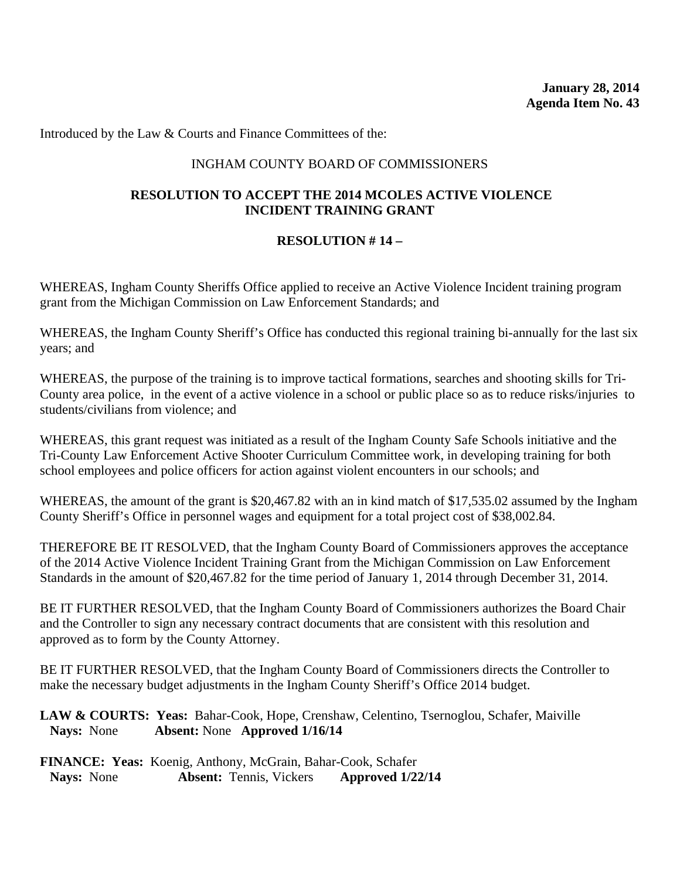Introduced by the Law & Courts and Finance Committees of the:

### INGHAM COUNTY BOARD OF COMMISSIONERS

### **RESOLUTION TO ACCEPT THE 2014 MCOLES ACTIVE VIOLENCE INCIDENT TRAINING GRANT**

### **RESOLUTION # 14 –**

WHEREAS, Ingham County Sheriffs Office applied to receive an Active Violence Incident training program grant from the Michigan Commission on Law Enforcement Standards; and

WHEREAS, the Ingham County Sheriff's Office has conducted this regional training bi-annually for the last six years; and

WHEREAS, the purpose of the training is to improve tactical formations, searches and shooting skills for Tri-County area police, in the event of a active violence in a school or public place so as to reduce risks/injuries to students/civilians from violence; and

WHEREAS, this grant request was initiated as a result of the Ingham County Safe Schools initiative and the Tri-County Law Enforcement Active Shooter Curriculum Committee work, in developing training for both school employees and police officers for action against violent encounters in our schools; and

WHEREAS, the amount of the grant is \$20,467.82 with an in kind match of \$17,535.02 assumed by the Ingham County Sheriff's Office in personnel wages and equipment for a total project cost of \$38,002.84.

THEREFORE BE IT RESOLVED, that the Ingham County Board of Commissioners approves the acceptance of the 2014 Active Violence Incident Training Grant from the Michigan Commission on Law Enforcement Standards in the amount of \$20,467.82 for the time period of January 1, 2014 through December 31, 2014.

BE IT FURTHER RESOLVED, that the Ingham County Board of Commissioners authorizes the Board Chair and the Controller to sign any necessary contract documents that are consistent with this resolution and approved as to form by the County Attorney.

BE IT FURTHER RESOLVED, that the Ingham County Board of Commissioners directs the Controller to make the necessary budget adjustments in the Ingham County Sheriff's Office 2014 budget.

LAW & COURTS: Yeas: Bahar-Cook, Hope, Crenshaw, Celentino, Tsernoglou, Schafer, Maiville **Nays:** None **Absent:** None **Approved 1/16/14**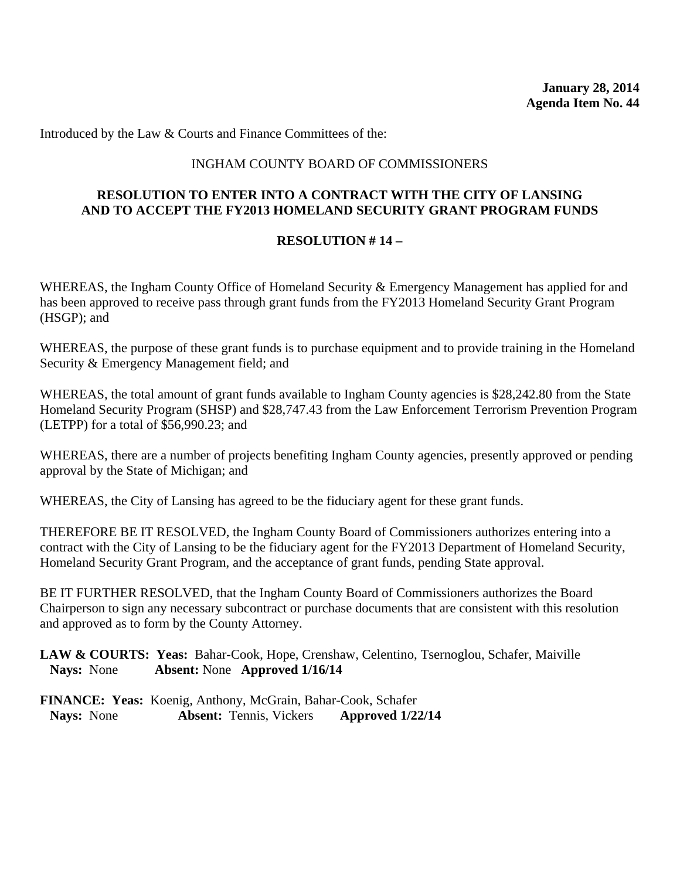Introduced by the Law & Courts and Finance Committees of the:

### INGHAM COUNTY BOARD OF COMMISSIONERS

### **RESOLUTION TO ENTER INTO A CONTRACT WITH THE CITY OF LANSING AND TO ACCEPT THE FY2013 HOMELAND SECURITY GRANT PROGRAM FUNDS**

### **RESOLUTION # 14 –**

WHEREAS, the Ingham County Office of Homeland Security & Emergency Management has applied for and has been approved to receive pass through grant funds from the FY2013 Homeland Security Grant Program (HSGP); and

WHEREAS, the purpose of these grant funds is to purchase equipment and to provide training in the Homeland Security & Emergency Management field; and

WHEREAS, the total amount of grant funds available to Ingham County agencies is \$28,242.80 from the State Homeland Security Program (SHSP) and \$28,747.43 from the Law Enforcement Terrorism Prevention Program (LETPP) for a total of \$56,990.23; and

WHEREAS, there are a number of projects benefiting Ingham County agencies, presently approved or pending approval by the State of Michigan; and

WHEREAS, the City of Lansing has agreed to be the fiduciary agent for these grant funds.

THEREFORE BE IT RESOLVED, the Ingham County Board of Commissioners authorizes entering into a contract with the City of Lansing to be the fiduciary agent for the FY2013 Department of Homeland Security, Homeland Security Grant Program, and the acceptance of grant funds, pending State approval.

BE IT FURTHER RESOLVED, that the Ingham County Board of Commissioners authorizes the Board Chairperson to sign any necessary subcontract or purchase documents that are consistent with this resolution and approved as to form by the County Attorney.

LAW & COURTS: Yeas: Bahar-Cook, Hope, Crenshaw, Celentino, Tsernoglou, Schafer, Maiville **Nays:** None **Absent:** None **Approved 1/16/14**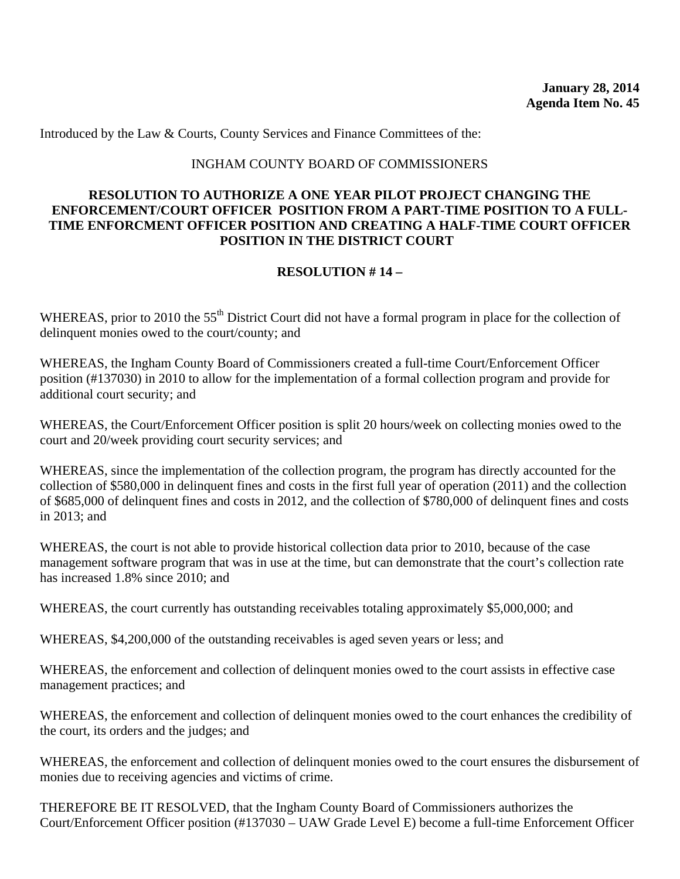Introduced by the Law & Courts, County Services and Finance Committees of the:

#### INGHAM COUNTY BOARD OF COMMISSIONERS

### **RESOLUTION TO AUTHORIZE A ONE YEAR PILOT PROJECT CHANGING THE ENFORCEMENT/COURT OFFICER POSITION FROM A PART-TIME POSITION TO A FULL-TIME ENFORCMENT OFFICER POSITION AND CREATING A HALF-TIME COURT OFFICER POSITION IN THE DISTRICT COURT**

# **RESOLUTION # 14 –**

WHEREAS, prior to 2010 the 55<sup>th</sup> District Court did not have a formal program in place for the collection of delinquent monies owed to the court/county; and

WHEREAS, the Ingham County Board of Commissioners created a full-time Court/Enforcement Officer position (#137030) in 2010 to allow for the implementation of a formal collection program and provide for additional court security; and

WHEREAS, the Court/Enforcement Officer position is split 20 hours/week on collecting monies owed to the court and 20/week providing court security services; and

WHEREAS, since the implementation of the collection program, the program has directly accounted for the collection of \$580,000 in delinquent fines and costs in the first full year of operation (2011) and the collection of \$685,000 of delinquent fines and costs in 2012, and the collection of \$780,000 of delinquent fines and costs in 2013; and

WHEREAS, the court is not able to provide historical collection data prior to 2010, because of the case management software program that was in use at the time, but can demonstrate that the court's collection rate has increased 1.8% since 2010; and

WHEREAS, the court currently has outstanding receivables totaling approximately \$5,000,000; and

WHEREAS, \$4,200,000 of the outstanding receivables is aged seven years or less; and

WHEREAS, the enforcement and collection of delinquent monies owed to the court assists in effective case management practices; and

WHEREAS, the enforcement and collection of delinquent monies owed to the court enhances the credibility of the court, its orders and the judges; and

WHEREAS, the enforcement and collection of delinquent monies owed to the court ensures the disbursement of monies due to receiving agencies and victims of crime.

THEREFORE BE IT RESOLVED, that the Ingham County Board of Commissioners authorizes the Court/Enforcement Officer position (#137030 – UAW Grade Level E) become a full-time Enforcement Officer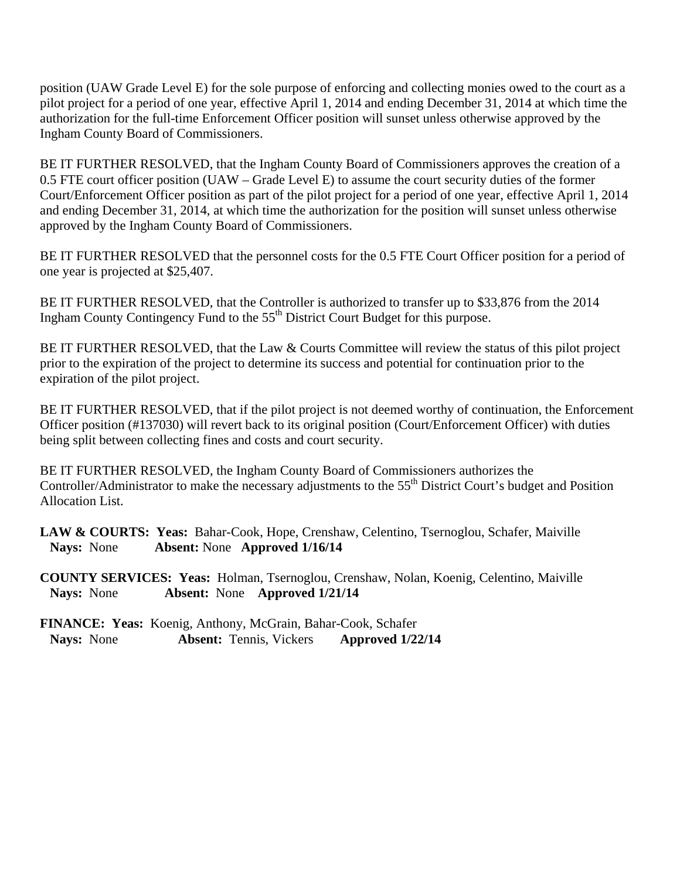position (UAW Grade Level E) for the sole purpose of enforcing and collecting monies owed to the court as a pilot project for a period of one year, effective April 1, 2014 and ending December 31, 2014 at which time the authorization for the full-time Enforcement Officer position will sunset unless otherwise approved by the Ingham County Board of Commissioners.

BE IT FURTHER RESOLVED, that the Ingham County Board of Commissioners approves the creation of a 0.5 FTE court officer position (UAW – Grade Level E) to assume the court security duties of the former Court/Enforcement Officer position as part of the pilot project for a period of one year, effective April 1, 2014 and ending December 31, 2014, at which time the authorization for the position will sunset unless otherwise approved by the Ingham County Board of Commissioners.

BE IT FURTHER RESOLVED that the personnel costs for the 0.5 FTE Court Officer position for a period of one year is projected at \$25,407.

BE IT FURTHER RESOLVED, that the Controller is authorized to transfer up to \$33,876 from the 2014 Ingham County Contingency Fund to the 55<sup>th</sup> District Court Budget for this purpose.

BE IT FURTHER RESOLVED, that the Law & Courts Committee will review the status of this pilot project prior to the expiration of the project to determine its success and potential for continuation prior to the expiration of the pilot project.

BE IT FURTHER RESOLVED, that if the pilot project is not deemed worthy of continuation, the Enforcement Officer position (#137030) will revert back to its original position (Court/Enforcement Officer) with duties being split between collecting fines and costs and court security.

BE IT FURTHER RESOLVED, the Ingham County Board of Commissioners authorizes the Controller/Administrator to make the necessary adjustments to the 55<sup>th</sup> District Court's budget and Position Allocation List.

LAW & COURTS: Yeas: Bahar-Cook, Hope, Crenshaw, Celentino, Tsernoglou, Schafer, Maiville **Nays:** None **Absent:** None **Approved 1/16/14** 

**COUNTY SERVICES: Yeas:** Holman, Tsernoglou, Crenshaw, Nolan, Koenig, Celentino, Maiville **Nays:** None **Absent:** None **Approved 1/21/14**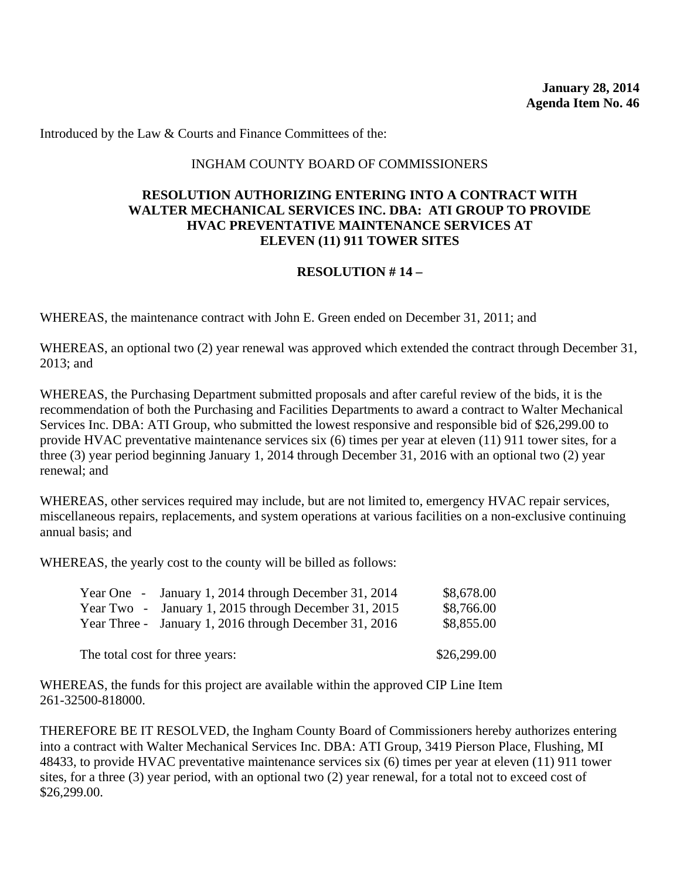**January 28, 2014 Agenda Item No. 46** 

Introduced by the Law & Courts and Finance Committees of the:

### INGHAM COUNTY BOARD OF COMMISSIONERS

### **RESOLUTION AUTHORIZING ENTERING INTO A CONTRACT WITH WALTER MECHANICAL SERVICES INC. DBA: ATI GROUP TO PROVIDE HVAC PREVENTATIVE MAINTENANCE SERVICES AT ELEVEN (11) 911 TOWER SITES**

### **RESOLUTION # 14 –**

WHEREAS, the maintenance contract with John E. Green ended on December 31, 2011; and

WHEREAS, an optional two (2) year renewal was approved which extended the contract through December 31, 2013; and

WHEREAS, the Purchasing Department submitted proposals and after careful review of the bids, it is the recommendation of both the Purchasing and Facilities Departments to award a contract to Walter Mechanical Services Inc. DBA: ATI Group, who submitted the lowest responsive and responsible bid of \$26,299.00 to provide HVAC preventative maintenance services six (6) times per year at eleven (11) 911 tower sites, for a three (3) year period beginning January 1, 2014 through December 31, 2016 with an optional two (2) year renewal; and

WHEREAS, other services required may include, but are not limited to, emergency HVAC repair services, miscellaneous repairs, replacements, and system operations at various facilities on a non-exclusive continuing annual basis; and

WHEREAS, the yearly cost to the county will be billed as follows:

|                                 | Year One - January 1, 2014 through December 31, 2014   | \$8,678.00  |
|---------------------------------|--------------------------------------------------------|-------------|
|                                 | Year Two - January 1, 2015 through December 31, 2015   | \$8,766.00  |
|                                 | Year Three - January 1, 2016 through December 31, 2016 | \$8,855.00  |
|                                 |                                                        |             |
| The total cost for three years: |                                                        | \$26,299.00 |

WHEREAS, the funds for this project are available within the approved CIP Line Item 261-32500-818000.

THEREFORE BE IT RESOLVED, the Ingham County Board of Commissioners hereby authorizes entering into a contract with Walter Mechanical Services Inc. DBA: ATI Group, 3419 Pierson Place, Flushing, MI 48433, to provide HVAC preventative maintenance services six (6) times per year at eleven (11) 911 tower sites, for a three (3) year period, with an optional two (2) year renewal, for a total not to exceed cost of \$26,299.00.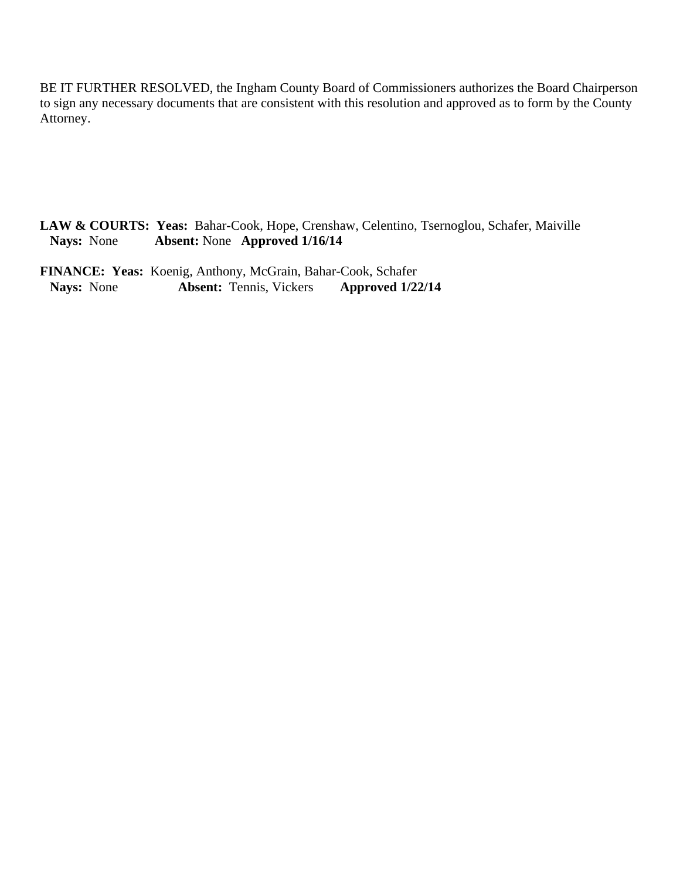BE IT FURTHER RESOLVED, the Ingham County Board of Commissioners authorizes the Board Chairperson to sign any necessary documents that are consistent with this resolution and approved as to form by the County Attorney.

LAW & COURTS: Yeas: Bahar-Cook, Hope, Crenshaw, Celentino, Tsernoglou, Schafer, Maiville<br>Nays: None **Absent:** None **Approved 1/16/14 Nays:** None **Absent:** None **Approved 1/16/14** 

FINANCE: Yeas: Koenig, Anthony, McGrain, Bahar-Cook, Schafer<br>Nays: None **Absent:** Tennis, Vickers **Approved 1/22 Absent:** Tennis, Vickers **Approved 1/22/14**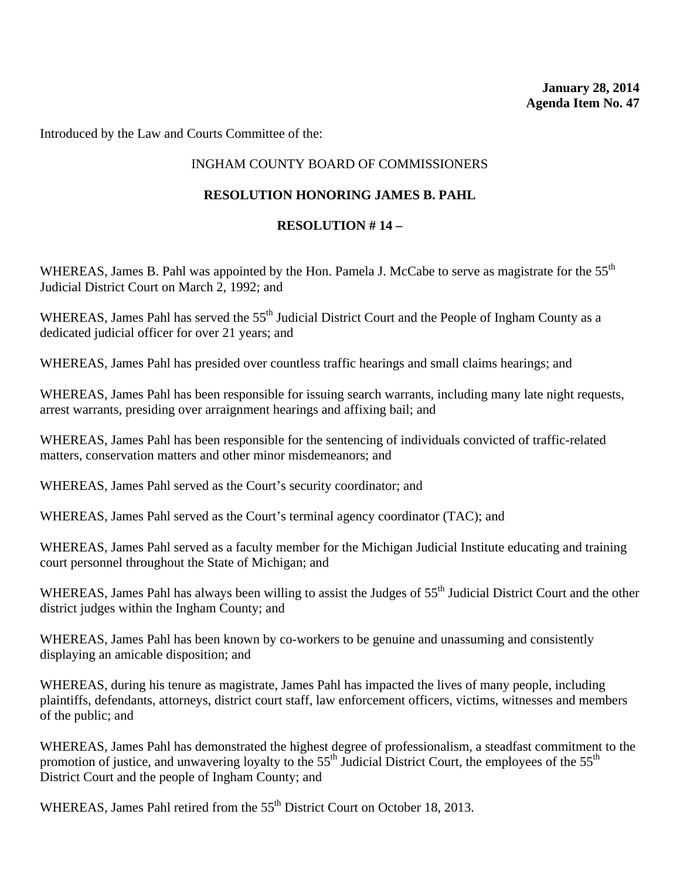Introduced by the Law and Courts Committee of the:

# INGHAM COUNTY BOARD OF COMMISSIONERS

# **RESOLUTION HONORING JAMES B. PAHL**

# **RESOLUTION # 14 –**

WHEREAS, James B. Pahl was appointed by the Hon. Pamela J. McCabe to serve as magistrate for the 55<sup>th</sup> Judicial District Court on March 2, 1992; and

WHEREAS, James Pahl has served the 55<sup>th</sup> Judicial District Court and the People of Ingham County as a dedicated judicial officer for over 21 years; and

WHEREAS, James Pahl has presided over countless traffic hearings and small claims hearings; and

WHEREAS, James Pahl has been responsible for issuing search warrants, including many late night requests, arrest warrants, presiding over arraignment hearings and affixing bail; and

WHEREAS, James Pahl has been responsible for the sentencing of individuals convicted of traffic-related matters, conservation matters and other minor misdemeanors; and

WHEREAS, James Pahl served as the Court's security coordinator; and

WHEREAS, James Pahl served as the Court's terminal agency coordinator (TAC); and

WHEREAS, James Pahl served as a faculty member for the Michigan Judicial Institute educating and training court personnel throughout the State of Michigan; and

WHEREAS, James Pahl has always been willing to assist the Judges of 55<sup>th</sup> Judicial District Court and the other district judges within the Ingham County; and

WHEREAS, James Pahl has been known by co-workers to be genuine and unassuming and consistently displaying an amicable disposition; and

WHEREAS, during his tenure as magistrate, James Pahl has impacted the lives of many people, including plaintiffs, defendants, attorneys, district court staff, law enforcement officers, victims, witnesses and members of the public; and

WHEREAS, James Pahl has demonstrated the highest degree of professionalism, a steadfast commitment to the promotion of justice, and unwavering loyalty to the 55<sup>th</sup> Judicial District Court, the employees of the 55<sup>th</sup> District Court and the people of Ingham County; and

WHEREAS, James Pahl retired from the 55<sup>th</sup> District Court on October 18, 2013.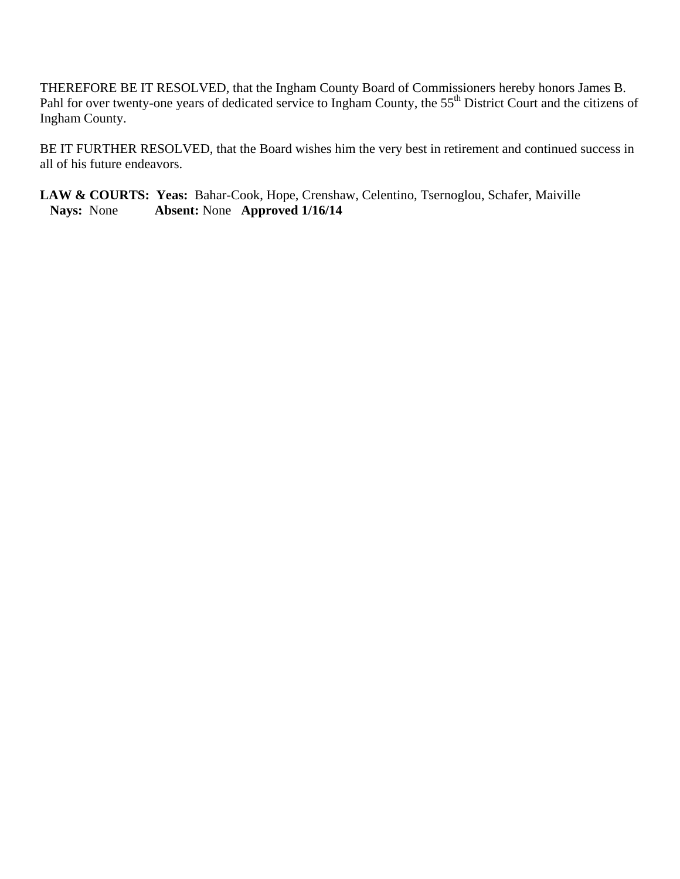THEREFORE BE IT RESOLVED, that the Ingham County Board of Commissioners hereby honors James B. Pahl for over twenty-one years of dedicated service to Ingham County, the 55<sup>th</sup> District Court and the citizens of Ingham County.

BE IT FURTHER RESOLVED, that the Board wishes him the very best in retirement and continued success in all of his future endeavors.

LAW & COURTS: Yeas: Bahar-Cook, Hope, Crenshaw, Celentino, Tsernoglou, Schafer, Maiville<br>Nays: None **Absent:** None **Approved 1/16/14 Nays:** None **Absent:** None **Approved 1/16/14**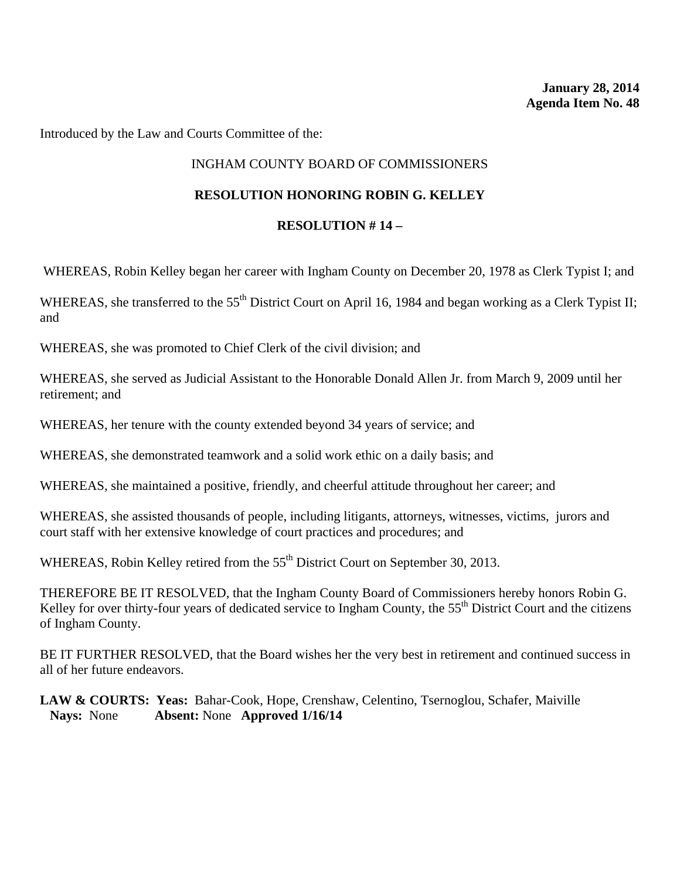Introduced by the Law and Courts Committee of the:

# INGHAM COUNTY BOARD OF COMMISSIONERS

### **RESOLUTION HONORING ROBIN G. KELLEY**

### **RESOLUTION # 14 –**

WHEREAS, Robin Kelley began her career with Ingham County on December 20, 1978 as Clerk Typist I; and

WHEREAS, she transferred to the 55<sup>th</sup> District Court on April 16, 1984 and began working as a Clerk Typist II; and

WHEREAS, she was promoted to Chief Clerk of the civil division; and

WHEREAS, she served as Judicial Assistant to the Honorable Donald Allen Jr. from March 9, 2009 until her retirement; and

WHEREAS, her tenure with the county extended beyond 34 years of service; and

WHEREAS, she demonstrated teamwork and a solid work ethic on a daily basis; and

WHEREAS, she maintained a positive, friendly, and cheerful attitude throughout her career; and

WHEREAS, she assisted thousands of people, including litigants, attorneys, witnesses, victims, jurors and court staff with her extensive knowledge of court practices and procedures; and

WHEREAS, Robin Kelley retired from the 55<sup>th</sup> District Court on September 30, 2013.

THEREFORE BE IT RESOLVED, that the Ingham County Board of Commissioners hereby honors Robin G. Kelley for over thirty-four years of dedicated service to Ingham County, the  $55<sup>th</sup>$  District Court and the citizens of Ingham County.

BE IT FURTHER RESOLVED, that the Board wishes her the very best in retirement and continued success in all of her future endeavors.

**LAW & COURTS: Yeas:** Bahar-Cook, Hope, Crenshaw, Celentino, Tsernoglou, Schafer, Maiville **Nays:** None **Absent:** None **Approved 1/16/14**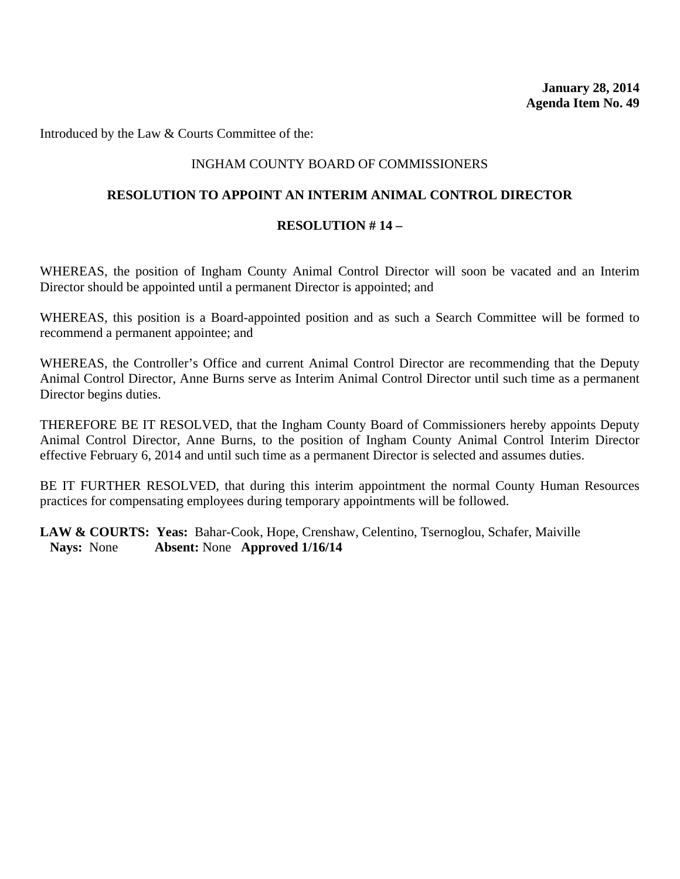Introduced by the Law & Courts Committee of the:

### INGHAM COUNTY BOARD OF COMMISSIONERS

### **RESOLUTION TO APPOINT AN INTERIM ANIMAL CONTROL DIRECTOR**

#### **RESOLUTION # 14 –**

WHEREAS, the position of Ingham County Animal Control Director will soon be vacated and an Interim Director should be appointed until a permanent Director is appointed; and

WHEREAS, this position is a Board-appointed position and as such a Search Committee will be formed to recommend a permanent appointee; and

WHEREAS, the Controller's Office and current Animal Control Director are recommending that the Deputy Animal Control Director, Anne Burns serve as Interim Animal Control Director until such time as a permanent Director begins duties.

THEREFORE BE IT RESOLVED, that the Ingham County Board of Commissioners hereby appoints Deputy Animal Control Director, Anne Burns, to the position of Ingham County Animal Control Interim Director effective February 6, 2014 and until such time as a permanent Director is selected and assumes duties.

BE IT FURTHER RESOLVED, that during this interim appointment the normal County Human Resources practices for compensating employees during temporary appointments will be followed.

LAW & COURTS: Yeas: Bahar-Cook, Hope, Crenshaw, Celentino, Tsernoglou, Schafer, Maiville **Nays:** None **Absent:** None **Approved 1/16/14**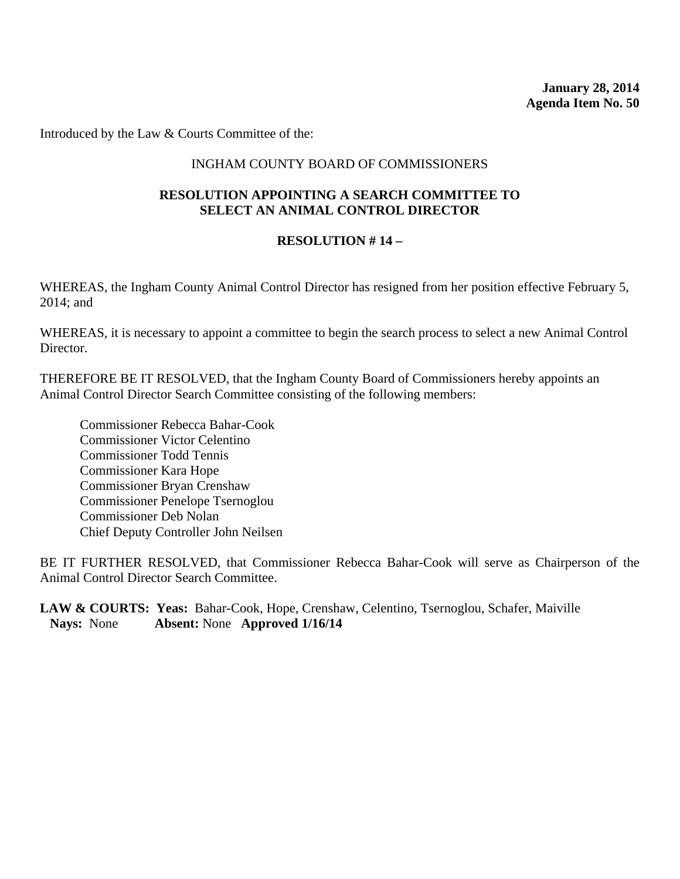**January 28, 2014 Agenda Item No. 50** 

Introduced by the Law & Courts Committee of the:

### INGHAM COUNTY BOARD OF COMMISSIONERS

### **RESOLUTION APPOINTING A SEARCH COMMITTEE TO SELECT AN ANIMAL CONTROL DIRECTOR**

#### **RESOLUTION # 14 –**

WHEREAS, the Ingham County Animal Control Director has resigned from her position effective February 5, 2014; and

WHEREAS, it is necessary to appoint a committee to begin the search process to select a new Animal Control Director.

THEREFORE BE IT RESOLVED, that the Ingham County Board of Commissioners hereby appoints an Animal Control Director Search Committee consisting of the following members:

Commissioner Rebecca Bahar-Cook Commissioner Victor Celentino Commissioner Todd Tennis Commissioner Kara Hope Commissioner Bryan Crenshaw Commissioner Penelope Tsernoglou Commissioner Deb Nolan Chief Deputy Controller John Neilsen

BE IT FURTHER RESOLVED, that Commissioner Rebecca Bahar-Cook will serve as Chairperson of the Animal Control Director Search Committee.

LAW & COURTS: Yeas: Bahar-Cook, Hope, Crenshaw, Celentino, Tsernoglou, Schafer, Maiville **Nays:** None **Absent:** None **Approved 1/16/14**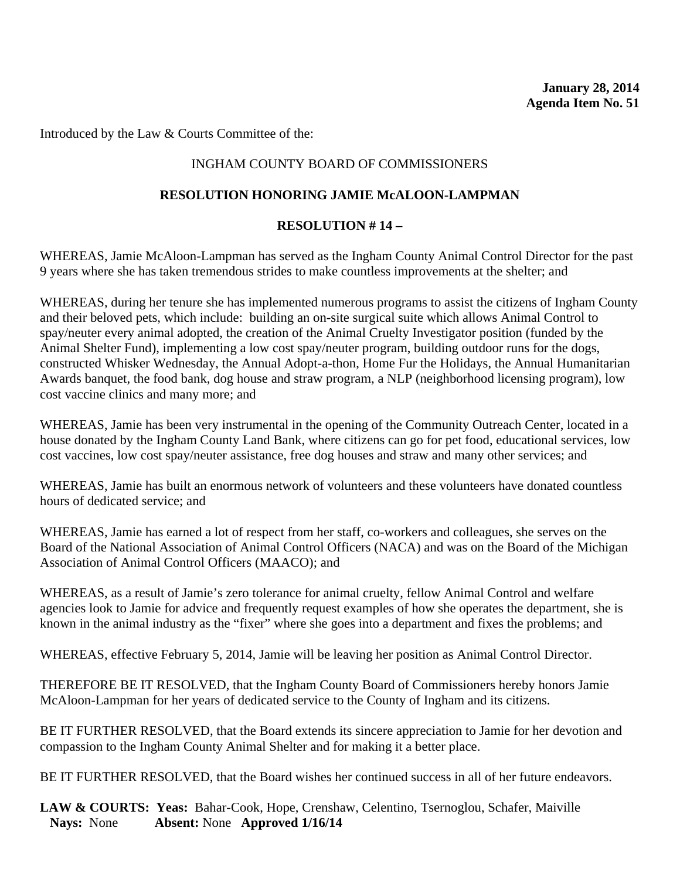Introduced by the Law & Courts Committee of the:

# INGHAM COUNTY BOARD OF COMMISSIONERS

# **RESOLUTION HONORING JAMIE McALOON-LAMPMAN**

# **RESOLUTION # 14 –**

WHEREAS, Jamie McAloon-Lampman has served as the Ingham County Animal Control Director for the past 9 years where she has taken tremendous strides to make countless improvements at the shelter; and

WHEREAS, during her tenure she has implemented numerous programs to assist the citizens of Ingham County and their beloved pets, which include: building an on-site surgical suite which allows Animal Control to spay/neuter every animal adopted, the creation of the Animal Cruelty Investigator position (funded by the Animal Shelter Fund), implementing a low cost spay/neuter program, building outdoor runs for the dogs, constructed Whisker Wednesday, the Annual Adopt-a-thon, Home Fur the Holidays, the Annual Humanitarian Awards banquet, the food bank, dog house and straw program, a NLP (neighborhood licensing program), low cost vaccine clinics and many more; and

WHEREAS, Jamie has been very instrumental in the opening of the Community Outreach Center, located in a house donated by the Ingham County Land Bank, where citizens can go for pet food, educational services, low cost vaccines, low cost spay/neuter assistance, free dog houses and straw and many other services; and

WHEREAS, Jamie has built an enormous network of volunteers and these volunteers have donated countless hours of dedicated service; and

WHEREAS, Jamie has earned a lot of respect from her staff, co-workers and colleagues, she serves on the Board of the National Association of Animal Control Officers (NACA) and was on the Board of the Michigan Association of Animal Control Officers (MAACO); and

WHEREAS, as a result of Jamie's zero tolerance for animal cruelty, fellow Animal Control and welfare agencies look to Jamie for advice and frequently request examples of how she operates the department, she is known in the animal industry as the "fixer" where she goes into a department and fixes the problems; and

WHEREAS, effective February 5, 2014, Jamie will be leaving her position as Animal Control Director.

THEREFORE BE IT RESOLVED, that the Ingham County Board of Commissioners hereby honors Jamie McAloon-Lampman for her years of dedicated service to the County of Ingham and its citizens.

BE IT FURTHER RESOLVED, that the Board extends its sincere appreciation to Jamie for her devotion and compassion to the Ingham County Animal Shelter and for making it a better place.

BE IT FURTHER RESOLVED, that the Board wishes her continued success in all of her future endeavors.

LAW & COURTS: Yeas: Bahar-Cook, Hope, Crenshaw, Celentino, Tsernoglou, Schafer, Maiville **Nays:** None **Absent:** None **Approved 1/16/14**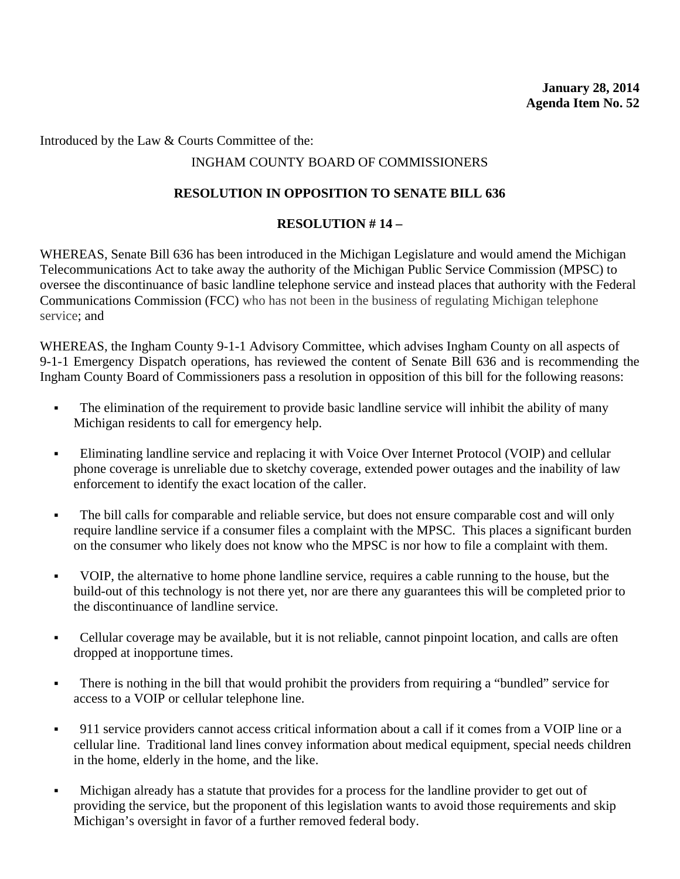Introduced by the Law & Courts Committee of the:

# INGHAM COUNTY BOARD OF COMMISSIONERS

# **RESOLUTION IN OPPOSITION TO SENATE BILL 636**

# **RESOLUTION # 14 –**

WHEREAS, Senate Bill 636 has been introduced in the Michigan Legislature and would amend the Michigan Telecommunications Act to take away the authority of the Michigan Public Service Commission (MPSC) to oversee the discontinuance of basic landline telephone service and instead places that authority with the Federal Communications Commission (FCC) who has not been in the business of regulating Michigan telephone service; and

WHEREAS, the Ingham County 9-1-1 Advisory Committee, which advises Ingham County on all aspects of 9-1-1 Emergency Dispatch operations, has reviewed the content of Senate Bill 636 and is recommending the Ingham County Board of Commissioners pass a resolution in opposition of this bill for the following reasons:

- The elimination of the requirement to provide basic landline service will inhibit the ability of many Michigan residents to call for emergency help.
- Eliminating landline service and replacing it with Voice Over Internet Protocol (VOIP) and cellular phone coverage is unreliable due to sketchy coverage, extended power outages and the inability of law enforcement to identify the exact location of the caller.
- The bill calls for comparable and reliable service, but does not ensure comparable cost and will only require landline service if a consumer files a complaint with the MPSC. This places a significant burden on the consumer who likely does not know who the MPSC is nor how to file a complaint with them.
- VOIP, the alternative to home phone landline service, requires a cable running to the house, but the build-out of this technology is not there yet, nor are there any guarantees this will be completed prior to the discontinuance of landline service.
- Cellular coverage may be available, but it is not reliable, cannot pinpoint location, and calls are often dropped at inopportune times.
- There is nothing in the bill that would prohibit the providers from requiring a "bundled" service for access to a VOIP or cellular telephone line.
- 911 service providers cannot access critical information about a call if it comes from a VOIP line or a cellular line. Traditional land lines convey information about medical equipment, special needs children in the home, elderly in the home, and the like.
- Michigan already has a statute that provides for a process for the landline provider to get out of providing the service, but the proponent of this legislation wants to avoid those requirements and skip Michigan's oversight in favor of a further removed federal body.